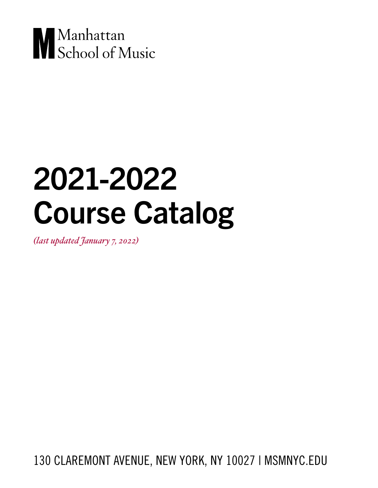

# 2021-2022 Course Catalog

*(last updated January 7, 2022)*

130 CLAREMONT AVENUE, NEW YORK, NY 10027 | MSMNYC.EDU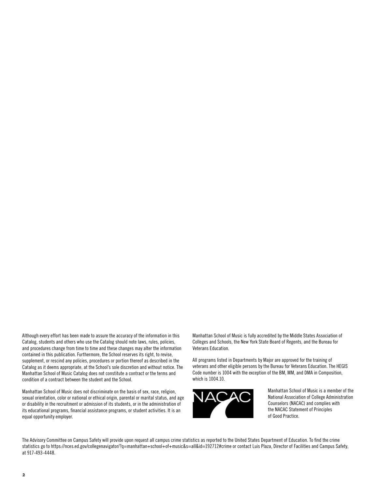Although every effort has been made to assure the accuracy of the information in this Catalog, students and others who use the Catalog should note laws, rules, policies, and procedures change from time to time and these changes may alter the information contained in this publication. Furthermore, the School reserves its right, to revise, supplement, or rescind any policies, procedures or portion thereof as described in the Catalog as it deems appropriate, at the School's sole discretion and without notice. The Manhattan School of Music Catalog does not constitute a contract or the terms and condition of a contract between the student and the School.

Manhattan School of Music does not discriminate on the basis of sex, race, religion, sexual orientation, color or national or ethical origin, parental or marital status, and age or disability in the recruitment or admission of its students, or in the administration of its educational programs, financial assistance programs, or student activities. It is an equal opportunity employer.

Manhattan School of Music is fully accredited by the Middle States Association of Colleges and Schools, the New York State Board of Regents, and the Bureau for Veterans Education.

All programs listed in Departments by Major are approved for the training of veterans and other eligible persons by the Bureau for Veterans Education. The HEGIS Code number is 1004 with the exception of the BM, MM, and DMA in Composition, which is 1004.10.



Manhattan School of Music is a member of the National Association of College Administration Counselors (NACAC) and complies with the NACAC Statement of Principles of Good Practice.

The Advisory Committee on Campus Safety will provide upon request all campus crime statistics as reported to the United States Department of Education. To find the crime statistics go to https://nces.ed.gov/collegenavigator/?q=manhattan+school+of+music&s=all&id=192712#crime or contact Luis Plaza, Director of Facilities and Campus Safety, at 917-493-4448.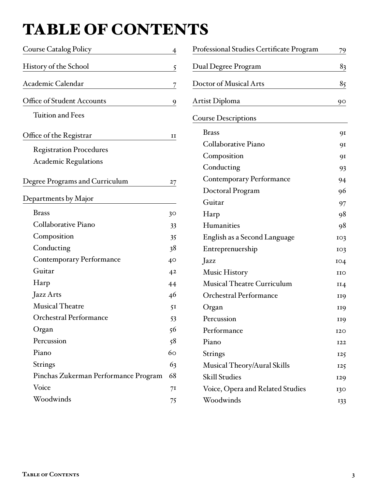## <span id="page-2-0"></span>TABLE OF CONTENTS

| <b>Course Catalog Policy</b>          | $\overline{4}$ |
|---------------------------------------|----------------|
| History of the School                 | 5              |
| Academic Calendar                     | <u>7</u>       |
| Office of Student Accounts            | 9              |
| <b>Tuition and Fees</b>               |                |
| Office of the Registrar               | 11             |
| <b>Registration Procedures</b>        |                |
| <b>Academic Regulations</b>           |                |
| <b>Degree Programs and Curriculum</b> | $27 \,$        |
| Departments by Major                  |                |
| <b>Brass</b>                          | 30             |
| Collaborative Piano                   | 33             |
| Composition                           | 35             |
| Conducting                            | 38             |
| <b>Contemporary Performance</b>       | 40             |
| Guitar                                | 42             |
| Harp                                  | 44             |
| Jazz Arts                             | 46             |
| <b>Musical Theatre</b>                | 51             |
| Orchestral Performance                | 53             |
| Organ                                 | 56             |
| Percussion                            | 58             |
| Piano                                 | 60             |
| Strings                               | 63             |
| Pinchas Zukerman Performance Program  | 68             |
| Voice                                 | 71             |
| Woodwinds                             | 75             |

| Professional Studies Certificate Program | 79  |
|------------------------------------------|-----|
| Dual Degree Program                      | 83  |
| <b>Doctor of Musical Arts</b>            | 85  |
| Artist Diploma                           | 90  |
| <b>Course Descriptions</b>               |     |
| <b>Brass</b>                             | 91  |
| Collaborative Piano                      | 91  |
| Composition                              | 91  |
| Conducting                               | 93  |
| <b>Contemporary Performance</b>          | 94  |
| Doctoral Program                         | 96  |
| Guitar                                   | 97  |
| Harp                                     | 98  |
| Humanities                               | 98  |
| English as a Second Language             | 103 |
| Entreprenuership                         | 103 |
| Jazz                                     | IO4 |
| <b>Music History</b>                     | иo  |
| <b>Musical Theatre Curriculum</b>        | II4 |
| <b>Orchestral Performance</b>            | 119 |
| Organ                                    | 119 |
| Percussion                               | 119 |
| Performance                              | 120 |
| Piano                                    | 122 |
| Strings                                  | 125 |
| Musical Theory/Aural Skills              | 125 |
| <b>Skill Studies</b>                     | 129 |
| Voice, Opera and Related Studies         | 130 |
| Woodwinds                                | 133 |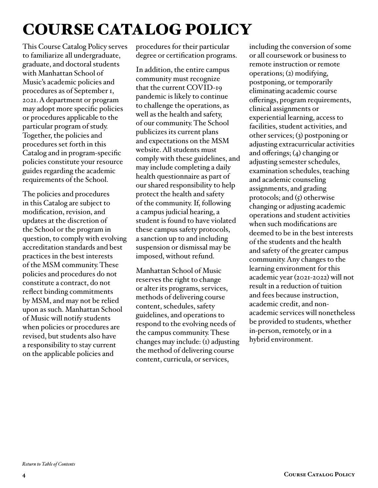## <span id="page-3-0"></span>COURSE CATALOG POLICY

This Course Catalog Policy serves to familiarize all undergraduate, graduate, and doctoral students with Manhattan School of Music's academic policies and procedures as of September 1, 2021. A department or program may adopt more specific policies or procedures applicable to the particular program of study. Together, the policies and procedures set forth in this Catalog and in program-specific policies constitute your resource guides regarding the academic requirements of the School.

The policies and procedures in this Catalog are subject to modification, revision, and updates at the discretion of the School or the program in question, to comply with evolving accreditation standards and best practices in the best interests of the MSM community. These policies and procedures do not constitute a contract, do not reflect binding commitments by MSM, and may not be relied upon as such. Manhattan School of Music will notify students when policies or procedures are revised, but students also have a responsibility to stay current on the applicable policies and

procedures for their particular degree or certification programs.

In addition, the entire campus community must recognize that the current COVID-19 pandemic is likely to continue to challenge the operations, as well as the health and safety, of our community. The School publicizes its current plans and expectations on the MSM website. All students must comply with these guidelines, and may include completing a daily health questionnaire as part of our shared responsibility to help protect the health and safety of the community. If, following a campus judicial hearing, a student is found to have violated these campus safety protocols, a sanction up to and including suspension or dismissal may be imposed, without refund.

Manhattan School of Music reserves the right to change or alter its programs, services, methods of delivering course content, schedules, safety guidelines, and operations to respond to the evolving needs of the campus community. These changes may include: (1) adjusting the method of delivering course content, curricula, or services,

including the conversion of some or all coursework or business to remote instruction or remote operations; (2) modifying, postponing, or temporarily eliminating academic course offerings, program requirements, clinical assignments or experiential learning, access to facilities, student activities, and other services; (3) postponing or adjusting extracurricular activities and offerings; (4) changing or adjusting semester schedules, examination schedules, teaching and academic counseling assignments, and grading protocols; and  $(5)$  otherwise changing or adjusting academic operations and student activities when such modifications are deemed to be in the best interests of the students and the health and safety of the greater campus community. Any changes to the learning environment for this academic year (2021-2022) will not result in a reduction of tuition and fees because instruction, academic credit, and nonacademic services will nonetheless be provided to students, whether in-person, remotely, or in a hybrid environment.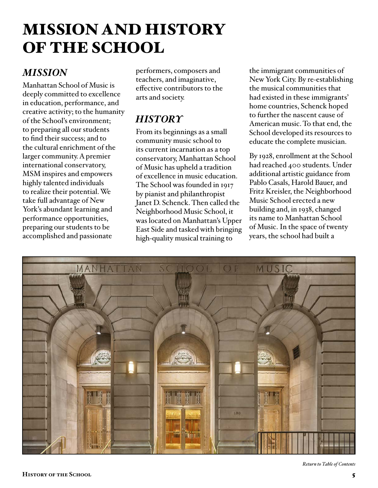## <span id="page-4-0"></span>MISSION AND HISTORY OF THE SCHOOL

## *MISSION*

Manhattan School of Music is deeply committed to excellence in education, performance, and creative activity; to the humanity of the School's environment; to preparing all our students to find their success; and to the cultural enrichment of the larger community. A premier international conservatory, MSM inspires and empowers highly talented individuals to realize their potential. We take full advantage of New York's abundant learning and performance opportunities, preparing our students to be accomplished and passionate

performers, composers and teachers, and imaginative, effective contributors to the arts and society.

## *HISTORY*

From its beginnings as a small community music school to its current incarnation as a top conservatory, Manhattan School of Music has upheld a tradition of excellence in music education. The School was founded in 1917 by pianist and philanthropist Janet D. Schenck. Then called the Neighborhood Music School, it was located on Manhattan's Upper East Side and tasked with bringing high-quality musical training to

the immigrant communities of New York City. By re-establishing the musical communities that had existed in these immigrants' home countries, Schenck hoped to further the nascent cause of American music. To that end, the School developed its resources to educate the complete musician.

By 1928, enrollment at the School had reached 400 students. Under additional artistic guidance from Pablo Casals, Harold Bauer, and Fritz Kreisler, the Neighborhood Music School erected a new building and, in 1938, changed its name to Manhattan School of Music. In the space of twenty years, the school had built a

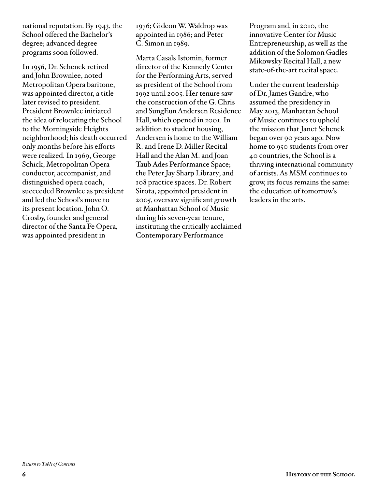national reputation. By 1943, the School offered the Bachelor's degree; advanced degree programs soon followed.

In 1956, Dr. Schenck retired and John Brownlee, noted Metropolitan Opera baritone, was appointed director, a title later revised to president. President Brownlee initiated the idea of relocating the School to the Morningside Heights neighborhood; his death occurred only months before his efforts were realized. In 1969, George Schick, Metropolitan Opera conductor, accompanist, and distinguished opera coach, succeeded Brownlee as president and led the School's move to its present location. John O. Crosby, founder and general director of the Santa Fe Opera, was appointed president in

1976; Gideon W. Waldrop was appointed in 1986; and Peter C. Simon in 1989.

Marta Casals Istomin, former director of the Kennedy Center for the Performing Arts, served as president of the School from 1992 until 2005. Her tenure saw the construction of the G. Chris and SungEun Andersen Residence Hall, which opened in 2001. In addition to student housing, Andersen is home to the William R. and Irene D. Miller Recital Hall and the Alan M. and Joan Taub Ades Performance Space; the Peter Jay Sharp Library; and 108 practice spaces. Dr. Robert Sirota, appointed president in 2005, oversaw significant growth at Manhattan School of Music during his seven-year tenure, instituting the critically acclaimed Contemporary Performance

Program and, in 2010, the innovative Center for Music Entrepreneurship, as well as the addition of the Solomon Gadles Mikowsky Recital Hall, a new state-of-the-art recital space.

Under the current leadership of Dr. James Gandre, who assumed the presidency in May 2013, Manhattan School of Music continues to uphold the mission that Janet Schenck began over 90 years ago. Now home to 950 students from over 40 countries, the School is a thriving international community of artists. As MSM continues to grow, its focus remains the same: the education of tomorrow's leaders in the arts.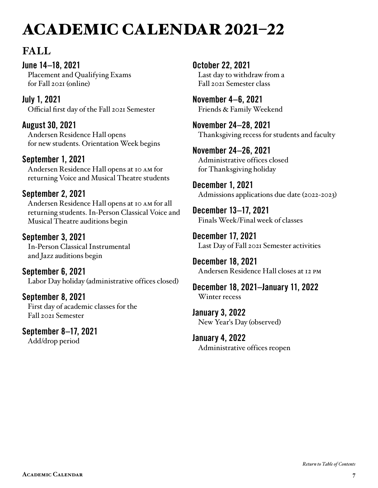## <span id="page-6-0"></span>ACADEMIC CALENDAR 2021–22

## **FALL**

June 14–18, 2021 Placement and Qualifying Exams for Fall 2021 (online)

July 1, 2021 Official first day of the Fall 2021 Semester

August 30, 2021 Andersen Residence Hall opens for new students. Orientation Week begins

### September 1, 2021

Andersen Residence Hall opens at 10 am for returning Voice and Musical Theatre students

## September 2, 2021

Andersen Residence Hall opens at 10 am for all returning students. In-Person Classical Voice and Musical Theatre auditions begin

### September 3, 2021

In-Person Classical Instrumental and Jazz auditions begin

September 6, 2021 Labor Day holiday (administrative offices closed)

September 8, 2021 First day of academic classes for the Fall 2021 Semester

September 8–17, 2021 Add/drop period

October 22, 2021 Last day to withdraw from a Fall 2021 Semester class

November 4–6, 2021 Friends & Family Weekend

November 24–28, 2021 Thanksgiving recess for students and faculty

November 24–26, 2021 Administrative offices closed for Thanksgiving holiday

December 1, 2021 Admissions applications due date (2022-2023)

December 13–17, 2021 Finals Week/Final week of classes

December 17, 2021 Last Day of Fall 2021 Semester activities

December 18, 2021 Andersen Residence Hall closes at 12 pm

December 18, 2021–January 11, 2022 Winter recess

January 3, 2022 New Year's Day (observed)

January 4, 2022 Administrative offices reopen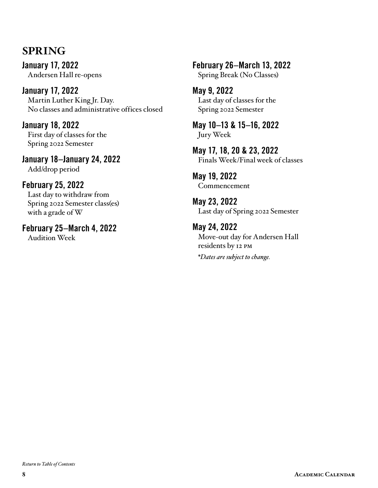## **SPRING**

January 17, 2022 Andersen Hall re-opens

January 17, 2022 Martin Luther King Jr. Day. No classes and administrative offices closed

January 18, 2022 First day of classes for the Spring 2022 Semester

January 18–January 24, 2022 Add/drop period

### February 25, 2022 Last day to withdraw from

Spring 2022 Semester class(es) with a grade of W

February 25–March 4, 2022 Audition Week

February 26–March 13, 2022 Spring Break (No Classes)

May 9, 2022 Last day of classes for the Spring 2022 Semester

May 10–13 & 15–16, 2022 Jury Week

May 17, 18, 20 & 23, 2022 Finals Week/Final week of classes

May 19, 2022 Commencement

May 23, 2022 Last day of Spring 2022 Semester

May 24, 2022 Move-out day for Andersen Hall residents by 12 pm *\*Dates are subject to change.*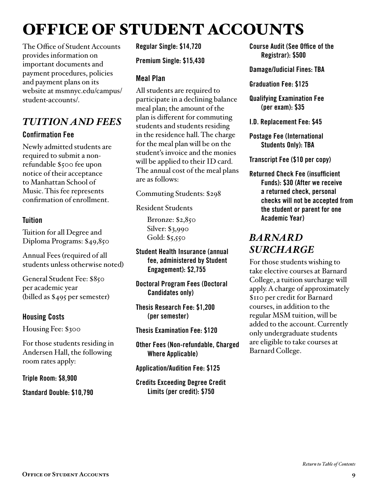## <span id="page-8-0"></span>OFFICE OF STUDENT ACCOUNTS

The Office of Student Accounts provides information on important documents and payment procedures, policies and payment plans on its website at msmnyc.edu/campus/ student-accounts/.

### *TUITION AND FEES* Confirmation Fee

Newly admitted students are required to submit a nonrefundable \$500 fee upon notice of their acceptance to Manhattan School of Music. This fee represents confirmation of enrollment.

#### **Tuition**

Tuition for all Degree and Diploma Programs: \$49,850

Annual Fees (required of all students unless otherwise noted)

General Student Fee: \$850 per academic year (billed as \$495 per semester)

#### Housing Costs

Housing Fee: \$300

For those students residing in Andersen Hall, the following room rates apply:

Triple Room: \$8,900

Standard Double: \$10,790

Regular Single: \$14,720

Premium Single: \$15,430

#### Meal Plan

All students are required to participate in a declining balance meal plan; the amount of the plan is different for commuting students and students residing in the residence hall. The charge for the meal plan will be on the student's invoice and the monies will be applied to their ID card. The annual cost of the meal plans are as follows:

Commuting Students: \$298

Resident Students

Brronze: \$2,850 Silver: \$3,990 Gold: \$5,550

Student Health Insurance (annual fee, administered by Student Engagement): \$2,755

Doctoral Program Fees (Doctoral Candidates only)

Thesis Research Fee: \$1,200 (per semester)

Thesis Examination Fee: \$120

Other Fees (Non-refundable, Charged Where Applicable)

Application/Audition Fee: \$125

Credits Exceeding Degree Credit Limits (per credit): \$750

Course Audit (See Office of the Registrar): \$500

Damage/Judicial Fines: TBA

Graduation Fee: \$125

Qualifying Examination Fee (per exam): \$35

I.D. Replacement Fee: \$45

Postage Fee (International Students Only): TBA

Transcript Fee (\$10 per copy)

Returned Check Fee (insufficient Funds): \$30 (After we receive a returned check, personal checks will not be accepted from the student or parent for one Academic Year)

## *BARNARD SURCHARGE*

For those students wishing to take elective courses at Barnard College, a tuition surcharge will apply. A charge of approximately \$110 per credit for Barnard courses, in addition to the regular MSM tuition, will be added to the account. Currently only undergraduate students are eligible to take courses at Barnard College.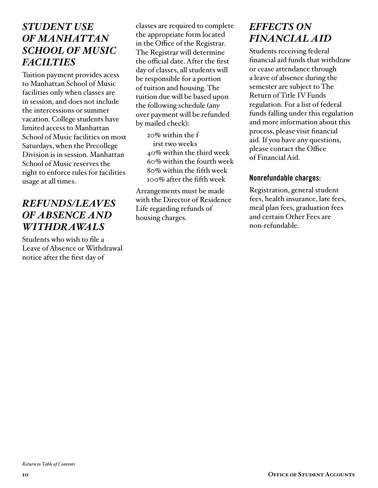## *STUDENT USE OF MANHATTAN SCHOOL OF MUSIC FACILTIES*

Tuition payment provides acess to Manhattan School of Music facilities only when classes are in session, and does not include the intercessions or summer vacation. College students have limited access to Manhattan School of Music facilities on most Saturdays, when the Precollege Division is in session. Manhattan School of Music reserves the right to enforce rules for facilities usage at all times.

## *REFUNDS/LEAVES OF ABSENCE AND WITHDRAWALS*

Students who wish to file a Leave of Absence or Withdrawal notice after the first day of

classes are required to complete the appropriate form located in the Office of the Registrar. The Registrar will determine the official date. After the first day of classes, all students will be responsible for a portion of tuition and housing. The tuition due will be based upon the following schedule (any over payment will be refunded by mailed check):

20% within the f irst two weeks 40% within the third week 60% within the fourth week 80% within the fifth week 100% after the fifth week

Arrangements must be made with the Director of Residence Life regarding refunds of housing charges.

## *EFFECTS ON FINANCIAL AID*

Students receiving federal financial aid funds that withdraw or cease attendance through a leave of absence during the semester are subject to The Return of Title IV Funds regulation. For a list of federal funds falling under this regulation and more information about this process, please visit financial aid. If you have any questions, please contact the Office of Financial Aid.

#### Nonrefundable charges:

Registration, general student fees, health insurance, late fees, meal plan fees, graduation fees and certain Other Fees are non-refundable.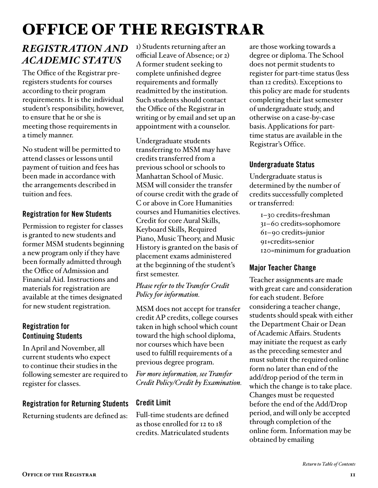## <span id="page-10-0"></span>OFFICE OF THE REGISTRAR

## *REGISTRATION AND ACADEMIC STATUS*

The Office of the Registrar preregisters students for courses according to their program requirements. It is the individual student's responsibility, however, to ensure that he or she is meeting those requirements in a timely manner.

No student will be permitted to attend classes or lessons until payment of tuition and fees has been made in accordance with the arrangements described in tuition and fees.

#### Registration for New Students

Permission to register for classes is granted to new students and former MSM students beginning a new program only if they have been formally admitted through the Office of Admission and Financial Aid. Instructions and materials for registration are available at the times designated for new student registration.

#### Registration for Continuing Students

In April and November, all current students who expect to continue their studies in the following semester are required to register for classes.

#### Registration for Returning Students

Returning students are defined as:

1) Students returning after an official Leave of Absence; or 2) A former student seeking to complete unfinished degree requirements and formally readmitted by the institution. Such students should contact the Office of the Registrar in writing or by email and set up an appointment with a counselor.

Undergraduate students transferring to MSM may have credits transferred from a previous school or schools to Manhattan School of Music. MSM will consider the transfer of course credit with the grade of C or above in Core Humanities courses and Humanities electives. Credit for core Aural Skills, Keyboard Skills, Required Piano, Music Theory, and Music History is granted on the basis of placement exams administered at the beginning of the student's first semester.

*Please refer to the Transfer Credit Policy for information.*

MSM does not accept for transfer credit AP credits, college courses taken in high school which count toward the high school diploma, nor courses which have been used to fulfill requirements of a previous degree program.

*For more information, see Transfer Credit Policy/Credit by Examination.*

#### Credit Limit

Full-time students are defined as those enrolled for 12 to 18 credits. Matriculated students are those working towards a degree or diploma. The School does not permit students to register for part-time status (less than 12 credits). Exceptions to this policy are made for students completing their last semester of undergraduate study, and otherwise on a case-by-case basis. Applications for parttime status are available in the Registrar's Office.

#### Undergraduate Status

Undergraduate status is determined by the number of credits successfully completed or transferred:

1–30 credits=freshman 31–60 credits=sophomore 61–90 credits=junior 91+credits=senior 120=minimum for graduation

#### Major Teacher Change

Teacher assignments are made with great care and consideration for each student. Before considering a teacher change, students should speak with either the Department Chair or Dean of Academic Affairs. Students may initiate the request as early as the preceding semester and must submit the required online form no later than end of the add/drop period of the term in which the change is to take place. Changes must be requested before the end of the Add/Drop period, and will only be accepted through completion of the online form. Information may be obtained by emailing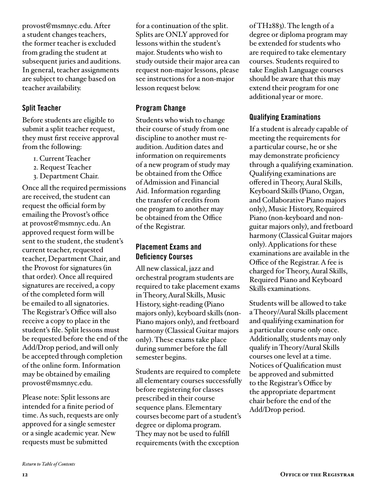provost@msmnyc.edu. After a student changes teachers, the former teacher is excluded from grading the student at subsequent juries and auditions. In general, teacher assignments are subject to change based on teacher availability.

#### Split Teacher

Before students are eligible to submit a split teacher request, they must first receive approval from the following:

- 1. Current Teacher
- 2. Request Teacher
- 3. Department Chair.

Once all the required permissions are received, the student can request the official form by emailing the Provost's office at provost@msmnyc.edu. An approved request form will be sent to the student, the student's current teacher, requested teacher, Department Chair, and the Provost for signatures (in that order). Once all required signatures are received, a copy of the completed form will be emailed to all signatories. The Registrar's Office will also receive a copy to place in the student's file. Split lessons must be requested before the end of the Add/Drop period, and will only be accepted through completion of the online form. Information may be obtained by emailing provost@msmnyc.edu.

Please note: Split lessons are intended for a finite period of time. As such, requests are only approved for a single semester or a single academic year. New requests must be submitted

for a continuation of the split. Splits are ONLY approved for lessons within the student's major. Students who wish to study outside their major area can request non-major lessons, please see instructions for a non-major lesson request below.

#### Program Change

Students who wish to change their course of study from one discipline to another must reaudition. Audition dates and information on requirements of a new program of study may be obtained from the Office of Admission and Financial Aid. Information regarding the transfer of credits from one program to another may be obtained from the Office of the Registrar.

#### Placement Exams and Deficiency Courses

All new classical, jazz and orchestral program students are required to take placement exams in Theory, Aural Skills, Music History, sight-reading (Piano majors only), keyboard skills (non-Piano majors only), and fretboard harmony (Classical Guitar majors only). These exams take place during summer before the fall semester begins.

Students are required to complete all elementary courses successfully before registering for classes prescribed in their course sequence plans. Elementary courses become part of a student's degree or diploma program. They may not be used to fulfill requirements (with the exception

of TH2883). The length of a degree or diploma program may be extended for students who are required to take elementary courses. Students required to take English Language courses should be aware that this may extend their program for one additional year or more.

#### Qualifying Examinations

If a student is already capable of meeting the requirements for a particular course, he or she may demonstrate proficiency through a qualifying examination. Qualifying examinations are offered in Theory, Aural Skills, Keyboard Skills (Piano, Organ, and Collaborative Piano majors only), Music History, Required Piano (non-keyboard and nonguitar majors only), and fretboard harmony (Classical Guitar majors only). Applications for these examinations are available in the Office of the Registrar. A fee is charged for Theory, Aural Skills, Required Piano and Keyboard Skills examinations.

Students will be allowed to take a Theory/Aural Skills placement and qualifying examination for a particular course only once. Additionally, students may only qualify in Theory/Aural Skills courses one level at a time. Notices of Qualification must be approved and submitted to the Registrar's Office by the appropriate department chair before the end of the Add/Drop period.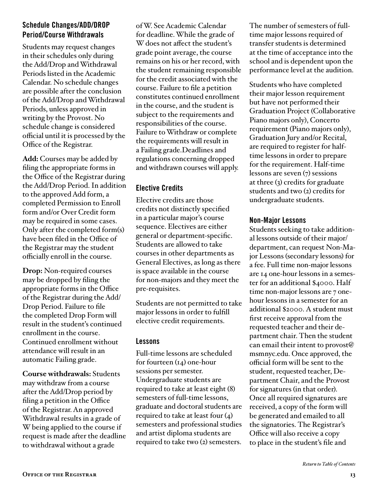#### <span id="page-12-0"></span>Schedule Changes/ADD/DROP Period/Course Withdrawals

Students may request changes in their schedules only during the Add/Drop and Withdrawal Periods listed in the Academic Calendar. No schedule changes are possible after the conclusion of the Add/Drop and Withdrawal Periods, unless approved in writing by the Provost. No schedule change is considered official until it is processed by the Office of the Registrar.

**Add:** Courses may be added by filing the appropriate forms in the Office of the Registrar during the Add/Drop Period. In addition to the approved Add form, a completed Permission to Enroll form and/or Over Credit form may be required in some cases. Only after the completed form(s) have been filed in the Office of the Registrar may the student officially enroll in the course.

**Drop:** Non-required courses may be dropped by filing the appropriate forms in the Office of the Registrar during the Add/ Drop Period. Failure to file the completed Drop Form will result in the student's continued enrollment in the course. Continued enrollment without attendance will result in an automatic Failing grade.

**Course withdrawals:** Students may withdraw from a course after the Add/Drop period by filing a petition in the Office of the Registrar. An approved Withdrawal results in a grade of W being applied to the course if request is made after the deadline to withdrawal without a grade

of W. See Academic Calendar for deadline. While the grade of W does not affect the student's grade point average, the course remains on his or her record, with the student remaining responsible for the credit associated with the course. Failure to file a petition constitutes continued enrollment in the course, and the student is subject to the requirements and responsibilities of the course. Failure to Withdraw or complete the requirements will result in a Failing grade.Deadlines and regulations concerning dropped and withdrawn courses will apply.

#### Elective Credits

Elective credits are those credits not distinctly specified in a particular major's course sequence. Electives are either general or department-specific. Students are allowed to take courses in other departments as General Electives, as long as there is space available in the course for non-majors and they meet the pre-requisites.

Students are not permitted to take major lessons in order to fulfill elective credit requirements.

#### Lessons

Full-time lessons are scheduled for fourteen (14) one-hour sessions per semester. Undergraduate students are required to take at least eight (8) semesters of full-time lessons, graduate and doctoral students are required to take at least four (4) semesters and professional studies and artist diploma students are required to take two (2) semesters.

The number of semesters of fulltime major lessons required of transfer students is determined at the time of acceptance into the school and is dependent upon the performance level at the audition.

Students who have completed their major lesson requirement but have not performed their Graduation Project (Collaborative Piano majors only), Concerto requirement (Piano majors only), Graduation Jury and/or Recital, are required to register for halftime lessons in order to prepare for the requirement. Half-time lessons are seven (7) sessions at three (3) credits for graduate students and two (2) credits for undergraduate students.

#### Non-Major Lessons

Students seeking to take additional lessons outside of their major/ department, can request Non-Major Lessons (secondary lessons) for a fee. Full time non-major lessons are 14 one-hour lessons in a semester for an additional \$4000. Half time non-major lessons are 7 onehour lessons in a semester for an additional \$2000. A student must first receive approval from the requested teacher and their department chair. Then the student can email their intent to provost@ msmnyc.edu. Once approved, the official form will be sent to the student, requested teacher, Department Chair, and the Provost for signatures (in that order). Once all required signatures are received, a copy of the form will be generated and emailed to all the signatories. The Registrar's Office will also receive a copy to place in the student's file and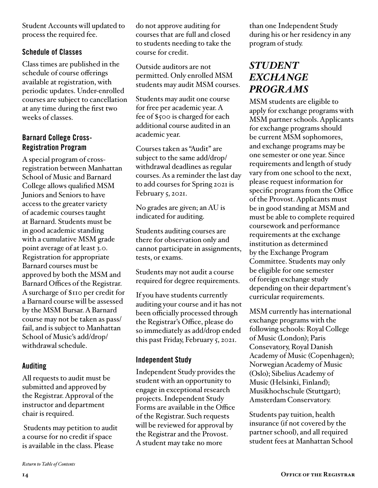Student Accounts will updated to process the required fee.

#### Schedule of Classes

Class times are published in the schedule of course offerings available at registration, with periodic updates. Under-enrolled courses are subject to cancellation at any time during the first two weeks of classes.

#### Barnard College Cross-Registration Program

A special program of crossregistration between Manhattan School of Music and Barnard College allows qualified MSM Juniors and Seniors to have access to the greater variety of academic courses taught at Barnard. Students must be in good academic standing with a cumulative MSM grade point average of at least 3.0. Registration for appropriate Barnard courses must be approved by both the MSM and Barnard Offices of the Registrar. A surcharge of \$110 per credit for a Barnard course will be assessed by the MSM Bursar. A Barnard course may not be taken as pass/ fail, and is subject to Manhattan School of Music's add/drop/ withdrawal schedule.

#### Auditing

All requests to audit must be submitted and approved by the Registrar. Approval of the instructor and department chair is required.

 Students may petition to audit a course for no credit if space is available in the class. Please

do not approve auditing for courses that are full and closed to students needing to take the course for credit.

Outside auditors are not permitted. Only enrolled MSM students may audit MSM courses.

Students may audit one course for free per academic year. A fee of \$500 is charged for each additional course audited in an academic year.

Courses taken as "Audit" are subject to the same add/drop/ withdrawal deadlines as regular courses. As a reminder the last day to add courses for Spring 2021 is February 5, 2021.

No grades are given; an AU is indicated for auditing.

Students auditing courses are there for observation only and cannot participate in assignments, tests, or exams.

Students may not audit a course required for degree requirements.

If you have students currently auditing your course and it has not been officially processed through the Registrar's Office, please do so immediately as add/drop ended this past Friday, February 5, 2021.

#### Independent Study

Independent Study provides the student with an opportunity to engage in exceptional research projects. Independent Study Forms are available in the Office of the Registrar. Such requests will be reviewed for approval by the Registrar and the Provost. A student may take no more

than one Independent Study during his or her residency in any program of study.

## *STUDENT EXCHANGE PROGRAMS*

MSM students are eligible to apply for exchange programs with MSM partner schools. Applicants for exchange programs should be current MSM sophomores, and exchange programs may be one semester or one year. Since requirements and length of study vary from one school to the next, please request information for specific programs from the Office of the Provost. Applicants must be in good standing at MSM and must be able to complete required coursework and performance requirements at the exchange institution as determined by the Exchange Program Committee. Students may only be eligible for one semester of foreign exchange study depending on their department's curricular requirements.

MSM currently has international exchange programs with the following schools: Royal College of Music (London); Paris Consevatory, Royal Danish Academy of Music (Copenhagen); Norwegian Academy of Music (Oslo); Sibelius Academy of Music (Helsinki, Finland); Musikhochschule (Stuttgart); Amsterdam Conservatory.

Students pay tuition, health insurance (if not covered by the partner school), and all required student fees at Manhattan School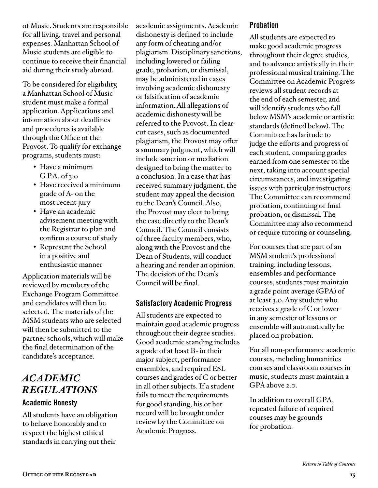<span id="page-14-0"></span>of Music. Students are responsible for all living, travel and personal expenses. Manhattan School of Music students are eligible to continue to receive their financial aid during their study abroad.

To be considered for eligibility, a Manhattan School of Music student must make a formal application. Applications and information about deadlines and procedures is available through the Office of the Provost. To qualify for exchange programs, students must:

- Have a minimum G.P.A. of 3.0
- Have received a minimum grade of A- on the most recent jury
- Have an academic advisement meeting with the Registrar to plan and confirm a course of study
- Represent the School in a positive and enthusiastic manner

Application materials will be reviewed by members of the Exchange Program Committee and candidates will then be selected. The materials of the MSM students who are selected will then be submitted to the partner schools, which will make the final determination of the candidate's acceptance.

## *ACADEMIC REGULATIONS*

#### Academic Honesty

All students have an obligation to behave honorably and to respect the highest ethical standards in carrying out their

academic assignments. Academic dishonesty is defined to include any form of cheating and/or plagiarism. Disciplinary sanctions, including lowered or failing grade, probation, or dismissal, may be administered in cases involving academic dishonesty or falsification of academic information. All allegations of academic dishonesty will be referred to the Provost. In clearcut cases, such as documented plagiarism, the Provost may offer a summary judgment, which will include sanction or mediation designed to bring the matter to a conclusion. In a case that has received summary judgment, the student may appeal the decision to the Dean's Council. Also, the Provost may elect to bring the case directly to the Dean's Council. The Council consists of three faculty members, who, along with the Provost and the Dean of Students, will conduct a hearing and render an opinion. The decision of the Dean's Council will be final.

#### Satisfactory Academic Progress

All students are expected to maintain good academic progress throughout their degree studies. Good academic standing includes a grade of at least B- in their major subject, performance ensembles, and required ESL courses and grades of C or better in all other subjects. If a student fails to meet the requirements for good standing, his or her record will be brought under review by the Committee on Academic Progress.

#### Probation

All students are expected to make good academic progress throughout their degree studies, and to advance artistically in their professional musical training. The Committee on Academic Progress reviews all student records at the end of each semester, and will identify students who fall below MSM's academic or artistic standards (defined below). The Committee has latitude to judge the efforts and progress of each student, comparing grades earned from one semester to the next, taking into account special circumstances, and investigating issues with particular instructors. The Committee can recommend probation, continuing or final probation, or dismissal. The Committee may also recommend or require tutoring or counseling.

For courses that are part of an MSM student's professional training, including lessons, ensembles and performance courses, students must maintain a grade point average (GPA) of at least 3.0. Any student who receives a grade of C or lower in any semester of lessons or ensemble will automatically be placed on probation.

For all non-performance academic courses, including humanities courses and classroom courses in music, students must maintain a GPA above 2.0.

In addition to overall GPA, repeated failure of required courses may be grounds for probation.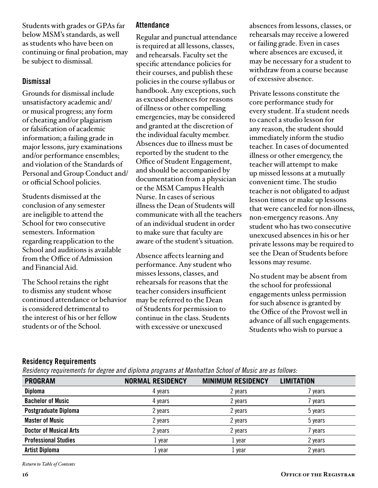Students with grades or GPAs far below MSM's standards, as well as students who have been on continuing or final probation, may be subject to dismissal.

#### **Dismissal**

Grounds for dismissal include unsatisfactory academic and/ or musical progress; any form of cheating and/or plagiarism or falsification of academic information; a failing grade in major lessons, jury examinations and/or performance ensembles; and violation of the Standards of Personal and Group Conduct and/ or official School policies.

Students dismissed at the conclusion of any semester are ineligible to attend the School for two consecutive semesters. Information regarding reapplication to the School and auditions is available from the Office of Admission and Financial Aid.

The School retains the right to dismiss any student whose continued attendance or behavior is considered detrimental to the interest of his or her fellow students or of the School.

#### **Attendance**

Regular and punctual attendance is required at all lessons, classes, and rehearsals. Faculty set the specific attendance policies for their courses, and publish these policies in the course syllabus or handbook. Any exceptions, such as excused absences for reasons of illness or other compelling emergencies, may be considered and granted at the discretion of the individual faculty member. Absences due to illness must be reported by the student to the Office of Student Engagement, and should be accompanied by documentation from a physician or the MSM Campus Health Nurse. In cases of serious illness the Dean of Students will communicate with all the teachers of an individual student in order to make sure that faculty are aware of the student's situation.

Absence affects learning and performance. Any student who misses lessons, classes, and rehearsals for reasons that the teacher considers insufficient may be referred to the Dean of Students for permission to continue in the class. Students with excessive or unexcused

absences from lessons, classes, or rehearsals may receive a lowered or failing grade. Even in cases where absences are excused, it may be necessary for a student to withdraw from a course because of excessive absence.

Private lessons constitute the core performance study for every student. If a student needs to cancel a studio lesson for any reason, the student should immediately inform the studio teacher. In cases of documented illness or other emergency, the teacher will attempt to make up missed lessons at a mutually convenient time. The studio teacher is not obligated to adjust lesson times or make up lessons that were canceled for non-illness, non-emergency reasons. Any student who has two consecutive unexcused absences in his or her private lessons may be required to see the Dean of Students before lessons may resume.

No student may be absent from the school for professional engagements unless permission for such absence is granted by the Office of the Provost well in advance of all such engagements. Students who wish to pursue a

#### Residency Requirements

*Residency requirements for degree and diploma programs at Manhattan School of Music are as follows:*

| <b>PROGRAM</b>                | <b>NORMAL RESIDENCY</b> | <b>MINIMUM RESIDENCY</b> | <b>LIMITATION</b> |
|-------------------------------|-------------------------|--------------------------|-------------------|
| <b>Diploma</b>                | 4 years                 | 2 years                  | years             |
| <b>Bachelor of Music</b>      | 4 years                 | 2 years                  | years             |
| Postgraduate Diploma          | 2 years                 | 2 years                  | 5 years           |
| <b>Master of Music</b>        | 2 years                 | 2 years                  | 5 years           |
| <b>Doctor of Musical Arts</b> | 2 years                 | 2 years                  | years             |
| <b>Professional Studies</b>   | 1 year                  | 1 year                   | 2 years           |
| <b>Artist Diploma</b>         | 1 year                  | year                     | 2 years           |

*[Return to Table of Contents](#page-2-0)*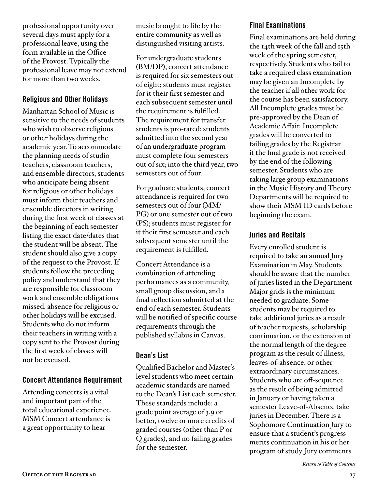professional opportunity over several days must apply for a professional leave, using the form available in the Office of the Provost. Typically the professional leave may not extend for more than two weeks.

#### Religious and Other Holidays

Manhattan School of Music is sensitive to the needs of students who wish to observe religious or other holidays during the academic year. To accommodate the planning needs of studio teachers, classroom teachers, and ensemble directors, students who anticipate being absent for religious or other holidays must inform their teachers and ensemble directors in writing during the first week of classes at the beginning of each semester listing the exact date/dates that the student will be absent. The student should also give a copy of the request to the Provost. If students follow the preceding policy and understand that they are responsible for classroom work and ensemble obligations missed, absence for religious or other holidays will be excused. Students who do not inform their teachers in writing with a copy sent to the Provost during the first week of classes will not be excused.

#### Concert Attendance Requirement

Attending concerts is a vital and important part of the total educational experience. MSM Concert attendance is a great opportunity to hear

music brought to life by the entire community as well as distinguished visiting artists.

For undergraduate students (BM/DP), concert attendance is required for six semesters out of eight; students must register for it their first semester and each subsequent semester until the requirement is fulfilled. The requirement for transfer students is pro-rated: students admitted into the second year of an undergraduate program must complete four semesters out of six; into the third year, two semesters out of four.

For graduate students, concert attendance is required for two semesters out of four (MM/ PG) or one semester out of two (PS); students must register for it their first semester and each subsequent semester until the requirement is fulfilled.

Concert Attendance is a combination of attending performances as a community, small group discussion, and a final reflection submitted at the end of each semester. Students will be notified of specific course requirements through the published syllabus in Canvas.

#### Dean's List

Qualified Bachelor and Master's level students who meet certain academic standards are named to the Dean's List each semester. These standards include: a grade point average of 3.9 or better, twelve or more credits of graded courses (other than P or Q grades), and no failing grades for the semester.

#### Final Examinations

Final examinations are held during the 14th week of the fall and 15th week of the spring semester, respectively. Students who fail to take a required class examination may be given an Incomplete by the teacher if all other work for the course has been satisfactory. All Incomplete grades must be pre-approved by the Dean of Academic Affair. Incomplete grades will be converted to failing grades by the Registrar if the final grade is not received by the end of the following semester. Students who are taking large group examinations in the Music History and Theory Departments will be required to show their MSM ID cards before beginning the exam.

#### Juries and Recitals

Every enrolled student is required to take an annual Jury Examination in May. Students should be aware that the number of juries listed in the Department Major grids is the minimum needed to graduate. Some students may be required to take additional juries as a result of teacher requests, scholarship continuation, or the extension of the normal length of the degree program as the result of illness, leaves-of-absence, or other extraordinary circumstances. Students who are off-sequence as the result of being admitted in January or having taken a semester Leave-of-Absence take juries in December. There is a Sophomore Continuation Jury to ensure that a student's progress merits continuation in his or her program of study. Jury comments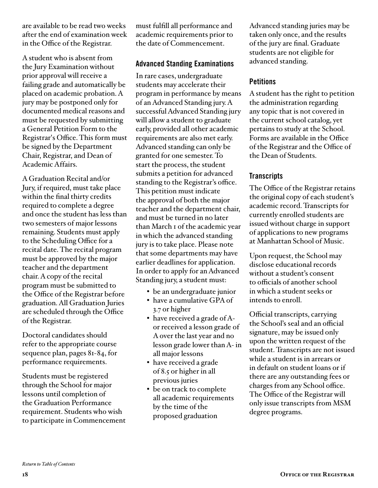are available to be read two weeks after the end of examination week in the Office of the Registrar.

A student who is absent from the Jury Examination without prior approval will receive a failing grade and automatically be placed on academic probation. A jury may be postponed only for documented medical reasons and must be requested by submitting a General Petition Form to the Registrar's Office. This form must be signed by the Department Chair, Registrar, and Dean of Academic Affairs.

A Graduation Recital and/or Jury, if required, must take place within the final thirty credits required to complete a degree and once the student has less than two semesters of major lessons remaining. Students must apply to the Scheduling Office for a recital date. The recital program must be approved by the major teacher and the department chair. A copy of the recital program must be submitted to the Office of the Registrar before graduation. All Graduation Juries are scheduled through the Office of the Registrar.

Doctoral candidates should refer to the appropriate course sequence plan, pages 81-84, for performance requirements.

Students must be registered through the School for major lessons until completion of the Graduation Performance requirement. Students who wish to participate in Commencement must fulfill all performance and academic requirements prior to the date of Commencement.

#### Advanced Standing Examinations

In rare cases, undergraduate students may accelerate their program in performance by means of an Advanced Standing jury. A successful Advanced Standing jury will allow a student to graduate early, provided all other academic requirements are also met early. Advanced standing can only be granted for one semester. To start the process, the student submits a petition for advanced standing to the Registrar's office. This petition must indicate the approval of both the major teacher and the department chair, and must be turned in no later than March 1 of the academic year in which the advanced standing jury is to take place. Please note that some departments may have earlier deadlines for application. In order to apply for an Advanced Standing jury, a student must:

- be an undergraduate junior
- have a cumulative GPA of 3.7 or higher
- have received a grade of Aor received a lesson grade of A over the last year and no lesson grade lower than A- in all major lessons
- have received a grade of 8.5 or higher in all previous juries
- be on track to complete all academic requirements by the time of the proposed graduation

Advanced standing juries may be taken only once, and the results of the jury are final. Graduate students are not eligible for advanced standing.

#### **Petitions**

A student has the right to petition the administration regarding any topic that is not covered in the current school catalog, yet pertains to study at the School. Forms are available in the Office of the Registrar and the Office of the Dean of Students.

#### **Transcripts**

The Office of the Registrar retains the original copy of each student's academic record. Transcripts for currently enrolled students are issued without charge in support of applications to new programs at Manhattan School of Music.

Upon request, the School may disclose educational records without a student's consent to officials of another school in which a student seeks or intends to enroll.

Official transcripts, carrying the School's seal and an official signature, may be issued only upon the written request of the student. Transcripts are not issued while a student is in arrears or in default on student loans or if there are any outstanding fees or charges from any School office. The Office of the Registrar will only issue transcripts from MSM degree programs.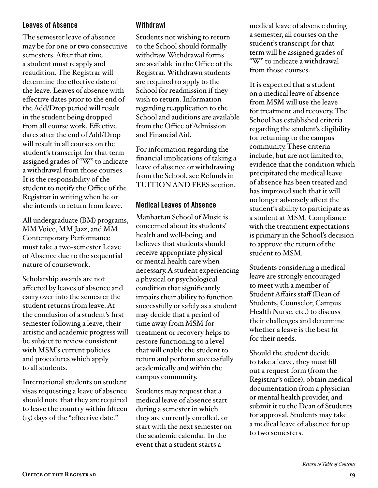#### Leaves of Absence

The semester leave of absence may be for one or two consecutive semesters. After that time a student must reapply and reaudition. The Registrar will determine the effective date of the leave. Leaves of absence with effective dates prior to the end of the Add/Drop period will result in the student being dropped from all course work. Effective dates after the end of Add/Drop will result in all courses on the student's transcript for that term assigned grades of "W" to indicate a withdrawal from those courses. It is the responsibility of the student to notify the Office of the Registrar in writing when he or she intends to return from leave.

All undergraduate (BM) programs, MM Voice, MM Jazz, and MM Contemporary Performance must take a two-semester Leave of Absence due to the sequential nature of coursework.

Scholarship awards are not affected by leaves of absence and carry over into the semester the student returns from leave. At the conclusion of a student's first semester following a leave, their artistic and academic progress will be subject to review consistent with MSM's current policies and procedures which apply to all students.

International students on student visas requesting a leave of absence should note that they are required to leave the country within fifteen (15) days of the "effective date."

#### Withdrawl

Students not wishing to return to the School should formally withdraw. Withdrawal forms are available in the Office of the Registrar. Withdrawn students are required to apply to the School for readmission if they wish to return. Information regarding reapplication to the School and auditions are available from the Office of Admission and Financial Aid.

For information regarding the financial implications of taking a leave of absence or withdrawing from the School, see Refunds in TUITION AND FEES section.

#### Medical Leaves of Absence

Manhattan School of Music is concerned about its students' health and well-being, and believes that students should receive appropriate physical or mental health care when necessary. A student experiencing a physical or psychological condition that significantly impairs their ability to function successfully or safely as a student may decide that a period of time away from MSM for treatment or recovery helps to restore functioning to a level that will enable the student to return and perform successfully academically and within the campus community.

Students may request that a medical leave of absence start during a semester in which they are currently enrolled, or start with the next semester on the academic calendar. In the event that a student starts a

medical leave of absence during a semester, all courses on the student's transcript for that term will be assigned grades of "W" to indicate a withdrawal from those courses.

It is expected that a student on a medical leave of absence from MSM will use the leave for treatment and recovery. The School has established criteria regarding the student's eligibility for returning to the campus community. These criteria include, but are not limited to, evidence that the condition which precipitated the medical leave of absence has been treated and has improved such that it will no longer adversely affect the student's ability to participate as a student at MSM. Compliance with the treatment expectations is primary in the School's decision to approve the return of the student to MSM.

Students considering a medical leave are strongly encouraged to meet with a member of Student Affairs staff (Dean of Students, Counselor, Campus Health Nurse, etc.) to discuss their challenges and determine whether a leave is the best fit for their needs.

Should the student decide to take a leave, they must fill out a request form (from the Registrar's office), obtain medical documentation from a physician or mental health provider, and submit it to the Dean of Students for approval. Students may take a medical leave of absence for up to two semesters.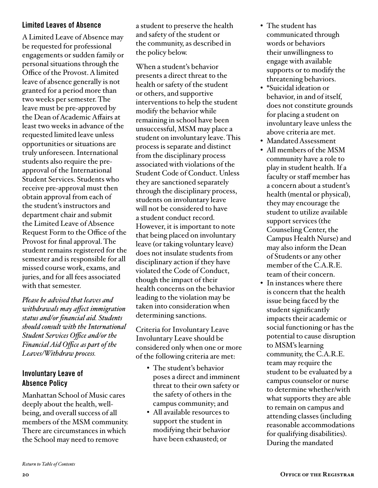#### Limited Leaves of Absence

A Limited Leave of Absence may be requested for professional engagements or sudden family or personal situations through the Office of the Provost. A limited leave of absence generally is not granted for a period more than two weeks per semester. The leave must be pre-approved by the Dean of Academic Affairs at least two weeks in advance of the requested limited leave unless opportunities or situations are truly unforeseen. International students also require the preapproval of the International Student Services. Students who receive pre-approval must then obtain approval from each of the student's instructors and department chair and submit the Limited Leave of Absence Request Form to the Office of the Provost for final approval. The student remains registered for the semester and is responsible for all missed course work, exams, and juries, and for all fees associated with that semester.

*Please be advised that leaves and withdrawals may affect immigration status and/or financial aid. Students should consult with the International Student Services Office and/or the Financial Aid Office as part of the Leaves/Withdraw process.*

#### Involuntary Leave of Absence Policy

Manhattan School of Music cares deeply about the health, wellbeing, and overall success of all members of the MSM community. There are circumstances in which the School may need to remove

a student to preserve the health and safety of the student or the community, as described in the policy below.

When a student's behavior presents a direct threat to the health or safety of the student or others, and supportive interventions to help the student modify the behavior while remaining in school have been unsuccessful, MSM may place a student on involuntary leave. This process is separate and distinct from the disciplinary process associated with violations of the Student Code of Conduct. Unless they are sanctioned separately through the disciplinary process, students on involuntary leave will not be considered to have a student conduct record. However, it is important to note that being placed on involuntary leave (or taking voluntary leave) does not insulate students from disciplinary action if they have violated the Code of Conduct, though the impact of their health concerns on the behavior leading to the violation may be taken into consideration when determining sanctions.

Criteria for Involuntary Leave Involuntary Leave should be considered only when one or more of the following criteria are met:

- The student's behavior poses a direct and imminent threat to their own safety or the safety of others in the campus community; and
- All available resources to support the student in modifying their behavior have been exhausted; or
- The student has communicated through words or behaviors their unwillingness to engage with available supports or to modify the threatening behaviors.
- \*Suicidal ideation or behavior, in and of itself, does not constitute grounds for placing a student on involuntary leave unless the above criteria are met.
- Mandated Assessment
- All members of the MSM community have a role to play in student health. If a faculty or staff member has a concern about a student's health (mental or physical), they may encourage the student to utilize available support services (the Counseling Center, the Campus Health Nurse) and may also inform the Dean of Students or any other member of the C.A.R.E. team of their concern.
- In instances where there is concern that the health issue being faced by the student significantly impacts their academic or social functioning or has the potential to cause disruption to MSM's learning community, the C.A.R.E. team may require the student to be evaluated by a campus counselor or nurse to determine whether/with what supports they are able to remain on campus and attending classes (including reasonable accommodations for qualifying disabilities). During the mandated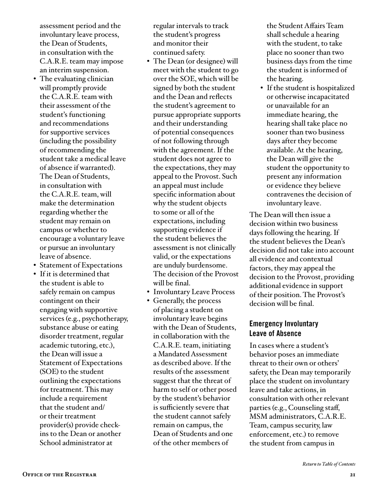assessment period and the involuntary leave process, the Dean of Students, in consultation with the C.A.R.E. team may impose an interim suspension.

- The evaluating clinician will promptly provide the C.A.R.E. team with their assessment of the student's functioning and recommendations for supportive services (including the possibility of recommending the student take a medical leave of absence if warranted). The Dean of Students, in consultation with the C.A.R.E. team, will make the determination regarding whether the student may remain on campus or whether to encourage a voluntary leave or pursue an involuntary leave of absence.
- Statement of Expectations
- If it is determined that the student is able to safely remain on campus contingent on their engaging with supportive services (e.g., psychotherapy, substance abuse or eating disorder treatment, regular academic tutoring, etc.), the Dean will issue a Statement of Expectations (SOE) to the student outlining the expectations for treatment. This may include a requirement that the student and/ or their treatment provider(s) provide checkins to the Dean or another School administrator at

regular intervals to track the student's progress and monitor their continued safety.

- The Dean (or designee) will meet with the student to go over the SOE, which will be signed by both the student and the Dean and reflects the student's agreement to pursue appropriate supports and their understanding of potential consequences of not following through with the agreement. If the student does not agree to the expectations, they may appeal to the Provost. Such an appeal must include specific information about why the student objects to some or all of the expectations, including supporting evidence if the student believes the assessment is not clinically valid, or the expectations are unduly burdensome. The decision of the Provost will be final.
- Involuntary Leave Process
- Generally, the process of placing a student on involuntary leave begins with the Dean of Students, in collaboration with the C.A.R.E. team, initiating a Mandated Assessment as described above. If the results of the assessment suggest that the threat of harm to self or other posed by the student's behavior is sufficiently severe that the student cannot safely remain on campus, the Dean of Students and one of the other members of

the Student Affairs Team shall schedule a hearing with the student, to take place no sooner than two business days from the time the student is informed of the hearing.

• If the student is hospitalized or otherwise incapacitated or unavailable for an immediate hearing, the hearing shall take place no sooner than two business days after they become available. At the hearing, the Dean will give the student the opportunity to present any information or evidence they believe contravenes the decision of involuntary leave.

The Dean will then issue a decision within two business days following the hearing. If the student believes the Dean's decision did not take into account all evidence and contextual factors, they may appeal the decision to the Provost, providing additional evidence in support of their position. The Provost's decision will be final.

#### Emergency Involuntary Leave of Absence

In cases where a student's behavior poses an immediate threat to their own or others' safety, the Dean may temporarily place the student on involuntary leave and take actions, in consultation with other relevant parties (e.g., Counseling staff, MSM administrators, C.A.R.E. Team, campus security, law enforcement, etc.) to remove the student from campus in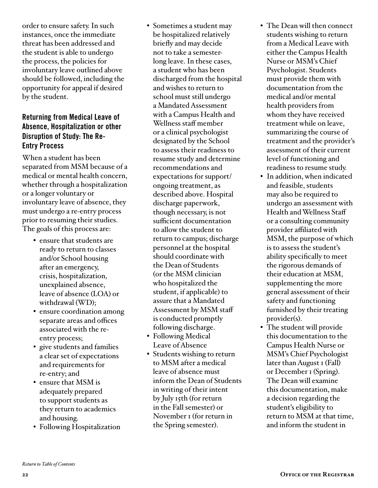order to ensure safety. In such instances, once the immediate threat has been addressed and the student is able to undergo the process, the policies for involuntary leave outlined above should be followed, including the opportunity for appeal if desired by the student.

#### Returning from Medical Leave of Absence, Hospitalization or other Disruption of Study: The Re-Entry Process

When a student has been separated from MSM because of a medical or mental health concern, whether through a hospitalization or a longer voluntary or involuntary leave of absence, they must undergo a re-entry process prior to resuming their studies. The goals of this process are:

- ensure that students are ready to return to classes and/or School housing after an emergency, crisis, hospitalization, unexplained absence, leave of absence (LOA) or withdrawal (WD);
- ensure coordination among separate areas and offices associated with the reentry process;
- give students and families a clear set of expectations and requirements for re-entry; and
- ensure that MSM is adequately prepared to support students as they return to academics and housing.
- Following Hospitalization
- Sometimes a student may be hospitalized relatively briefly and may decide not to take a semesterlong leave. In these cases, a student who has been discharged from the hospital and wishes to return to school must still undergo a Mandated Assessment with a Campus Health and Wellness staff member or a clinical psychologist designated by the School to assess their readiness to resume study and determine recommendations and expectations for support/ ongoing treatment, as described above. Hospital discharge paperwork, though necessary, is not sufficient documentation to allow the student to return to campus; discharge personnel at the hospital should coordinate with the Dean of Students (or the MSM clinician who hospitalized the student, if applicable) to assure that a Mandated Assessment by MSM staff is conducted promptly following discharge.
- Following Medical Leave of Absence
- Students wishing to return to MSM after a medical leave of absence must inform the Dean of Students in writing of their intent by July 15th (for return in the Fall semester) or November 1 (for return in the Spring semester).
- The Dean will then connect students wishing to return from a Medical Leave with either the Campus Health Nurse or MSM's Chief Psychologist. Students must provide them with documentation from the medical and/or mental health providers from whom they have received treatment while on leave, summarizing the course of treatment and the provider's assessment of their current level of functioning and readiness to resume study.
- In addition, when indicated and feasible, students may also be required to undergo an assessment with Health and Wellness Staff or a consulting community provider affiliated with MSM, the purpose of which is to assess the student's ability specifically to meet the rigorous demands of their education at MSM, supplementing the more general assessment of their safety and functioning furnished by their treating provider(s).
- The student will provide this documentation to the Campus Health Nurse or MSM's Chief Psychologist later than August 1 (Fall) or December 1 (Spring). The Dean will examine this documentation, make a decision regarding the student's eligibility to return to MSM at that time, and inform the student in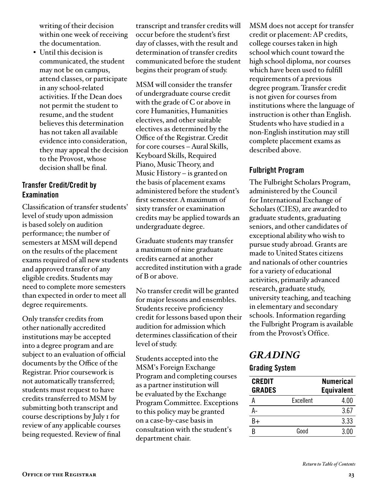writing of their decision within one week of receiving the documentation.

• Until this decision is communicated, the student may not be on campus, attend classes, or participate in any school-related activities. If the Dean does not permit the student to resume, and the student believes this determination has not taken all available evidence into consideration, they may appeal the decision to the Provost, whose decision shall be final.

#### Transfer Credit/Credit by Examination

Classification of transfer students' level of study upon admission is based solely on audition performance; the number of semesters at MSM will depend on the results of the placement exams required of all new students and approved transfer of any eligible credits. Students may need to complete more semesters than expected in order to meet all degree requirements.

Only transfer credits from other nationally accredited institutions may be accepted into a degree program and are subject to an evaluation of official documents by the Office of the Registrar. Prior coursework is not automatically transferred; students must request to have credits transferred to MSM by submitting both transcript and course descriptions by July 1 for review of any applicable courses being requested. Review of final

transcript and transfer credits will occur before the student's first day of classes, with the result and determination of transfer credits communicated before the student begins their program of study.

MSM will consider the transfer of undergraduate course credit with the grade of C or above in core Humanities, Humanities electives, and other suitable electives as determined by the Office of the Registrar. Credit for core courses – Aural Skills, Keyboard Skills, Required Piano, Music Theory, and Music History – is granted on the basis of placement exams administered before the student's first semester. A maximum of sixty transfer or examination credits may be applied towards an undergraduate degree.

Graduate students may transfer a maximum of nine graduate credits earned at another accredited institution with a grade of B or above.

No transfer credit will be granted for major lessons and ensembles. Students receive proficiency credit for lessons based upon their audition for admission which determines classification of their level of study.

Students accepted into the MSM's Foreign Exchange Program and completing courses as a partner institution will be evaluated by the Exchange Program Committee. Exceptions to this policy may be granted on a case-by-case basis in consultation with the student's department chair.

MSM does not accept for transfer credit or placement: AP credits, college courses taken in high school which count toward the high school diploma, nor courses which have been used to fulfill requirements of a previous degree program. Transfer credit is not given for courses from institutions where the language of instruction is other than English. Students who have studied in a non-English institution may still complete placement exams as described above.

#### Fulbright Program

The Fulbright Scholars Program, administered by the Council for International Exchange of Scholars (CIES), are awarded to graduate students, graduating seniors, and other candidates of exceptional ability who wish to pursue study abroad. Grants are made to United States citizens and nationals of other countries for a variety of educational activities, primarily advanced research, graduate study, university teaching, and teaching in elementary and secondary schools. Information regarding the Fulbright Program is available from the Provost's Office.

## *GRADING*

#### Grading System

| <b>CREDIT</b> |           | <b>Numerical</b>  |
|---------------|-----------|-------------------|
| <b>GRADES</b> |           | <b>Equivalent</b> |
|               | Excellent | 4.00              |
| A-            |           | 3.67              |
| $R+$          |           | 3.33              |
|               | Good      | 3.00              |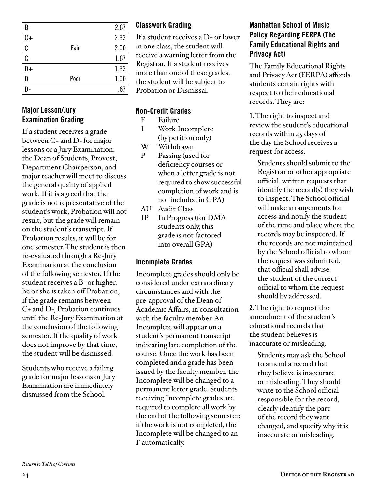| B-              |      | 2.67 |
|-----------------|------|------|
| $\overline{C+}$ |      | 2.33 |
| C               | Fair | 2.00 |
| $\overline{C}$  |      | 1.67 |
| D+              |      | 1.33 |
| D               | Poor | 1.00 |
|                 |      | 67   |

#### Major Lesson/Jury Examination Grading

If a student receives a grade between C+ and D- for major lessons or a Jury Examination, the Dean of Students, Provost, Department Chairperson, and major teacher will meet to discuss the general quality of applied work. If it is agreed that the grade is not representative of the student's work, Probation will not result, but the grade will remain on the student's transcript. If Probation results, it will be for one semester. The student is then re-evaluated through a Re-Jury Examination at the conclusion of the following semester. If the student receives a B- or higher, he or she is taken off Probation; if the grade remains between C+ and D-, Probation continues until the Re-Jury Examination at the conclusion of the following semester. If the quality of work does not improve by that time, the student will be dismissed.

Students who receive a failing grade for major lessons or Jury Examination are immediately dismissed from the School.

#### Classwork Grading

If a student receives a D+ or lower in one class, the student will receive a warning letter from the Registrar. If a student receives more than one of these grades, the student will be subject to Probation or Dismissal.

#### Non-Credit Grades

- F Failure
- I Work Incomplete (by petition only)
- W Withdrawn
- P Passing (used for deficiency courses or when a letter grade is not required to show successful completion of work and is not included in GPA)
- AU Audit Class
- IP In Progress (for DMA students only, this grade is not factored into overall GPA)

#### Incomplete Grades

Incomplete grades should only be considered under extraordinary circumstances and with the pre-approval of the Dean of Academic Affairs, in consultation with the faculty member. An Incomplete will appear on a student's permanent transcript indicating late completion of the course. Once the work has been completed and a grade has been issued by the faculty member, the Incomplete will be changed to a permanent letter grade. Students receiving Incomplete grades are required to complete all work by the end of the following semester; if the work is not completed, the Incomplete will be changed to an F automatically.

#### Manhattan School of Music Policy Regarding FERPA (The Family Educational Rights and Privacy Act)

The Family Educational Rights and Privacy Act (FERPA) affords students certain rights with respect to their educational records. They are:

1. The right to inspect and review the student's educational records within 45 days of the day the School receives a request for access.

Students should submit to the Registrar or other appropriate official, written requests that identify the record(s) they wish to inspect. The School official will make arrangements for access and notify the student of the time and place where the records may be inspected. If the records are not maintained by the School official to whom the request was submitted, that official shall advise the student of the correct official to whom the request should by addressed.

2. The right to request the amendment of the student's educational records that the student believes is inaccurate or misleading.

Students may ask the School to amend a record that they believe is inaccurate or misleading. They should write to the School official responsible for the record, clearly identify the part of the record they want changed, and specify why it is inaccurate or misleading.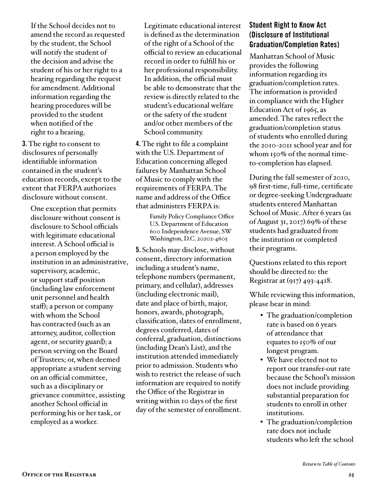If the School decides not to amend the record as requested by the student, the School will notify the student of the decision and advise the student of his or her right to a hearing regarding the request for amendment. Additional information regarding the hearing procedures will be provided to the student when notified of the right to a hearing.

3. The right to consent to disclosures of personally identifiable information contained in the student's education records, except to the extent that FERPA authorizes disclosure without consent.

One exception that permits disclosure without consent is disclosure to School officials with legitimate educational interest. A School official is a person employed by the institution in an administrative, supervisory, academic, or support staff position (including law enforcement unit personnel and health staff); a person or company with whom the School has contracted (such as an attorney, auditor, collection agent, or security guard); a person serving on the Board of Trustees; or, when deemed appropriate a student serving on an official committee, such as a disciplinary or grievance committee, assisting another School official in performing his or her task, or employed as a worker.

Legitimate educational interest is defined as the determination of the right of a School of the official to review an educational record in order to fulfill his or her professional responsibility. In addition, the official must be able to demonstrate that the review is directly related to the student's educational welfare or the safety of the student and/or other members of the School community.

4. The right to file a complaint with the U.S. Department of Education concerning alleged failures by Manhattan School of Music to comply with the requirements of FERPA. The name and address of the Office that administers FERPA is:

> Family Policy Compliance Office U.S. Department of Education 600 Independence Avenue, SW Washington, D.C. 20202-4605

5. Schools may disclose, without consent, directory information including a student's name, telephone numbers (permanent, primary, and cellular), addresses (including electronic mail), date and place of birth, major, honors, awards, photograph, classification, dates of enrollment, degrees conferred, dates of conferral, graduation, distinctions (including Dean's List), and the institution attended immediately prior to admission. Students who wish to restrict the release of such information are required to notify the Office of the Registrar in writing within 10 days of the first day of the semester of enrollment.

#### Student Right to Know Act (Disclosure of Institutional Graduation/Completion Rates)

Manhattan School of Music provides the following information regarding its graduation/completion rates. The information is provided in compliance with the Higher Education Act of 1965, as amended. The rates reflect the graduation/completion status of students who enrolled during the 2010-2011 school year and for whom 150% of the normal timeto-completion has elapsed.

During the fall semester of 2010, 98 first-time, full-time, certificate or degree-seeking Undergraduate students entered Manhattan School of Music. After 6 years (as of August 31, 2017) 69% of these students had graduated from the institution or completed their programs.

Questions related to this report should be directed to: the Registrar at (917) 493-4418.

While reviewing this information, please bear in mind:

- The graduation/completion rate is based on 6 years of attendance that equates to 150% of our longest program.
- We have elected not to report our transfer-out rate because the School's mission does not include providing substantial preparation for students to enroll in other institutions.
- The graduation/completion rate does not include students who left the school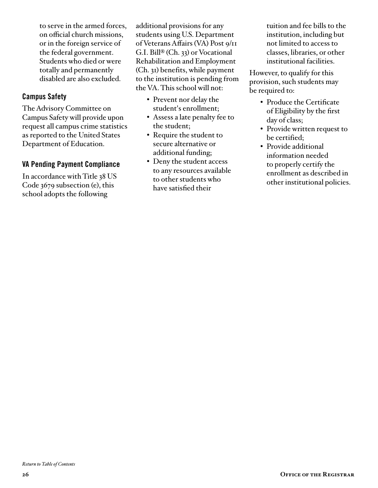to serve in the armed forces, on official church missions, or in the foreign service of the federal government. Students who died or were totally and permanently disabled are also excluded.

#### Campus Safety

The Advisory Committee on Campus Safety will provide upon request all campus crime statistics as reported to the United States Department of Education.

#### VA Pending Payment Compliance

In accordance with Title 38 US Code 3679 subsection (e), this school adopts the following

additional provisions for any students using U.S. Department of Veterans Affairs (VA) Post 9/11 G.I. Bill® (Ch. 33) or Vocational Rehabilitation and Employment (Ch. 31) benefits, while payment to the institution is pending from the VA. This school will not:

- Prevent nor delay the student's enrollment;
- Assess a late penalty fee to the student;
- Require the student to secure alternative or additional funding;
- Deny the student access to any resources available to other students who have satisfied their

tuition and fee bills to the institution, including but not limited to access to classes, libraries, or other institutional facilities.

However, to qualify for this provision, such students may be required to:

- Produce the Certificate of Eligibility by the first day of class;
- Provide written request to be certified;
- Provide additional information needed to properly certify the enrollment as described in other institutional policies.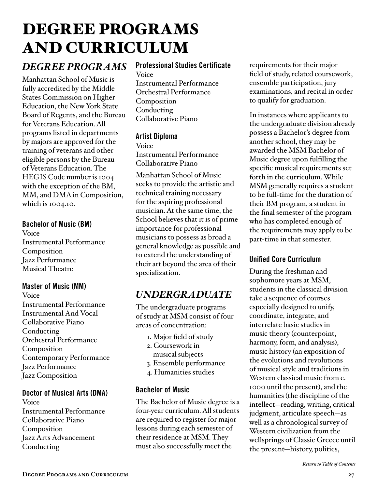## <span id="page-26-0"></span>DEGREE PROGRAMS AND CURRICULUM

## *DEGREE PROGRAMS*

Manhattan School of Music is fully accredited by the Middle States Commission on Higher Education, the New York State Board of Regents, and the Bureau for Veterans Education. All programs listed in departments by majors are approved for the training of veterans and other eligible persons by the Bureau of Veterans Education. The HEGIS Code number is 1004 with the exception of the BM, MM, and DMA in Composition, which is 1004.10.

#### Bachelor of Music (BM)

Voice Instrumental Performance Composition Jazz Performance Musical Theatre

#### Master of Music (MM)

Voice Instrumental Performance Instrumental And Vocal Collaborative Piano Conducting Orchestral Performance Composition Contemporary Performance Jazz Performance Jazz Composition

#### Doctor of Musical Arts (DMA)

Voice Instrumental Performance Collaborative Piano Composition Jazz Arts Advancement Conducting

#### Professional Studies Certificate

Voice Instrumental Performance Orchestral Performance Composition Conducting Collaborative Piano

#### Artist Diploma

Voice Instrumental Performance Collaborative Piano

Manhattan School of Music seeks to provide the artistic and technical training necessary for the aspiring professional musician. At the same time, the School believes that it is of prime importance for professional musicians to possess as broad a general knowledge as possible and to extend the understanding of their art beyond the area of their specialization.

## *UNDERGRADUATE*

The undergraduate programs of study at MSM consist of four areas of concentration:

- 1. Major field of study
- 2. Coursework in
- musical subjects
- 3. Ensemble performance
- 4. Humanities studies

#### Bachelor of Music

The Bachelor of Music degree is a four-year curriculum. All students are required to register for major lessons during each semester of their residence at MSM. They must also successfully meet the

requirements for their major field of study, related coursework, ensemble participation, jury examinations, and recital in order to qualify for graduation.

In instances where applicants to the undergraduate division already possess a Bachelor's degree from another school, they may be awarded the MSM Bachelor of Music degree upon fulfilling the specific musical requirements set forth in the curriculum. While MSM generally requires a student to be full-time for the duration of their BM program, a student in the final semester of the program who has completed enough of the requirements may apply to be part-time in that semester.

#### Unified Core Curriculum

During the freshman and sophomore years at MSM, students in the classical division take a sequence of courses especially designed to unify, coordinate, integrate, and interrelate basic studies in music theory (counterpoint, harmony, form, and analysis), music history (an exposition of the evolutions and revolutions of musical style and traditions in Western classical music from c. 1000 until the present), and the humanities (the discipline of the intellect—reading, writing, critical judgment, articulate speech—as well as a chronological survey of Western civilization from the wellsprings of Classic Greece until the present—history, politics,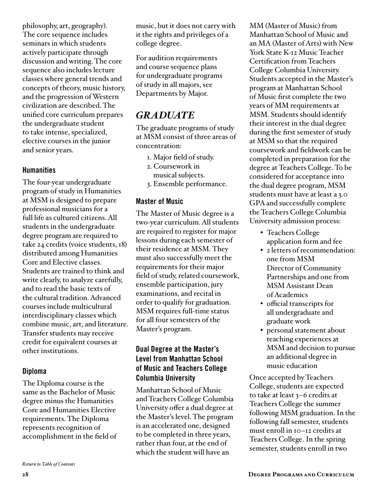philosophy, art, geography). The core sequence includes seminars in which students actively participate through discussion and writing. The core sequence also includes lecture classes where general trends and concepts of theory, music history, and the progression of Western civilization are described. The unified core curriculum prepares the undergraduate student to take intense, specialized, elective courses in the junior and senior years.

#### **Humanities**

The four-year undergraduate program of study in Humanities at MSM is designed to prepare professional musicians for a full life as cultured citizens. All students in the undergraduate degree program are required to take 24 credits (voice students, 18) distributed among Humanities Core and Elective classes. Students are trained to think and write clearly, to analyze carefully, and to read the basic texts of the cultural tradition. Advanced courses include multicultural interdisciplinary classes which combine music, art, and literature. Transfer students may receive credit for equivalent courses at other institutions.

#### Diploma

The Diploma course is the same as the Bachelor of Music degree minus the Humanities Core and Humanities Elective requirements. The Diploma represents recognition of accomplishment in the field of For audition requirements and course sequence plans for undergraduate programs of study in all majors, see Departments by Major.

## *GRADUATE*

The graduate programs of study at MSM consist of three areas of concentration:

- 1. Major field of study.
- 2. Coursework in musical subjects.
- 3. Ensemble performance.

#### Master of Music

The Master of Music degree is a two-year curriculum. All students are required to register for major lessons during each semester of their residence at MSM. They must also successfully meet the requirements for their major field of study, related coursework, ensemble participation, jury examinations, and recital in order to qualify for graduation. MSM requires full-time status for all four semesters of the Master's program.

#### Dual Degree at the Master's Level from Manhattan School of Music and Teachers College Columbia University

Manhattan School of Music and Teachers College Columbia University offer a dual degree at the Master's level. The program is an accelerated one, designed to be completed in three years, rather than four, at the end of which the student will have an

MM (Master of Music) from Manhattan School of Music and an MA (Master of Arts) with New York State K-12 Music Teacher Certification from Teachers College Columbia University. Students accepted in the Master's program at Manhattan School of Music first complete the two years of MM requirements at MSM. Students should identify their interest in the dual degree during the first semester of study at MSM so that the required coursework and fieldwork can be completed in preparation for the degree at Teachers College. To be considered for acceptance into the dual degree program, MSM students must have at least a 3.0 GPA and successfully complete the Teachers College Columbia University admission process:

- Teachers College application form and fee
- 2 letters of recommendation: one from MSM Director of Community Partnerships and one from MSM Assistant Dean of Academics
- official transcripts for all undergraduate and graduate work
- personal statement about teaching experiences at MSM and decision to pursue an additional degree in music education

Once accepted by Teachers College, students are expected to take at least 3–6 credits at Teachers College the summer following MSM graduation. In the following fall semester, students must enroll in 10–12 credits at Teachers College. In the spring semester, students enroll in two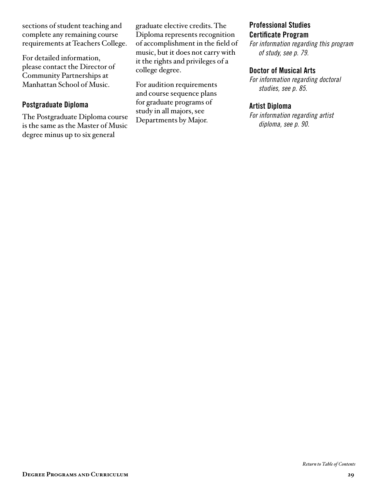sections of student teaching and complete any remaining course requirements at Teachers College.

For detailed information, please contact the Director of Community Partnerships at Manhattan School of Music.

#### Postgraduate Diploma

The Postgraduate Diploma course is the same as the Master of Music degree minus up to six general

graduate elective credits. The Diploma represents recognition of accomplishment in the field of music, but it does not carry with it the rights and privileges of a college degree.

For audition requirements and course sequence plans for graduate programs of study in all majors, see Departments by Major.

#### Professional Studies Certificate Program

*[For information regarding this program](#page-78-0)  of study, see p. 79.*

#### Doctor of Musical Arts

*[For information regarding doctoral](#page-84-0)  studies, see p. 85.*

#### Artist Diploma

*[For information regarding artist](#page-89-0)  diploma, see p. 90.*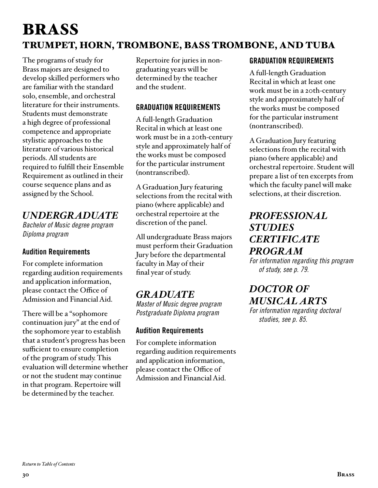## <span id="page-29-0"></span>BRASS TRUMPET, HORN, TROMBONE, BASS TROMBONE, AND TUBA

The programs of study for Brass majors are designed to develop skilled performers who are familiar with the standard solo, ensemble, and orchestral literature for their instruments. Students must demonstrate a high degree of professional competence and appropriate stylistic approaches to the literature of various historical periods. All students are required to fulfill their Ensemble Requirement as outlined in their course sequence plans and as assigned by the School.

## *UNDERGRADUATE*

*Bachelor of Music degree program Diploma program*

#### Audition Requirements

For complete information regarding audition requirements and application information, please contact the Office of Admission and Financial Aid.

There will be a "sophomore continuation jury" at the end of the sophomore year to establish that a student's progress has been sufficient to ensure completion of the program of study. This evaluation will determine whether or not the student may continue in that program. Repertoire will be determined by the teacher.

Repertoire for juries in nongraduating years will be determined by the teacher and the student.

#### GRADUATION REQUIREMENTS

A full-length Graduation Recital in which at least one work must be in a 20th-century style and approximately half of the works must be composed for the particular instrument (nontranscribed).

A Graduation Jury featuring selections from the recital with piano (where applicable) and orchestral repertoire at the discretion of the panel.

All undergraduate Brass majors must perform their Graduation Jury before the departmental faculty in May of their final year of study.

## *GRADUATE*

*Master of Music degree program Postgraduate Diploma program*

#### Audition Requirements

For complete information regarding audition requirements and application information, please contact the Office of Admission and Financial Aid.

#### GRADUATION REQUIREMENTS

A full-length Graduation Recital in which at least one work must be in a 20th-century style and approximately half of the works must be composed for the particular instrument (nontranscribed).

A Graduation Jury featuring selections from the recital with piano (where applicable) and orchestral repertoire. Student will prepare a list of ten excerpts from which the faculty panel will make selections, at their discretion.

## *[PROFESSIONAL](#page-78-0)  STUDIES CERTIFICATE PROGRAM*

*For information regarding this program of study, see p. 79.*

## *DOCTOR OF [MUSICAL ARTS](#page-84-0)*

*For information regarding doctoral studies, see p. 85.*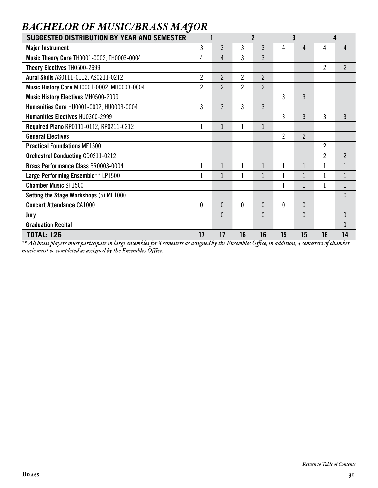| <b>SUGGESTED DISTRIBUTION BY YEAR AND SEMESTER</b> |                |                |                | $\overline{2}$ |                | 3              |                | 4              |
|----------------------------------------------------|----------------|----------------|----------------|----------------|----------------|----------------|----------------|----------------|
| <b>Major Instrument</b>                            | 3              | 3              | 3              | 3              | 4              | 4              | 4              | 4              |
| <b>Music Theory Core TH0001-0002, TH0003-0004</b>  | 4              | 4              | 3              | 3              |                |                |                |                |
| Theory Electives TH0500-2999                       |                |                |                |                |                |                | $\overline{2}$ | $\overline{2}$ |
| Aural Skills AS0111-0112, AS0211-0212              | 2              | $\overline{2}$ | $\overline{c}$ | $\overline{2}$ |                |                |                |                |
| Music History Core MH0001-0002, MH0003-0004        | $\overline{2}$ | $\overline{2}$ | 2              | $\overline{2}$ |                |                |                |                |
| <b>Music History Electives MH0500-2999</b>         |                |                |                |                | 3              | 3              |                |                |
| Humanities Core HU0001-0002, HU0003-0004           | 3              | 3              | 3              | 3              |                |                |                |                |
| Humanities Electives HU0300-2999                   |                |                |                |                | 3              | 3              | 3              | 3              |
| Required Piano RP0111-0112, RP0211-0212            | 1              |                |                | 1              |                |                |                |                |
| <b>General Electives</b>                           |                |                |                |                | $\overline{2}$ | $\overline{2}$ |                |                |
| <b>Practical Foundations ME1500</b>                |                |                |                |                |                |                | $\overline{2}$ |                |
| <b>Orchestral Conducting CD0211-0212</b>           |                |                |                |                |                |                | $\overline{2}$ | $\overline{2}$ |
| <b>Brass Performance Class BR0003-0004</b>         |                |                |                |                |                |                |                |                |
| Large Performing Ensemble** LP1500                 |                |                | 1              |                | $\mathbf{1}$   |                |                |                |
| <b>Chamber Music SP1500</b>                        |                |                |                |                | 1              |                | 1              | $\mathbf 1$    |
| Setting the Stage Workshops (5) ME1000             |                |                |                |                |                |                |                | $\theta$       |
| <b>Concert Attendance CA1000</b>                   | 0              | $\mathbf{0}$   | $\mathbf{0}$   | $\theta$       | $\mathbf 0$    | $\overline{0}$ |                |                |
| Jury                                               |                | $\theta$       |                | 0              |                | 0              |                | $\theta$       |
| <b>Graduation Recital</b>                          |                |                |                |                |                |                |                | $\mathbf{0}$   |
| <b>TOTAL: 126</b>                                  | 17             | 17             | 16             | 16             | 15             | 15             | 16             | 14             |

## <span id="page-30-0"></span>*BACHELOR OF MUSIC/BRASS MAJOR*

*\*\* All brass players must participate in large ensembles for 8 semesters as assigned by the Ensembles Office; in addition, 4 semesters of chamber music must be completed as assigned by the Ensembles Office.*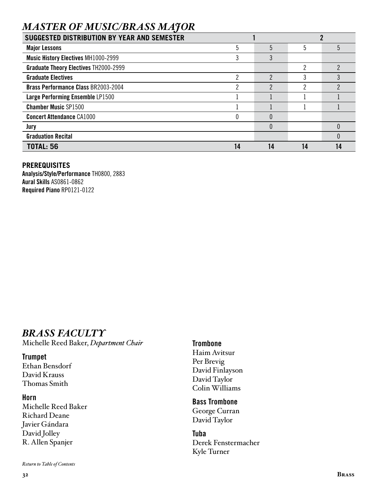## *MASTER OF MUSIC/BRASS MAJOR*

| <b>SUGGESTED DISTRIBUTION BY YEAR AND SEMESTER</b> |    |    |    |  |
|----------------------------------------------------|----|----|----|--|
| <b>Major Lessons</b>                               | 5  | 5  |    |  |
| <b>Music History Electives MH1000-2999</b>         |    |    |    |  |
| <b>Graduate Theory Electives TH2000-2999</b>       |    |    |    |  |
| <b>Graduate Electives</b>                          | っ  | っ  |    |  |
| <b>Brass Performance Class BR2003-2004</b>         | ∩  | っ  |    |  |
| Large Performing Ensemble LP1500                   |    |    |    |  |
| <b>Chamber Music SP1500</b>                        |    |    |    |  |
| <b>Concert Attendance CA1000</b>                   |    |    |    |  |
| Jury                                               |    |    |    |  |
| <b>Graduation Recital</b>                          |    |    |    |  |
| <b>TOTAL: 56</b>                                   | 14 | 14 | 14 |  |

#### **PREREQUISITES**

Analysis/Style/Performance TH0800, 2883 Aural Skills AS0861-0862 Required Piano RP0121-0122

## *BRASS FACULTY*

Michelle Reed Baker, *Department Chair*

**Trumpet** Ethan Bensdorf

David Krauss Thomas Smith

#### Horn

Michelle Reed Baker Richard Deane Javier Gándara David Jolley R. Allen Spanjer

*[Return to Table of Contents](#page-2-0)*

#### **Trombone**

Haim Avitsur Per Brevig David Finlayson David Taylor Colin Williams

Bass Trombone George Curran David Taylor

Tuba Derek Fenstermacher Kyle Turner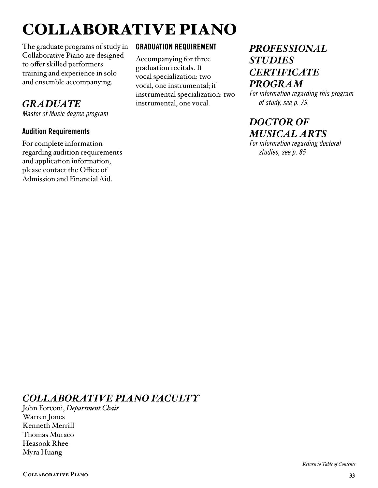## <span id="page-32-0"></span>COLLABORATIVE PIANO

The graduate programs of study in Collaborative Piano are designed to offer skilled performers training and experience in solo and ensemble accompanying.

### *GRADUATE*

*Master of Music degree program*

#### Audition Requirements

For complete information regarding audition requirements and application information, please contact the Office of Admission and Financial Aid.

#### GRADUATION REQUIREMENT

Accompanying for three graduation recitals. If vocal specialization: two vocal, one instrumental; if instrumental specialization: two instrumental, one vocal.

## *[PROFESSIONAL](#page-78-0)  STUDIES CERTIFICATE PROGRAM*

*For information regarding this program of study, see p. 79.*

## *DOCTOR OF [MUSICAL ARTS](#page-84-0)*

*For information regarding doctoral studies, see p. 85*

## *COLLABORATIVE PIANO FACULTY*

John Forconi, *Department Chair* Warren Jones Kenneth Merrill Thomas Muraco Heasook Rhee Myra Huang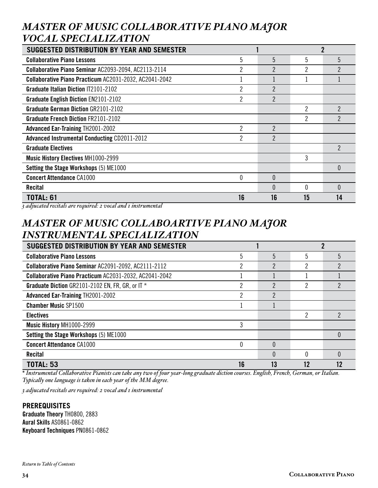## *MASTER OF MUSIC COLLABORATIVE PIANO MAJOR VOCAL SPECIALIZATION*

| <b>SUGGESTED DISTRIBUTION BY YEAR AND SEMESTER</b>     |    |                |    |    |
|--------------------------------------------------------|----|----------------|----|----|
| <b>Collaborative Piano Lessons</b>                     | 5  | 5              | 5  | 5  |
| Collaborative Piano Seminar AC2093-2094, AC2113-2114   |    | $\overline{2}$ | 2  | 2  |
| Collaborative Piano Practicum AC2031-2032, AC2041-2042 |    |                |    |    |
| <b>Graduate Italian Diction IT2101-2102</b>            | 2  | $\mathfrak{p}$ |    |    |
| <b>Graduate English Diction EN2101-2102</b>            |    | $\overline{2}$ |    |    |
| <b>Graduate German Diction GR2101-2102</b>             |    |                | 2  | 2  |
| <b>Graduate French Diction FR2101-2102</b>             |    |                | 2  | ŋ  |
| <b>Advanced Ear-Training TH2001-2002</b>               | 2  | $\overline{2}$ |    |    |
| <b>Advanced Instrumental Conducting CD2011-2012</b>    | റ  | $\overline{2}$ |    |    |
| <b>Graduate Electives</b>                              |    |                |    | 2  |
| <b>Music History Electives MH1000-2999</b>             |    |                | 3  |    |
| Setting the Stage Workshops (5) ME1000                 |    |                |    | 0  |
| <b>Concert Attendance CA1000</b>                       | 0  | $\theta$       |    |    |
| Recital                                                |    | $\Omega$       | 0  | 0  |
| <b>TOTAL: 61</b>                                       | 16 | 16             | 15 | 14 |

*3 adjucated recitals are required: 2 vocal and 1 instrumental*

## *MASTER OF MUSIC COLLABOARTIVE PIANO MAJOR INSTRUMENTAL SPECIALIZATION*

| SUGGESTED DISTRIBUTION BY YEAR AND SEMESTER            |    |          |    |   |
|--------------------------------------------------------|----|----------|----|---|
| <b>Collaborative Piano Lessons</b>                     | 5  | 5        | 5  |   |
| Collaborative Piano Seminar AC2091-2092, AC2111-2112   | ŋ  | 2        | ∩  |   |
| Collaborative Piano Practicum AC2031-2032, AC2041-2042 |    |          |    |   |
| Graduate Diction GR2101-2102 EN, FR, GR, or IT *       |    | 2        |    |   |
| <b>Advanced Ear-Training TH2001-2002</b>               |    | 2        |    |   |
| <b>Chamber Music SP1500</b>                            |    |          |    |   |
| <b>Electives</b>                                       |    |          | 2  | 2 |
| Music History MH1000-2999                              |    |          |    |   |
| Setting the Stage Workshops (5) ME1000                 |    |          |    |   |
| <b>Concert Attendance CA1000</b>                       |    | $\Omega$ |    |   |
| <b>Recital</b>                                         |    | $\Omega$ |    |   |
| <b>TOTAL: 53</b>                                       | 16 |          | 12 |   |

*\* Instrumental Collaborative Pianists can take any two of four year-long graduate diction courses. English, French, German, or Italian. Typically one language is taken in each year of the MM degree.*

*3 adjucated recitals are required: 2 vocal and 1 instrumental*

#### **PREREQUISITES**

Graduate Theory TH0800, 2883 Aural Skills AS0861-0862 Keyboard Techniques PN0861-0862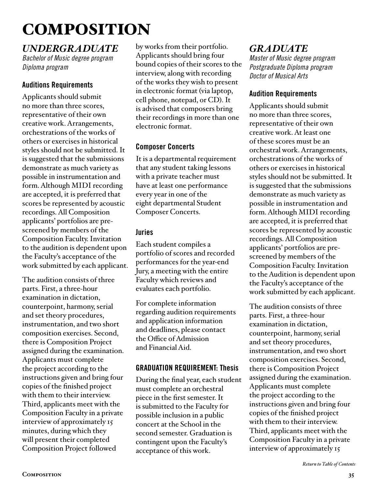## <span id="page-34-0"></span>COMPOSITION

### *UNDERGRADUATE*

*Bachelor of Music degree program Diploma program*

#### Auditions Requirements

Applicants should submit no more than three scores, representative of their own creative work. Arrangements, orchestrations of the works of others or exercises in historical styles should not be submitted. It is suggested that the submissions demonstrate as much variety as possible in instrumentation and form. Although MIDI recording are accepted, it is preferred that scores be represented by acoustic recordings. All Composition applicants' portfolios are prescreened by members of the Composition Faculty. Invitation to the audition is dependent upon the Faculty's acceptance of the work submitted by each applicant.

The audition consists of three parts. First, a three-hour examination in dictation, counterpoint, harmony, serial and set theory procedures, instrumentation, and two short composition exercises. Second, there is Composition Project assigned during the examination. Applicants must complete the project according to the instructions given and bring four copies of the finished project with them to their interview. Third, applicants meet with the Composition Faculty in a private interview of approximately 15 minutes, during which they will present their completed Composition Project followed

by works from their portfolio. Applicants should bring four bound copies of their scores to the interview, along with recording of the works they wish to present in electronic format (via laptop, cell phone, notepad, or CD). It is advised that composers bring their recordings in more than one electronic format.

#### Composer Concerts

It is a departmental requirement that any student taking lessons with a private teacher must have at least one performance every year in one of the eight departmental Student Composer Concerts.

#### Juries

Each student compiles a portfolio of scores and recorded performances for the year-end Jury, a meeting with the entire Faculty which reviews and evaluates each portfolio.

For complete information regarding audition requirements and application information and deadlines, please contact the Office of Admission and Financial Aid.

#### GRADUATION REQUIREMENT: Thesis

During the final year, each student must complete an orchestral piece in the first semester. It is submitted to the Faculty for possible inclusion in a public concert at the School in the second semester. Graduation is contingent upon the Faculty's acceptance of this work.

## *GRADUATE*

*Master of Music degree program Postgraduate Diploma program Doctor of Musical Arts*

#### Audition Requirements

Applicants should submit no more than three scores, representative of their own creative work. At least one of these scores must be an orchestral work. Arrangements, orchestrations of the works of others or exercises in historical styles should not be submitted. It is suggested that the submissions demonstrate as much variety as possible in instrumentation and form. Although MIDI recording are accepted, it is preferred that scores be represented by acoustic recordings. All Composition applicants' portfolios are prescreened by members of the Composition Faculty. Invitation to the Audition is dependent upon the Faculty's acceptance of the work submitted by each applicant.

The audition consists of three parts. First, a three-hour examination in dictation, counterpoint, harmony, serial and set theory procedures, instrumentation, and two short composition exercises. Second, there is Composition Project assigned during the examination. Applicants must complete the project according to the instructions given and bring four copies of the finished project with them to their interview. Third, applicants meet with the Composition Faculty in a private interview of approximately 15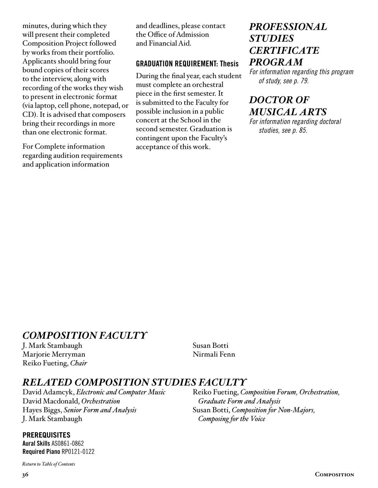<span id="page-35-0"></span>minutes, during which they will present their completed Composition Project followed by works from their portfolio. Applicants should bring four bound copies of their scores to the interview, along with recording of the works they wish to present in electronic format (via laptop, cell phone, notepad, or CD). It is advised that composers bring their recordings in more than one electronic format.

For Complete information regarding audition requirements and application information

and deadlines, please contact the Office of Admission and Financial Aid.

#### GRADUATION REQUIREMENT: Thesis

During the final year, each student must complete an orchestral piece in the first semester. It is submitted to the Faculty for possible inclusion in a public concert at the School in the second semester. Graduation is contingent upon the Faculty's acceptance of this work.

### *[PROFESSIONAL](#page-78-0)  STUDIES CERTIFICATE PROGRAM*

*For information regarding this program of study, see p. 79.*

## *DOCTOR OF [MUSICAL ARTS](#page-84-0)*

*For information regarding doctoral studies, see p. 85.*

### *COMPOSITION FACULTY*

J. Mark Stambaugh Marjorie Merryman Reiko Fueting, *Chair* Susan Botti Nirmali Fenn

Reiko Fueting, *Composition Forum, Orchestration,* 

*Graduate Form and Analysis*

*Composing for the Voice*

Susan Botti, *Composition for Non-Majors,* 

#### *RELATED COMPOSITION STUDIES FACULTY*

David Adamcyk, *Electronic and Computer Music* David Macdonald, *Orchestration* Hayes Biggs, *Senior Form and Analysis* J. Mark Stambaugh

#### **PREREQUISITES**

Aural Skills AS0861-0862 Required Piano RP0121-0122

*[Return to Table of Contents](#page-2-0)*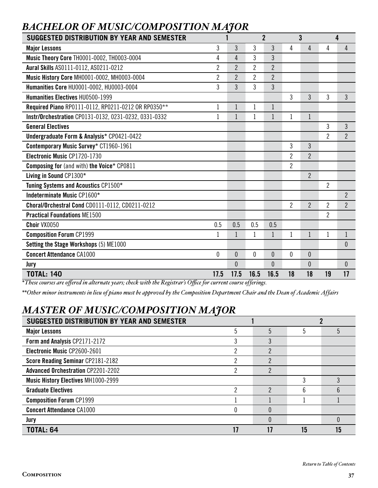## *BACHELOR OF MUSIC/COMPOSITION MAJOR*

| SUGGESTED DISTRIBUTION BY YEAR AND SEMESTER           |                |                |                | $\overline{2}$ |              | 3              |                | 4              |
|-------------------------------------------------------|----------------|----------------|----------------|----------------|--------------|----------------|----------------|----------------|
| <b>Major Lessons</b>                                  | 3              | 3              | 3              | 3              | 4            | 4              | 4              | 4              |
| Music Theory Core TH0001-0002, TH0003-0004            | 4              | $\overline{4}$ | 3              | 3              |              |                |                |                |
| Aural Skills AS0111-0112, AS0211-0212                 | $\overline{2}$ | $\overline{2}$ | $\overline{2}$ | $\overline{2}$ |              |                |                |                |
| Music History Core MH0001-0002, MH0003-0004           | $\overline{2}$ | $\overline{2}$ | 2              | $\overline{2}$ |              |                |                |                |
| Humanities Core HU0001-0002, HU0003-0004              | 3              | 3              | 3              | 3              |              |                |                |                |
| <b>Humanities Electives HU0500-1999</b>               |                |                |                |                | 3            | 3              | 3              | 3              |
| Required Piano RP0111-0112, RP0211-0212 OR RP0350**   | 1              | $\mathbf{1}$   | $\mathbf{1}$   | $\mathbf 1$    |              |                |                |                |
| Instr/Orchestration CP0131-0132, 0231-0232, 0331-0332 | 1              | 1              | $\mathbf{1}$   | $\mathbf{1}$   | $\mathbf{1}$ | $\mathbf{1}$   |                |                |
| <b>General Electives</b>                              |                |                |                |                |              |                | 3              | 3              |
| Undergraduate Form & Analysis* CP0421-0422            |                |                |                |                |              |                | $\overline{2}$ | $\overline{2}$ |
| Contemporary Music Survey* CT1960-1961                |                |                |                |                | 3            | 3              |                |                |
| Electronic Music CP1720-1730                          |                |                |                |                | 2            | $\overline{2}$ |                |                |
| <b>Composing for (and with) the Voice* CP0811</b>     |                |                |                |                | 2            |                |                |                |
| Living in Sound CP1300*                               |                |                |                |                |              | $\overline{2}$ |                |                |
| Tuning Systems and Acoustics CP1500*                  |                |                |                |                |              |                | $\overline{2}$ |                |
| Indeterminate Music CP1600*                           |                |                |                |                |              |                |                | $\overline{2}$ |
| Choral/Orchestral Cond CD0111-0112, CD0211-0212       |                |                |                |                | 2            | $\overline{2}$ | $\overline{2}$ | $\overline{2}$ |
| <b>Practical Foundations ME1500</b>                   |                |                |                |                |              |                | $\overline{2}$ |                |
| Choir VX0050                                          | 0.5            | 0.5            | 0.5            | 0.5            |              |                |                |                |
| <b>Composition Forum CP1999</b>                       | 1              | 1              | 1              | $\mathbf{1}$   | 1            | $\mathbf{1}$   | $\mathbf{1}$   | $\mathbf{1}$   |
| Setting the Stage Workshops (5) ME1000                |                |                |                |                |              |                |                | $\theta$       |
| <b>Concert Attendance CA1000</b>                      | 0              | $\overline{0}$ | $\mathbf 0$    | $\mathbf{0}$   | $\mathbf{0}$ | $\overline{0}$ |                |                |
| Jury                                                  |                | $\overline{0}$ |                | $\mathbf{0}$   |              | $\overline{0}$ |                | $\theta$       |
| <b>TOTAL: 140</b>                                     | 17.5           | 17.5           | 16.5           | 16.5           | 18           | 18             | 19             | 17             |

*\*These courses are offered in alternate years; check with the Registrar's Office for current course offerings.*

*\*\*Other minor instruments in lieu of piano must be approved by the Composition Department Chair and the Dean of Academic Affairs*

# *MASTER OF MUSIC/COMPOSITION MAJOR*

| SUGGESTED DISTRIBUTION BY YEAR AND SEMESTER |   |   |    |  |
|---------------------------------------------|---|---|----|--|
| <b>Major Lessons</b>                        | 5 |   |    |  |
| Form and Analysis CP2171-2172               |   |   |    |  |
| Electronic Music CP2600-2601                |   | ŋ |    |  |
| Score Reading Seminar CP2181-2182           |   | ŋ |    |  |
| <b>Advanced Orchestration CP2201-2202</b>   |   | っ |    |  |
| <b>Music History Electives MH1000-2999</b>  |   |   |    |  |
| <b>Graduate Electives</b>                   |   |   |    |  |
| <b>Composition Forum CP1999</b>             |   |   |    |  |
| <b>Concert Attendance CA1000</b>            |   |   |    |  |
| Jury                                        |   |   |    |  |
| <b>TOTAL: 64</b>                            |   |   | 15 |  |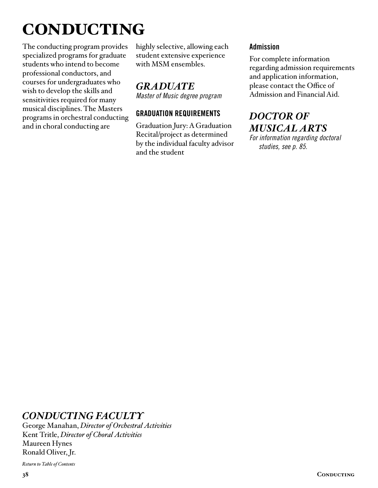# CONDUCTING

The conducting program provides specialized programs for graduate students who intend to become professional conductors, and courses for undergraduates who wish to develop the skills and sensitivities required for many musical disciplines. The Masters programs in orchestral conducting and in choral conducting are

highly selective, allowing each student extensive experience with MSM ensembles.

# *GRADUATE*

*Master of Music degree program*

## GRADUATION REQUIREMENTS

Graduation Jury: A Graduation Recital/project as determined by the individual faculty advisor and the student

#### Admission

For complete information regarding admission requirements and application information, please contact the Office of Admission and Financial Aid.

# *DOCTOR OF [MUSICAL ARTS](#page-84-0)*

*For information regarding doctoral studies, see p. 85.*

## *CONDUCTING FACULTY*

George Manahan, *Director of Orchestral Activities* Kent Tritle, *Director of Choral Activities* Maureen Hynes Ronald Oliver, Jr.

*[Return to Table of Contents](#page-2-0)*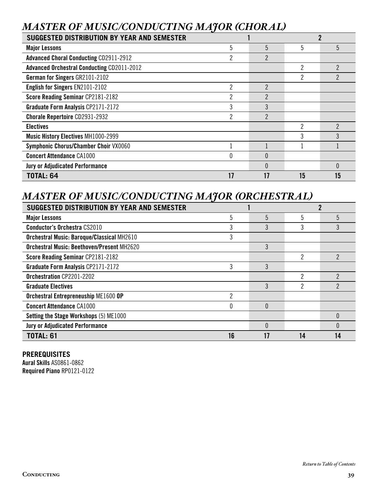# *MASTER OF MUSIC/CONDUCTING MAJOR (CHORAL)*

| SUGGESTED DISTRIBUTION BY YEAR AND SEMESTER       |              |                |    |                |  |
|---------------------------------------------------|--------------|----------------|----|----------------|--|
| <b>Major Lessons</b>                              | 5            | 5              | 5  | 5              |  |
| <b>Advanced Choral Conducting CD2911-2912</b>     | ŋ            | 2              |    |                |  |
| <b>Advanced Orchestral Conducting CD2011-2012</b> |              |                | 2  |                |  |
| <b>German for Singers GR2101-2102</b>             |              |                |    |                |  |
| English for Singers EN2101-2102                   | <sup>2</sup> | 2              |    |                |  |
| Score Reading Seminar CP2181-2182                 |              | 2              |    |                |  |
| Graduate Form Analysis CP2171-2172                | 3            | 3              |    |                |  |
| <b>Chorale Repertoire CD2931-2932</b>             | 2            | $\mathfrak{p}$ |    |                |  |
| <b>Electives</b>                                  |              |                | 2  | $\mathfrak{p}$ |  |
| <b>Music History Electives MH1000-2999</b>        |              |                |    |                |  |
| Symphonic Chorus/Chamber Choir VX0060             |              |                |    |                |  |
| <b>Concert Attendance CA1000</b>                  |              | 0              |    |                |  |
| <b>Jury or Adjudicated Performance</b>            |              |                |    | $\Omega$       |  |
| <b>TOTAL: 64</b>                                  |              |                | 15 | 15             |  |

## *MASTER OF MUSIC/CONDUCTING MAJOR (ORCHESTRAL)*

| <b>SUGGESTED DISTRIBUTION BY YEAR AND SEMESTER</b> |    |   |    |  |
|----------------------------------------------------|----|---|----|--|
| <b>Major Lessons</b>                               | 5  | 5 | 5  |  |
| <b>Conductor's Orchestra CS2010</b>                |    | 3 |    |  |
| Orchestral Music: Baroque/Classical MH2610         |    |   |    |  |
| <b>Orchestral Music: Beethoven/Present MH2620</b>  |    | 3 |    |  |
| Score Reading Seminar CP2181-2182                  |    |   | ŋ  |  |
| Graduate Form Analysis CP2171-2172                 | 3  | 3 |    |  |
| Orchestration CP2201-2202                          |    |   | 2  |  |
| <b>Graduate Electives</b>                          |    | 3 | っ  |  |
| Orchestral Entrepreneuship ME1600 OP               | ŋ  |   |    |  |
| <b>Concert Attendance CA1000</b>                   |    |   |    |  |
| Setting the Stage Workshops (5) ME1000             |    |   |    |  |
| <b>Jury or Adjudicated Performance</b>             |    |   |    |  |
| <b>TOTAL: 61</b>                                   | 16 |   | 14 |  |

#### **PREREQUISITES**

Aural Skills AS0861-0862 Required Piano RP0121-0122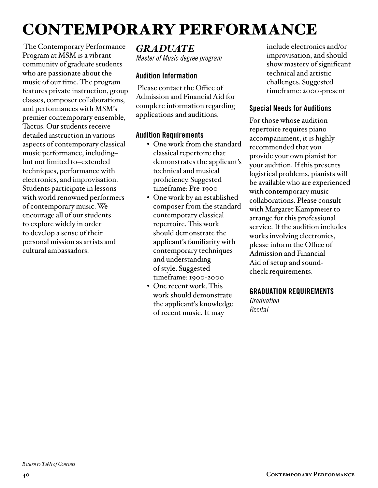# CONTEMPORARY PERFORMANCE

 The Contemporary Performance Program at MSM is a vibrant community of graduate students who are passionate about the music of our time. The program features private instruction, group classes, composer collaborations, and performances with MSM's premier contemporary ensemble, Tactus. Our students receive detailed instruction in various aspects of contemporary classical music performance, including– but not limited to–extended techniques, performance with electronics, and improvisation. Students participate in lessons with world renowned performers of contemporary music. We encourage all of our students to explore widely in order to develop a sense of their personal mission as artists and cultural ambassadors.

*GRADUATE Master of Music degree program*

#### Audition Information

 Please contact the Office of Admission and Financial Aid for complete information regarding applications and auditions.

## Audition Requirements

- One work from the standard classical repertoire that demonstrates the applicant's technical and musical proficiency. Suggested timeframe: Pre-1900
- One work by an established composer from the standard contemporary classical repertoire. This work should demonstrate the applicant's familiarity with contemporary techniques and understanding of style. Suggested timeframe: 1900-2000
- One recent work. This work should demonstrate the applicant's knowledge of recent music. It may

include electronics and/or improvisation, and should show mastery of significant technical and artistic challenges. Suggested timeframe: 2000-present

## Special Needs for Auditions

For those whose audition repertoire requires piano accompaniment, it is highly recommended that you provide your own pianist for your audition. If this presents logistical problems, pianists will be available who are experienced with contemporary music collaborations. Please consult with Margaret Kampmeier to arrange for this professional service. If the audition includes works involving electronics, please inform the Office of Admission and Financial Aid of setup and soundcheck requirements.

#### GRADUATION REQUIREMENTS

*Graduation Recital*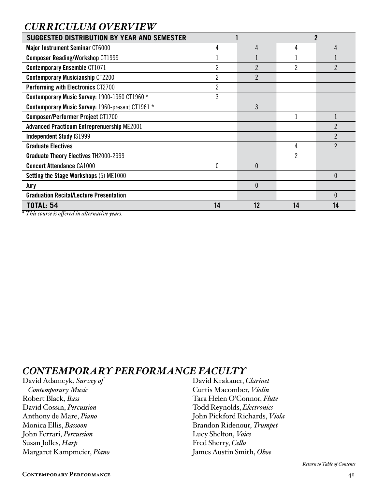## *CURRICULUM OVERVIEW*

| <b>SUGGESTED DISTRIBUTION BY YEAR AND SEMESTER</b>                                           |    |                | 2  |                          |  |
|----------------------------------------------------------------------------------------------|----|----------------|----|--------------------------|--|
| <b>Major Instrument Seminar CT6000</b>                                                       | 4  | 4              | 4  | 4                        |  |
| <b>Composer Reading/Workshop CT1999</b>                                                      |    |                |    |                          |  |
| <b>Contemporary Ensemble CT1071</b>                                                          |    | $\overline{2}$ |    |                          |  |
| <b>Contemporary Musicianship CT2200</b>                                                      | 2  | $\mathfrak{p}$ |    |                          |  |
| <b>Performing with Electronics CT2700</b>                                                    | 2  |                |    |                          |  |
| Contemporary Music Survey: 1900-1960 CT1960 *                                                | 3  |                |    |                          |  |
| Contemporary Music Survey: 1960-present CT1961 *                                             |    | 3              |    |                          |  |
| <b>Composer/Performer Project CT1700</b>                                                     |    |                |    |                          |  |
| <b>Advanced Practicum Entreprenuership ME2001</b>                                            |    |                |    | $\mathcal P$             |  |
| <b>Independent Study IS1999</b>                                                              |    |                |    | $\overline{2}$           |  |
| <b>Graduate Electives</b>                                                                    |    |                | 4  | $\overline{\phantom{a}}$ |  |
| <b>Graduate Theory Electives TH2000-2999</b>                                                 |    |                |    |                          |  |
| <b>Concert Attendance CA1000</b>                                                             | 0  | $\theta$       |    |                          |  |
| Setting the Stage Workshops (5) ME1000                                                       |    |                |    | $\theta$                 |  |
| Jury                                                                                         |    | $\theta$       |    |                          |  |
| <b>Graduation Recital/Lecture Presentation</b>                                               |    |                |    | $\theta$                 |  |
| <b>TOTAL: 54</b><br>$*$ $T1$ $*$<br>$\cdot$ $\alpha$ $\cdot$ $\cdot$ $\cdot$ $\cdot$ $\cdot$ | 14 | 12             | 14 | 14                       |  |

*\* This course is offered in alternative years.*

## *CONTEMPORARY PERFORMANCE FACULTY*

David Adamcyk, *Survey of Contemporary Music* Robert Black, *Bass* David Cossin, *Percussion* Anthony de Mare, *Piano* Monica Ellis, *Bassoon* John Ferrari, *Percussion* Susan Jolles, *Harp* Margaret Kampmeier, *Piano*

David Krakauer, *Clarinet* Curtis Macomber, *Violin* Tara Helen O'Connor, *Flute* Todd Reynolds, *Electronics* John Pickford Richards, *Viola* Brandon Ridenour, *Trumpet* Lucy Shelton, *Voice* Fred Sherry, *Cello* James Austin Smith, *Oboe*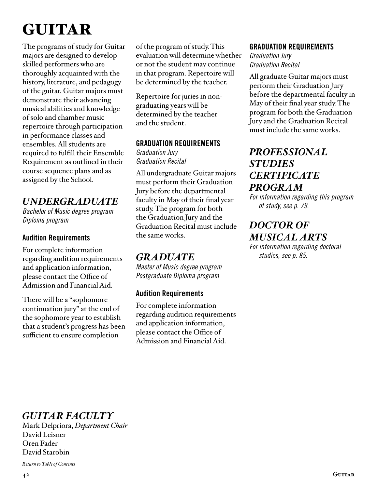# GUITAR

The programs of study for Guitar majors are designed to develop skilled performers who are thoroughly acquainted with the history, literature, and pedagogy of the guitar. Guitar majors must demonstrate their advancing musical abilities and knowledge of solo and chamber music repertoire through participation in performance classes and ensembles. All students are required to fulfill their Ensemble Requirement as outlined in their course sequence plans and as assigned by the School.

## *UNDERGRADUATE*

*Bachelor of Music degree program Diploma program*

## Audition Requirements

For complete information regarding audition requirements and application information, please contact the Office of Admission and Financial Aid.

There will be a "sophomore continuation jury" at the end of the sophomore year to establish that a student's progress has been sufficient to ensure completion

of the program of study. This evaluation will determine whether or not the student may continue in that program. Repertoire will be determined by the teacher.

Repertoire for juries in nongraduating years will be determined by the teacher and the student.

#### GRADUATION REQUIREMENTS

*Graduation Jury Graduation Recital* 

All undergraduate Guitar majors must perform their Graduation Jury before the departmental faculty in May of their final year study. The program for both the Graduation Jury and the Graduation Recital must include the same works.

## *GRADUATE*

*Master of Music degree program Postgraduate Diploma program*

## Audition Requirements

For complete information regarding audition requirements and application information, please contact the Office of Admission and Financial Aid.

## GRADUATION REQUIREMENTS

*Graduation Jury Graduation Recital*

All graduate Guitar majors must perform their Graduation Jury before the departmental faculty in May of their final year study. The program for both the Graduation Jury and the Graduation Recital must include the same works.

## *[PROFESSIONAL](#page-78-0)  STUDIES CERTIFICATE PROGRAM*

*For information regarding this program of study, see p. 79.*

## *DOCTOR OF [MUSICAL ARTS](#page-84-0)*

*For information regarding doctoral studies, see p. 85.*

# *GUITAR FACULTY*

Mark Delpriora, *Department Chair* David Leisner Oren Fader David Starobin

*[Return to Table of Contents](#page-2-0)*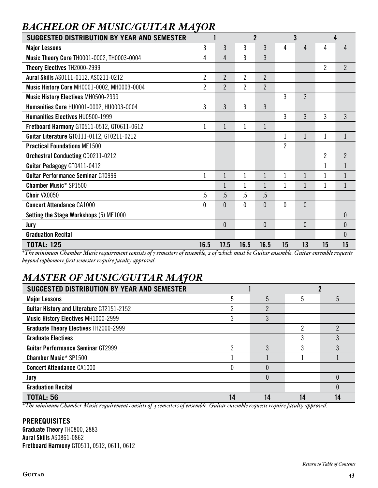| SUGGESTED DISTRIBUTION BY YEAR AND SEMESTER                                                                                              |                |                |                | $\overline{2}$ |                | 3              | 4              |                  |
|------------------------------------------------------------------------------------------------------------------------------------------|----------------|----------------|----------------|----------------|----------------|----------------|----------------|------------------|
| <b>Major Lessons</b>                                                                                                                     | 3              | 3              | 3              | 3              | 4              | 4              | 4              | 4                |
| Music Theory Core TH0001-0002, TH0003-0004                                                                                               | 4              | 4              | 3              | 3              |                |                |                |                  |
| Theory Electives TH2000-2999                                                                                                             |                |                |                |                |                |                | $\overline{2}$ | $\overline{2}$   |
| Aural Skills AS0111-0112, AS0211-0212                                                                                                    | $\overline{2}$ | $\overline{2}$ | $\overline{2}$ | $\overline{2}$ |                |                |                |                  |
| <b>Music History Core MH0001-0002, MH0003-0004</b>                                                                                       | $\overline{2}$ | $\overline{2}$ | $\overline{2}$ | $\overline{2}$ |                |                |                |                  |
| Music History Electives MH0500-2999                                                                                                      |                |                |                |                | 3              | 3              |                |                  |
| Humanities Core HU0001-0002, HU0003-0004                                                                                                 | 3              | 3              | 3              | 3              |                |                |                |                  |
| <b>Humanities Electives HU0500-1999</b>                                                                                                  |                |                |                |                | 3              | 3              | 3              | 3                |
| Fretboard Harmony GT0511-0512, GT0611-0612                                                                                               |                | $\mathbf{1}$   | 1              | $\mathbf{1}$   |                |                |                |                  |
| Guitar Literature GT0111-0112, GT0211-0212                                                                                               |                |                |                |                |                |                | 1              |                  |
| <b>Practical Foundations ME1500</b>                                                                                                      |                |                |                |                | $\overline{2}$ |                |                |                  |
| <b>Orchestral Conducting CD0211-0212</b>                                                                                                 |                |                |                |                |                |                | 2              | $\overline{2}$   |
| Guitar Pedagogy GT0411-0412                                                                                                              |                |                |                |                |                |                |                | 1                |
| <b>Guitar Performance Seminar GT0999</b>                                                                                                 |                |                |                | $\mathbf{1}$   |                |                | 1              |                  |
| <b>Chamber Music* SP1500</b>                                                                                                             |                |                |                | $\mathbf{1}$   |                |                | $\mathbf 1$    | 1                |
| Choir VX0050                                                                                                                             | $.5\,$         | .5             | .5             | .5             |                |                |                |                  |
| <b>Concert Attendance CA1000</b>                                                                                                         | 0              | $\theta$       | 0              | $\theta$       | $\theta$       | $\overline{0}$ |                |                  |
| <b>Setting the Stage Workshops (5) ME1000</b>                                                                                            |                |                |                |                |                |                |                | $\theta$         |
| Jury                                                                                                                                     |                | 0              |                | 0              |                | 0              |                | $\boldsymbol{0}$ |
| <b>Graduation Recital</b>                                                                                                                |                |                |                |                |                |                |                | $\theta$         |
| <b>TOTAL: 125</b><br>$*$ The minimum Chember Music accumum considerate communication of meantly a chembial must be Cuiten meantly Cuiten | 16.5           | 17.5           | 16.5           | 16.5           | 15             | 13             | 15             | 15               |

# *BACHELOR OF MUSIC/GUITAR MAJOR*

*\*The minimum Chamber Music requirement consists of 7 semesters of ensemble, 2 of which must be Guitar ensemble. Guitar ensemble requests beyond sophomore first semester require faculty approval.*

# *MASTER OF MUSIC/GUITAR MAJOR*

| SUGGESTED DISTRIBUTION BY YEAR AND SEMESTER      |    |    |    |  |
|--------------------------------------------------|----|----|----|--|
| <b>Major Lessons</b>                             |    | 5  |    |  |
| <b>Guitar History and Literature GT2151-2152</b> |    |    |    |  |
| <b>Music History Electives MH1000-2999</b>       |    |    |    |  |
| <b>Graduate Theory Electives TH2000-2999</b>     |    |    |    |  |
| <b>Graduate Electives</b>                        |    |    |    |  |
| <b>Guitar Performance Seminar GT2999</b>         |    |    |    |  |
| <b>Chamber Music* SP1500</b>                     |    |    |    |  |
| <b>Concert Attendance CA1000</b>                 |    |    |    |  |
| Jury                                             |    |    |    |  |
| <b>Graduation Recital</b>                        |    |    |    |  |
| <b>TOTAL: 56</b>                                 | 14 | 14 | 14 |  |

*\*The minimum Chamber Music requirement consists of 4 semesters of ensemble. Guitar ensemble requests require faculty approval.*

## **PREREQUISITES**

Graduate Theory TH0800, 2883 Aural Skills AS0861-0862 Fretboard Harmony GT0511, 0512, 0611, 0612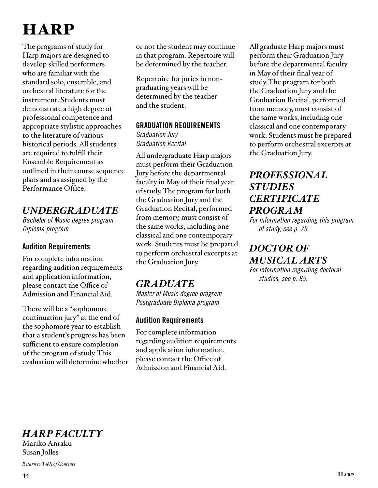# **HARP**

The programs of study for Harp majors are designed to develop skilled performers who are familiar with the standard solo, ensemble, and orchestral literature for the instrument. Students must demonstrate a high degree of professional competence and appropriate stylistic approaches to the literature of various historical periods. All students are required to fulfill their Ensemble Requirement as outlined in their course sequence plans and as assigned by the Performance Office.

## *UNDERGRADUATE*

*Bachelor of Music degree program Diploma program*

## Audition Requirements

For complete information regarding audition requirements and application information, please contact the Office of Admission and Financial Aid.

There will be a "sophomore continuation jury" at the end of the sophomore year to establish that a student's progress has been sufficient to ensure completion of the program of study. This evaluation will determine whether or not the student may continue in that program. Repertoire will be determined by the teacher.

Repertoire for juries in nongraduating years will be determined by the teacher and the student.

#### GRADUATION REQUIREMENTS

*Graduation Jury Graduation Recital* 

All undergraduate Harp majors must perform their Graduation Jury before the departmental faculty in May of their final year of study. The program for both the Graduation Jury and the Graduation Recital, performed from memory, must consist of the same works, including one classical and one contemporary work. Students must be prepared to perform orchestral excerpts at the Graduation Jury.

## *GRADUATE*

*Master of Music degree program Postgraduate Diploma program*

## Audition Requirements

For complete information regarding audition requirements and application information, please contact the Office of Admission and Financial Aid.

All graduate Harp majors must perform their Graduation Jury before the departmental faculty in May of their final year of study. The program for both the Graduation Jury and the Graduation Recital, performed from memory, must consist of the same works, including one classical and one contemporary work. Students must be prepared to perform orchestral excerpts at the Graduation Jury.

## *[PROFESSIONAL](#page-78-0)  STUDIES CERTIFICATE PROGRAM*

*For information regarding this program of study, see p. 79.*

# *DOCTOR OF [MUSICAL ARTS](#page-84-0)*

*For information regarding doctoral studies, see p. 85.*

# *HARP FACULTY*

Mariko Anraku Susan Jolles

*[Return to Table of Contents](#page-2-0)*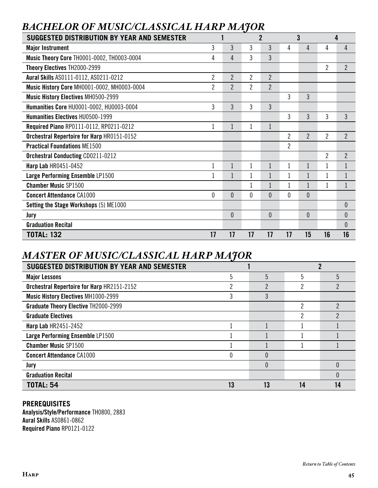| <b>SUGGESTED DISTRIBUTION BY YEAR AND SEMESTER</b> |                |                |                | $\overline{2}$ |                | 3              |                | 4              |
|----------------------------------------------------|----------------|----------------|----------------|----------------|----------------|----------------|----------------|----------------|
| <b>Major Instrument</b>                            | 3              | 3              | 3              | 3              | 4              | 4              | 4              | 4              |
| Music Theory Core TH0001-0002, TH0003-0004         | 4              | 4              | 3              | 3              |                |                |                |                |
| Theory Electives TH2000-2999                       |                |                |                |                |                |                | $\overline{2}$ | $\overline{2}$ |
| Aural Skills AS0111-0112, AS0211-0212              | $\overline{c}$ | 2              | 2              | $\overline{2}$ |                |                |                |                |
| Music History Core MH0001-0002, MH0003-0004        | $\overline{2}$ | $\overline{2}$ | $\overline{2}$ | $\overline{2}$ |                |                |                |                |
| <b>Music History Electives MH0500-2999</b>         |                |                |                |                | 3              | 3              |                |                |
| Humanities Core HU0001-0002, HU0003-0004           | 3              | 3              | 3              | 3              |                |                |                |                |
| <b>Humanities Electives HU0500-1999</b>            |                |                |                |                | 3              | 3              | 3              | 3              |
| Required Piano RP0111-0112, RP0211-0212            | 1              | $\mathbf 1$    | 1              | 1              |                |                |                |                |
| <b>Orchestral Repertoire for Harp HR0151-0152</b>  |                |                |                |                | 2              | $\overline{2}$ | 2              | $\overline{2}$ |
| <b>Practical Foundations ME1500</b>                |                |                |                |                | $\overline{2}$ |                |                |                |
| <b>Orchestral Conducting CD0211-0212</b>           |                |                |                |                |                |                | $\overline{2}$ | $\overline{2}$ |
| <b>Harp Lab HR0451-0452</b>                        | 1              |                | 1              |                |                |                |                |                |
| Large Performing Ensemble LP1500                   |                |                |                |                |                |                | $\mathbf{1}$   | $\mathbf{1}$   |
| <b>Chamber Music SP1500</b>                        |                |                |                |                |                |                | 1              | $\mathbf{1}$   |
| <b>Concert Attendance CA1000</b>                   | $\theta$       | 0              | $\theta$       | $\theta$       | $\theta$       | $\mathbf{0}$   |                |                |
| Setting the Stage Workshops (5) ME1000             |                |                |                |                |                |                |                | $\theta$       |
| Jury                                               |                | $\mathbf{0}$   |                | $\theta$       |                | $\mathbf{0}$   |                | $\theta$       |
| <b>Graduation Recital</b>                          |                |                |                |                |                |                |                | $\theta$       |
| <b>TOTAL: 132</b>                                  | 17             | 17             | 17             | 17             | 17             | 15             | 16             | 16             |

# *BACHELOR OF MUSIC/CLASSICAL HARP MAJOR*

# *MASTER OF MUSIC/CLASSICAL HARP MAJOR*

| SUGGESTED DISTRIBUTION BY YEAR AND SEMESTER |    |          |    |               |  |
|---------------------------------------------|----|----------|----|---------------|--|
| <b>Major Lessons</b>                        | 5  | 5        | 5  | 5             |  |
| Orchestral Repertoire for Harp HR2151-2152  | ŋ  | C.       | ŋ  | 2             |  |
| <b>Music History Electives MH1000-2999</b>  |    |          |    |               |  |
| <b>Graduate Theory Elective TH2000-2999</b> |    |          | 2  | $\mathcal{P}$ |  |
| <b>Graduate Electives</b>                   |    |          | っ  |               |  |
| <b>Harp Lab HR2451-2452</b>                 |    |          |    |               |  |
| Large Performing Ensemble LP1500            |    |          |    |               |  |
| <b>Chamber Music SP1500</b>                 |    |          |    |               |  |
| <b>Concert Attendance CA1000</b>            |    | 0        |    |               |  |
| Jury                                        |    | $\Omega$ |    | $\Omega$      |  |
| <b>Graduation Recital</b>                   |    |          |    | ſ             |  |
| <b>TOTAL: 54</b>                            | 13 | 13       | 14 | 14            |  |

## **PREREQUISITES**

Analysis/Style/Performance TH0800, 2883 Aural Skills AS0861-0862 Required Piano RP0121-0122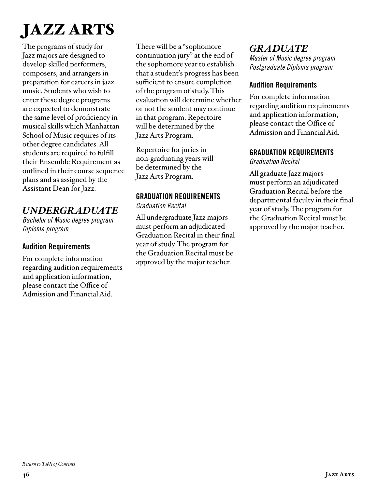# JAZZ ARTS

The programs of study for Jazz majors are designed to develop skilled performers, composers, and arrangers in preparation for careers in jazz music. Students who wish to enter these degree programs are expected to demonstrate the same level of proficiency in musical skills which Manhattan School of Music requires of its other degree candidates. All students are required to fulfill their Ensemble Requirement as outlined in their course sequence plans and as assigned by the Assistant Dean for Jazz.

## *UNDERGRADUATE*

*Bachelor of Music degree program Diploma program*

## Audition Requirements

For complete information regarding audition requirements and application information, please contact the Office of Admission and Financial Aid.

There will be a "sophomore continuation jury" at the end of the sophomore year to establish that a student's progress has been sufficient to ensure completion of the program of study. This evaluation will determine whether or not the student may continue in that program. Repertoire will be determined by the Jazz Arts Program.

Repertoire for juries in non-graduating years will be determined by the Jazz Arts Program.

# GRADUATION REQUIREMENTS

*Graduation Recital* 

All undergraduate Jazz majors must perform an adjudicated Graduation Recital in their final year of study. The program for the Graduation Recital must be approved by the major teacher.

# *GRADUATE*

*Master of Music degree program Postgraduate Diploma program*

## Audition Requirements

For complete information regarding audition requirements and application information, please contact the Office of Admission and Financial Aid.

## GRADUATION REQUIREMENTS

*Graduation Recital* 

All graduate Jazz majors must perform an adjudicated Graduation Recital before the departmental faculty in their final year of study. The program for the Graduation Recital must be approved by the major teacher.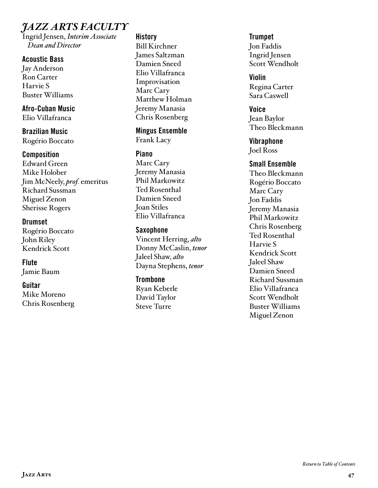# *JAZZ ARTS FACULTY*

Ingrid Jensen, *Interim Associate Dean and Director*

#### Acoustic Bass

Jay Anderson Ron Carter Harvie S Buster Williams

Afro-Cuban Music Elio Villafranca

Brazilian Music Rogério Boccato

#### **Composition**

Edward Green Mike Holober Jim McNeely, *prof.* emeritus Richard Sussman Miguel Zenon Sherisse Rogers

**Drumset** Rogério Boccato John Riley Kendrick Scott

**Flute** Jamie Baum

#### Guitar

Mike Moreno Chris Rosenberg

#### **History** Bill Kirchner James Saltzman Damien Sneed Elio Villafranca Improvisation Marc Cary Matthew Holman Jeremy Manasia Chris Rosenberg

Mingus Ensemble Frank Lacy

#### Piano

Marc Cary Jeremy Manasia Phil Markowitz Ted Rosenthal Damien Sneed Joan Stiles Elio Villafranca

#### Saxophone

Vincent Herring, *alto* Donny McCaslin, *tenor* Jaleel Shaw, *alto* Dayna Stephens, *tenor*

#### **Trombone**

Ryan Keberle David Taylor Steve Turre

#### **Trumpet** Jon Faddis Ingrid Jensen Scott Wendholt

Violin Regina Carter Sara Caswell

Voice Jean Baylor Theo Bleckmann

**Vibraphone** Joel Ross

#### Small Ensemble

Theo Bleckmann Rogério Boccato Marc Cary Jon Faddis Jeremy Manasia Phil Markowitz Chris Rosenberg Ted Rosenthal Harvie S Kendrick Scott Jaleel Shaw Damien Sneed Richard Sussman Elio Villafranca Scott Wendholt Buster Williams Miguel Zenon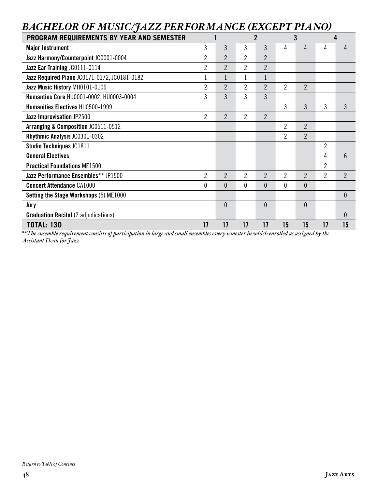# *BACHELOR OF MUSIC/JAZZ PERFORMANCE (EXCEPT PIANO)*

| <b>PROGRAM REQUIREMENTS BY YEAR AND SEMESTER</b> |                |                | $\overline{2}$ |                |                | 3              |                | 4              |
|--------------------------------------------------|----------------|----------------|----------------|----------------|----------------|----------------|----------------|----------------|
| <b>Major Instrument</b>                          | 3              | 3              | 3              | 3              | 4              | 4              | 4              | 4              |
| Jazz Harmony/Counterpoint JC0001-0004            | 2              | 2              | 2              | $\overline{2}$ |                |                |                |                |
| Jazz Ear Training JC0111-0114                    | 2              | $\overline{2}$ | 2              | $\overline{2}$ |                |                |                |                |
| Jazz Required Piano JC0171-0172, JC0181-0182     |                |                |                |                |                |                |                |                |
| Jazz Music History MH0101-0106                   | 2              | $\overline{2}$ | 2              | $\overline{2}$ | 2              | $\overline{2}$ |                |                |
| Humanties Core HU0001-0002, HU0003-0004          | 3              | 3              | 3              | 3              |                |                |                |                |
| <b>Humanities Electives HU0500-1999</b>          |                |                |                |                | 3              | 3              | 3              | 3              |
| Jazz Improvisation JP2500                        | 2              | $\overline{2}$ | 2              | $\overline{2}$ |                |                |                |                |
| Arranging & Composition JC0511-0512              |                |                |                |                | $\overline{2}$ | $\overline{2}$ |                |                |
| Rhythmic Analysis JC0301-0302                    |                |                |                |                | 2              | $\overline{2}$ |                |                |
| Studio Techniques JC1811                         |                |                |                |                |                |                | 2              |                |
| <b>General Electives</b>                         |                |                |                |                |                |                | 4              | $6\phantom{1}$ |
| <b>Practical Foundations ME1500</b>              |                |                |                |                |                |                | 2              |                |
| Jazz Performance Ensembles** JP1500              | $\overline{2}$ | $\overline{2}$ | 2              | $\overline{2}$ | 2              | $\overline{2}$ | $\overline{2}$ | $\overline{2}$ |
| <b>Concert Attendance CA1000</b>                 | 0              | 0              | 0              | $\theta$       | 0              | 0              |                |                |
| Setting the Stage Workshops (5) ME1000           |                |                |                |                |                |                |                | $\theta$       |
| Jury                                             |                | $\overline{0}$ |                | $\mathbf{0}$   |                | $\theta$       |                |                |
| <b>Graduation Recital (2 adjudications)</b>      |                |                |                |                |                |                |                | $\theta$       |
| <b>TOTAL: 130</b>                                | 17             | 17             | 17             | 17             | 15             | 15             | 17             | 15             |

*\*\*The ensemble requirement consists of participation in large and small ensembles every semester in which enrolled as assigned by the Assistant Dean for Jazz*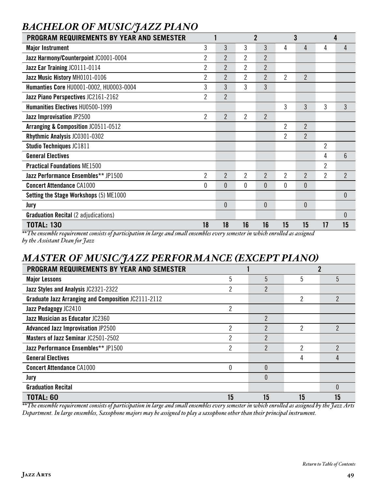| <b>BACHELOR OF MUSIC/JAZZ PIANO</b>              |                |                |                |                |                |                |                |                  |
|--------------------------------------------------|----------------|----------------|----------------|----------------|----------------|----------------|----------------|------------------|
| <b>PROGRAM REQUIREMENTS BY YEAR AND SEMESTER</b> |                |                |                | $\overline{2}$ |                | 3              |                | 4                |
| <b>Major Instrument</b>                          | 3              | 3              | 3              | 3              | 4              | 4              | 4              | 4                |
| Jazz Harmony/Counterpoint JC0001-0004            | $\overline{2}$ | $\overline{2}$ | $\overline{2}$ | $\overline{2}$ |                |                |                |                  |
| Jazz Ear Training JC0111-0114                    | $\overline{2}$ | $\overline{2}$ | $\overline{2}$ | $\overline{2}$ |                |                |                |                  |
| Jazz Music History MH0101-0106                   | 2              | 2              | 2              | $\overline{2}$ | 2              | $\overline{2}$ |                |                  |
| Humanties Core HU0001-0002, HU0003-0004          | 3              | 3              | 3              | 3              |                |                |                |                  |
| Jazz Piano Perspectives JC2161-2162              | 2              | $\overline{2}$ |                |                |                |                |                |                  |
| <b>Humanities Electives HU0500-1999</b>          |                |                |                |                | 3              | 3              | 3              | 3                |
| Jazz Improvisation JP2500                        | 2              | $\overline{2}$ | 2              | $\overline{2}$ |                |                |                |                  |
| <b>Arranging &amp; Composition JC0511-0512</b>   |                |                |                |                | $\overline{2}$ | $\overline{2}$ |                |                  |
| Rhythmic Analysis JC0301-0302                    |                |                |                |                | 2              | $\overline{2}$ |                |                  |
| <b>Studio Techniques JC1811</b>                  |                |                |                |                |                |                | $\overline{2}$ |                  |
| <b>General Electives</b>                         |                |                |                |                |                |                | 4              | 6                |
| <b>Practical Foundations ME1500</b>              |                |                |                |                |                |                | $\overline{2}$ |                  |
| Jazz Performance Ensembles** JP1500              | 2              | $\overline{2}$ | $\overline{2}$ | $\overline{2}$ | 2              | $\overline{2}$ | $\overline{2}$ | $\overline{2}$   |
| <b>Concert Attendance CA1000</b>                 | 0              | $\theta$       | 0              | $\theta$       | 0              | $\theta$       |                |                  |
| Setting the Stage Workshops (5) ME1000           |                |                |                |                |                |                |                | 0                |
| Jury                                             |                | $\theta$       |                | $\theta$       |                | $\theta$       |                |                  |
| <b>Graduation Recital (2 adjudications)</b>      |                |                |                |                |                |                |                | $\boldsymbol{0}$ |
| <b>TOTAL: 130</b>                                | 18             | 18             | 16             | 16             | 15             | 15             | 17             | 15               |

#### *\*\*The ensemble requirement consists of participation in large and small ensembles every semester in which enrolled as assigned by the Assistant Dean for Jazz*

## *MASTER OF MUSIC/JAZZ PERFORMANCE (EXCEPT PIANO)*

| <br><b>PROGRAM REQUIREMENTS BY YEAR AND SEMESTER</b>       |                |                |    |                |  |
|------------------------------------------------------------|----------------|----------------|----|----------------|--|
| <b>Major Lessons</b>                                       | 5              | 5              | 5  | 5              |  |
| Jazz Styles and Analysis JC2321-2322                       | 2              | $\overline{2}$ |    |                |  |
| <b>Graduate Jazz Arranging and Composition JC2111-2112</b> |                |                | 2  | $\overline{2}$ |  |
| Jazz Pedagogy JC2410                                       | 2              |                |    |                |  |
| Jazz Musician as Educator JC2360                           |                | $\overline{2}$ |    |                |  |
| <b>Advanced Jazz Improvisation JP2500</b>                  | 2              | $\mathfrak{p}$ | 2  | $\mathfrak{p}$ |  |
| Masters of Jazz Seminar JC2501-2502                        | 2              | $\overline{2}$ |    |                |  |
| Jazz Performance Ensembles** JP1500                        | $\overline{c}$ | $\overline{2}$ | っ  | っ              |  |
| <b>General Electives</b>                                   |                |                | 4  |                |  |
| <b>Concert Attendance CA1000</b>                           | 0              | $\Omega$       |    |                |  |
| Jury                                                       |                | $\Omega$       |    |                |  |
| <b>Graduation Recital</b>                                  |                |                |    | $\Omega$       |  |
| <b>TOTAL: 60</b>                                           | 15             | 15             | 15 | 15             |  |

*\*\*The ensemble requirement consists of participation in large and small ensembles every semester in which enrolled as assigned by the Jazz Arts Department. In large ensembles, Saxophone majors may be assigned to play a saxophone other than their principal instrument.*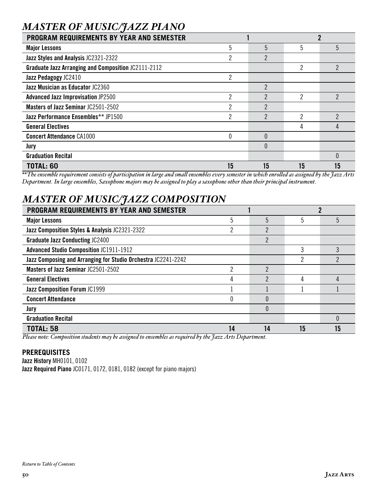## *MASTER OF MUSIC/JAZZ PIANO*

| PROGRAM REQUIREMENTS BY YEAR AND SEMESTER                  |                |                |    | ŋ              |
|------------------------------------------------------------|----------------|----------------|----|----------------|
| <b>Major Lessons</b>                                       | 5              | 5              | 5  | 5              |
| Jazz Styles and Analysis JC2321-2322                       | ∩              | $\overline{2}$ |    |                |
| <b>Graduate Jazz Arranging and Composition JC2111-2112</b> |                |                | 2  | $\overline{2}$ |
| Jazz Pedagogy JC2410                                       | $\overline{2}$ |                |    |                |
| Jazz Musician as Educator JC2360                           |                | 2              |    |                |
| <b>Advanced Jazz Improvisation JP2500</b>                  | 2              | ŋ              | 2  | 2              |
| Masters of Jazz Seminar JC2501-2502                        | 2              | 2              |    |                |
| Jazz Performance Ensembles** JP1500                        | 2              | 2              | っ  | 2              |
| <b>General Electives</b>                                   |                |                | 4  | 4              |
| <b>Concert Attendance CA1000</b>                           | 0              | $\Omega$       |    |                |
| Jury                                                       |                | $\Omega$       |    |                |
| <b>Graduation Recital</b>                                  |                |                |    | $\Omega$       |
| <b>TOTAL: 60</b>                                           | 15             | 15             | 15 | 15             |

*\*\*The ensemble requirement consists of participation in large and small ensembles every semester in which enrolled as assigned by the Jazz Arts Department. In large ensembles, Saxophone majors may be assigned to play a saxophone other than their principal instrument.*

# *MASTER OF MUSIC/JAZZ COMPOSITION*

| <b>PROGRAM REQUIREMENTS BY YEAR AND SEMESTER</b>              |    |                |    |          |  |
|---------------------------------------------------------------|----|----------------|----|----------|--|
| <b>Major Lessons</b>                                          | 5  | 5              |    | 5        |  |
| Jazz Composition Styles & Analysis JC2321-2322                |    | ŋ              |    |          |  |
| <b>Graduate Jazz Conducting JC2400</b>                        |    | $\overline{2}$ |    |          |  |
| <b>Advanced Studio Composition JC1911-1912</b>                |    |                |    |          |  |
| Jazz Composing and Arranging for Studio Orchestra JC2241-2242 |    |                | n  |          |  |
| Masters of Jazz Seminar JC2501-2502                           | ŋ  | っ              |    |          |  |
| <b>General Electives</b>                                      | 4  | ŋ              |    | 4        |  |
| <b>Jazz Composition Forum JC1999</b>                          |    |                |    |          |  |
| <b>Concert Attendance</b>                                     |    |                |    |          |  |
| Jury                                                          |    | $\Omega$       |    |          |  |
| <b>Graduation Recital</b>                                     |    |                |    | $\theta$ |  |
| <b>TOTAL: 58</b>                                              | 14 | 14             | 15 | 15       |  |

*Please note: Composition students may be assigned to ensembles as required by the Jazz Arts Department.*

#### **PREREQUISITES**

Jazz History MH0101, 0102 Jazz Required Piano JC0171, 0172, 0181, 0182 (except for piano majors)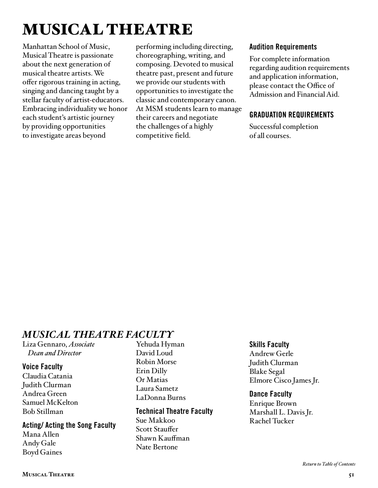# MUSICAL THEATRE

Manhattan School of Music, Musical Theatre is passionate about the next generation of musical theatre artists. We offer rigorous training in acting, singing and dancing taught by a stellar faculty of artist-educators. Embracing individuality we honor each student's artistic journey by providing opportunities to investigate areas beyond

performing including directing, choreographing, writing, and composing. Devoted to musical theatre past, present and future we provide our students with opportunities to investigate the classic and contemporary canon. At MSM students learn to manage their careers and negotiate the challenges of a highly competitive field.

#### Audition Requirements

For complete information regarding audition requirements and application information, please contact the Office of Admission and Financial Aid.

## GRADUATION REQUIREMENTS

Successful completion of all courses.

# *MUSICAL THEATRE FACULTY*

Liza Gennaro, *Associate Dean and Director*

#### Voice Faculty

Claudia Catania Judith Clurman Andrea Green Samuel McKelton Bob Stillman

#### Acting/ Acting the Song Faculty Mana Allen Andy Gale Boyd Gaines

Yehuda Hyman David Loud Robin Morse Erin Dilly Or Matias Laura Sametz LaDonna Burns

#### Technical Theatre Faculty

Sue Makkoo Scott Stauffer Shawn Kauffman Nate Bertone

## Skills Faculty

Andrew Gerle Judith Clurman Blake Segal Elmore Cisco James Jr.

#### Dance Faculty

Enrique Brown Marshall L. Davis Jr. Rachel Tucker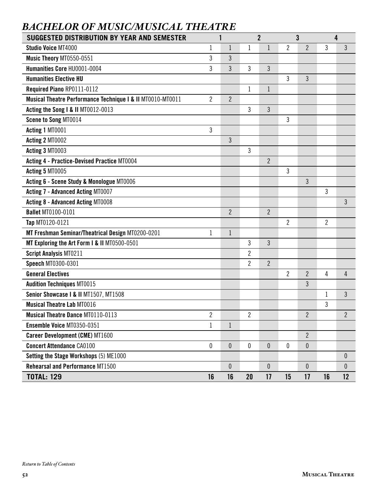# *BACHELOR OF MUSIC/MUSICAL THEATRE*

| SUGGESTED DISTRIBUTION BY YEAR AND SEMESTER                | 1                |                |                | $\overline{2}$ |                | 3                |             | 4              |
|------------------------------------------------------------|------------------|----------------|----------------|----------------|----------------|------------------|-------------|----------------|
| <b>Studio Voice MT4000</b>                                 | 1                | $\mathbf{1}$   | $\mathbf{1}$   | $\mathbf{1}$   | $\overline{2}$ | $\overline{2}$   | 3           | $\mathfrak{Z}$ |
| Music Theory MT0550-0551                                   | 3                | 3              |                |                |                |                  |             |                |
| Humanities Core HU0001-0004                                | 3                | 3              | 3              | 3              |                |                  |             |                |
| <b>Humanities Elective HU</b>                              |                  |                |                |                | 3              | 3                |             |                |
| Required Piano RP0111-0112                                 |                  |                | 1              | $\mathbf 1$    |                |                  |             |                |
| Musical Theatre Performance Technique I & II MT0010-MT0011 | $\overline{2}$   | $\overline{2}$ |                |                |                |                  |             |                |
| Acting the Song I & II MT0012-0013                         |                  |                | 3              | $\overline{3}$ |                |                  |             |                |
| Scene to Song MT0014                                       |                  |                |                |                | 3              |                  |             |                |
| Acting 1 MT0001                                            | 3                |                |                |                |                |                  |             |                |
| Acting 2 MT0002                                            |                  | 3              |                |                |                |                  |             |                |
| Acting 3 MT0003                                            |                  |                | 3              |                |                |                  |             |                |
| <b>Acting 4 - Practice-Devised Practice MT0004</b>         |                  |                |                | $\overline{2}$ |                |                  |             |                |
| Acting 5 MT0005                                            |                  |                |                |                | 3              |                  |             |                |
| Acting 6 - Scene Study & Monologue MT0006                  |                  |                |                |                |                | 3                |             |                |
| <b>Acting 7 - Advanced Acting MT0007</b>                   |                  |                |                |                |                |                  | 3           |                |
| <b>Acting 8 - Advanced Acting MT0008</b>                   |                  |                |                |                |                |                  |             | 3              |
| <b>Ballet MT0100-0101</b>                                  |                  | $\overline{2}$ |                | $\overline{2}$ |                |                  |             |                |
| Tap MT0120-0121                                            |                  |                |                |                | 2              |                  | 2           |                |
| MT Freshman Seminar/Theatrical Design MT0200-0201          | 1                | $\mathbf{1}$   |                |                |                |                  |             |                |
| MT Exploring the Art Form I & II MT0500-0501               |                  |                | 3              | 3              |                |                  |             |                |
| <b>Script Analysis MT0211</b>                              |                  |                | $\overline{2}$ |                |                |                  |             |                |
| Speech MT0300-0301                                         |                  |                | $\overline{2}$ | $\overline{2}$ |                |                  |             |                |
| <b>General Electives</b>                                   |                  |                |                |                | 2              | 2                | 4           | 4              |
| <b>Audition Techniques MT0015</b>                          |                  |                |                |                |                | 3                |             |                |
| Senior Showcase I & II MT1507, MT1508                      |                  |                |                |                |                |                  | $\mathbf 1$ | 3              |
| <b>Musical Theatre Lab MT0016</b>                          |                  |                |                |                |                |                  | 3           |                |
| <b>Musical Theatre Dance MT0110-0113</b>                   | $\overline{2}$   |                | $\overline{2}$ |                |                | $\overline{2}$   |             | $\overline{2}$ |
| Ensemble Voice MT0350-0351                                 | $\mathbf 1$      | $\mathbf{1}$   |                |                |                |                  |             |                |
| <b>Career Development (CME) MT1600</b>                     |                  |                |                |                |                | $\overline{2}$   |             |                |
| <b>Concert Attendance CA0100</b>                           | $\boldsymbol{0}$ | $\pmb{0}$      | 0              | $\overline{0}$ | $\mathbf{0}$   | $\boldsymbol{0}$ |             |                |
| Setting the Stage Workshops (5) ME1000                     |                  |                |                |                |                |                  |             | $\theta$       |
| <b>Rehearsal and Performance MT1500</b>                    |                  | $\theta$       |                | $\mathbf{0}$   |                | $\mathbf{0}$     |             | 0              |
| <b>TOTAL: 129</b>                                          | 16               | 16             | 20             | 17             | 15             | 17               | 16          | 12             |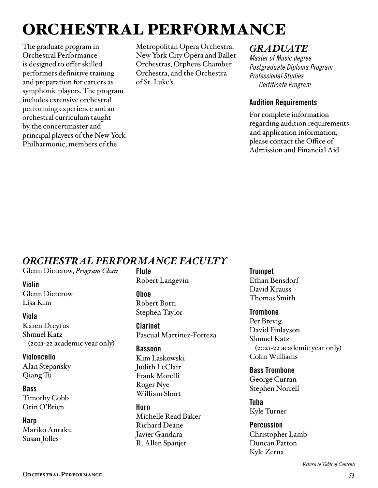# ORCHESTRAL PERFORMANCE

The graduate program in Orchestral Performance is designed to offer skilled performers definitive training and preparation for careers as symphonic players. The program includes extensive orchestral performing experience and an orchestral curriculum taught by the concertmaster and principal players of the New York Philharmonic, members of the

Metropolitan Opera Orchestra, New York City Opera and Ballet Orchestras, Orpheus Chamber Orchestra, and the Orchestra of St. Luke's.

## *GRADUATE*

*Master of Music degree Postgraduate Diploma Program Professional Studies Certificate Program* 

#### Audition Requirements

For complete information regarding audition requirements and application information, please contact the Office of Admission and Financial Aid.

## *ORCHESTRAL PERFORMANCE FACULTY*

Glenn Dicterow, *Program Chair*

#### Violin

Glenn Dicterow Lisa Kim

#### Viola

Karen Dreyfus Shmuel Katz (2021-22 academic year only)

Violoncello Alan Stepansky Qiang Tu

#### **Bass**

Timothy Cobb Orin O'Brien

**Harp** Mariko Anraku Susan Jolles

Flute Robert Langevin

Oboe Robert Botti Stephen Taylor

Clarinet Pascual Martinez-Forteza

#### Bassoon

Kim Laskowski Judith LeClair Frank Morelli Roger Nye William Short

Horn Michelle Read Baker Richard Deane Javier Gandara R. Allen Spanjer

**Trumpet** 

Ethan Bensdorf David Krauss Thomas Smith

#### **Trombone**

Per Brevig David Finlayson Shmuel Katz (2021-22 academic year only) Colin Williams

Bass Trombone George Curran Stephen Norrell

Tuba Kyle Turner

**Percussion** Christopher Lamb Duncan Patton Kyle Zerna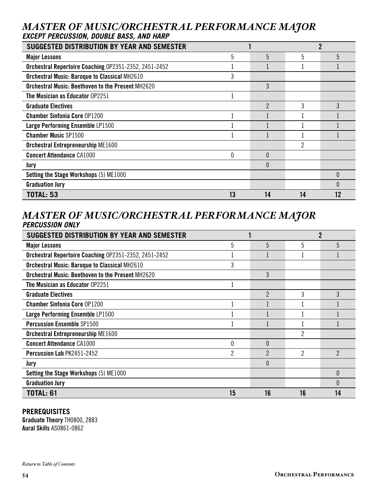## *MASTER OF MUSIC/ORCHESTRAL PERFORMANCE MAJOR EXCEPT PERCUSSION, DOUBLE BASS, AND HARP*

| <b>SUGGESTED DISTRIBUTION BY YEAR AND SEMESTER</b>       |    |    |    |          |
|----------------------------------------------------------|----|----|----|----------|
| <b>Major Lessons</b>                                     | 5  | 5  | 5  | 5        |
| Orchestral Repertoire Coaching 0P2351-2352, 2451-2452    |    |    |    |          |
| <b>Orchestral Music: Baroque to Classical MH2610</b>     |    |    |    |          |
| <b>Orchestral Music: Beethoven to the Present MH2620</b> |    | 3  |    |          |
| The Musician as Educator 0P2251                          |    |    |    |          |
| <b>Graduate Electives</b>                                |    | 2  | 3  | 3        |
| <b>Chamber Sinfonia Core OP1200</b>                      |    |    |    |          |
| Large Performing Ensemble LP1500                         |    |    |    |          |
| <b>Chamber Music SP1500</b>                              |    |    |    |          |
| <b>Orchestral Entrepreneurship ME1600</b>                |    |    | 2  |          |
| <b>Concert Attendance CA1000</b>                         | 0  | 0  |    |          |
| Jury                                                     |    | 0  |    |          |
| <b>Setting the Stage Workshops (5) ME1000</b>            |    |    |    | $\theta$ |
| <b>Graduation Jury</b>                                   |    |    |    | $\Omega$ |
| <b>TOTAL: 53</b>                                         | 13 | 14 | 14 | 12       |

## *MASTER OF MUSIC/ORCHESTRAL PERFORMANCE MAJOR PERCUSSION ONLY*

| SUGGESTED DISTRIBUTION BY YEAR AND SEMESTER              |    |                |    | 2        |
|----------------------------------------------------------|----|----------------|----|----------|
| <b>Major Lessons</b>                                     | 5  | 5              | 5  | 5        |
| Orchestral Repertoire Coaching 0P2351-2352, 2451-2452    |    |                |    |          |
| <b>Orchestral Music: Baroque to Classical MH2610</b>     | 3  |                |    |          |
| <b>Orchestral Music: Beethoven to the Present MH2620</b> |    | 3              |    |          |
| The Musician as Educator 0P2251                          |    |                |    |          |
| <b>Graduate Electives</b>                                |    | $\mathfrak{p}$ | 3  | 3        |
| <b>Chamber Sinfonia Core OP1200</b>                      |    |                |    |          |
| Large Performing Ensemble LP1500                         |    |                |    |          |
| <b>Percussion Ensemble SP1500</b>                        |    |                |    |          |
| <b>Orchestral Entrepreneurship ME1600</b>                |    |                | 2  |          |
| <b>Concert Attendance CA1000</b>                         | 0  | $\Omega$       |    |          |
| <b>Percussion Lab PK2451-2452</b>                        | 2  | 2              | 2  | 2        |
| Jury                                                     |    | 0              |    |          |
| <b>Setting the Stage Workshops (5) ME1000</b>            |    |                |    | $\Omega$ |
| <b>Graduation Jury</b>                                   |    |                |    |          |
| <b>TOTAL: 61</b>                                         | 15 | 16             | 16 | 14       |

#### **PREREQUISITES**

Graduate Theory TH0800, 2883 Aural Skills AS0861-0862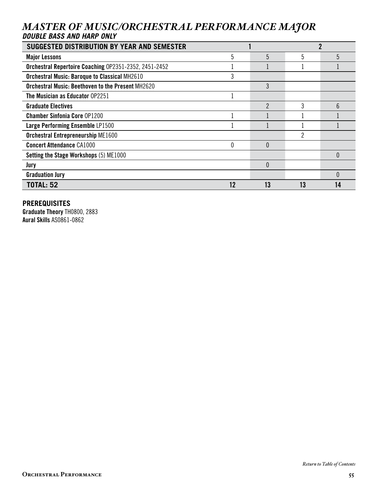## *MASTER OF MUSIC/ORCHESTRAL PERFORMANCE MAJOR DOUBLE BASS AND HARP ONLY*

| <b>SUGGESTED DISTRIBUTION BY YEAR AND SEMESTER</b>       |    |    |    |    |  |
|----------------------------------------------------------|----|----|----|----|--|
| <b>Major Lessons</b>                                     | 5  | 5  | 5  | 5  |  |
| Orchestral Repertoire Coaching 0P2351-2352, 2451-2452    |    |    |    |    |  |
| <b>Orchestral Music: Baroque to Classical MH2610</b>     | 3  |    |    |    |  |
| <b>Orchestral Music: Beethoven to the Present MH2620</b> |    | 3  |    |    |  |
| <b>The Musician as Educator OP2251</b>                   |    |    |    |    |  |
| <b>Graduate Electives</b>                                |    | 2  | 3  | ĥ  |  |
| <b>Chamber Sinfonia Core OP1200</b>                      |    |    |    |    |  |
| Large Performing Ensemble LP1500                         |    |    |    |    |  |
| <b>Orchestral Entrepreneurship ME1600</b>                |    |    | ŋ  |    |  |
| <b>Concert Attendance CA1000</b>                         | U  | 0  |    |    |  |
| Setting the Stage Workshops (5) ME1000                   |    |    |    |    |  |
| Jury                                                     |    | 0  |    |    |  |
| <b>Graduation Jury</b>                                   |    |    |    |    |  |
| <b>TOTAL: 52</b>                                         | 12 | 13 | 13 | 14 |  |

#### **PREREQUISITES**

Graduate Theory TH0800, 2883 Aural Skills AS0861-0862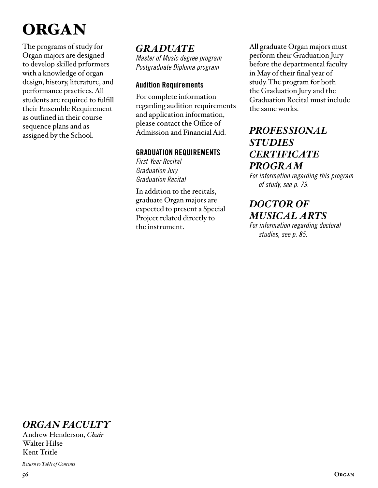# **ORGAN**

The programs of study for Organ majors are designed to develop skilled prformers with a knowledge of organ design, history, literature, and performance practices. All students are required to fulfill their Ensemble Requirement as outlined in their course sequence plans and as assigned by the School.

#### *GRADUATE Master of Music degree program Postgraduate Diploma program*

## Audition Requirements

For complete information regarding audition requirements and application information, please contact the Office of Admission and Financial Aid.

## GRADUATION REQUIREMENTS

*First Year Recital Graduation Jury Graduation Recital* 

In addition to the recitals, graduate Organ majors are expected to present a Special Project related directly to the instrument.

All graduate Organ majors must perform their Graduation Jury before the departmental faculty in May of their final year of study. The program for both the Graduation Jury and the Graduation Recital must include the same works.

## *[PROFESSIONAL](#page-78-0)  STUDIES CERTIFICATE PROGRAM*

*For information regarding this program of study, see p. 79.*

# *DOCTOR OF [MUSICAL ARTS](#page-84-0)*

*For information regarding doctoral studies, see p. 85.*

# *ORGAN FACULTY*

Andrew Henderson, *Chair*  Walter Hilse Kent Tritle

*[Return to Table of Contents](#page-2-0)*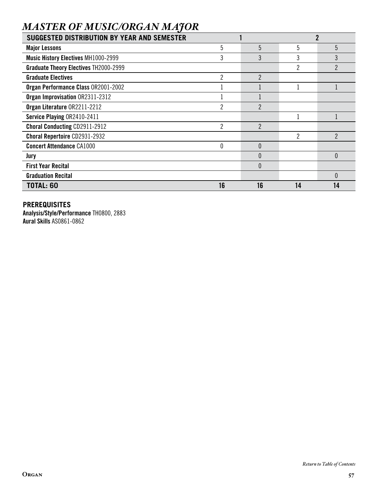# *MASTER OF MUSIC/ORGAN MAJOR*

| SUGGESTED DISTRIBUTION BY YEAR AND SEMESTER  |                |                |    |                |
|----------------------------------------------|----------------|----------------|----|----------------|
| <b>Major Lessons</b>                         | 5              | 5              | 5  | 5              |
| <b>Music History Electives MH1000-2999</b>   | 3              | 3              |    | 3              |
| <b>Graduate Theory Electives TH2000-2999</b> |                |                | 2  | $\overline{2}$ |
| <b>Graduate Electives</b>                    | $\overline{2}$ | 2              |    |                |
| Organ Performance Class OR2001-2002          |                |                |    |                |
| Organ Improvisation OR2311-2312              |                |                |    |                |
| Organ Literature 0R2211-2212                 | 2              | ŋ              |    |                |
| Service Playing OR2410-2411                  |                |                |    |                |
| <b>Choral Conducting CD2911-2912</b>         | $\overline{2}$ | $\overline{2}$ |    |                |
| <b>Choral Repertoire CD2931-2932</b>         |                |                | 2  | $\mathfrak{p}$ |
| <b>Concert Attendance CA1000</b>             | $\theta$       | $\Omega$       |    |                |
| Jury                                         |                | 0              |    | $\theta$       |
| <b>First Year Recital</b>                    |                | $\Omega$       |    |                |
| <b>Graduation Recital</b>                    |                |                |    | $\theta$       |
| <b>TOTAL: 60</b>                             | 16             | 16             | 14 | 14             |

## **PREREQUISITES**

Analysis/Style/Performance TH0800, 2883 Aural Skills AS0861-0862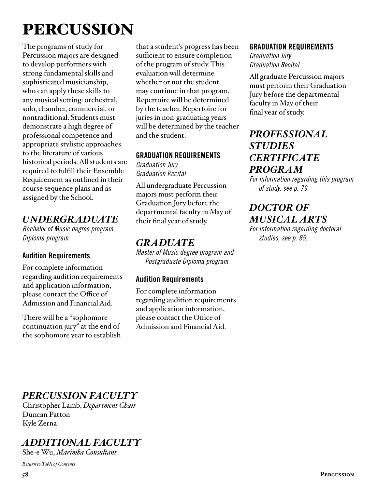# PERCUSSION

The programs of study for Percussion majors are designed to develop performers with strong fundamental skills and sophisticated musicianship, who can apply these skills to any musical setting: orchestral, solo, chamber, commercial, or nontraditional. Students must demonstrate a high degree of professional competence and appropriate stylistic approaches to the literature of various historical periods. All students are required to fulfill their Ensemble Requirement as outlined in their course sequence plans and as assigned by the School.

## *UNDERGRADUATE*

*Bachelor of Music degree program Diploma program*

## Audition Requirements

For complete information regarding audition requirements and application information, please contact the Office of Admission and Financial Aid.

There will be a "sophomore continuation jury" at the end of the sophomore year to establish

that a student's progress has been sufficient to ensure completion of the program of study. This evaluation will determine whether or not the student may continue in that program. Repertoire will be determined by the teacher. Repertoire for juries in non-graduating years will be determined by the teacher and the student.

#### GRADUATION REQUIREMENTS

*Graduation Jury Graduation Recital* 

All undergraduate Percussion majors must perform their Graduation Jury before the departmental faculty in May of their final year of study.

## *GRADUATE*

*Master of Music degree program and Postgraduate Diploma program*

## Audition Requirements

For complete information regarding audition requirements and application information, please contact the Office of Admission and Financial Aid.

### GRADUATION REQUIREMENTS

*Graduation Jury Graduation Recital* 

All graduate Percussion majors must perform their Graduation Jury before the departmental faculty in May of their final year of study.

# *[PROFESSIONAL](#page-78-0)  STUDIES CERTIFICATE PROGRAM*

*For information regarding this program of study, see p. 79.*

## *DOCTOR OF [MUSICAL ARTS](#page-84-0)*

*For information regarding doctoral studies, see p. 85.*

# *PERCUSSION FACULTY*

Christopher Lamb, *Department Chair*  Duncan Patton Kyle Zerna

# *ADDITIONAL FACULTY*

She-e Wu, *Marimba Consultant*

*[Return to Table of Contents](#page-2-0)*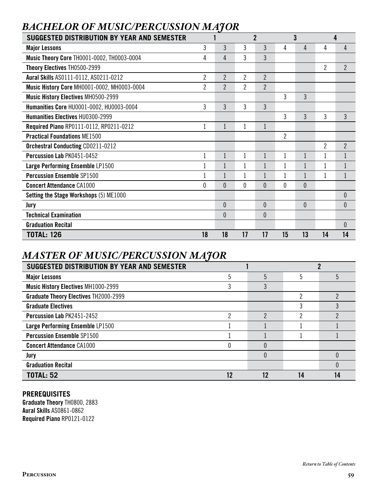## *BACHELOR OF MUSIC/PERCUSSION MAJOR*

| <b>SUGGESTED DISTRIBUTION BY YEAR AND SEMESTER</b> |                |                | $\overline{2}$ |                |                | 3        |                | 4              |
|----------------------------------------------------|----------------|----------------|----------------|----------------|----------------|----------|----------------|----------------|
| <b>Major Lessons</b>                               | 3              | 3              | 3              | 3              | 4              | 4        | 4              | 4              |
| Music Theory Core TH0001-0002, TH0003-0004         | 4              | 4              | $\mathbf{3}$   | 3              |                |          |                |                |
| Theory Electives TH0500-2999                       |                |                |                |                |                |          | $\overline{c}$ | $\overline{2}$ |
| Aural Skills AS0111-0112, AS0211-0212              | $\overline{2}$ | $\overline{2}$ | $\overline{2}$ | $\overline{2}$ |                |          |                |                |
| <b>Music History Core MH0001-0002, MH0003-0004</b> | 2              | $\overline{2}$ | 2              | $\overline{2}$ |                |          |                |                |
| <b>Music History Electives MH0500-2999</b>         |                |                |                |                | 3              | 3        |                |                |
| Humanities Core HU0001-0002, HU0003-0004           | 3              | 3              | 3              | 3              |                |          |                |                |
| Humanities Electives HU0300-2999                   |                |                |                |                | 3              | 3        | 3              | $\overline{3}$ |
| Required Piano RP0111-0112, RP0211-0212            |                | 1              | 1              | 1              |                |          |                |                |
| <b>Practical Foundations ME1500</b>                |                |                |                |                | $\overline{2}$ |          |                |                |
| <b>Orchestral Conducting CD0211-0212</b>           |                |                |                |                |                |          | $\overline{2}$ | $\overline{2}$ |
| Percussion Lab PK0451-0452                         |                | $\mathbf{1}$   |                | $\mathbf{1}$   |                |          |                |                |
| Large Performing Ensemble LP1500                   |                |                |                | $\mathbf{1}$   |                |          |                |                |
| <b>Percussion Ensemble SP1500</b>                  |                |                |                |                |                |          |                |                |
| <b>Concert Attendance CA1000</b>                   | 0              | 0              | 0              | $\theta$       | $\theta$       | $\theta$ |                |                |
| <b>Setting the Stage Workshops (5) ME1000</b>      |                |                |                |                |                |          |                | $\theta$       |
| Jury                                               |                | $\theta$       |                | $\theta$       |                | $\theta$ |                | $\theta$       |
| <b>Technical Examination</b>                       |                | 0              |                | $\theta$       |                |          |                |                |
| <b>Graduation Recital</b>                          |                |                |                |                |                |          |                | $\theta$       |
| <b>TOTAL: 126</b>                                  | 18             | 18             | 17             | 17             | 15             | 13       | 14             | 14             |

## *MASTER OF MUSIC/PERCUSSION MAJOR*

| SUGGESTED DISTRIBUTION BY YEAR AND SEMESTER  |    |          |    |   |
|----------------------------------------------|----|----------|----|---|
| <b>Major Lessons</b>                         | 5  | 5        | 5  | 5 |
| Music History Electives MH1000-2999          | 3  | 3        |    |   |
| <b>Graduate Theory Electives TH2000-2999</b> |    |          | っ  |   |
| <b>Graduate Electives</b>                    |    |          | 3  |   |
| Percussion Lab PK2451-2452                   | っ  | っ        | っ  |   |
| Large Performing Ensemble LP1500             |    |          |    |   |
| <b>Percussion Ensemble SP1500</b>            |    |          |    |   |
| <b>Concert Attendance CA1000</b>             |    | $\Omega$ |    |   |
| Jury                                         |    | $\Omega$ |    |   |
| <b>Graduation Recital</b>                    |    |          |    |   |
| <b>TOTAL: 52</b>                             | 12 | 12       | 14 |   |

## **PREREQUISITES**

Graduate Theory TH0800, 2883 Aural Skills AS0861-0862 Required Piano RP0121-0122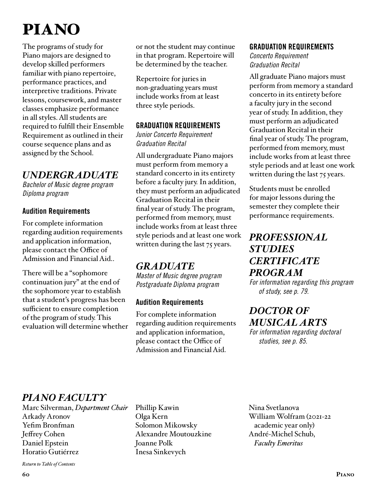# PIANO

The programs of study for Piano majors are designed to develop skilled performers familiar with piano repertoire, performance practices, and interpretive traditions. Private lessons, coursework, and master classes emphasize performance in all styles. All students are required to fulfill their Ensemble Requirement as outlined in their course sequence plans and as assigned by the School.

## *UNDERGRADUATE*

*Bachelor of Music degree program Diploma program*

## Audition Requirements

For complete information regarding audition requirements and application information, please contact the Office of Admission and Financial Aid..

There will be a "sophomore continuation jury" at the end of the sophomore year to establish that a student's progress has been sufficient to ensure completion of the program of study. This evaluation will determine whether or not the student may continue in that program. Repertoire will be determined by the teacher.

Repertoire for juries in non-graduating years must include works from at least three style periods.

#### GRADUATION REQUIREMENTS

*Junior Concerto Requirement Graduation Recital*

All undergraduate Piano majors must perform from memory a standard concerto in its entirety before a faculty jury. In addition, they must perform an adjudicated Graduation Recital in their final year of study. The program, performed from memory, must include works from at least three style periods and at least one work written during the last 75 years.

## *GRADUATE*

*Master of Music degree program Postgraduate Diploma program*

## Audition Requirements

For complete information regarding audition requirements and application information, please contact the Office of Admission and Financial Aid.

#### GRADUATION REQUIREMENTS

*Concerto Requirement Graduation Recital* 

All graduate Piano majors must perform from memory a standard concerto in its entirety before a faculty jury in the second year of study. In addition, they must perform an adjudicated Graduation Recital in their final year of study. The program, performed from memory, must include works from at least three style periods and at least one work written during the last 75 years.

Students must be enrolled for major lessons during the semester they complete their performance requirements.

## *[PROFESSIONAL](#page-78-0)  STUDIES CERTIFICATE PROGRAM*

*For information regarding this program of study, see p. 79.*

# *DOCTOR OF [MUSICAL ARTS](#page-84-0)*

*For information regarding doctoral studies, see p. 85.*

## *PIANO FACULTY*

Marc Silverman, *Department Chair* Arkady Aronov Yefim Bronfman Jeffrey Cohen Daniel Epstein Horatio Gutiérrez

Phillip Kawin Olga Kern Solomon Mikowsky Alexandre Moutouzkine Joanne Polk Inesa Sinkevych

Nina Svetlanova William Wolfram (2021-22 academic year only) André-Michel Schub, *Faculty Emeritus*

*[Return to Table of Contents](#page-2-0)*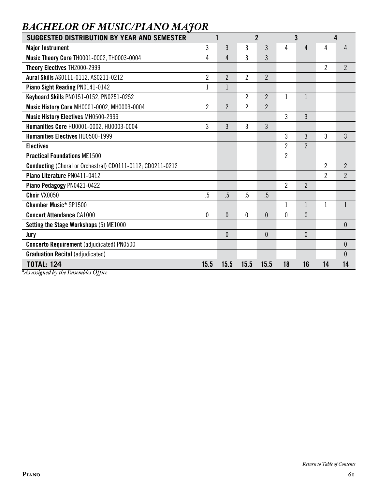| SUGGESTED DISTRIBUTION BY YEAR AND SEMESTER                    |                |                |                | $\overline{2}$ |                          | 3              |                | 4              |
|----------------------------------------------------------------|----------------|----------------|----------------|----------------|--------------------------|----------------|----------------|----------------|
| <b>Major Instrument</b>                                        | 3              | 3              | 3              | 3              | 4                        | 4              | 4              | 4              |
| Music Theory Core TH0001-0002, TH0003-0004                     | 4              | 4              | 3              | 3              |                          |                |                |                |
| Theory Electives TH2000-2999                                   |                |                |                |                |                          |                | $\overline{2}$ | $\overline{2}$ |
| Aural Skills AS0111-0112, AS0211-0212                          | $\overline{2}$ | $\overline{2}$ | $\overline{2}$ | $\overline{2}$ |                          |                |                |                |
| Piano Sight Reading PN0141-0142                                |                | $\mathbf{1}$   |                |                |                          |                |                |                |
| Keyboard Skills PN0151-0152, PN0251-0252                       |                |                | $\overline{2}$ | $\overline{2}$ | $\mathbf{1}$             | $\mathbf{1}$   |                |                |
| Music History Core MH0001-0002, MH0003-0004                    | $\overline{2}$ | $\overline{2}$ | $\overline{2}$ | $\overline{2}$ |                          |                |                |                |
| <b>Music History Electives MH0500-2999</b>                     |                |                |                |                | 3                        | 3              |                |                |
| Humanities Core HU0001-0002, HU0003-0004                       | 3              | 3              | 3              | 3              |                          |                |                |                |
| Humanities Electives HU0500-1999                               |                |                |                |                | 3                        | 3              | 3              | 3              |
| <b>Electives</b>                                               |                |                |                |                | $\overline{\phantom{a}}$ | $\overline{2}$ |                |                |
| <b>Practical Foundations ME1500</b>                            |                |                |                |                | $\overline{2}$           |                |                |                |
| Conducting (Choral or Orchestral) CD0111-0112; CD0211-0212     |                |                |                |                |                          |                | $\overline{2}$ | $\overline{2}$ |
| Piano Literature PN0411-0412                                   |                |                |                |                |                          |                | $\overline{2}$ | $\overline{2}$ |
| Piano Pedagogy PN0421-0422                                     |                |                |                |                | $\overline{2}$           | $\overline{2}$ |                |                |
| Choir VX0050                                                   | $.5\,$         | .5             | .5             | $.5\,$         |                          |                |                |                |
| <b>Chamber Music* SP1500</b>                                   |                |                |                |                | 1                        | $\mathbf{1}$   | $\mathbf 1$    | $\mathbf{1}$   |
| <b>Concert Attendance CA1000</b>                               | $\theta$       | $\overline{0}$ | $\mathbf{0}$   | $\overline{0}$ | 0                        | $\overline{0}$ |                |                |
| Setting the Stage Workshops (5) ME1000                         |                |                |                |                |                          |                |                | $\theta$       |
| Jury                                                           |                | 0              |                | $\theta$       |                          | $\mathbf{0}$   |                |                |
| <b>Concerto Requirement</b> (adjudicated) PN0500               |                |                |                |                |                          |                |                | $\mathbf{0}$   |
| <b>Graduation Recital (adjudicated)</b>                        |                |                |                |                |                          |                |                | $\theta$       |
| <b>TOTAL: 124</b><br>$*4$ a graigurad by the Eugenphlic Office | 15.5           | 15.5           | 15.5           | 15.5           | 18                       | 16             | 14             | 14             |

# *BACHELOR OF MUSIC/PIANO MAJOR*

*\*As assigned by the Ensembles Office*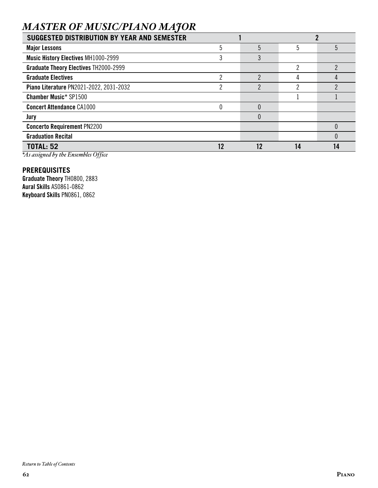# *MASTER OF MUSIC/PIANO MAJOR*

| <b>SUGGESTED DISTRIBUTION BY YEAR AND SEMESTER</b> |    |    |    |
|----------------------------------------------------|----|----|----|
| <b>Major Lessons</b>                               | 5  | 5  | 5  |
| <b>Music History Electives MH1000-2999</b>         | 3  |    |    |
| <b>Graduate Theory Electives TH2000-2999</b>       |    | ∩  |    |
| <b>Graduate Electives</b>                          | ŋ  | 4  |    |
| Piano Literature PN2021-2022, 2031-2032            | ŋ  |    |    |
| <b>Chamber Music* SP1500</b>                       |    |    |    |
| <b>Concert Attendance CA1000</b>                   |    |    |    |
| Jury                                               |    |    |    |
| <b>Concerto Requirement PN2200</b>                 |    |    |    |
| <b>Graduation Recital</b>                          |    |    |    |
| <b>TOTAL: 52</b>                                   | 12 | 14 | 14 |

*\*As assigned by the Ensembles Office*

#### **PREREQUISITES**

Graduate Theory TH0800, 2883 Aural Skills AS0861-0862 Keyboard Skills PN0861, 0862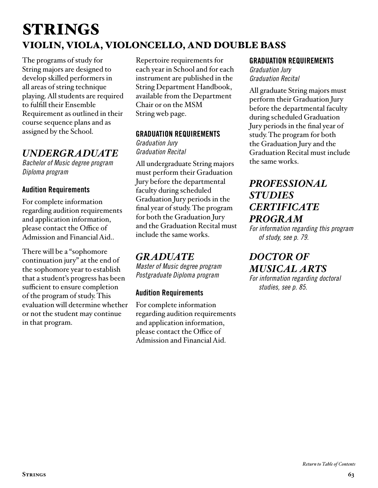# STRINGS VIOLIN, VIOLA, VIOLONCELLO, AND DOUBLE BASS

The programs of study for String majors are designed to develop skilled performers in all areas of string technique playing. All students are required to fulfill their Ensemble Requirement as outlined in their course sequence plans and as assigned by the School.

## *UNDERGRADUATE*

*Bachelor of Music degree program Diploma program*

## Audition Requirements

For complete information regarding audition requirements and application information, please contact the Office of Admission and Financial Aid..

There will be a "sophomore continuation jury" at the end of the sophomore year to establish that a student's progress has been sufficient to ensure completion of the program of study. This evaluation will determine whether or not the student may continue in that program.

Repertoire requirements for each year in School and for each instrument are published in the String Department Handbook, available from the Department Chair or on the MSM String web page.

## GRADUATION REQUIREMENTS

*Graduation Jury Graduation Recital*

All undergraduate String majors must perform their Graduation Jury before the departmental faculty during scheduled Graduation Jury periods in the final year of study. The program for both the Graduation Jury and the Graduation Recital must include the same works.

## *GRADUATE*

*Master of Music degree program Postgraduate Diploma program*

## Audition Requirements

For complete information regarding audition requirements and application information, please contact the Office of Admission and Financial Aid.

#### GRADUATION REQUIREMENTS

*Graduation Jury Graduation Recital*

All graduate String majors must perform their Graduation Jury before the departmental faculty during scheduled Graduation Jury periods in the final year of study. The program for both the Graduation Jury and the Graduation Recital must include the same works.

## *[PROFESSIONAL](#page-78-0)  STUDIES CERTIFICATE PROGRAM*

*For information regarding this program of study, see p. 79.*

*DOCTOR OF [MUSICAL ARTS](#page-84-0)* 

*For information regarding doctoral studies, see p. 85.*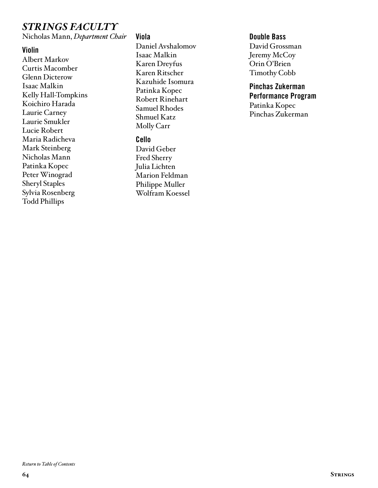## *STRINGS FACULTY*

Nicholas Mann, *Department Chair*

#### Violin

Albert Markov Curtis Macomber Glenn Dicterow Isaac Malkin Kelly Hall-Tompkins Koichiro Harada Laurie Carney Laurie Smukler Lucie Robert Maria Radicheva Mark Steinberg Nicholas Mann Patinka Kopec Peter Winograd Sheryl Staples Sylvia Rosenberg Todd Phillips

#### Viola

Daniel Avshalomov Isaac Malkin Karen Dreyfus Karen Ritscher Kazuhide Isomura Patinka Kopec Robert Rinehart Samuel Rhodes Shmuel Katz Molly Carr

#### Cello

David Geber Fred Sherry Julia Lichten Marion Feldman Philippe Muller Wolfram Koessel

#### Double Bass

David Grossman Jeremy McCoy Orin O'Brien Timothy Cobb

#### Pinchas Zukerman Performance Program Patinka Kopec Pinchas Zukerman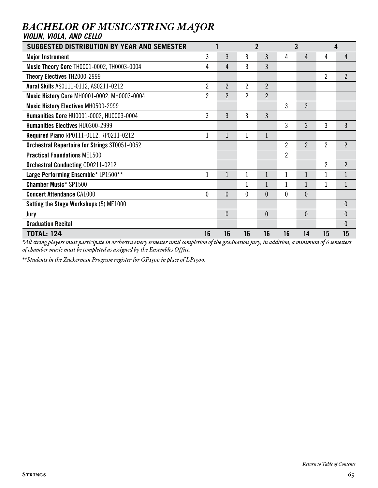| VIOLIN, VIOLA, AND CELLO                                                                                                                           |                |                |                |                |                |                |                |                |
|----------------------------------------------------------------------------------------------------------------------------------------------------|----------------|----------------|----------------|----------------|----------------|----------------|----------------|----------------|
| <b>SUGGESTED DISTRIBUTION BY YEAR AND SEMESTER</b>                                                                                                 |                |                |                | $\overline{2}$ |                | 3              |                | 4              |
| <b>Major Instrument</b>                                                                                                                            | 3              | 3              | 3              | 3              | 4              | 4              | 4              | 4              |
| Music Theory Core TH0001-0002, TH0003-0004                                                                                                         | 4              | 4              | 3              | 3              |                |                |                |                |
| Theory Electives TH2000-2999                                                                                                                       |                |                |                |                |                |                | $\overline{2}$ | $\overline{2}$ |
| <b>Aural Skills AS0111-0112, AS0211-0212</b>                                                                                                       | 2              | $\overline{2}$ | $\overline{2}$ | $\overline{2}$ |                |                |                |                |
| Music History Core MH0001-0002, MH0003-0004                                                                                                        | $\overline{2}$ | $\overline{2}$ | 2              | $\overline{2}$ |                |                |                |                |
| Music History Electives MH0500-2999                                                                                                                |                |                |                |                | 3              | 3              |                |                |
| Humanities Core HU0001-0002, HU0003-0004                                                                                                           | 3              | 3              | 3              | 3              |                |                |                |                |
| Humanities Electives HU0300-2999                                                                                                                   |                |                |                |                | 3              | 3              | 3              | 3              |
| <b>Required Piano RP0111-0112, RP0211-0212</b>                                                                                                     | 1              | 1              | 1              | 1              |                |                |                |                |
| Orchestral Repertoire for Strings ST0051-0052                                                                                                      |                |                |                |                | $\overline{2}$ | $\overline{2}$ | $\overline{2}$ | $\overline{2}$ |
| <b>Practical Foundations ME1500</b>                                                                                                                |                |                |                |                | $\overline{2}$ |                |                |                |
| <b>Orchestral Conducting CD0211-0212</b>                                                                                                           |                |                |                |                |                |                | $\overline{2}$ | $\overline{2}$ |
| Large Performing Ensemble* LP1500**                                                                                                                | 1              | 1              | 1              | $\mathbf{1}$   |                |                | 1              | 1              |
| <b>Chamber Music* SP1500</b>                                                                                                                       |                |                | 1              |                |                |                |                | $\mathbf{1}$   |
| <b>Concert Attendance CA1000</b>                                                                                                                   | $\theta$       | 0              | 0              | $\theta$       | 0              | $\theta$       |                |                |
| Setting the Stage Workshops (5) ME1000                                                                                                             |                |                |                |                |                |                |                | $\theta$       |
| Jury                                                                                                                                               |                | $\theta$       |                | $\theta$       |                | $\theta$       |                | $\theta$       |
| <b>Graduation Recital</b>                                                                                                                          |                |                |                |                |                |                |                | $\theta$       |
| <b>TOTAL: 124</b>                                                                                                                                  | 16             | 16             | 16             | 16             | 16             | 14             | 15             | 15             |
| $*$ All string players must participate in orchestra egyery semester until completion of the oraduation jury; in addition a minimum of 6 semesters |                |                |                |                |                |                |                |                |

# *BACHELOR OF MUSIC/STRING MAJOR*

*\*All string players must participate in orchestra every semester until completion of the graduation jury; in addition, a minimum of 6 semesters of chamber music must be completed as assigned by the Ensembles Office.* 

*\*\*Students in the Zuckerman Program register for OP1500 in place of LP1500.*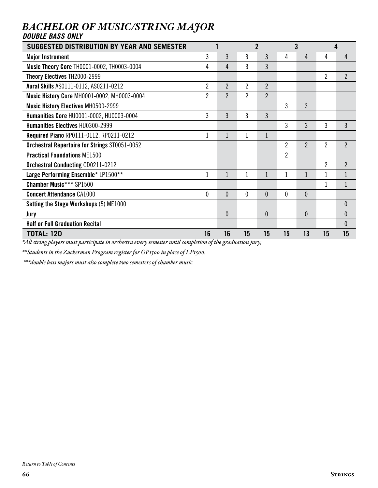| <b>SUGGESTED DISTRIBUTION BY YEAR AND SEMESTER</b> |                |                | $\overline{2}$ |                | 3              |                | 4              |                |
|----------------------------------------------------|----------------|----------------|----------------|----------------|----------------|----------------|----------------|----------------|
| <b>Major Instrument</b>                            | 3              | 3              | 3              | 3              | 4              | 4              | 4              | 4              |
| Music Theory Core TH0001-0002, TH0003-0004         | 4              | 4              | 3              | 3              |                |                |                |                |
| Theory Electives TH2000-2999                       |                |                |                |                |                |                | $\overline{2}$ | $\overline{2}$ |
| Aural Skills AS0111-0112, AS0211-0212              | $\overline{2}$ | 2              | $\overline{2}$ | $\overline{2}$ |                |                |                |                |
| <b>Music History Core MH0001-0002, MH0003-0004</b> | $\overline{2}$ | $\overline{2}$ | $\overline{2}$ | $\overline{2}$ |                |                |                |                |
| <b>Music History Electives MH0500-2999</b>         |                |                |                |                | 3              | 3              |                |                |
| Humanities Core HU0001-0002, HU0003-0004           | 3              | 3              | 3              | 3              |                |                |                |                |
| Humanities Electives HU0300-2999                   |                |                |                |                | 3              | 3              | 3              | $\mathfrak{Z}$ |
| Required Piano RP0111-0112, RP0211-0212            |                | 1              | 1              |                |                |                |                |                |
| Orchestral Repertoire for Strings ST0051-0052      |                |                |                |                | $\mathfrak{p}$ | $\overline{2}$ | $\overline{2}$ | $\overline{2}$ |
| <b>Practical Foundations ME1500</b>                |                |                |                |                | $\overline{2}$ |                |                |                |
| <b>Orchestral Conducting CD0211-0212</b>           |                |                |                |                |                |                | $\overline{2}$ | $\overline{2}$ |
| Large Performing Ensemble* LP1500**                |                | 1              | 1              | 1              |                |                |                | $\mathbf 1$    |
| <b>Chamber Music*** SP1500</b>                     |                |                |                |                |                |                |                |                |
| <b>Concert Attendance CA1000</b>                   | 0              | $\theta$       | $\mathbf{0}$   | $\theta$       | 0              | $\mathbf{0}$   |                |                |
| Setting the Stage Workshops (5) ME1000             |                |                |                |                |                |                |                | $\theta$       |
| Jury                                               |                | $\theta$       |                | $\mathbf{0}$   |                | $\mathbf{0}$   |                | $\theta$       |
| <b>Half or Full Graduation Recital</b>             |                |                |                |                |                |                |                | $\theta$       |
| <b>TOTAL: 120</b>                                  | 16             | 16             | 15             | 15             | 15             | 13             | 15             | 15             |

## *BACHELOR OF MUSIC/STRING MAJOR DOUBLE BASS ONLY*

*\*All string players must participate in orchestra every semester until completion of the graduation jury;* 

*\*\*Students in the Zuckerman Program register for OP1500 in place of LP1500.*

 *\*\*\*double bass majors must also complete two semesters of chamber music.*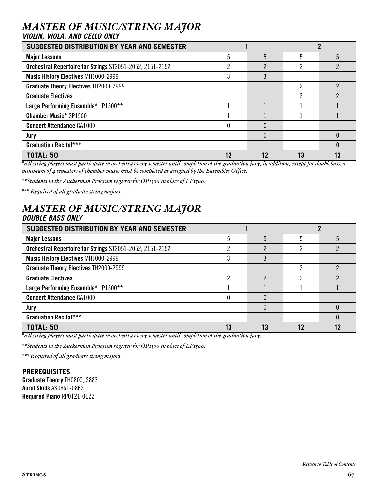# *MASTER OF MUSIC/STRING MAJOR*

#### *VIOLIN, VIOLA, AND CELLO ONLY*

| SUGGESTED DISTRIBUTION BY YEAR AND SEMESTER              |    |    |    |   |  |  |
|----------------------------------------------------------|----|----|----|---|--|--|
| <b>Major Lessons</b>                                     | 5  | 5  | 5  | 5 |  |  |
| Orchestral Repertoire for Strings ST2051-2052, 2151-2152 | ŋ  | ŋ  | ŋ  | ŋ |  |  |
| <b>Music History Electives MH1000-2999</b>               |    | 3  |    |   |  |  |
| <b>Graduate Theory Electives TH2000-2999</b>             |    |    | っ  |   |  |  |
| <b>Graduate Electives</b>                                |    |    | っ  |   |  |  |
| Large Performing Ensemble* LP1500**                      |    |    |    |   |  |  |
| <b>Chamber Music* SP1500</b>                             |    |    |    |   |  |  |
| <b>Concert Attendance CA1000</b>                         |    |    |    |   |  |  |
| Jury                                                     |    |    |    |   |  |  |
| <b>Graduation Recital***</b>                             |    |    |    |   |  |  |
| <b>TOTAL: 50</b>                                         | 12 | 12 | 13 |   |  |  |

*\*All string players must participate in orchestra every semester until completion of the graduation jury; in addition, except for doublebass, a minimum of 4 semesters of chamber music must be completed as assigned by the Ensembles Office.* 

*\*\*Students in the Zuckerman Program register for OP1500 in place of LP1500.*

*\*\*\* Required of all graduate string majors.*

#### *MASTER OF MUSIC/STRING MAJOR DOUBLE BASS ONLY*

| SUGGESTED DISTRIBUTION BY YEAR AND SEMESTER              |    |    |   |  |  |  |
|----------------------------------------------------------|----|----|---|--|--|--|
| <b>Major Lessons</b>                                     |    | 5  | 5 |  |  |  |
| Orchestral Repertoire for Strings ST2051-2052, 2151-2152 |    |    | റ |  |  |  |
| <b>Music History Electives MH1000-2999</b>               |    |    |   |  |  |  |
| <b>Graduate Theory Electives TH2000-2999</b>             |    |    | റ |  |  |  |
| <b>Graduate Electives</b>                                |    | ŋ  |   |  |  |  |
| Large Performing Ensemble* LP1500**                      |    |    |   |  |  |  |
| <b>Concert Attendance CA1000</b>                         |    | 0  |   |  |  |  |
| Jury                                                     |    | 0  |   |  |  |  |
| <b>Graduation Recital***</b>                             |    |    |   |  |  |  |
| <b>TOTAL: 50</b>                                         | 13 | 13 |   |  |  |  |

*\*All string players must participate in orchestra every semester until completion of the graduation jury.*

*\*\*Students in the Zuckerman Program register for OP1500 in place of LP1500.*

*\*\*\* Required of all graduate string majors.*

#### **PREREQUISITES**

Graduate Theory TH0800, 2883 Aural Skills AS0861-0862 Required Piano RP0121-0122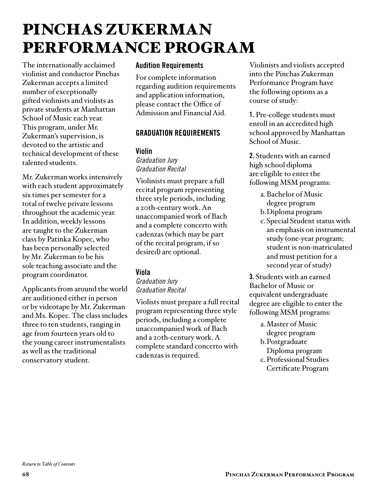# PINCHAS ZUKERMAN PERFORMANCE PROGRAM

The internationally acclaimed violinist and conductor Pinchas Zukerman accepts a limited number of exceptionally gifted violinists and violists as private students at Manhattan School of Music each year. This program, under Mr. Zukerman's supervision, is devoted to the artistic and technical development of these talented students.

Mr. Zukerman works intensively with each student approximately six times per semester for a total of twelve private lessons throughout the academic year. In addition, weekly lessons are taught to the Zukerman class by Patinka Kopec, who has been personally selected by Mr. Zukerman to be his sole teaching associate and the program coordinator.

Applicants from around the world are auditioned either in person or by videotape by Mr. Zukerman and Ms. Kopec. The class includes three to ten students, ranging in age from fourteen years old to the young career instrumentalists as well as the traditional conservatory student.

## Audition Requirements

For complete information regarding audition requirements and application information, please contact the Office of Admission and Financial Aid.

## GRADUATION REQUIREMENTS

#### Violin

*Graduation Jury Graduation Recital*

Violinists must prepare a full recital program representing three style periods, including a 20th-century work. An unaccompanied work of Bach and a complete concerto with cadenzas (which may be part of the recital program, if so desired) are optional.

## Viola

#### *Graduation Jury Graduation Recital*

Violists must prepare a full recital program representing three style periods, including a complete unaccompanied work of Bach and a 20th-century work. A complete standard concerto with cadenzas is required.

Violinists and violists accepted into the Pinchas Zukerman Performance Program have the following options as a course of study:

1. Pre-college students must enroll in an accredited high school approved by Manhattan School of Music.

2. Students with an earned high school diploma are eligible to enter the following MSM programs:

- a.Bachelor of Music
- degree program
- b.Diploma program
- c.Special Student status with an emphasis on instrumental study (one-year program; student is non-matriculated and must petition for a second year of study)

3. Students with an earned Bachelor of Music or equivalent undergraduate degree are eligible to enter the following MSM programs:

a.Master of Music degree program b.Postgraduate Diploma program c.Professional Studies Certificate Program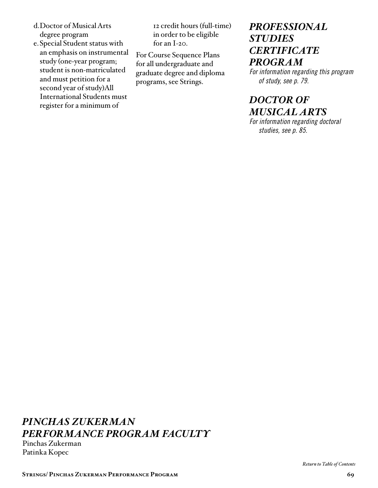- d.Doctor of Musical Arts degree program
- e.Special Student status with an emphasis on instrumental study (one-year program; student is non-matriculated and must petition for a second year of study)All International Students must register for a minimum of

12 credit hours (full-time) in order to be eligible for an I-20.

For Course Sequence Plans for all undergraduate and graduate degree and diploma programs, see Strings.

## *[PROFESSIONAL](#page-78-0)  STUDIES CERTIFICATE PROGRAM*

*For information regarding this program of study, see p. 79.*

## *DOCTOR OF [MUSICAL ARTS](#page-84-0)*

*For information regarding doctoral studies, see p. 85.*

# *PINCHAS ZUKERMAN PERFORMANCE PROGRAM FACULTY*

Pinchas Zukerman Patinka Kopec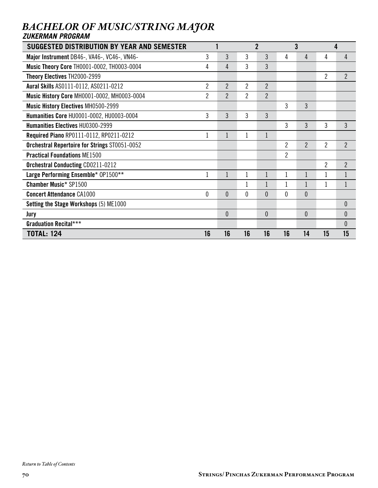| SUGGESTED DISTRIBUTION BY YEAR AND SEMESTER       |                |                | $\overline{2}$ |                | 3              |                | 4              |                |
|---------------------------------------------------|----------------|----------------|----------------|----------------|----------------|----------------|----------------|----------------|
| Major Instrument DB46-, VA46-, VC46-, VN46-       | 3              | 3              | 3              | 3              | 4              | 4              | 4              | 4              |
| <b>Music Theory Core TH0001-0002, TH0003-0004</b> | 4              | $\overline{4}$ | 3              | 3              |                |                |                |                |
| Theory Electives TH2000-2999                      |                |                |                |                |                |                | $\overline{2}$ | $\overline{2}$ |
| Aural Skills AS0111-0112, AS0211-0212             | $\overline{2}$ | $\overline{2}$ | 2              | $\overline{2}$ |                |                |                |                |
| Music History Core MH0001-0002, MH0003-0004       | $\overline{2}$ | $\overline{2}$ | $\overline{2}$ | $\overline{2}$ |                |                |                |                |
| <b>Music History Electives MH0500-2999</b>        |                |                |                |                | 3              | 3              |                |                |
| Humanities Core HU0001-0002, HU0003-0004          | 3              | 3              | 3              | 3              |                |                |                |                |
| <b>Humanities Electives HU0300-2999</b>           |                |                |                |                | 3              | 3              | 3              | 3              |
| Required Piano RP0111-0112, RP0211-0212           |                | $\mathbf{1}$   | 1              | 1              |                |                |                |                |
| Orchestral Repertoire for Strings ST0051-0052     |                |                |                |                | $\overline{2}$ | $\overline{2}$ | $\overline{2}$ | $\overline{2}$ |
| <b>Practical Foundations ME1500</b>               |                |                |                |                | $\overline{2}$ |                |                |                |
| <b>Orchestral Conducting CD0211-0212</b>          |                |                |                |                |                |                | $\overline{2}$ | $\overline{2}$ |
| Large Performing Ensemble* 0P1500**               |                | 1              | 1              | $\mathbf{1}$   |                | 1              | 1              | $\mathbf 1$    |
| <b>Chamber Music* SP1500</b>                      |                |                | 1              |                |                |                | 1              | $\mathbf{1}$   |
| <b>Concert Attendance CA1000</b>                  | $\theta$       | $\theta$       | $\mathbf{0}$   | $\theta$       | 0              | $\mathbf{0}$   |                |                |
| Setting the Stage Workshops (5) ME1000            |                |                |                |                |                |                |                | $\theta$       |
| Jury                                              |                | $\mathbf{0}$   |                | $\mathbf{0}$   |                | 0              |                | $\theta$       |
| <b>Graduation Recital***</b>                      |                |                |                |                |                |                |                | $\theta$       |
| <b>TOTAL: 124</b>                                 | 16             | 16             | 16             | 16             | 16             | 14             | 15             | 15             |

## *BACHELOR OF MUSIC/STRING MAJOR ZUKERMAN PROGRAM*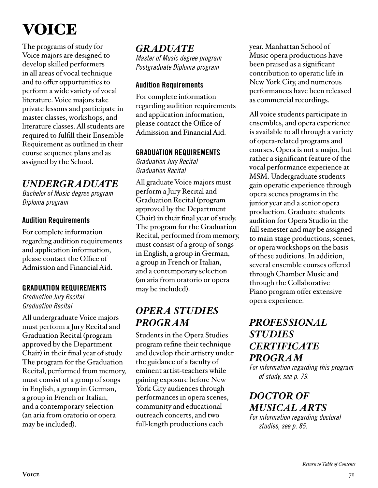# VOICE

The programs of study for Voice majors are designed to develop skilled performers in all areas of vocal technique and to offer opportunities to perform a wide variety of vocal literature. Voice majors take private lessons and participate in master classes, workshops, and literature classes. All students are required to fulfill their Ensemble Requirement as outlined in their course sequence plans and as assigned by the School.

## *UNDERGRADUATE*

*Bachelor of Music degree program Diploma program*

## Audition Requirements

For complete information regarding audition requirements and application information, please contact the Office of Admission and Financial Aid.

## GRADUATION REQUIREMENTS

*Graduation Jury Recital Graduation Recital*

All undergraduate Voice majors must perform a Jury Recital and Graduation Recital (program approved by the Department Chair) in their final year of study. The program for the Graduation Recital, performed from memory, must consist of a group of songs in English, a group in German, a group in French or Italian, and a contemporary selection (an aria from oratorio or opera may be included).

## *GRADUATE Master of Music degree program Postgraduate Diploma program*

## Audition Requirements

For complete information regarding audition requirements and application information, please contact the Office of Admission and Financial Aid.

## GRADUATION REQUIREMENTS

*Graduation Jury Recital Graduation Recital*

All graduate Voice majors must perform a Jury Recital and Graduation Recital (program approved by the Department Chair) in their final year of study. The program for the Graduation Recital, performed from memory, must consist of a group of songs in English, a group in German, a group in French or Italian, and a contemporary selection (an aria from oratorio or opera may be included).

# *OPERA STUDIES PROGRAM*

Students in the Opera Studies program refine their technique and develop their artistry under the guidance of a faculty of eminent artist-teachers while gaining exposure before New York City audiences through performances in opera scenes, community and educational outreach concerts, and two full-length productions each

year. Manhattan School of Music opera productions have been praised as a significant contribution to operatic life in New York City, and numerous performances have been released as commercial recordings.

All voice students participate in ensembles, and opera experience is available to all through a variety of opera-related programs and courses. Opera is not a major, but rather a significant feature of the vocal performance experience at MSM. Undergraduate students gain operatic experience through opera scenes programs in the junior year and a senior opera production. Graduate students audition for Opera Studio in the fall semester and may be assigned to main stage productions, scenes, or opera workshops on the basis of these auditions. In addition, several ensemble courses offered through Chamber Music and through the Collaborative Piano program offer extensive opera experience.

## *[PROFESSIONAL](#page-78-0)  STUDIES CERTIFICATE PROGRAM*

*For information regarding this program of study, see p. 79.*

# *DOCTOR OF [MUSICAL ARTS](#page-84-0)*

*For information regarding doctoral studies, see p. 85.*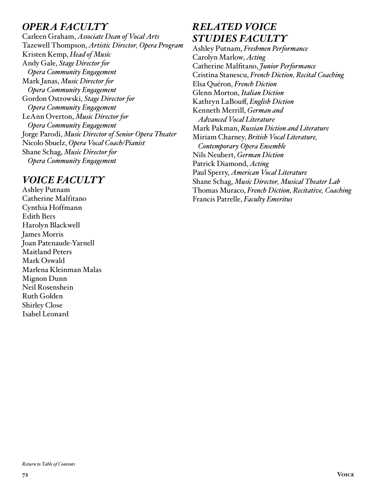# *OPERA FACULTY*

Carleen Graham, *Associate Dean of Vocal Arts*  Tazewell Thompson, *Artistic Director, Opera Program* Kristen Kemp, *Head of Music* Andy Gale, *Stage Director for Opera Community Engagement* Mark Janas, *Music Director for Opera Community Engagement* Gordon Ostrowski, *Stage Director for Opera Community Engagement* LeAnn Overton, *Music Director for Opera Community Engagement* Jorge Parodi, *Music Director of Senior Opera Theater* Nicolo Sbuelz, *Opera Vocal Coach/Pianist* Shane Schag, *Music Director for Opera Community Engagement*

## *VOICE FACULTY*

Ashley Putnam Catherine Malfitano Cynthia Hoffmann Edith Bers Harolyn Blackwell James Morris Joan Patenaude-Yarnell Maitland Peters Mark Oswald Marlena Kleinman Malas Mignon Dunn Neil Rosenshein Ruth Golden Shirley Close Isabel Leonard

# *RELATED VOICE STUDIES FACULTY*

Ashley Putnam, *Freshmen Performance* Carolyn Marlow, *Acting* Catherine Malfitano, *Junior Performance* Cristina Stanescu, *French Diction, Recital Coaching* Elsa Quéron, *French Diction* Glenn Morton, *Italian Diction* Kathryn LaBouff, *English Diction* Kenneth Merrill, *German and Advanced Vocal Literature* Mark Pakman, *Russian Diction and Literature*  Miriam Charney, *British Vocal Literature, Contemporary Opera Ensemble* Nils Neubert, *German Diction* Patrick Diamond, *Acting* Paul Sperry, *American Vocal Literature* Shane Schag, *Music Director, Musical Theater Lab* Thomas Muraco, *French Diction, Recitative, Coaching* Francis Patrelle, *Faculty Emeritus*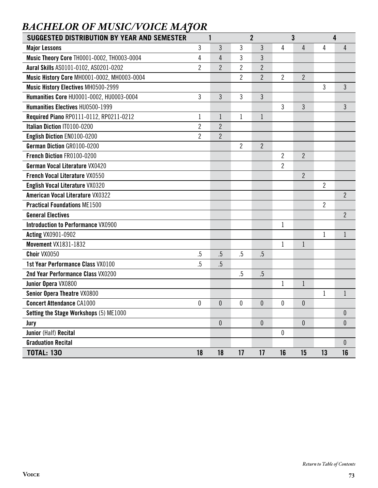| <b>BACHELOR OF MUSIC/VOICE MAJOR</b> |
|--------------------------------------|
|--------------------------------------|

| <b>SUGGESTED DISTRIBUTION BY YEAR AND SEMESTER</b> |                | 1                |                | $\overline{2}$   |                | $\mathbf{3}$   |                | 4                |
|----------------------------------------------------|----------------|------------------|----------------|------------------|----------------|----------------|----------------|------------------|
| <b>Major Lessons</b>                               | 3              | 3                | 3              | $\mathfrak{Z}$   | 4              | $\overline{4}$ | 4              | 4                |
| Music Theory Core TH0001-0002, TH0003-0004         | 4              | $\overline{4}$   | 3              | 3                |                |                |                |                  |
| Aural Skills AS0101-0102, AS0201-0202              | $\overline{2}$ | $\overline{2}$   | $\overline{2}$ | $\overline{2}$   |                |                |                |                  |
| Music History Core MH0001-0002, MH0003-0004        |                |                  | $\overline{2}$ | $\overline{2}$   | $\overline{2}$ | $\overline{2}$ |                |                  |
| Music History Electives MH0500-2999                |                |                  |                |                  |                |                | $\mathbf{3}$   | 3                |
| Humanities Core HU0001-0002, HU0003-0004           | 3              | 3                | 3              | $\mathfrak{Z}$   |                |                |                |                  |
| Humanities Electives HU0500-1999                   |                |                  |                |                  | 3              | 3              |                | 3                |
| Required Piano RP0111-0112, RP0211-0212            | 1              | $\mathbf{1}$     | $\mathbf 1$    | $\mathbf{1}$     |                |                |                |                  |
| Italian Diction IT0100-0200                        | 2              | $\overline{2}$   |                |                  |                |                |                |                  |
| English Diction EN0100-0200                        | 2              | $\overline{2}$   |                |                  |                |                |                |                  |
| German Diction GR0100-0200                         |                |                  | $\overline{2}$ | $\overline{2}$   |                |                |                |                  |
| French Diction FR0100-0200                         |                |                  |                |                  | $\overline{c}$ | $\overline{2}$ |                |                  |
| German Vocal Literature VX0420                     |                |                  |                |                  | $\overline{c}$ |                |                |                  |
| <b>French Vocal Literature VX0550</b>              |                |                  |                |                  |                | $\overline{2}$ |                |                  |
| <b>English Vocal Literature VX0320</b>             |                |                  |                |                  |                |                | $\overline{2}$ |                  |
| <b>American Vocal Literature VX0322</b>            |                |                  |                |                  |                |                |                | $\overline{2}$   |
| <b>Practical Foundations ME1500</b>                |                |                  |                |                  |                |                | $\overline{2}$ |                  |
| <b>General Electives</b>                           |                |                  |                |                  |                |                |                | $\overline{2}$   |
| <b>Introduction to Performance VX0900</b>          |                |                  |                |                  | $\mathbf 1$    |                |                |                  |
| <b>Acting VX0901-0902</b>                          |                |                  |                |                  |                |                | $\mathbf{1}$   | $\mathbf{1}$     |
| <b>Movement VX1831-1832</b>                        |                |                  |                |                  | $\mathbf 1$    | 1              |                |                  |
| Choir VX0050                                       | .5             | .5               | .5             | .5               |                |                |                |                  |
| 1st Year Performance Class VX0100                  | .5             | .5               |                |                  |                |                |                |                  |
| 2nd Year Performance Class VX0200                  |                |                  | $.5\,$         | $.5\,$           |                |                |                |                  |
| Junior Opera VX0800                                |                |                  |                |                  | $\mathbf{1}$   | $\mathbf{1}$   |                |                  |
| Senior Opera Theatre VX0800                        |                |                  |                |                  |                |                | $\mathbf{1}$   | 1                |
| <b>Concert Attendance CA1000</b>                   | 0              | $\boldsymbol{0}$ | 0              | $\theta$         | 0              | 0              |                |                  |
| Setting the Stage Workshops (5) ME1000             |                |                  |                |                  |                |                |                | $\pmb{0}$        |
| Jury                                               |                | $\pmb{0}$        |                | $\boldsymbol{0}$ |                | $\overline{0}$ |                | 0                |
| Junior (Half) Recital                              |                |                  |                |                  | $\pmb{0}$      |                |                |                  |
| <b>Graduation Recital</b>                          |                |                  |                |                  |                |                |                | $\boldsymbol{0}$ |
| <b>TOTAL: 130</b>                                  | 18             | 18               | 17             | 17               | 16             | 15             | 13             | 16               |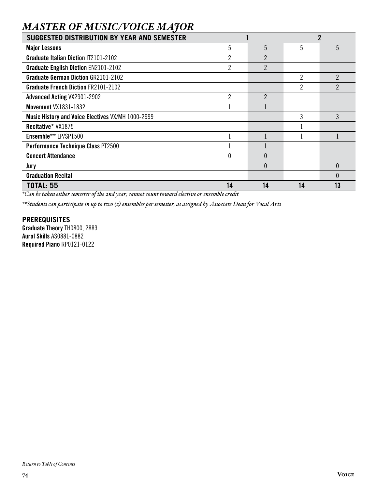# *MASTER OF MUSIC/VOICE MAJOR*

| SUGGESTED DISTRIBUTION BY YEAR AND SEMESTER       |                |                |                | 2              |
|---------------------------------------------------|----------------|----------------|----------------|----------------|
| <b>Major Lessons</b>                              | 5              | 5              | 5              | 5              |
| <b>Graduate Italian Diction IT2101-2102</b>       | $\overline{2}$ | $\overline{2}$ |                |                |
| <b>Graduate English Diction EN2101-2102</b>       | 2              | $\overline{2}$ |                |                |
| <b>Graduate German Diction GR2101-2102</b>        |                |                | $\overline{c}$ | 2              |
| <b>Graduate French Diction FR2101-2102</b>        |                |                | 2              | $\overline{2}$ |
| <b>Advanced Acting VX2901-2902</b>                | 2              | $\mathfrak{p}$ |                |                |
| <b>Movement VX1831-1832</b>                       |                |                |                |                |
| Music History and Voice Electives VX/MH 1000-2999 |                |                | 3              | 3              |
| Recitative* VX1875                                |                |                |                |                |
| Ensemble** LP/SP1500                              |                |                |                |                |
| Performance Technique Class PT2500                |                |                |                |                |
| <b>Concert Attendance</b>                         | 0              | $\theta$       |                |                |
| Jury                                              |                | $\theta$       |                | $\Omega$       |
| <b>Graduation Recital</b>                         |                |                |                |                |
| <b>TOTAL: 55</b>                                  | 14             | 14             | 14             | 13             |

*\*Can be taken either semester of the 2nd year; cannot count toward elective or ensemble credit*

*\*\*Students can participate in up to two (2) ensembles per semester, as assigned by Associate Dean for Vocal Arts*

#### **PREREQUISITES**

Graduate Theory TH0800, 2883 Aural Skills AS0881-0882 Required Piano RP0121-0122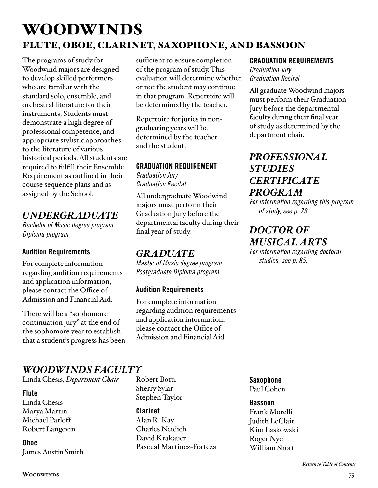# WOODWINDS FLUTE, OBOE, CLARINET, SAXOPHONE, AND BASSOON

The programs of study for Woodwind majors are designed to develop skilled performers who are familiar with the standard solo, ensemble, and orchestral literature for their instruments. Students must demonstrate a high degree of professional competence, and appropriate stylistic approaches to the literature of various historical periods. All students are required to fulfill their Ensemble Requirement as outlined in their course sequence plans and as assigned by the School.

# *UNDERGRADUATE*

*Bachelor of Music degree program Diploma program*

# Audition Requirements

For complete information regarding audition requirements and application information, please contact the Office of Admission and Financial Aid.

There will be a "sophomore continuation jury" at the end of the sophomore year to establish that a student's progress has been sufficient to ensure completion of the program of study. This evaluation will determine whether or not the student may continue in that program. Repertoire will be determined by the teacher.

Repertoire for juries in nongraduating years will be determined by the teacher and the student.

## GRADUATION REQUIREMENT

*Graduation Jury Graduation Recital*

All undergraduate Woodwind majors must perform their Graduation Jury before the departmental faculty during their final year of study.

# *GRADUATE*

*Master of Music degree program Postgraduate Diploma program*

## Audition Requirements

For complete information regarding audition requirements and application information, please contact the Office of Admission and Financial Aid.

#### GRADUATION REQUIREMENTS

*Graduation Jury Graduation Recital*

All graduate Woodwind majors must perform their Graduation Jury before the departmental faculty during their final year of study as determined by the department chair.

# *[PROFESSIONAL](#page-78-0)  STUDIES CERTIFICATE PROGRAM*

*For information regarding this program of study, see p. 79.*

# *DOCTOR OF [MUSICAL ARTS](#page-84-0)*

*For information regarding doctoral studies, see p. 85.*

# *WOODWINDS FACULTY*

Linda Chesis, *Department Chair*

#### Flute

Linda Chesis Marya Martin Michael Parloff Robert Langevin

Oboe James Austin Smith Robert Botti Sherry Sylar Stephen Taylor

#### **Clarinet** Alan R. Kay Charles Neidich David Krakauer Pascual Martinez-Forteza

Saxophone Paul Cohen

#### Bassoon

Frank Morelli Judith LeClair Kim Laskowski Roger Nye William Short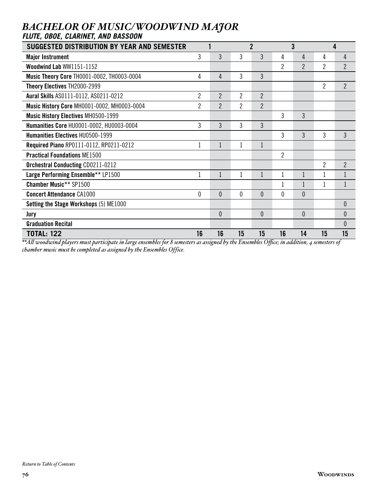# *BACHELOR OF MUSIC/WOODWIND MAJOR*

| <b>FLUTE, OBOE, CLARINET, AND BASSOON</b>                                                                                                  |                |                |                |                |                |                |                |                  |
|--------------------------------------------------------------------------------------------------------------------------------------------|----------------|----------------|----------------|----------------|----------------|----------------|----------------|------------------|
| SUGGESTED DISTRIBUTION BY YEAR AND SEMESTER                                                                                                |                |                |                | $\overline{2}$ |                | 3              |                | 4                |
| <b>Major Instrument</b>                                                                                                                    | 3              | 3              | 3              | 3              | 4              | 4              | 4              | 4                |
| Woodwind Lab WW1151-1152                                                                                                                   |                |                |                |                | $\overline{2}$ | $\overline{2}$ | $\overline{2}$ | $\overline{2}$   |
| Music Theory Core TH0001-0002, TH0003-0004                                                                                                 | 4              | 4              | 3              | 3              |                |                |                |                  |
| Theory Electives TH2000-2999                                                                                                               |                |                |                |                |                |                | $\overline{2}$ | $\overline{2}$   |
| Aural Skills AS0111-0112, AS0211-0212                                                                                                      | $\overline{2}$ | $\overline{2}$ | 2              | $\overline{2}$ |                |                |                |                  |
| Music History Core MH0001-0002, MH0003-0004                                                                                                | $\overline{2}$ | $\overline{2}$ | $\overline{2}$ | $\overline{2}$ |                |                |                |                  |
| <b>Music History Electives MH0500-1999</b>                                                                                                 |                |                |                |                | 3              | 3              |                |                  |
| Humanities Core HU0001-0002, HU0003-0004                                                                                                   | 3              | 3              | 3              | 3              |                |                |                |                  |
| <b>Humanities Electives HU0500-1999</b>                                                                                                    |                |                |                |                | 3              | 3              | 3              | 3                |
| Required Piano RP0111-0112, RP0211-0212                                                                                                    | 1              | $\mathbf{1}$   |                |                |                |                |                |                  |
| <b>Practical Foundations ME1500</b>                                                                                                        |                |                |                |                | $\overline{2}$ |                |                |                  |
| <b>Orchestral Conducting CD0211-0212</b>                                                                                                   |                |                |                |                |                |                | $\overline{2}$ | $\overline{2}$   |
| Large Performing Ensemble** LP1500                                                                                                         | 1              | $\mathbf{1}$   |                |                | 1              |                |                |                  |
| <b>Chamber Music** SP1500</b>                                                                                                              |                |                |                |                | 1              |                |                | 1                |
| <b>Concert Attendance CA1000</b>                                                                                                           | 0              | $\theta$       | 0              | $\theta$       | 0              | 0              |                |                  |
| Setting the Stage Workshops (5) ME1000                                                                                                     |                |                |                |                |                |                |                | $\mathbf{0}$     |
| Jury                                                                                                                                       |                | $\theta$       |                | $\theta$       |                | $\theta$       |                | $\boldsymbol{0}$ |
| <b>Graduation Recital</b>                                                                                                                  |                |                |                |                |                |                |                | $\mathbf{0}$     |
| <b>TOTAL: 122</b>                                                                                                                          | 16             | 16             | 15             | 15             | 16             | 14             | 15             | 15               |
| **All woodwind players must participate in large ensembles for 8 semesters as assigned by the Ensembles Office: in addition A semesters of |                |                |                |                |                |                |                |                  |

*\*\*All woodwind players must participate in large ensembles for 8 semesters as assigned by the Ensembles Office; in addition, 4 semesters of chamber music must be completed as assigned by the Ensembles Office.*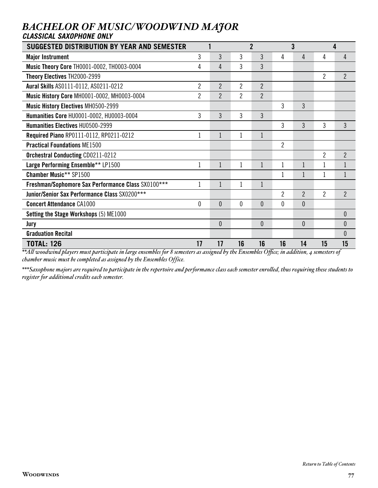## *BACHELOR OF MUSIC/WOODWIND MAJOR CLASSICAL SAXOPHONE ONLY*

| SUGGESTED DISTRIBUTION BY YEAR AND SEMESTER        |                |                |                | $\mathbf{2}$   |                | 3              |                | 4              |
|----------------------------------------------------|----------------|----------------|----------------|----------------|----------------|----------------|----------------|----------------|
| <b>Major Instrument</b>                            | 3              | 3              | 3              | 3              | 4              | 4              | 4              | 4              |
| <b>Music Theory Core TH0001-0002, TH0003-0004</b>  | 4              | 4              | 3              | 3              |                |                |                |                |
| Theory Electives TH2000-2999                       |                |                |                |                |                |                | $\overline{2}$ | $\overline{2}$ |
| Aural Skills AS0111-0112, AS0211-0212              | $\overline{2}$ | $\overline{2}$ | $\overline{2}$ | $\overline{2}$ |                |                |                |                |
| Music History Core MH0001-0002, MH0003-0004        | $\overline{2}$ | $\overline{2}$ | $\overline{2}$ | $\overline{2}$ |                |                |                |                |
| <b>Music History Electives MH0500-2999</b>         |                |                |                |                | 3              | 3              |                |                |
| Humanities Core HU0001-0002, HU0003-0004           | 3              | 3              | 3              | 3              |                |                |                |                |
| Humanities Electives HU0500-2999                   |                |                |                |                | 3              | 3              | 3              | 3              |
| Required Piano RP0111-0112, RP0211-0212            | $\mathbf{1}$   | $\mathbf{1}$   | 1              | $\mathbf{1}$   |                |                |                |                |
| <b>Practical Foundations ME1500</b>                |                |                |                |                | $\overline{2}$ |                |                |                |
| <b>Orchestral Conducting CD0211-0212</b>           |                |                |                |                |                |                | $\overline{2}$ | $\overline{2}$ |
| Large Performing Ensemble** LP1500                 | 1              | $\mathbf{1}$   | 1              | $\mathbf{1}$   | $\mathbf{1}$   |                | 1              |                |
| <b>Chamber Music** SP1500</b>                      |                |                |                |                | $\mathbf{1}$   |                | $\mathbf{1}$   |                |
| Freshman/Sophomore Sax Performance Class SX0100*** | 1              |                |                | 1              |                |                |                |                |
| Junior/Senior Sax Performance Class SX0200***      |                |                |                |                | $\overline{2}$ | $\overline{2}$ | $\overline{2}$ | $\overline{2}$ |
| <b>Concert Attendance CA1000</b>                   | $\theta$       | $\theta$       | 0              | $\Omega$       | 0              | 0              |                |                |
| Setting the Stage Workshops (5) ME1000             |                |                |                |                |                |                |                | $\theta$       |
| Jury                                               |                | $\theta$       |                | $\theta$       |                | 0              |                | $\theta$       |
| <b>Graduation Recital</b>                          |                |                |                |                |                |                |                | $\theta$       |
| <b>TOTAL: 126</b>                                  | 17             | 17             | 16             | 16             | 16             | 14             | 15             | 15             |

*\*\*All woodwind players must participate in large ensembles for 8 semesters as assigned by the Ensembles Office; in addition, 4 semesters of chamber music must be completed as assigned by the Ensembles Office.*

*\*\*\*Saxophone majors are required to participate in the repertoire and performance class each semester enrolled, thus requiring these students to register for additional credits each semester.*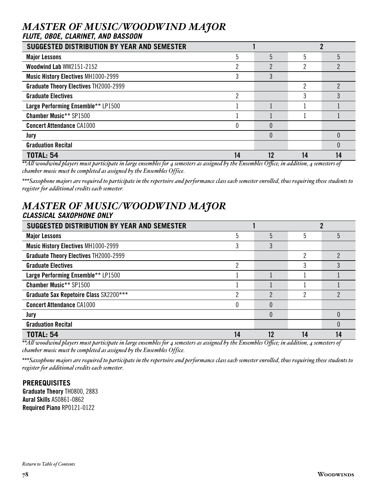# *MASTER OF MUSIC/WOODWIND MAJOR*

#### *FLUTE, OBOE, CLARINET, AND BASSOON*

| SUGGESTED DISTRIBUTION BY YEAR AND SEMESTER                                                                                                                                                                                                       |    |    |    |  |
|---------------------------------------------------------------------------------------------------------------------------------------------------------------------------------------------------------------------------------------------------|----|----|----|--|
| <b>Major Lessons</b>                                                                                                                                                                                                                              | 5  | 5  |    |  |
| Woodwind Lab WW2151-2152                                                                                                                                                                                                                          | ŋ  | ŋ  | ŋ  |  |
| <b>Music History Electives MH1000-2999</b>                                                                                                                                                                                                        |    |    |    |  |
| <b>Graduate Theory Electives TH2000-2999</b>                                                                                                                                                                                                      |    |    |    |  |
| <b>Graduate Electives</b>                                                                                                                                                                                                                         | ŋ  |    |    |  |
| Large Performing Ensemble** LP1500                                                                                                                                                                                                                |    |    |    |  |
| <b>Chamber Music** SP1500</b>                                                                                                                                                                                                                     |    |    |    |  |
| <b>Concert Attendance CA1000</b>                                                                                                                                                                                                                  |    | 0  |    |  |
| Jury                                                                                                                                                                                                                                              |    |    |    |  |
| <b>Graduation Recital</b>                                                                                                                                                                                                                         |    |    |    |  |
| <b>TOTAL: 54</b><br>$**11$ , $1$ , $1$ , $1$ , $$ , $1$ , $1$ , $1$ , $1$ , $1$ , $1$ , $1$ , $1$ , $1$ , $1$ , $1$ , $1$ , $1$ , $1$ , $1$ , $1$ , $1$ , $1$ , $1$ , $1$ , $1$ , $1$ , $1$ , $1$ , $1$ , $1$ , $1$ , $1$ , $1$ , $1$ , $1$ , $1$ | 14 | 12 | 14 |  |

*\*\*All woodwind players must participate in large ensembles for 4 semesters as assigned by the Ensembles Office; in addition, 4 semesters of chamber music must be completed as assigned by the Ensembles Office.*

*\*\*\*Saxophone majors are required to participate in the repertoire and performance class each semester enrolled, thus requiring these students to register for additional credits each semester.*

# *MASTER OF MUSIC/WOODWIND MAJOR CLASSICAL SAXOPHONE ONLY*

| SUGGESTED DISTRIBUTION BY YEAR AND SEMESTER  |    |    |    |  |
|----------------------------------------------|----|----|----|--|
| <b>Major Lessons</b>                         |    | 5  |    |  |
| <b>Music History Electives MH1000-2999</b>   | 3  | 3  |    |  |
| <b>Graduate Theory Electives TH2000-2999</b> |    |    |    |  |
| <b>Graduate Electives</b>                    | ŋ  |    |    |  |
| Large Performing Ensemble** LP1500           |    |    |    |  |
| <b>Chamber Music** SP1500</b>                |    |    |    |  |
| Graduate Sax Repetoire Class SX2200***       |    | C  |    |  |
| <b>Concert Attendance CA1000</b>             |    |    |    |  |
| Jury                                         |    |    |    |  |
| <b>Graduation Recital</b>                    |    |    |    |  |
| <b>TOTAL: 54</b>                             | 14 | 19 | 14 |  |

*\*\*All woodwind players must participate in large ensembles for 4 semesters as assigned by the Ensembles Office; in addition, 4 semesters of chamber music must be completed as assigned by the Ensembles Office.*

*\*\*\*Saxophone majors are required to participate in the repertoire and performance class each semester enrolled, thus requiring these students to register for additional credits each semester.*

#### **PREREQUISITES**

Graduate Theory TH0800, 2883 Aural Skills AS0861-0862 Required Piano RP0121-0122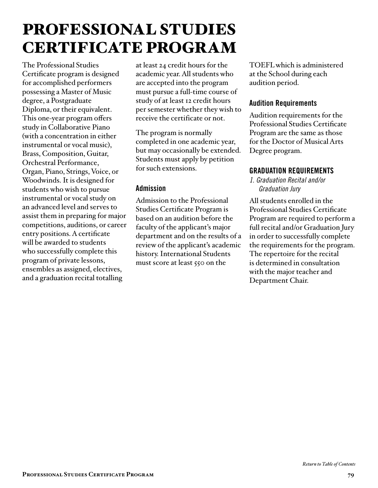# <span id="page-78-0"></span>PROFESSIONAL STUDIES CERTIFICATE PROGRAM

The Professional Studies Certificate program is designed for accomplished performers possessing a Master of Music degree, a Postgraduate Diploma, or their equivalent. This one-year program offers study in Collaborative Piano (with a concentration in either instrumental or vocal music), Brass, Composition, Guitar, Orchestral Performance, Organ, Piano, Strings, Voice, or Woodwinds. It is designed for students who wish to pursue instrumental or vocal study on an advanced level and serves to assist them in preparing for major competitions, auditions, or career entry positions. A certificate will be awarded to students who successfully complete this program of private lessons, ensembles as assigned, electives, and a graduation recital totalling

at least 24 credit hours for the academic year. All students who are accepted into the program must pursue a full-time course of study of at least 12 credit hours per semester whether they wish to receive the certificate or not.

The program is normally completed in one academic year, but may occasionally be extended. Students must apply by petition for such extensions.

#### Admission

Admission to the Professional Studies Certificate Program is based on an audition before the faculty of the applicant's major department and on the results of a review of the applicant's academic history. International Students must score at least 550 on the

TOEFL which is administered at the School during each audition period.

#### Audition Requirements

Audition requirements for the Professional Studies Certificate Program are the same as those for the Doctor of Musical Arts Degree program.

#### GRADUATION REQUIREMENTS

*1. Graduation Recital and/or Graduation Jury*

All students enrolled in the Professional Studies Certificate Program are required to perform a full recital and/or Graduation Jury in order to successfully complete the requirements for the program. The repertoire for the recital is determined in consultation with the major teacher and Department Chair.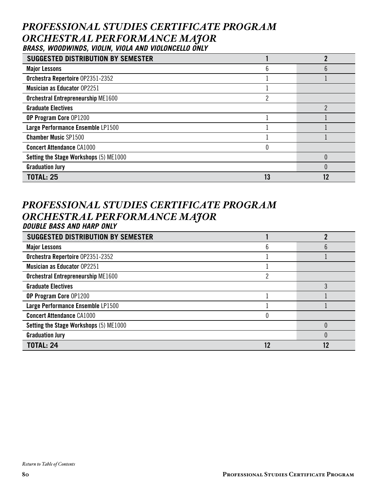# *PROFESSIONAL STUDIES CERTIFICATE PROGRAM ORCHESTRAL PERFORMANCE MAJOR BRASS, WOODWINDS, VIOLIN, VIOLA AND VIOLONCELLO ONLY*

| <b>SUGGESTED DISTRIBUTION BY SEMESTER</b> |    |    |
|-------------------------------------------|----|----|
| <b>Major Lessons</b>                      |    |    |
| Orchestra Repertoire 0P2351-2352          |    |    |
| <b>Musician as Educator OP2251</b>        |    |    |
| <b>Orchestral Entrepreneurship ME1600</b> | ŋ  |    |
| <b>Graduate Electives</b>                 |    |    |
| OP Program Core 0P1200                    |    |    |
| Large Performance Ensemble LP1500         |    |    |
| <b>Chamber Music SP1500</b>               |    |    |
| <b>Concert Attendance CA1000</b>          |    |    |
| Setting the Stage Workshops (5) ME1000    |    |    |
| <b>Graduation Jury</b>                    |    |    |
| <b>TOTAL: 25</b>                          | 13 | 12 |

# *PROFESSIONAL STUDIES CERTIFICATE PROGRAM ORCHESTRAL PERFORMANCE MAJOR DOUBLE BASS AND HARP ONLY*

| <b>SUGGESTED DISTRIBUTION BY SEMESTER</b> |   |    |
|-------------------------------------------|---|----|
| <b>Major Lessons</b>                      | n |    |
| Orchestra Repertoire 0P2351-2352          |   |    |
| <b>Musician as Educator OP2251</b>        |   |    |
| <b>Orchestral Entrepreneurship ME1600</b> |   |    |
| <b>Graduate Electives</b>                 |   |    |
| OP Program Core 0P1200                    |   |    |
| Large Performance Ensemble LP1500         |   |    |
| <b>Concert Attendance CA1000</b>          |   |    |
| Setting the Stage Workshops (5) ME1000    |   |    |
| <b>Graduation Jury</b>                    |   |    |
| <b>TOTAL: 24</b>                          |   | 12 |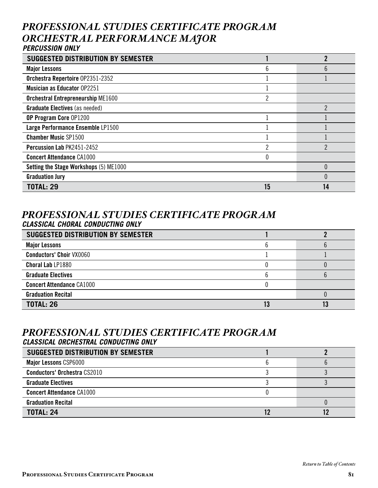# *PROFESSIONAL STUDIES CERTIFICATE PROGRAM ORCHESTRAL PERFORMANCE MAJOR PERCUSSION ONLY*

| <b>SUGGESTED DISTRIBUTION BY SEMESTER</b> |    |    |
|-------------------------------------------|----|----|
| <b>Major Lessons</b>                      | n  |    |
| Orchestra Repertoire 0P2351-2352          |    |    |
| <b>Musician as Educator 0P2251</b>        |    |    |
| <b>Orchestral Entrepreneurship ME1600</b> |    |    |
| <b>Graduate Electives</b> (as needed)     |    |    |
| OP Program Core 0P1200                    |    |    |
| Large Performance Ensemble LP1500         |    |    |
| <b>Chamber Music SP1500</b>               |    |    |
| Percussion Lab PK2451-2452                |    |    |
| <b>Concert Attendance CA1000</b>          |    |    |
| Setting the Stage Workshops (5) ME1000    |    |    |
| <b>Graduation Jury</b>                    |    |    |
| <b>TOTAL: 29</b>                          | 15 | 14 |

## *PROFESSIONAL STUDIES CERTIFICATE PROGRAM CLASSICAL CHORAL CONDUCTING ONLY*

| <b>SUGGESTED DISTRIBUTION BY SEMESTER</b> |  |
|-------------------------------------------|--|
| <b>Major Lessons</b>                      |  |
| <b>Conductors' Choir VX0060</b>           |  |
| <b>Choral Lab LP1880</b>                  |  |
| <b>Graduate Electives</b>                 |  |
| <b>Concert Attendance CA1000</b>          |  |
| <b>Graduation Recital</b>                 |  |
| <b>TOTAL: 26</b>                          |  |

#### *PROFESSIONAL STUDIES CERTIFICATE PROGRAM CLASSICAL ORCHESTRAL CONDUCTING ONLY*

| <b>SUGGESTED DISTRIBUTION BY SEMESTER</b> |  |
|-------------------------------------------|--|
| <b>Major Lessons CSP6000</b>              |  |
| <b>Conductors' Orchestra CS2010</b>       |  |
| <b>Graduate Electives</b>                 |  |
| <b>Concert Attendance CA1000</b>          |  |
| <b>Graduation Recital</b>                 |  |
| <b>TOTAL: 24</b>                          |  |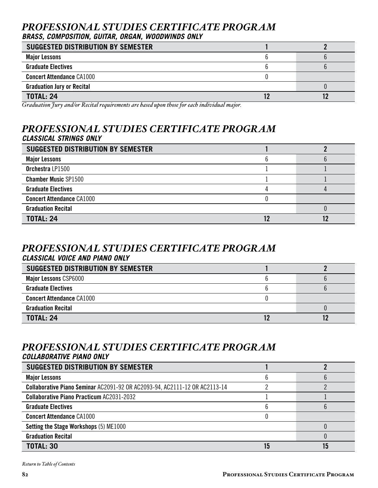# *PROFESSIONAL STUDIES CERTIFICATE PROGRAM BRASS, COMPOSITION, GUITAR, ORGAN, WOODWINDS ONLY*

| SUGGESTED DISTRIBUTION BY SEMESTER |  |
|------------------------------------|--|
| <b>Major Lessons</b>               |  |
| <b>Graduate Electives</b>          |  |
| <b>Concert Attendance CA1000</b>   |  |
| <b>Graduation Jury or Recital</b>  |  |
| <b>TOTAL: 24</b>                   |  |

*Graduation Jury and/or Recital requirements are based upon those for each individual major.*

# *PROFESSIONAL STUDIES CERTIFICATE PROGRAM CLASSICAL STRINGS ONLY*

| <b>SUGGESTED DISTRIBUTION BY SEMESTER</b> |  |
|-------------------------------------------|--|
| <b>Major Lessons</b>                      |  |
| Orchestra LP1500                          |  |
| <b>Chamber Music SP1500</b>               |  |
| <b>Graduate Electives</b>                 |  |
| <b>Concert Attendance CA1000</b>          |  |
| <b>Graduation Recital</b>                 |  |
| <b>TOTAL: 24</b>                          |  |

#### *PROFESSIONAL STUDIES CERTIFICATE PROGRAM CLASSICAL VOICE AND PIANO ONLY*

| <b>SUGGESTED DISTRIBUTION BY SEMESTER</b> |  |
|-------------------------------------------|--|
| <b>Major Lessons CSP6000</b>              |  |
| <b>Graduate Electives</b>                 |  |
| <b>Concert Attendance CA1000</b>          |  |
| <b>Graduation Recital</b>                 |  |
| <b>TOTAL: 24</b>                          |  |

#### *PROFESSIONAL STUDIES CERTIFICATE PROGRAM COLLABORATIVE PIANO ONLY*

| SUGGESTED DISTRIBUTION BY SEMESTER                                                |  |
|-----------------------------------------------------------------------------------|--|
| <b>Major Lessons</b>                                                              |  |
| <b>Collaborative Piano Seminar AC2091-92 OR AC2093-94, AC2111-12 OR AC2113-14</b> |  |
| <b>Collaborative Piano Practicum AC2031-2032</b>                                  |  |
| <b>Graduate Electives</b>                                                         |  |
| <b>Concert Attendance CA1000</b>                                                  |  |
| Setting the Stage Workshops (5) ME1000                                            |  |
| <b>Graduation Recital</b>                                                         |  |
| <b>TOTAL: 30</b>                                                                  |  |

*[Return to Table of Contents](#page-2-0)*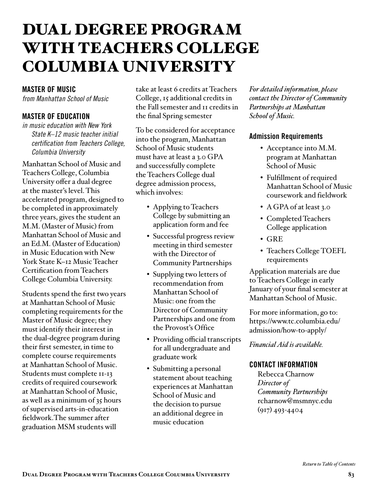# DUAL DEGREE PROGRAM WITH TEACHERS COLLEGE COLUMBIA UNIVERSITY

#### MASTER OF MUSIC

*from Manhattan School of Music*

## MASTER OF EDUCATION

*in music education with New York State K–12 music teacher initial certification from Teachers College, Columbia University*

Manhattan School of Music and Teachers College, Columbia University offer a dual degree at the master's level. This accelerated program, designed to be completed in approximately three years, gives the student an M.M. (Master of Music) from Manhattan School of Music and an Ed.M. (Master of Education) in Music Education with New York State K–12 Music Teacher Certification from Teachers College Columbia University.

Students spend the first two years at Manhattan School of Music completing requirements for the Master of Music degree; they must identify their interest in the dual-degree program during their first semester, in time to complete course requirements at Manhattan School of Music. Students must complete 11-13 credits of required coursework at Manhattan School of Music, as well as a minimum of 35 hours of supervised arts-in-education fieldwork.The summer after graduation MSM students will

take at least 6 credits at Teachers College, 15 additional credits in the Fall semester and 11 credits in the final Spring semester

To be considered for acceptance into the program, Manhattan School of Music students must have at least a 3.0 GPA and successfully complete the Teachers College dual degree admission process, which involves:

- Applying to Teachers College by submitting an application form and fee
- Successful progress review meeting in third semester with the Director of Community Partnerships
- Supplying two letters of recommendation from Manhattan School of Music: one from the Director of Community Partnerships and one from the Provost's Office
- Providing official transcripts for all undergraduate and graduate work
- Submitting a personal statement about teaching experiences at Manhattan School of Music and the decision to pursue an additional degree in music education

*For detailed information, please contact the Director of Community Partnerships at Manhattan School of Music.*

#### Admission Requirements

- Acceptance into M.M. program at Manhattan School of Music
- Fulfillment of required Manhattan School of Music coursework and fieldwork
- A GPA of at least 3.0
- Completed Teachers College application
- GRE
- Teachers College TOEFL requirements

Application materials are due to Teachers College in early January of your final semester at Manhattan School of Music.

For more information, go to: https://www.tc.columbia.edu/ admission/how-to-apply/

*Financial Aid is available.*

## CONTACT INFORMATION

Rebecca Charnow *Director of Community Partnerships* rcharnow@msmnyc.edu (917) 493-4404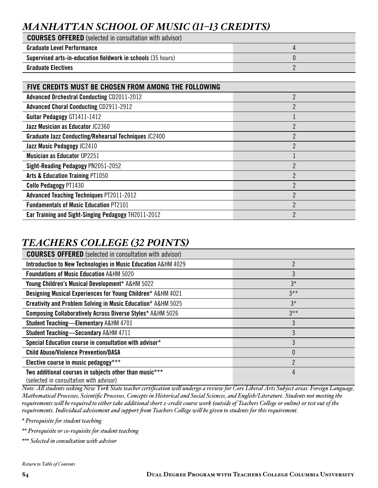# *MANHATTAN SCHOOL OF MUSIC (11–13 CREDITS)*

| <b>COURSES OFFERED</b> (selected in consultation with advisor)      |  |
|---------------------------------------------------------------------|--|
| <b>Graduate Level Performance</b>                                   |  |
| <b>Supervised arts-in-education fieldwork in schools (35 hours)</b> |  |
| <b>Graduate Electives</b>                                           |  |

| FIVE CREDITS MUST BE CHOSEN FROM AMONG THE FOLLOWING        |                |
|-------------------------------------------------------------|----------------|
| <b>Advanced Orchestral Conducting CD2011-2012</b>           | 2              |
| <b>Advanced Choral Conducting CD2911-2912</b>               | 2              |
| <b>Guitar Pedagogy GT1411-1412</b>                          |                |
| Jazz Musician as Educator JC2360                            | $\mathfrak{p}$ |
| <b>Graduate Jazz Conducting/Rehearsal Techniques JC2400</b> | 2              |
| Jazz Music Pedagogy JC2410                                  | 2              |
| <b>Musician as Educator 0P2251</b>                          |                |
| Sight-Reading Pedagogy PN2051-2052                          | 2              |
| <b>Arts &amp; Education Training PT1050</b>                 | C              |
| <b>Cello Pedagogy PT1430</b>                                | 2              |
| <b>Advanced Teaching Techniques PT2011-2012</b>             | 2              |
| <b>Fundamentals of Music Education PT2101</b>               | $\mathfrak{p}$ |
| <b>Ear Training and Sight-Singing Pedagogy TH2011-2012</b>  | 2              |

# *TEACHERS COLLEGE (32 POINTS)*

| <b>COURSES OFFERED</b> (selected in consultation with advisor)          |                |
|-------------------------------------------------------------------------|----------------|
| Introduction to New Technologies in Music Education A&HM 4029           | $\mathfrak{p}$ |
| <b>Foundations of Music Education A&amp;HM 5020</b>                     | 3              |
| Young Children's Musical Development* A&HM 5022                         | $3*$           |
| <b>Designing Musical Experiences for Young Children* A&amp;HM 4021</b>  | $3***$         |
| <b>Creativity and Problem Solving in Music Education* A&amp;HM 5025</b> | $3*$           |
| <b>Composing Collaboratively Across Diverse Styles* A&amp;HM 5026</b>   | $3**$          |
| <b>Student Teaching-Elementary A&amp;HM 4701</b>                        | 3              |
| <b>Student Teaching-Secondary A&amp;HM 4711</b>                         | 3              |
| Special Education course in consultation with advisor*                  | 3              |
| <b>Child Abuse/Violence Prevention/DASA</b>                             | 0              |
| Elective course in music pedagogy***                                    | C              |
| Two additional courses in subjects other than music***                  | 4              |
| (selected in consultation with advisor)                                 |                |

*Note: All students seeking New York State teacher certification will undergo a review for Core Liberal Arts Subject areas: Foreign Language, Mathematical Processes, Scientific Processes, Concepts in Historical and Social Sciences, and English/Literature. Students not meeting the requirements will be required to either take additional short 2-credit course work (outside of Teachers College or online) or test out of the requirements. Individual advisement and support from Teachers College will be given to students for this requirement.* 

*\* Prerequisite for student teaching*

*\*\* Prerequisite or co-requisite for student teaching*

*\*\*\* Selected in consultation with advisor*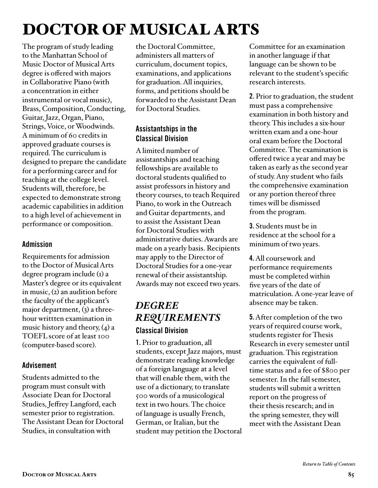# <span id="page-84-0"></span>DOCTOR OF MUSICAL ARTS

The program of study leading to the Manhattan School of Music Doctor of Musical Arts degree is offered with majors in Collaborative Piano (with a concentration in either instrumental or vocal music), Brass, Composition, Conducting, Guitar, Jazz, Organ, Piano, Strings, Voice, or Woodwinds. A minimum of 60 credits in approved graduate courses is required. The curriculum is designed to prepare the candidate for a performing career and for teaching at the college level. Students will, therefore, be expected to demonstrate strong academic capabilities in addition to a high level of achievement in performance or composition.

## Admission

Requirements for admission to the Doctor of Musical Arts degree program include (1) a Master's degree or its equivalent in music, (2) an audition before the faculty of the applicant's major department,  $(3)$  a threehour writtten examination in music history and theory,  $(4)$  a TOEFL score of at least 100 (computer-based score).

## Advisement

Students admitted to the program must consult with Associate Dean for Doctoral Studies, Jeffrey Langford, each semester prior to registration. The Assistant Dean for Doctoral Studies, in consultation with

the Doctoral Committee, administers all matters of curriculum, document topics, examinations, and applications for graduation. All inquiries, forms, and petitions should be forwarded to the Assistant Dean for Doctoral Studies.

# Assistantships in the Classical Division

A limited number of assistantships and teaching fellowships are available to doctoral students qualified to assist professors in history and theory courses, to teach Required Piano, to work in the Outreach and Guitar departments, and to assist the Assistant Dean for Doctoral Studies with administrative duties. Awards are made on a yearly basis. Recipients may apply to the Director of Doctoral Studies for a one-year renewal of their assistantship. Awards may not exceed two years.

# *DEGREE REQUIREMENTS*  Classical Division

1. Prior to graduation, all students, except Jazz majors, must demonstrate reading knowledge of a foreign language at a level that will enable them, with the use of a dictionary, to translate 500 words of a musicological text in two hours. The choice of language is usually French, German, or Italian, but the student may petition the Doctoral Committee for an examination in another language if that language can be shown to be relevant to the student's specific research interests.

2. Prior to graduation, the student must pass a comprehensive examination in both history and theory. This includes a six-hour written exam and a one-hour oral exam before the Doctoral Committee. The examination is offered twice a year and may be taken as early as the second year of study. Any student who fails the comprehensive examination or any portion thereof three times will be dismissed from the program.

3. Students must be in residence at the school for a minimum of two years.

4. All coursework and performance requirements must be completed within five years of the date of matriculation. A one-year leave of absence may be taken.

5. After completion of the two years of required course work, students register for Thesis Research in every semester until graduation. This registration carries the equivalent of fulltime status and a fee of \$800 per semester. In the fall semester, students will submit a written report on the progress of their thesis research; and in the spring semester, they will meet with the Assistant Dean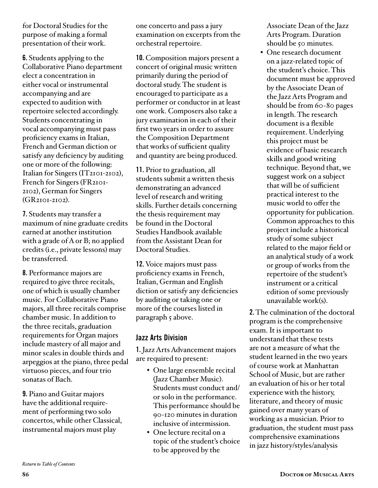for Doctoral Studies for the purpose of making a formal presentation of their work.

6. Students applying to the Collaborative Piano department elect a concentration in either vocal or instrumental accompanying and are expected to audition with repertoire selected accordingly. Students concentrating in vocal accompanying must pass proficiency exams in Italian, French and German diction or satisfy any deficiency by auditing one or more of the following: Italian for Singers (IT2101-2102), French for Singers (FR2101- 2102), German for Singers (GR2101-2102).

7. Students may transfer a maximum of nine graduate credits earned at another institution with a grade of A or B; no applied credits (i.e., private lessons) may be transferred.

8. Performance majors are required to give three recitals, one of which is usually chamber music. For Collaborative Piano majors, all three recitals comprise chamber music. In addition to the three recitals, graduation requirements for Organ majors include mastery of all major and minor scales in double thirds and arpeggios at the piano, three pedal virtuoso pieces, and four trio sonatas of Bach.

9. Piano and Guitar majors have the additional requirement of performing two solo concertos, while other Classical, instrumental majors must play

one concerto and pass a jury examination on excerpts from the orchestral repertoire.

10. Composition majors present a concert of original music written primarily during the period of doctoral study. The student is encouraged to participate as a performer or conductor in at least one work. Composers also take a jury examination in each of their first two years in order to assure the Composition Department that works of sufficient quality and quantity are being produced.

11. Prior to graduation, all students submit a written thesis demonstrating an advanced level of research and writing skills. Further details concerning the thesis requirement may be found in the Doctoral Studies Handbook available from the Assistant Dean for Doctoral Studies.

12. Voice majors must pass proficiency exams in French, Italian, German and English diction or satisfy any deficiencies by auditing or taking one or more of the courses listed in paragraph 5 above.

#### Jazz Arts Division

1. Jazz Arts Advancement majors are required to present:

- One large ensemble recital (Jazz Chamber Music). Students must conduct and/ or solo in the performance. This performance should be 90-120 minutes in duration inclusive of intermission.
- One lecture recital on a topic of the student's choice to be approved by the

Associate Dean of the Jazz Arts Program. Duration should be 50 minutes.

• One research document on a jazz-related topic of the student's choice. This document must be approved by the Associate Dean of the Jazz Arts Program and should be from 60-80 pages in length. The research document is a flexible requirement. Underlying this project must be evidence of basic research skills and good writing technique. Beyond that, we suggest work on a subject that will be of sufficient practical interest to the music world to offer the opportunity for publication. Common approaches to this project include a historical study of some subject related to the major field or an analytical study of a work or group of works from the repertoire of the student's instrument or a critical edition of some previously unavailable work(s).

2. The culmination of the doctoral program is the comprehensive exam. It is important to understand that these tests are not a measure of what the student learned in the two years of course work at Manhattan School of Music, but are rather an evaluation of his or her total experience with the history, literature, and theory of music gained over many years of working as a musician. Prior to graduation, the student must pass comprehensive examinations in jazz history/styles/analysis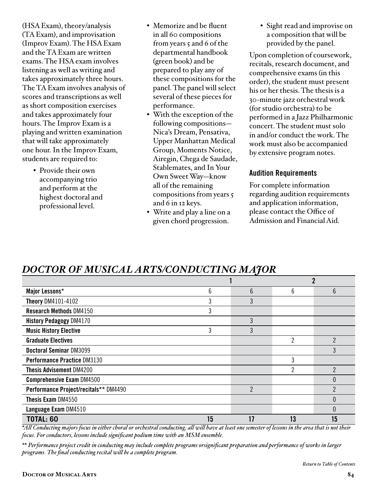(HSA Exam), theory/analysis (TA Exam), and improvisation (Improv Exam). The HSA Exam and the TA Exam are written exams. The HSA exam involves listening as well as writing and takes approximately three hours. The TA Exam involves analysis of scores and transcriptions as well as short composition exercises and takes approximately four hours. The Improv Exam is a playing and written examination that will take approximately one hour. In the Improv Exam, students are required to:

> • Provide their own accompanying trio and perform at the highest doctoral and professional level.

- Memorize and be fluent in all 60 compositions from years 5 and 6 of the departmental handbook (green book) and be prepared to play any of these compositions for the panel. The panel will select several of these pieces for performance.
- With the exception of the following compositions— Nica's Dream, Pensativa, Upper Manhattan Medical Group, Moments Notice, Airegin, Chega de Saudade, Stablemates, and In Your Own Sweet Way—know all of the remaining compositions from years 5 and 6 in 12 keys.
- Write and play a line on a given chord progression.

• Sight read and improvise on a composition that will be provided by the panel.

Upon completion of coursework, recitals, research document, and comprehensive exams (in this order), the student must present his or her thesis. The thesis is a 30-minute jazz orchestral work (for studio orchestra) to be performed in a Jazz Philharmonic concert. The student must solo in and/or conduct the work. The work must also be accompanied by extensive program notes.

#### Audition Requirements

For complete information regarding audition requirements and application information, please contact the Office of Admission and Financial Aid.

# *DOCTOR OF MUSICAL ARTS/CONDUCTING MAJOR*

| Major Lessons*                        | 6  | 6  | 6  | 6  |
|---------------------------------------|----|----|----|----|
| <b>Theory DM4101-4102</b>             | 3  | 3  |    |    |
| <b>Research Methods DM4150</b>        | 3  |    |    |    |
| <b>History Pedagogy DM4170</b>        |    | 3  |    |    |
| <b>Music History Elective</b>         | 3  | 3  |    |    |
| <b>Graduate Electives</b>             |    |    | 2  | 2  |
| <b>Doctoral Seminar DM3099</b>        |    |    |    |    |
| <b>Performance Practice DM3130</b>    |    |    | 3  |    |
| <b>Thesis Advisement DM4200</b>       |    |    | ∩  |    |
| <b>Comprehensive Exam DM4500</b>      |    |    |    |    |
| Performance Project/recitals** DM4490 |    | 2  |    | っ  |
| <b>Thesis Exam DM4550</b>             |    |    |    |    |
| Language Exam DM4510                  |    |    |    |    |
| <b>TOTAL: 60</b>                      | 15 | 17 | 13 | 15 |

*\*All Conducting majors focus in either choral or orchestral conducting; all will have at least one semester of lessons in the area that is not their focus. For conductors, lessons include significant podium time with an MSM ensemble.*

*\*\* Performance project credit in conducting may include complete programs orsignificant preparation and performance of works in larger programs. The final conducting recital will be a complete program.*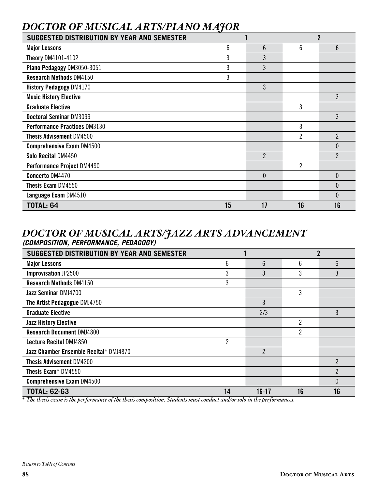# *DOCTOR OF MUSICAL ARTS/PIANO MAJOR*

| <b>SUGGESTED DISTRIBUTION BY YEAR AND SEMESTER</b> |    |                | $\overline{2}$ |                |
|----------------------------------------------------|----|----------------|----------------|----------------|
| <b>Major Lessons</b>                               | 6  | $6\phantom{1}$ | 6              | 6              |
| <b>Theory DM4101-4102</b>                          | 3  | 3              |                |                |
| Piano Pedagogy DM3050-3051                         | 3  | 3              |                |                |
| <b>Research Methods DM4150</b>                     | 3  |                |                |                |
| <b>History Pedagogy DM4170</b>                     |    | 3              |                |                |
| <b>Music History Elective</b>                      |    |                |                | 3              |
| <b>Graduate Elective</b>                           |    |                | 3              |                |
| <b>Doctoral Seminar DM3099</b>                     |    |                |                | 3              |
| <b>Performance Practices DM3130</b>                |    |                | 3              |                |
| <b>Thesis Advisement DM4500</b>                    |    |                | $\overline{2}$ | $\overline{2}$ |
| <b>Comprehensive Exam DM4500</b>                   |    |                |                | $\theta$       |
| Solo Recital DM4450                                |    | $\overline{2}$ |                | $\overline{2}$ |
| Performance Project DM4490                         |    |                | $\overline{2}$ |                |
| <b>Concerto DM4470</b>                             |    | $\theta$       |                | $\theta$       |
| <b>Thesis Exam DM4550</b>                          |    |                |                | $\theta$       |
| Language Exam DM4510                               |    |                |                | $\Omega$       |
| <b>TOTAL: 64</b>                                   | 15 | 17             | 16             | 16             |

# *DOCTOR OF MUSICAL ARTS/JAZZ ARTS ADVANCEMENT (COMPOSITION, PERFORMANCE, PEDAGOGY)*

| <b>SUGGESTED DISTRIBUTION BY YEAR AND SEMESTER</b> |                |         |    | $\mathbf 2$    |
|----------------------------------------------------|----------------|---------|----|----------------|
| <b>Major Lessons</b>                               | 6              | 6       | 6  | $6\phantom{1}$ |
| <b>Improvisation JP2500</b>                        | 3              | 3       | 3  | 3              |
| <b>Research Methods DM4150</b>                     | 3              |         |    |                |
| Jazz Seminar DMJ4700                               |                |         | 3  |                |
| The Artist Pedagogue DMJ4750                       |                | 3       |    |                |
| <b>Graduate Elective</b>                           |                | 2/3     |    | 3              |
| <b>Jazz History Elective</b>                       |                |         | 2  |                |
| <b>Research Document DMJ4800</b>                   |                |         | 2  |                |
| Lecture Recital DMJ4850                            | $\overline{c}$ |         |    |                |
| Jazz Chamber Ensemble Recital* DMJ4870             |                | 2       |    |                |
| <b>Thesis Advisement DM4200</b>                    |                |         |    | $\overline{2}$ |
| Thesis Exam* DM4550                                |                |         |    | $\overline{2}$ |
| <b>Comprehensive Exam DM4500</b>                   |                |         |    | 0              |
| <b>TOTAL: 62-63</b>                                | 14             | $16-17$ | 16 | 16             |

*\* The thesis exam is the performance of the thesis composition. Students must conduct and/or solo in the performances.*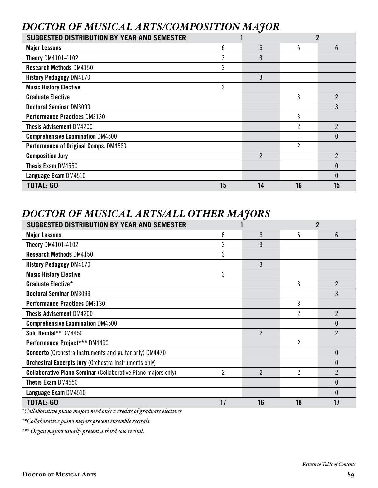# *DOCTOR OF MUSICAL ARTS/COMPOSITION MAJOR*

| SUGGESTED DISTRIBUTION BY YEAR AND SEMESTER |    |                |                |                |
|---------------------------------------------|----|----------------|----------------|----------------|
| <b>Major Lessons</b>                        | 6  | 6              | 6              | 6              |
| <b>Theory DM4101-4102</b>                   | 3  | 3              |                |                |
| <b>Research Methods DM4150</b>              | 3  |                |                |                |
| <b>History Pedagogy DM4170</b>              |    | 3              |                |                |
| <b>Music History Elective</b>               | 3  |                |                |                |
| <b>Graduate Elective</b>                    |    |                | 3              | $\overline{2}$ |
| Doctoral Seminar DM3099                     |    |                |                | 3              |
| <b>Performance Practices DM3130</b>         |    |                | 3              |                |
| <b>Thesis Advisement DM4200</b>             |    |                | $\overline{2}$ | $\overline{2}$ |
| <b>Comprehensive Examination DM4500</b>     |    |                |                | 0              |
| Performance of Original Comps. DM4560       |    |                | 2              |                |
| <b>Composition Jury</b>                     |    | $\overline{2}$ |                | $\overline{2}$ |
| <b>Thesis Exam DM4550</b>                   |    |                |                | $\theta$       |
| Language Exam DM4510                        |    |                |                | $\Omega$       |
| <b>TOTAL: 60</b>                            | 15 | 14             | 16             | 15             |

# *DOCTOR OF MUSICAL ARTS/ALL OTHER MAJORS*

| <b>SUGGESTED DISTRIBUTION BY YEAR AND SEMESTER</b>                   |    |                |                | $\overline{2}$   |
|----------------------------------------------------------------------|----|----------------|----------------|------------------|
| <b>Major Lessons</b>                                                 | 6  | 6              | 6              | $6 \overline{6}$ |
| <b>Theory DM4101-4102</b>                                            | 3  | 3              |                |                  |
| <b>Research Methods DM4150</b>                                       | 3  |                |                |                  |
| <b>History Pedagogy DM4170</b>                                       |    | 3              |                |                  |
| <b>Music History Elective</b>                                        | 3  |                |                |                  |
| Graduate Elective*                                                   |    |                | 3              | $\overline{2}$   |
| <b>Doctoral Seminar DM3099</b>                                       |    |                |                | 3                |
| <b>Performance Practices DM3130</b>                                  |    |                | 3              |                  |
| <b>Thesis Advisement DM4200</b>                                      |    |                | $\overline{2}$ | $\overline{2}$   |
| <b>Comprehensive Examination DM4500</b>                              |    |                |                | 0                |
| Solo Recital** DM4450                                                |    | $\overline{2}$ |                | $\overline{2}$   |
| Performance Project*** DM4490                                        |    |                | $\overline{2}$ |                  |
| <b>Concerto</b> (Orchestra Instruments and guitar only) DM4470       |    |                |                | $\theta$         |
| <b>Orchestral Excerpts Jury (Orchestra Instruments only)</b>         |    |                |                | $\Omega$         |
| <b>Collaborative Piano Seminar (Collaborative Piano majors only)</b> | 2  | $\mathfrak{p}$ | 2              | $\overline{2}$   |
| Thesis Exam DM4550                                                   |    |                |                | $\theta$         |
| Language Exam DM4510                                                 |    |                |                | $\Omega$         |
| <b>TOTAL: 60</b>                                                     | 17 | 16             | 18             | 17               |

*\*Collaborative piano majors need only 2 credits of graduate electives*

*\*\*Collaborative piano majors present ensemble recitals.*

*\*\*\* Organ majors usually present a third solo recital.*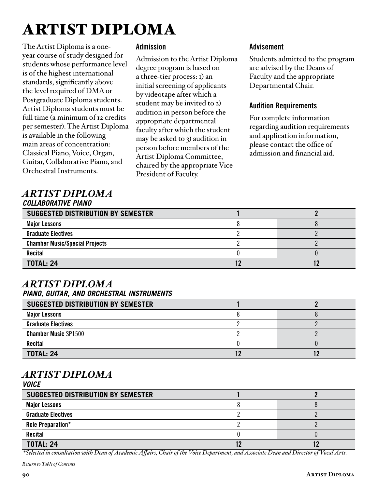# ARTIST DIPLOMA

The Artist Diploma is a oneyear course of study designed for students whose performance level is of the highest international standards, significantly above the level required of DMA or Postgraduate Diploma students. Artist Diploma students must be full time (a minimum of 12 credits per semester). The Artist Diploma is available in the following main areas of concentration: Classical Piano, Voice, Organ, Guitar, Collaborative Piano, and Orchestral Instruments.

#### Admission

Admission to the Artist Diploma degree program is based on a three-tier process: 1) an initial screening of applicants by videotape after which a student may be invited to 2) audition in person before the appropriate departmental faculty after which the student may be asked to 3) audition in person before members of the Artist Diploma Committee, chaired by the appropriate Vice President of Faculty.

#### Advisement

Students admitted to the program are advised by the Deans of Faculty and the appropriate Departmental Chair.

#### Audition Requirements

For complete information regarding audition requirements and application information, please contact the office of admission and financial aid.

#### *ARTIST DIPLOMA COLLABORATIVE PIANO*

| <b>SUGGESTED DISTRIBUTION BY SEMESTER</b> |  |
|-------------------------------------------|--|
| <b>Major Lessons</b>                      |  |
| <b>Graduate Electives</b>                 |  |
| <b>Chamber Music/Special Projects</b>     |  |
| <b>Recital</b>                            |  |
| <b>TOTAL: 24</b>                          |  |

#### *ARTIST DIPLOMA PIANO, GUITAR, AND ORCHESTRAL INSTRUMENTS*

| <b>SUGGESTED DISTRIBUTION BY SEMESTER</b> |  |
|-------------------------------------------|--|
| <b>Major Lessons</b>                      |  |
| <b>Graduate Electives</b>                 |  |
| <b>Chamber Music SP1500</b>               |  |
| <b>Recital</b>                            |  |
| <b>TOTAL: 24</b>                          |  |

#### *ARTIST DIPLOMA VOICE*

| SUGGESTED DISTRIBUTION BY SEMESTER |  |
|------------------------------------|--|
| <b>Major Lessons</b>               |  |
| <b>Graduate Electives</b>          |  |
| Role Preparation*                  |  |
| <b>Recital</b>                     |  |
| <b>TOTAL: 24</b>                   |  |

 *\*Selected in consultation with Dean of Academic Affairs, Chair of the Voice Department, and Associate Dean and Director of Vocal Arts.*

*[Return to Table of Contents](#page-2-0)*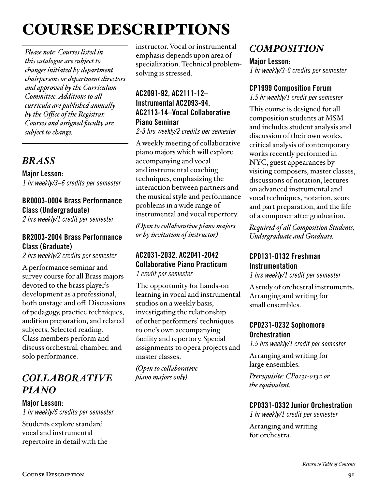# COURSE DESCRIPTIONS

*Please note: Courses listed in this catalogue are subject to changes initiated by department chairpersons or department directors and approved by the Curriculum Committee. Additions to all curricula are published annually by the Office of the Registrar. Courses and assigned faculty are subject to change.*

# *BRASS*

Major Lesson: *1 hr weekly/3–6 credits per semester*

# BR0003-0004 Brass Performance Class (Undergraduate)

*2 hrs weekly/1 credit per semester* 

## BR2003-2004 Brass Performance Class (Graduate)

*2 hrs weekly/2 credits per semester* 

A performance seminar and survey course for all Brass majors devoted to the brass player's development as a professional, both onstage and off. Discussions of pedagogy, practice techniques, audition preparation, and related subjects. Selected reading. Class members perform and discuss orchestral, chamber, and solo performance.

# *COLLABORATIVE PIANO*

Major Lesson: *1 hr weekly/5 credits per semester*

Students explore standard vocal and instrumental repertoire in detail with the instructor. Vocal or instrumental emphasis depends upon area of specialization. Technical problemsolving is stressed.

# AC2091-92, AC2111-12– Instrumental AC2093-94, AC2113-14–Vocal Collaborative Piano Seminar

*2-3 hrs weekly/2 credits per semester*

A weekly meeting of collaborative piano majors which will explore accompanying and vocal and instrumental coaching techniques, emphasizing the interaction between partners and the musical style and performance problems in a wide range of instrumental and vocal repertory.

*(Open to collaborative piano majors or by invitation of instructor)*

#### AC2031-2032, AC2041-2042 Collaborative Piano Practicum *1 credit per semester*

The opportunity for hands-on learning in vocal and instrumental studios on a weekly basis, investigating the relationship of other performers' techniques to one's own accompanying facility and repertory. Special assignments to opera projects and master classes.

*(Open to collaborative piano majors only)*

# *COMPOSITION*

Major Lesson: *1 hr weekly/3-6 credits per semester*

## CP1999 Composition Forum

*1.5 hr weekly/1 credit per semester* 

This course is designed for all composition students at MSM and includes student analysis and discussion of their own works, critical analysis of contemporary works recently performed in NYC, guest appearances by visiting composers, master classes, discussions of notation, lectures on advanced instrumental and vocal techniques, notation, score and part preparation, and the life of a composer after graduation.

*Required of all Composition Students, Undergraduate and Graduate.*

## CP0131-0132 Freshman Instrumentation

*1 hrs weekly/1 credit per semester* 

A study of orchestral instruments. Arranging and writing for small ensembles.

# CP0231-0232 Sophomore **Orchestration**

*1.5 hrs weekly/1 credit per semester* 

Arranging and writing for large ensembles.

*Prerequisite: CP0131-0132 or the equivalent.*

# CP0331-0332 Junior Orchestration

*1 hr weekly/1 credit per semester*

Arranging and writing for orchestra.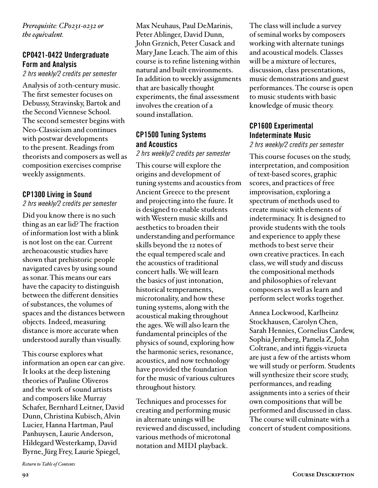*Prerequisite: CP0231-0232 or the equivalent.*

#### CP0421-0422 Undergraduate Form and Analysis

*2 hrs weekly/2 credits per semester* 

Analysis of 20th-century music. The first semester focuses on Debussy, Stravinsky, Bartok and the Second Viennese School. The second semester begins with Neo-Classicism and continues with postwar developments to the present. Readings from theorists and composers as well as composition exercises comprise weekly assignments.

#### CP1300 Living in Sound

#### *2 hrs weekly/2 credits per semester*

Did you know there is no such thing as an ear lid? The fraction of information lost with a blink is not lost on the ear. Current archeoacoustic studies have shown that prehistoric people navigated caves by using sound as sonar. This means our ears have the capacity to distinguish between the different densities of substances, the volumes of spaces and the distances between objects. Indeed, measuring distance is more accurate when understood aurally than visually.

This course explores what information an open ear can give. It looks at the deep listening theories of Pauline Oliveros and the work of sound artists and composers like Murray Schafer, Bernhard Leitner, David Dunn, Christina Kubisch, Alvin Lucier, Hanna Hartman, Paul Panhuysen, Laurie Anderson, Hildegard Westerkamp, David Byrne, Jürg Frey, Laurie Spiegel,

Max Neuhaus, Paul DeMarinis, Peter Ablinger, David Dunn, John Grznich, Peter Cusack and Mary Jane Leach. The aim of this course is to refine listening within natural and built environments. In addition to weekly assignments that are basically thought experiments, the final assessment involves the creation of a sound installation.

#### CP1500 Tuning Systems and Acoustics

*2 hrs weekly/2 credits per semester*

This course will explore the origins and development of tuning systems and acoustics from Ancient Greece to the present and projecting into the fuure. It is designed to enable students with Western music skills and aesthetics to broaden their understanding and performance skills beyond the 12 notes of the equal tempered scale and the acoustics of traditional concert halls. We will learn the basics of just intonation, historical temperaments, microtonality, and how these tuning systems, along with the acoustical making throughout the ages. We will also learn the fundamental principles of the physics of sound, exploring how the harmonic series, resonance, acoustics, and now technology have provided the foundation for the music of various cultures throughout history.

Techniques and processes for creating and performing music in alternate unings will be reviewed and discussed, including various methods of microtonal notation and MIDI playback.

The class will include a survey of seminal works by composers working with alternate tunings and acoustical models. Classes will be a mixture of lectures, discussion, class presentations, music demonstrations and guest performances. The course is open to music students with basic knowledge of music theory.

## CP1600 Experimental Indeterminate Music

*2 hrs weekly/2 credits per semester*

This course focuses on the study, interpretation, and composition of text-based scores, graphic scores, and practices of free improvisation, exploring a spectrum of methods used to create music with elements of indeterminacy. It is designed to provide students with the tools and experience to apply these methods to best serve their own creative practices. In each class, we will study and discuss the compositional methods and philosophies of relevant composers as well as learn and perform select works together.

Annea Lockwood, Karlheinz Stockhausen, Carolyn Chen, Sarah Hennies, Cornelius Cardew, Sophia Jernberg, Pamela Z, John Coltrane, and inti figgis-vizueta are just a few of the artists whom we will study or perform. Students will synthesize their score study, performances, and reading assignments into a series of their own compositions that will be performed and discussed in class. The course will culminate with a concert of student compositions.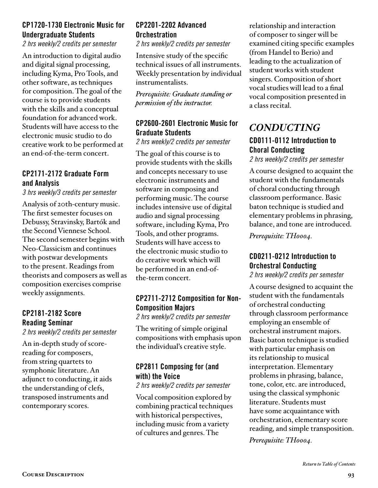## CP1720-1730 Electronic Music for Undergraduate Students

*2 hrs weekly/2 credits per semester*

An introduction to digital audio and digital signal processing, including Kyma, Pro Tools, and other software, as techniques for composition. The goal of the course is to provide students with the skills and a conceptual foundation for advanced work. Students will have access to the electronic music studio to do creative work to be performed at an end-of-the-term concert.

#### CP2171-2172 Graduate Form and Analysis

*3 hrs weekly/3 credits per semester* 

Analysis of 20th-century music. The first semester focuses on Debussy, Stravinsky, Bartók and the Second Viennese School. The second semester begins with Neo-Classicism and continues with postwar developments to the present. Readings from theorists and composers as well as composition exercises comprise weekly assignments.

#### CP2181-2182 Score Reading Seminar

*2 hrs weekly/2 credits per semester*

An in-depth study of scorereading for composers, from string quartets to symphonic literature. An adjunct to conducting, it aids the understanding of clefs, transposed instruments and contemporary scores.

## CP2201-2202 Advanced **Orchestration**

*2 hrs weekly/2 credits per semester* 

Intensive study of the specific technical issues of all instruments. Weekly presentation by individual instrumentalists.

*Prerequisite: Graduate standing or permission of the instructor.*

#### CP2600-2601 Electronic Music for Graduate Students

*2 hrs weekly/2 credits per semester*

The goal of this course is to provide students with the skills and concepts necessary to use electronic instruments and software in composing and performing music. The course includes intensive use of digital audio and signal processing software, including Kyma, Pro Tools, and other programs. Students will have access to the electronic music studio to do creative work which will be performed in an end-ofthe-term concert.

# CP2711-2712 Composition for Non-Composition Majors

*2 hrs weekly/2 credits per semester* 

The writing of simple original compositions with emphasis upon the individual's creative style.

## CP2811 Composing for (and with) the Voice

*2 hrs weekly/2 credits per semester*

Vocal composition explored by combining practical techniques with historical perspectives, including music from a variety of cultures and genres. The

relationship and interaction of composer to singer will be examined citing specific examples (from Handel to Berio) and leading to the actualization of student works with student singers. Composition of short vocal studies will lead to a final vocal composition presented in a class recital.

# *CONDUCTING*

# CD0111-0112 Introduction to Choral Conducting

*2 hrs weekly/2 credits per semester* 

A course designed to acquaint the student with the fundamentals of choral conducting through classroom performance. Basic baton technique is studied and elementary problems in phrasing, balance, and tone are introduced.

*Prerequisite: TH0004.*

## CD0211-0212 Introduction to Orchestral Conducting

*2 hrs weekly/2 credits per semester* 

A course designed to acquaint the student with the fundamentals of orchestral conducting through classroom performance employing an ensemble of orchestral instrument majors. Basic baton technique is studied with particular emphasis on its relationship to musical interpretation. Elementary problems in phrasing, balance, tone, color, etc. are introduced, using the classical symphonic literature. Students must have some acquaintance with orchestration, elementary score reading, and simple transposition.

*Prerequisite: TH0004.*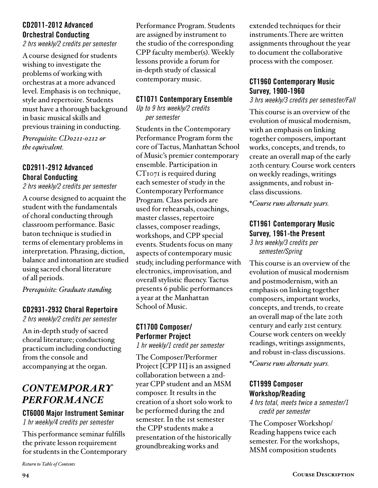## <span id="page-93-0"></span>CD2011-2012 Advanced Orchestral Conducting

*2 hrs weekly/2 credits per semester* 

A course designed for students wishing to investigate the problems of working with orchestras at a more advanced level. Emphasis is on technique, style and repertoire. Students must have a thorough background in basic musical skills and previous training in conducting.

*Prerequisite: CD0211-0212 or the equivalent.*

#### CD2911-2912 Advanced Choral Conducting

*2 hrs weekly/2 credits per semester*

A course designed to acquaint the student with the fundamentals of choral conducting through classroom performance. Basic baton technique is studied in terms of elementary problems in interpretation. Phrasing, diction, balance and intonation are studied using sacred choral literature of all periods.

*Prerequisite: Graduate standing.*

#### CD2931-2932 Choral Repertoire

*2 hrs weekly/2 credits per semester*

An in-depth study of sacred choral literature; conductiong practicum including conducting from the console and accompanying at the organ.

# *CONTEMPORARY PERFORMANCE*

#### CT6000 Major Instrument Seminar

*1 hr weekly/4 credits per semester*

This performance seminar fulfills the private lesson requirement for students in the Contemporary

*[Return to Table of Contents](#page-2-0)*

Performance Program. Students are assigned by instrument to the studio of the corresponding CPP faculty member(s). Weekly lessons provide a forum for in-depth study of classical contemporary music.

#### CT1071 Contemporary Ensemble

*Up to 9 hrs weekly/2 credits per semester*

Students in the Contemporary Performance Program form the core of Tactus, Manhattan School of Music's premier contemporary ensemble. Participation in CT<sub>1071</sub> is required during each semester of study in the Contemporary Performance Program. Class periods are used for rehearsals, coachings, master classes, repertoire classes, composer readings, workshops, and CPP special events. Students focus on many aspects of contemporary music study, including performance with electronics, improvisation, and overall stylistic fluency. Tactus presents 6 public performances a year at the Manhattan School of Music.

# CT1700 Composer/ Performer Project

*1 hr weekly/1 credit per semester*

The Composer/Performer Project [CPP II] is an assigned collaboration between a 2ndyear CPP student and an MSM composer. It results in the creation of a short solo work to be performed during the 2nd semester. In the 1st semester the CPP students make a presentation of the historically groundbreaking works and

extended techniques for their instruments.There are written assignments throughout the year to document the collaborative process with the composer.

#### CT1960 Contemporary Music Survey, 1900-1960

*3 hrs weekly/3 credits per semester/Fall*

This course is an overview of the evolution of musical modernism, with an emphasis on linking together composers, important works, concepts, and trends, to create an overall map of the early 20th century. Course work centers on weekly readings, writings assignments, and robust inclass discussions.

*\*Course runs alternate years.*

#### CT1961 Contemporary Music Survey, 1961-the Present *3 hrs weekly/3 credits per*

*semester/Spring*

This course is an overview of the evolution of musical modernism and postmodernism, with an emphasis on linking together composers, important works, concepts, and trends, to create an overall map of the late 20th century and early 21st century. Course work centers on weekly readings, writings assignments, and robust in-class discussions.

*\*Course runs alternate years.*

#### CT1999 Composer Workshop/Reading

*4 hrs total, meets twice a semester/1 credit per semester*

The Composer Workshop/ Reading happens twice each semester. For the workshops, MSM composition students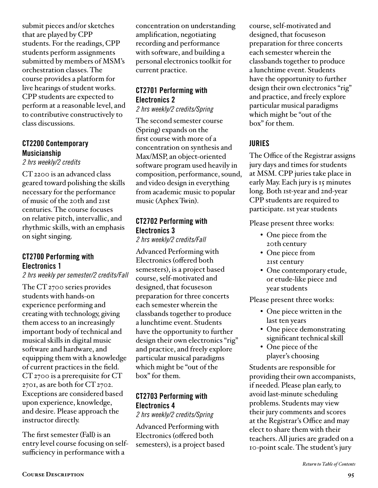submit pieces and/or sketches that are played by CPP students. For the readings, CPP students perform assignments submitted by members of MSM's orchestration classes. The course provides a platform for live hearings of student works. CPP students are expected to perform at a reasonable level, and to contributive constructively to class discussions.

#### CT2200 Contemporary Musicianship

*2 hrs weekly/2 credits*

CT 2200 is an advanced class geared toward polishing the skills necessary for the performance of music of the 20th and 21st centuries. The course focuses on relative pitch, intervallic, and rhythmic skills, with an emphasis on sight singing.

## CT2700 Performing with Electronics 1

#### *2 hrs weekly per semester/2 credits/Fall*

The CT 2700 series provides students with hands-on experience performing and creating with technology, giving them access to an increasingly important body of technical and musical skills in digital music software and hardware, and equipping them with a knowledge of current practices in the field. CT 2700 is a prerequisite for CT 2701, as are both for CT 2702. Exceptions are considered based upon experience, knowledge, and desire. Please approach the instructor directly.

The first semester (Fall) is an entry level course focusing on selfsufficiency in performance with a

concentration on understanding amplification, negotiating recording and performance with software, and building a personal electronics toolkit for current practice.

## CT2701 Performing with Electronics 2

*2 hrs weekly/2 credits/Spring* 

The second semester course (Spring) expands on the first course with more of a concentration on synthesis and Max/MSP, an object-oriented software program used heavily in composition, performance, sound, and video design in everything from academic music to popular music (Aphex Twin).

## CT2702 Performing with Electronics 3

*2 hrs weekly/2 credits/Fall*

Advanced Performing with Electronics (offered both semesters), is a project based course, self-motivated and designed, that focuseson preparation for three concerts each semester wherein the classbands together to produce a lunchtime event. Students have the opportunity to further design their own electronics "rig" and practice, and freely explore particular musical paradigms which might be "out of the box" for them.

# CT2703 Performing with Electronics 4

*2 hrs weekly/2 credits/Spring*

Advanced Performing with Electronics (offered both semesters), is a project based

course, self-motivated and designed, that focuseson preparation for three concerts each semester wherein the classbands together to produce a lunchtime event. Students have the opportunity to further design their own electronics "rig" and practice, and freely explore particular musical paradigms which might be "out of the box" for them.

## JURIES

The Office of the Registrar assigns jury days and times for students at MSM. CPP juries take place in early May. Each jury is 15 minutes long. Both 1st-year and 2nd-year CPP students are required to participate. 1st year students

Please present three works:

- One piece from the 20th century
- One piece from 21st century
- One contemporary etude, or etude-like piece 2nd year students

Please present three works:

- One piece written in the last ten years
- One piece demonstrating significant technical skill
- One piece of the player's choosing

Students are responsible for providing their own accompanists, if needed. Please plan early, to avoid last-minute scheduling problems. Students may view their jury comments and scores at the Registrar's Office and may elect to share them with their teachers. All juries are graded on a 10-point scale. The student's jury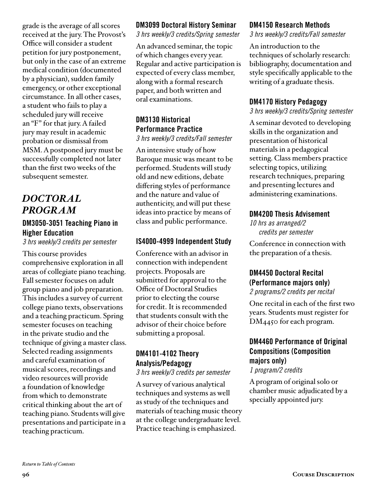grade is the average of all scores received at the jury. The Provost's Office will consider a student petition for jury postponement, but only in the case of an extreme medical condition (documented by a physician), sudden family emergency, or other exceptional circumstance. In all other cases, a student who fails to play a scheduled jury will receive an "F" for that jury. A failed jury may result in academic probation or dismissal from MSM. A postponed jury must be successfully completed not later than the first two weeks of the subsequent semester.

# *DOCTORAL PROGRAM*

#### DM3050-3051 Teaching Piano in Higher Education

*3 hrs weekly/3 credits per semester*

This course provides comprehensive exploration in all areas of collegiate piano teaching. Fall semester focuses on adult group piano and job preparation. This includes a survey of current college piano texts, observations and a teaching practicum. Spring semester focuses on teaching in the private studio and the technique of giving a master class. Selected reading assignments and careful examination of musical scores, recordings and video resources will provide a foundation of knowledge from which to demonstrate critical thinking about the art of teaching piano. Students will give presentations and participate in a teaching practicum.

## DM3099 Doctoral History Seminar

*3 hrs weekly/3 credits/Spring semester*

An advanced seminar, the topic of which changes every year. Regular and active participation is expected of every class member, along with a formal research paper, and both written and oral examinations.

#### DM3130 Historical Performance Practice *3 hrs weekly/3 credits/Fall semester*

An intensive study of how Baroque music was meant to be performed. Students will study old and new editions, debate differing styles of performance and the nature and value of authenticity, and will put these ideas into practice by means of class and public performance.

## IS4000-4999 Independent Study

Conference with an advisor in connection with independent projects. Proposals are submitted for approval to the Office of Doctoral Studies prior to electing the course for credit. It is recommended that students consult with the advisor of their choice before submitting a proposal.

# DM4101-4102 Theory Analysis/Pedagogy

*3 hrs weekly/3 credits per semester* 

A survey of various analytical techniques and systems as well as study of the techniques and materials of teaching music theory at the college undergraduate level. Practice teaching is emphasized.

#### DM4150 Research Methods

*3 hrs weekly/3 credits/Fall semester*

An introduction to the techniques of scholarly research: bibliography, documentation and style specifically applicable to the writing of a graduate thesis.

## DM4170 History Pedagogy

#### *3 hrs weekly/3 credits/Spring semester*

A seminar devoted to developing skills in the organization and presentation of historical materials in a pedagogical setting. Class members practice selecting topics, utilizing research techniques, preparing and presenting lectures and administering examinations.

## DM4200 Thesis Advisement

*10 hrs as arranged/2 credits per semester*

Conference in connection with the preparation of a thesis.

# DM4450 Doctoral Recital (Performance majors only)

*2 programs/2 credits per recital*

One recital in each of the first two years. Students must register for DM4450 for each program.

# DM4460 Performance of Original Compositions (Composition majors only)

*1 program/2 credits*

A program of original solo or chamber music adjudicated by a specially appointed jury.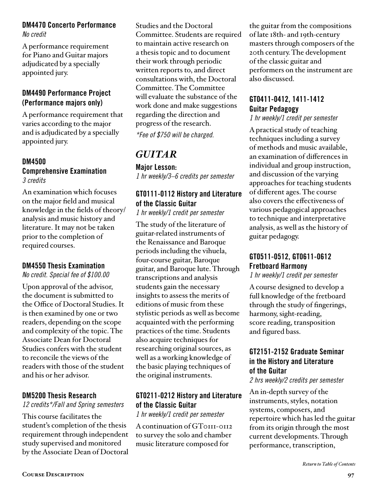#### DM4470 Concerto Performance *No credit*

A performance requirement for Piano and Guitar majors adjudicated by a specially appointed jury.

## DM4490 Performance Project (Performance majors only)

A performance requirement that varies according to the major and is adjudicated by a specially appointed jury.

#### DM4500

#### Comprehensive Examination *3 credits*

An examination which focuses on the major field and musical knowledge in the fields of theory/ analysis and music history and literature. It may not be taken prior to the completion of required courses.

#### DM4550 Thesis Examination

*No credit. Special fee of \$100.00*

Upon approval of the advisor, the document is submitted to the Office of Doctoral Studies. It is then examined by one or two readers, depending on the scope and complexity of the topic. The Associate Dean for Doctoral Studies confers with the student to reconcile the views of the readers with those of the student and his or her advisor.

## DM5200 Thesis Research

*12 credits\*/Fall and Spring semesters* 

This course facilitates the student's completion of the thesis requirement through independent study supervised and monitored by the Associate Dean of Doctoral

Studies and the Doctoral Committee. Students are required to maintain active research on a thesis topic and to document their work through periodic written reports to, and direct consultations with, the Doctoral Committee. The Committee will evaluate the substance of the work done and make suggestions regarding the direction and progress of the research. *\*Fee of \$750 will be charged.* 

# *GUITAR*

Major Lesson: *1 hr weekly/3–6 credits per semester* 

# GT0111-0112 History and Literature of the Classic Guitar

*1 hr weekly/1 credit per semester* 

The study of the literature of guitar-related instruments of the Renaissance and Baroque periods including the vihuela, four-course guitar, Baroque guitar, and Baroque lute. Through transcriptions and analysis students gain the necessary insights to assess the merits of editions of music from these stylistic periods as well as become acquainted with the performing practices of the time. Students also acquire techniques for researching original sources, as well as a working knowledge of the basic playing techniques of the original instruments.

# GT0211-0212 History and Literature of the Classic Guitar

*1 hr weekly/1 credit per semester* 

A continuation of GT0111-0112 to survey the solo and chamber music literature composed for

the guitar from the compositions of late 18th- and 19th-century masters through composers of the 20th century. The development of the classic guitar and performers on the instrument are also discussed.

# GT0411-0412, 1411-1412 Guitar Pedagogy

*1 hr weekly/1 credit per semester* 

A practical study of teaching techniques including a survey of methods and music available, an examination of differences in individual and group instruction, and discussion of the varying approaches for teaching students of different ages. The course also covers the effectiveness of various pedagogical approaches to technique and interpretative analysis, as well as the history of guitar pedagogy.

## GT0511-0512, GT0611-0612 Fretboard Harmony

*1 hr weekly/1 credit per semester* 

A course designed to develop a full knowledge of the fretboard through the study of fingerings, harmony, sight-reading, score reading, transposition and figured bass.

## GT2151-2152 Graduate Seminar in the History and Literature of the Guitar

*2 hrs weekly/2 credits per semester* 

An in-depth survey of the instruments, styles, notation systems, composers, and repertoire which has led the guitar from its origin through the most current developments. Through performance, transcription,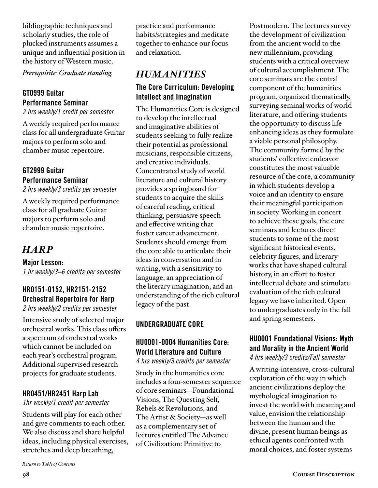bibliographic techniques and scholarly studies, the role of plucked instruments assumes a unique and influential position in the history of Western music.

*Prerequisite: Graduate standing.*

## GT0999 Guitar Performance Seminar

*2 hrs weekly/1 credit per semester* 

A weekly required performance class for all undergraduate Guitar majors to perform solo and chamber music repertoire.

#### GT2999 Guitar Performance Seminar

*2 hrs weekly/3 credits per semester* 

A weekly required performance class for all graduate Guitar majors to perform solo and chamber music repertoire.

# *HARP*

Major Lesson: *1 hr weekly/3–6 credits per semester* 

#### HR0151-0152, HR2151-2152 Orchestral Repertoire for Harp *2 hrs weekly/2 credits per semester*

Intensive study of selected major orchestral works. This class offers a spectrum of orchestral works which cannot be included on each year's orchestral program. Additional supervised research projects for graduate students.

## HR0451/HR2451 Harp Lab

*1hr weekly/1 credit per semester*

Students will play for each other and give comments to each other. We also discuss and share helpful ideas, including physical exercises, stretches and deep breathing,

practice and performance habits/strategies and meditate together to enhance our focus and relaxation.

# *HUMANITIES*  The Core Curriculum: Developing Intellect and Imagination

The Humanities Core is designed to develop the intellectual and imaginative abilities of students seeking to fully realize their potential as professional musicians, responsible citizens, and creative individuals. Concentrated study of world literature and cultural history provides a springboard for students to acquire the skills of careful reading, critical thinking, persuasive speech and effective writing that foster career advancement. Students should emerge from the core able to articulate their ideas in conversation and in writing, with a sensitivity to language, an appreciation of the literary imagination, and an understanding of the rich cultural legacy of the past.

## UNDERGRADUATE CORE

# HU0001-0004 Humanities Core: World Literature and Culture

*4 hrs weekly/3 credits per semester* 

Study in the humanities core includes a four-semester sequence of core seminars—Foundational Visions, The Questing Self, Rebels & Revolutions, and The Artist & Society—as well as a complementary set of lectures entitled The Advance of Civilization: Primitive to

Postmodern. The lectures survey the development of civilization from the ancient world to the new millennium, providing students with a critical overview of cultural accomplishment. The core seminars are the central component of the humanities program, organized thematically, surveying seminal works of world literature, and offering students the opportunity to discuss life enhancing ideas as they formulate a viable personal philosophy. The community formed by the students' collective endeavor constitutes the most valuable resource of the core, a community in which students develop a voice and an identity to ensure their meaningful participation in society. Working in concert to achieve these goals, the core seminars and lectures direct students to some of the most significant historical events, celebrity figures, and literary works that have shaped cultural history, in an effort to foster intellectual debate and stimulate evaluation of the rich cultural legacy we have inherited. Open to undergraduates only in the fall and spring semesters.

# HU0001 Foundational Visions: Myth and Morality in the Ancient World

*4 hrs weekly/3 credits/Fall semester*

A writing-intensive, cross-cultural exploration of the way in which ancient civilizations deploy the mythological imagination to invest the world with meaning and value, envision the relationship between the human and the divine, present human beings as ethical agents confronted with moral choices, and foster systems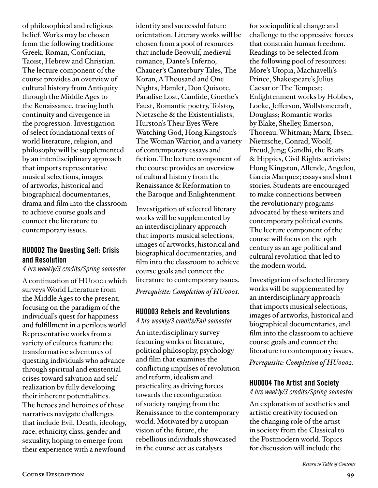of philosophical and religious belief. Works may be chosen from the following traditions: Greek, Roman, Confucian, Taoist, Hebrew and Christian. The lecture component of the course provides an overview of cultural history from Antiquity through the Middle Ages to the Renaissance, tracing both continuity and divergence in the progression. Investigation of select foundational texts of world literature, religion, and philosophy will be supplemented by an interdisciplinary approach that imports representative musical selections, images of artworks, historical and biographical documentaries, drama and film into the classroom to achieve course goals and connect the literature to contemporary issues.

#### HU0002 The Questing Self: Crisis and Resolution

*4 hrs weekly/3 credits/Spring semester*

A continuation of HU0001 which surveys World Literature from the Middle Ages to the present, focusing on the paradigm of the individual's quest for happiness and fulfillment in a perilous world. Representative works from a variety of cultures feature the transformative adventures of questing individuals who advance through spiritual and existential crises toward salvation and selfrealization by fully developing their inherent potentialities. The heroes and heroines of these narratives navigate challenges that include Evil, Death, ideology, race, ethnicity, class, gender and sexuality, hoping to emerge from their experience with a newfound

identity and successful future orientation. Literary works will be chosen from a pool of resources that include Beowulf, medieval romance, Dante's Inferno, Chaucer's Canterbury Tales, The Koran, A Thousand and One Nights, Hamlet, Don Quixote, Paradise Lost, Candide, Goethe's Faust, Romantic poetry, Tolstoy, Nietzsche & the Existentialists, Hurston's Their Eyes Were Watching God, Hong Kingston's The Woman Warrior, and a variety of contemporary essays and fiction. The lecture component of the course provides an overview of cultural history from the Renaissance & Reformation to the Baroque and Enlightenment.

Investigation of selected literary works will be supplemented by an interdisciplinary approach that imports musical selections, images of artworks, historical and biographical documentaries, and film into the classroom to achieve course goals and connect the literature to contemporary issues. *Prerequisite: Completion of HU0001.*

#### HU0003 Rebels and Revolutions

*4 hrs weekly/3 credits/Fall semester*

An interdisciplinary survey featuring works of literature, political philosophy, psychology and film that examines the conflicting impulses of revolution and reform, idealism and practicality, as driving forces towards the reconfiguration of society ranging from the Renaissance to the contemporary world. Motivated by a utopian vision of the future, the rebellious individuals showcased in the course act as catalysts

for sociopolitical change and challenge to the oppressive forces that constrain human freedom. Readings to be selected from the following pool of resources: More's Utopia, Machiavelli's Prince, Shakespeare's Julius Caesar or The Tempest; Enlightenment works by Hobbes, Locke, Jefferson, Wollstonecraft, Douglass; Romantic works by Blake, Shelley, Emerson, Thoreau, Whitman; Marx, Ibsen, Nietzsche, Conrad, Woolf, Freud, Jung; Gandhi, the Beats & Hippies, Civil Rights activists; Hong Kingston, Allende, Angelou, Garcia Marquez; essays and short stories. Students are encouraged to make connections between the revolutionary programs advocated by these writers and contemporary political events. The lecture component of the course will focus on the 19th century as an age political and cultural revolution that led to the modern world.

Investigation of selected literary works will be supplemented by an interdisciplinary approach that imports musical selections, images of artworks, historical and biographical documentaries, and film into the classroom to achieve course goals and connect the literature to contemporary issues.

*Prerequisite: Completion of HU0002.*

#### HU0004 The Artist and Society

*4 hrs weekly/3 credits/Spring semester*

An exploration of aesthetics and artistic creativity focused on the changing role of the artist in society from the Classical to the Postmodern world. Topics for discussion will include the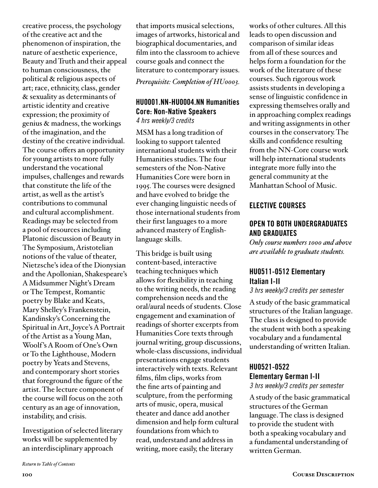creative process, the psychology of the creative act and the phenomenon of inspiration, the nature of aesthetic experience, Beauty and Truth and their appeal to human consciousness, the political & religious aspects of art; race, ethnicity, class, gender & sexuality as determinants of artistic identity and creative expression; the proximity of genius & madness, the workings of the imagination, and the destiny of the creative individual. The course offers an opportunity for young artists to more fully understand the vocational impulses, challenges and rewards that constitute the life of the artist, as well as the artist's contributions to communal and cultural accomplishment. Readings may be selected from a pool of resources including Platonic discussion of Beauty in The Symposium, Aristotelian notions of the value of theater, Nietzsche's idea of the Dionysian and the Apollonian, Shakespeare's A Midsummer Night's Dream or The Tempest, Romantic poetry by Blake and Keats, Mary Shelley's Frankenstein, Kandinsky's Concerning the Spiritual in Art, Joyce's A Portrait of the Artist as a Young Man, Woolf 's A Room of One's Own or To the Lighthouse, Modern poetry by Yeats and Stevens, and contemporary short stories that foreground the figure of the artist. The lecture component of the course will focus on the 20th century as an age of innovation, instability, and crisis.

Investigation of selected literary works will be supplemented by an interdisciplinary approach

that imports musical selections, images of artworks, historical and biographical documentaries, and film into the classroom to achieve course goals and connect the literature to contemporary issues. *Prerequisite: Completion of HU0003.*

#### HU0001.NN-HU0004.NN Humanities Core: Non-Native Speakers *4 hrs weekly/3 credits*

MSM has a long tradition of looking to support talented international students with their Humanities studies. The four semesters of the Non-Native Humanities Core were born in 1995. The courses were designed and have evolved to bridge the ever changing linguistic needs of those international students from their first languages to a more advanced mastery of Englishlanguage skills.

This bridge is built using content-based, interactive teaching techniques which allows for flexibility in teaching to the writing needs, the reading comprehension needs and the oral/aural needs of students. Close engagement and examination of readings of shorter excerpts from Humanities Core texts through journal writing, group discussions, whole-class discussions, individual presentations engage students interactively with texts. Relevant films, film clips, works from the fine arts of painting and sculpture, from the performing arts of music, opera, musical theater and dance add another dimension and help form cultural foundations from which to read, understand and address in writing, more easily, the literary

works of other cultures. All this leads to open discussion and comparison of similar ideas from all of these sources and helps form a foundation for the work of the literature of these courses. Such rigorous work assists students in developing a sense of linguistic confidence in expressing themselves orally and in approaching complex readings and writing assignments in other courses in the conservatory. The skills and confidence resulting from the NN-Core course work will help international students integrate more fully into the general community at the Manhattan School of Music.

#### ELECTIVE COURSES

#### OPEN TO BOTH UNDERGRADUATES AND GRADUATES

*Only course numbers 1000 and above are available to graduate students.* 

## HU0511-0512 Elementary Italian I-II

*3 hrs weekly/3 credits per semester*

A study of the basic grammatical structures of the Italian language. The class is designed to provide the student with both a speaking vocabulary and a fundamental understanding of written Italian.

# HU0521-0522

# Elementary German I-II

*3 hrs weekly/3 credits per semester*

A study of the basic grammatical structures of the German language. The class is designed to provide the student with both a speaking vocabulary and a fundamental understanding of written German.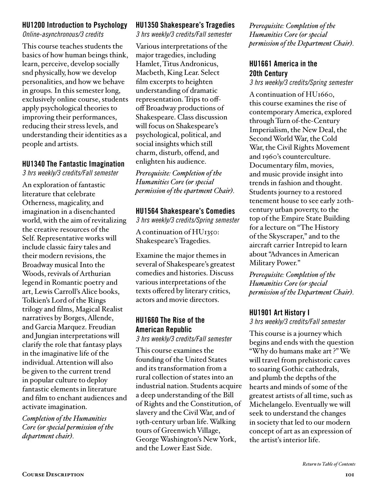#### HU1200 Introduction to Psychology

*Online-asynchronous/3 credits*

This course teaches students the basics of how human beings think, learn, perceive, develop socially snd physically, how we develop personalities, and how we behave in groups. In this semester long, exclusively online course, students apply psychological theories to improving their performances, reducing their stress levels, and understanding their identities as a people and artists.

# HU1340 The Fantastic Imagination

*3 hrs weekly/3 credits/Fall semester*

An exploration of fantastic literature that celebrate Otherness, magicality, and imagination in a disenchanted world, with the aim of revitalizing the creative resources of the Self. Representative works will include classic fairy tales and their modern revisions, the Broadway musical Into the Woods, revivals of Arthurian legend in Romantic poetry and art, Lewis Carroll's Alice books, Tolkien's Lord of the Rings trilogy and films, Magical Realist narratives by Borges, Allende, and Garcia Marquez. Freudian and Jungian interpretations will clarify the role that fantasy plays in the imaginative life of the individual. Attention will also be given to the current trend in popular culture to deploy fantastic elements in literature and film to enchant audiences and activate imagination.

*Completion of the Humanities Core (or special permission of the department chair).*

# HU1350 Shakespeare's Tragedies

*3 hrs weekly/3 credits/Fall semester*

Various interpretations of the major tragedies, including Hamlet, Titus Andronicus, Macbeth, King Lear. Select film excerpts to heighten understanding of dramatic representation. Trips to offoff Broadway productions of Shakespeare. Class discussion will focus on Shakespeare's psychological, political, and social insights which still charm, disturb, offend, and enlighten his audience.

*Prerequisite: Completion of the Humanities Core (or special permission of the epartment Chair).*

# HU1564 Shakespeare's Comedies

*3 hrs weekly/3 credits/Spring semester*

A continuation of HU1350: Shakespeare's Tragedies.

Examine the major themes in several of Shakespeare's greatest comedies and histories. Discuss various interpretations of the texts offered by literary critics, actors and movie directors.

# HU1660 The Rise of the American Republic

*3 hrs weekly/3 credits/Fall semester*

This course examines the founding of the United States and its transformation from a rural collection of states into an industrial nation. Students acquire a deep understanding of the Bill of Rights and the Constitution, of slavery and the Civil War, and of 19th-century urban life. Walking tours of Greenwich Village, George Washington's New York, and the Lower East Side.

*Prerequisite: Completion of the Humanities Core (or special permission of the Department Chair).*

## HU1661 America in the 20th Century

*3 hrs weekly/3 credits/Spring semester*

A continuation of HU1660, this course examines the rise of contemporary America, explored through Turn of-the-Century Imperialism, the New Deal, the Second World War, the Cold War, the Civil Rights Movement and 1960's counterculture. Documentary film, movies, and music provide insight into trends in fashion and thought. Students journey to a restored tenement house to see early 20thcentury urban poverty, to the top of the Empire State Building for a lecture on "The History of the Skyscraper," and to the aircraft carrier Intrepid to learn about "Advances in American Military Power."

*Prerequisite: Completion of the Humanities Core (or special permission of the Department Chair).*

# HU1901 Art History I

*3 hrs weekly/3 credits/Fall semester*

This course is a journey which begins and ends with the question "Why do humans make art ?" We will travel from prehistoric caves to soaring Gothic cathedrals, and plumb the depths of the hearts and minds of some of the greatest artists of all time, such as Michelangelo. Eventually we will seek to understand the changes in society that led to our modern concept of art as an expression of the artist's interior life.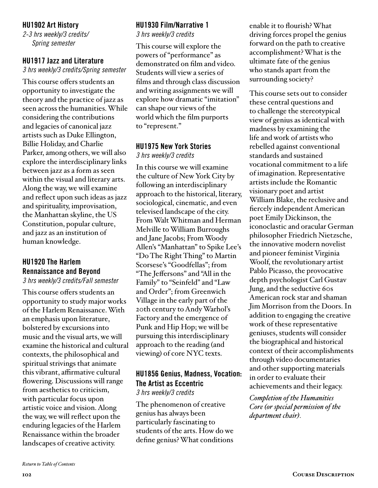#### HU1902 Art History

*2-3 hrs weekly/3 credits/ Spring semester*

#### HU1917 Jazz and Literature

*3 hrs weekly/3 credits/Spring semester*

This course offers students an opportunity to investigate the theory and the practice of jazz as seen across the humanities. While considering the contributions and legacies of canonical jazz artists such as Duke Ellington, Billie Holiday, and Charlie Parker, among others, we will also explore the interdisciplinary links between jazz as a form as seen within the visual and literary arts. Along the way, we will examine and reflect upon such ideas as jazz and spirituality, improvisation, the Manhattan skyline, the US Constitution, popular culture, and jazz as an institution of human knowledge.

# HU1920 The Harlem Rennaissance and Beyond

*3 hrs weekly/3 credits/Fall semester*

This course offers students an opportunity to study major works of the Harlem Renaissance. With an emphasis upon literature, bolstered by excursions into music and the visual arts, we will examine the historical and cultural contexts, the philosophical and spiritual strivings that animate this vibrant, affirmative cultural flowering. Discussions will range from aesthetics to criticism, with particular focus upon artistic voice and vision. Along the way, we will reflect upon the enduring legacies of the Harlem Renaissance within the broader landscapes of creative activity.

### HU1930 Film/Narrative 1

*3 hrs weekly/3 credits*

This course will explore the powers of "performance" as demonstrated on film and video. Students will view a series of films and through class discussion and writing assignments we will explore how dramatic "imitation" can shape our views of the world which the film purports to "represent."

#### HU1975 New York Stories

*3 hrs weekly/3 credits*

In this course we will examine the culture of New York City by following an interdisciplinary approach to the historical, literary, sociological, cinematic, and even televised landscape of the city. From Walt Whitman and Herman Melville to William Burroughs and Jane Jacobs; From Woody Allen's "Manhattan" to Spike Lee's "Do The Right Thing" to Martin Scorsese's "Goodfellas"; from "The Jeffersons" and "All in the Family" to "Seinfeld" and "Law and Order"; from Greenwich Village in the early part of the 20th century to Andy Warhol's Factory and the emergence of Punk and Hip Hop; we will be pursuing this interdisciplinary approach to the reading (and viewing) of core NYC texts.

#### HU1856 Genius, Madness, Vocation: The Artist as Eccentric *3 hrs weekly/3 credits*

The phenomenon of creative genius has always been particularly fascinating to students of the arts. How do we define genius? What conditions enable it to flourish? What driving forces propel the genius forward on the path to creative accomplishment? What is the ultimate fate of the genius who stands apart from the surrounding society?

This course sets out to consider these central questions and to challenge the stereotypical view of genius as identical with madness by examining the life and work of artists who rebelled against conventional standards and sustained vocational commitment to a life of imagination. Representative artists include the Romantic visionary poet and artist William Blake, the reclusive and fiercely independent American poet Emily Dickinson, the iconoclastic and oracular German philosopher Friedrich Nietzsche, the innovative modern novelist and pioneer feminist Virginia Woolf, the revolutionary artist Pablo Picasso, the provocative depth psychologist Carl Gustav Jung, and the seductive 60s American rock star and shaman Jim Morrison from the Doors. In addition to engaging the creative work of these representative geniuses, students will consider the biographical and historical context of their accomplishments through video documentaries and other supporting materials in order to evaluate their achievements and their legacy.

*Completion of the Humanities Core (or special permission of the department chair).*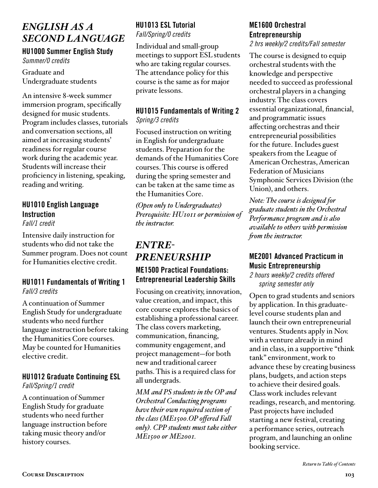# *ENGLISH AS A SECOND LANGUAGE*

HU1000 Summer English Study *Summer/0 credits*

Graduate and Undergraduate students

An intensive 8-week summer immersion program, specifically designed for music students. Program includes classes, tutorials and conversation sections, all aimed at increasing students' readiness for regular course work during the academic year. Students will increase their proficiency in listening, speaking, reading and writing.

# HU1010 English Language **Instruction**

*Fall/1 credit*

Intensive daily instruction for students who did not take the Summer program. Does not count for Humanities elective credit.

#### HU1011 Fundamentals of Writing 1 *Fall/3 credits*

A continuation of Summer English Study for undergraduate students who need further language instruction before taking the Humanities Core courses. May be counted for Humanities elective credit.

#### HU1012 Graduate Continuing ESL *Fall/Spring/1 credit*

A continuation of Summer English Study for graduate students who need further language instruction before taking music theory and/or history courses.

## HU1013 ESL Tutorial *Fall/Spring/0 credits*

Individual and small-group meetings to support ESL students who are taking regular courses. The attendance policy for this course is the same as for major private lessons.

## HU1015 Fundamentals of Writing 2 *Spring/3 credits*

Focused instruction on writing in English for undergraduate students. Preparation for the demands of the Humanities Core courses. This course is offered during the spring semester and can be taken at the same time as the Humanities Core.

*(Open only to Undergraduates) Prerequisite: HU1011 or permission of the instructor.*

# *ENTRE-PRENEURSHIP*

## ME1500 Practical Foundations: Entrepreneurial Leadership Skills

Focusing on creativity, innovation, value creation, and impact, this core course explores the basics of establishing a professional career. The class covers marketing, communication, financing, community engagement, and project management—for both new and traditional career paths. This is a required class for all undergrads.

*MM and PS students in the OP and Orchestral Conducting programs have their own required section of the class (ME1500.OP offered Fall only). CPP students must take either ME1500 or ME2001.* 

# ME1600 Orchestral Entrepreneurship

*2 hrs weekly/2 credits/Fall semester* 

The course is designed to equip orchestral students with the knowledge and perspective needed to succeed as professional orchestral players in a changing industry. The class covers essential organizational, financial, and programmatic issues affecting orchestras and their entrepreneurial possibilities for the future. Includes guest speakers from the League of American Orchestras, American Federation of Musicians Symphonic Services Division (the Union), and others.

*Note: The course is designed for graduate students in the Orchestral Performance program and is also available to others with permission from the instructor.* 

## ME2001 Advanced Practicum in Music Entrepreneurship

*2 hours weekly/2 credits offered spring semester only*

Open to grad students and seniors by application. In this graduatelevel course students plan and launch their own entrepreneurial ventures. Students apply in Nov. with a venture already in mind and in class, in a supportive "think tank" environment, work to advance these by creating business plans, budgets, and action steps to achieve their desired goals. Class work includes relevant readings, research, and mentoring. Past projects have included starting a new festival, creating a performance series, outreach program, and launching an online booking service.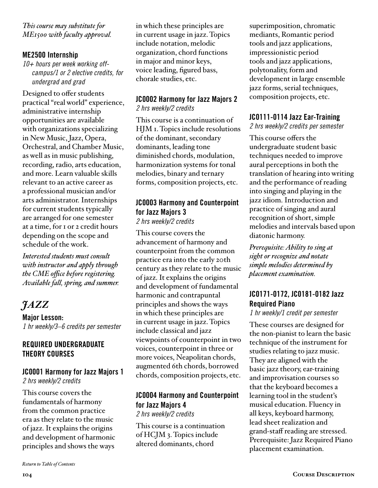*This course may substitute for ME1500 with faculty approval.* 

#### ME2500 Internship

*10+ hours per week working offcampus/1 or 2 elective credits, for undergrad and grad*

Designed to offer students practical "real world" experience, administrative internship opportunities are available with organizations specializing in New Music, Jazz, Opera, Orchestral, and Chamber Music, as well as in music publishing, recording, radio, arts education, and more. Learn valuable skills relevant to an active career as a professional musician and/or arts administrator. Internships for current students typically are arranged for one semester at a time, for 1 or 2 credit hours depending on the scope and schedule of the work.

*Interested students must consult with instructor and apply through the CME office before registering. Available fall, spring, and summer.*

# *JAZZ*

Major Lesson: *1 hr weekly/3–6 credits per semester* 

## REQUIRED UNDERGRADUATE THEORY COURSES

#### JC0001 Harmony for Jazz Majors 1 *2 hrs weekly/2 credits*

This course covers the fundamentals of harmony from the common practice era as they relate to the music of jazz. It explains the origins and development of harmonic principles and shows the ways

in which these principles are in current usage in jazz. Topics include notation, melodic organization, chord functions in major and minor keys, voice leading, figured bass, chorale studies, etc.

#### JC0002 Harmony for Jazz Majors 2 *2 hrs weekly/2 credits*

This course is a continuation of HJM 1. Topics include resolutions of the dominant, secondary dominants, leading tone diminished chords, modulation, harmonization systems for tonal melodies, binary and ternary forms, composition projects, etc.

#### JC0003 Harmony and Counterpoint for Jazz Majors 3 *2 hrs weekly/2 credits*

This course covers the advancement of harmony and counterpoint from the common practice era into the early 20th century as they relate to the music of jazz. It explains the origins and development of fundamental harmonic and contrapuntal principles and shows the ways in which these principles are in current usage in jazz. Topics include classical and jazz viewpoints of counterpoint in two voices, counterpoint in three or more voices, Neapolitan chords, augmented 6th chords, borrowed chords, composition projects, etc.

# JC0004 Harmony and Counterpoint for Jazz Majors 4

*2 hrs weekly/2 credits* This course is a continuation of HCJM 3. Topics include altered dominants, chord

superimposition, chromatic mediants, Romantic period tools and jazz applications, impressionistic period tools and jazz applications, polytonality, form and development in large ensemble jazz forms, serial techniques, composition projects, etc.

#### JC0111-0114 Jazz Ear-Training

*2 hrs weekly/2 credits per semester* 

This course offers the undergraduate student basic techniques needed to improve aural perceptions in both the translation of hearing into writing and the performance of reading into singing and playing in the jazz idiom. Introduction and practice of singing and aural recognition of short, simple melodies and intervals based upon diatonic harmony.

*Prerequisite: Ability to sing at sight or recognize and notate simple melodies determined by placement examination.*

# JC0171-0172, JC0181-0182 Jazz Required Piano

*1 hr weekly/1 credit per semester* 

These courses are designed for the non-pianist to learn the basic technique of the instrument for studies relating to jazz music. They are aligned with the basic jazz theory, ear-training and improvisation courses so that the keyboard becomes a learning tool in the student's musical education. Fluency in all keys, keyboard harmony, lead sheet realization and grand-staff reading are stressed. Prerequisite: Jazz Required Piano placement examination.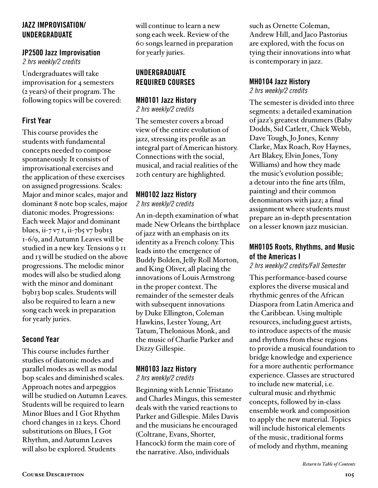#### JAZZ IMPROVISATION/ UNDERGRADUATE

# JP2500 Jazz Improvisation

*2 hrs weekly/2 credits*

Undergraduates will take improvisation for 4 semesters (2 years) of their program. The following topics will be covered:

## First Year

This course provides the students with fundamental concepts needed to compose spontaneously. It consists of improvisational exercises and the application of these exercises on assigned progressions. Scales: Major and minor scales, major and dominant 8 note bop scales, major diatonic modes. Progressions: Each week Major and dominant blues, ii-7 v7 1, ii-7b5 v7 b9b13 1-6/9, and Autumn Leaves will be studied in a new key. Tensions 9 11 and 13 will be studied on the above progressions. The melodic minor modes will also be studied along with the minor and dominant b9b13 bop scales. Students will also be required to learn a new song each week in preparation for yearly juries.

# Second Year

This course includes further studies of diatonic modes and parallel modes as well as modal bop scales and diminished scales. Approach notes and arpeggios will be studied on Autumn Leaves. Students will be required to learn Minor Blues and I Got Rhythm chord changes in 12 keys. Chord substitutions on Blues, I Got Rhythm, and Autumn Leaves will also be explored. Students

will continue to learn a new song each week. Review of the 60 songs learned in preparation for yearly juries.

## UNDERGRADUATE REQUIRED COURSES

# MH0101 Jazz History

*2 hrs weekly/2 credits*

The semester covers a broad view of the entire evolution of jazz, stressing its profile as an integral part of American history. Connections with the social, musical, and racial realities of the 20th century are highlighted.

# MH0102 Jazz History

*2 hrs weekly/2 credits*

An in-depth examination of what made New Orleans the birthplace of jazz with an emphasis on its identity as a French colony. This leads into the emergence of Buddy Bolden, Jelly Roll Morton, and King Oliver, all placing the innovations of Louis Armstrong in the proper context. The remainder of the semester deals with subsequent innovations by Duke Ellington, Coleman Hawkins, Lester Young, Art Tatum, Thelonious Monk, and the music of Charlie Parker and Dizzy Gillespie.

# MH0103 Jazz History

*2 hrs weekly/2 credits*

Beginning with Lennie Tristano and Charles Mingus, this semester deals with the varied reactions to Parker and Gillespie. Miles Davis and the musicians he encouraged (Coltrane, Evans, Shorter, Hancock) form the main core of the narrative. Also, individuals

such as Ornette Coleman, Andrew Hill, and Jaco Pastorius are explored, with the focus on tying their innovations into what is contemporary in jazz.

## MH0104 Jazz History

*2 hrs weekly/2 credits* 

The semester is divided into three segments: a detailed examination of jazz's greatest drummers (Baby Dodds, Sid Catlett, Chick Webb, Dave Tough, Jo Jones, Kenny Clarke, Max Roach, Roy Haynes, Art Blakey, Elvin Jones, Tony Williams) and how they made the music's evolution possible; a detour into the fine arts (film, painting) and their common denominators with jazz; a final assignment where students must prepare an in-depth presentation on a lesser known jazz musician.

## MH0105 Roots, Rhythms, and Music of the Americas I

*2 hrs weekly/2 credits/Fall Semester*

This performance-based course explores the diverse musical and rhythmic genres of the African Diaspora from Latin America and the Caribbean. Using multiple resources, including guest artists, to introduce aspects of the music and rhythms from these regions to provide a musical foundation to bridge knowledge and experience for a more authentic performance experience. Classes are structured to include new material, i.e. cultural music and rhythmic concepts, followed by in-class ensemble work and composition to apply the new material. Topics will include historical elements of the music, traditional forms of melody and rhythm, meaning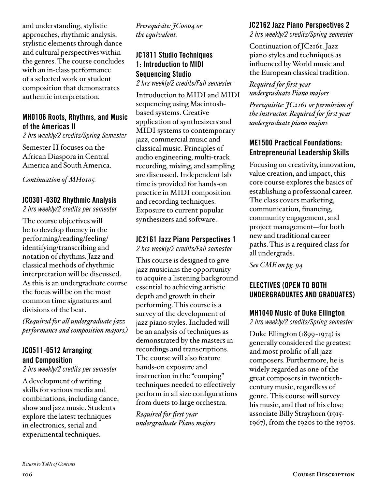and understanding, stylistic approaches, rhythmic analysis, stylistic elements through dance and cultural perspectives within the genres. The course concludes with an in-class performance of a selected work or student composition that demonstrates authentic interpretation.

### MH0106 Roots, Rhythms, and Music of the Americas II

*2 hrs weekly/2 credits/Spring Semester*

Semester II focuses on the African Diaspora in Central America and South America.

*Continuation of MH0105.* 

#### JC0301-0302 Rhythmic Analysis

*2 hrs weekly/2 credits per semester* 

The course objectives will be to develop fluency in the performing/reading/feeling/ identifying/transcribing and notation of rhythms. Jazz and classical methods of rhythmic interpretation will be discussed. As this is an undergraduate course the focus will be on the most common time signatures and divisions of the beat.

*(Required for all undergraduate jazz performance and composition majors.)*

## JC0511-0512 Arranging and Composition

*2 hrs weekly/2 credits per semester* 

A development of writing skills for various media and combinations, including dance, show and jazz music. Students explore the latest techniques in electronics, serial and experimental techniques.

*Prerequisite: JC0004 or the equivalent.*

# JC1811 Studio Techniques 1: Introduction to MIDI Sequencing Studio

*2 hrs weekly/2 credits/Fall semester*

Introduction to MIDI and MIDI sequencing using Macintoshbased systems. Creative application of synthesizers and MIDI systems to contemporary jazz, commercial music and classical music. Principles of audio engineering, multi-track recording, mixing, and sampling are discussed. Independent lab time is provided for hands-on practice in MIDI composition and recording techniques. Exposure to current popular synthesizers and software.

#### JC2161 Jazz Piano Perspectives 1

*2 hrs weekly/2 credits/Fall semester*

This course is designed to give jazz musicians the opportunity to acquire a listening background essential to achieving artistic depth and growth in their performing. This course is a survey of the development of jazz piano styles. Included will be an analysis of techniques as demonstrated by the masters in recordings and transcriptions. The course will also feature hands-on exposure and instruction in the "comping" techniques needed to effectively perform in all size configurations from duets to large orchestra.

*Required for first year undergraduate Piano majors*

#### JC2162 Jazz Piano Perspectives 2

*2 hrs weekly/2 credits/Spring semester*

Continuation of JC2161. Jazz piano styles and techniques as influenced by World music and the European classical tradition.

*Required for first year undergraduate Piano majors*

*Prerequisite: JC2161 or permission of the instructor. Required for first year undergraduate piano majors*

## ME1500 Practical Foundations: Entrepreneurial Leadership Skills

Focusing on creativity, innovation, value creation, and impact, this core course explores the basics of establishing a professional career. The class covers marketing, communication, financing, community engagement, and project management—for both new and traditional career paths. This is a required class for all undergrads.

*[See CME on pg. 94](#page-93-0)* 

## ELECTIVES (OPEN TO BOTH UNDERGRADUATES AND GRADUATES)

#### MH1040 Music of Duke Ellington

*2 hrs weekly/2 credits/Spring semester*

Duke Ellington (1899-1974) is generally considered the greatest and most prolific of all jazz composers. Furthermore, he is widely regarded as one of the great composers in twentiethcentury music, regardless of genre. This course will survey his music, and that of his close associate Billy Strayhorn (1915- 1967), from the 1920s to the 1970s.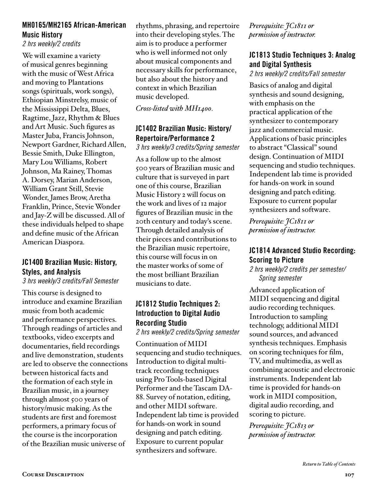### MH0165/MH2165 African-American Music History

#### *2 hrs weekly/2 credits*

We will examine a variety of musical genres beginning with the music of West Africa and moving to Plantations songs (spirituals, work songs), Ethiopian Minstrelsy, music of the Mississippi Delta, Blues, Ragtime, Jazz, Rhythm & Blues and Art Music. Such figures as Master Juba, Francis Johnson, Newport Gardner, Richard Allen, Bessie Smith, Duke Ellington, Mary Lou Williams, Robert Johnson, Ma Rainey, Thomas A. Dorsey, Marian Anderson, William Grant Still, Stevie Wonder, James Brow, Aretha Franklin, Prince, Stevie Wonder and Jay-Z will be discussed. All of these individuals helped to shape and define music of the African American Diaspora.

#### JC1400 Brazilian Music: History, Styles, and Analysis

*3 hrs weekly/3 credits/Fall Semester*

This course is designed to introduce and examine Brazilian music from both academic and performance perspectives. Through readings of articles and textbooks, video excerpts and documentaries, field recordings and live demonstration, students are led to observe the connections between historical facts and the formation of each style in Brazilian music, in a journey through almost 500 years of history/music making. As the students are first and foremost performers, a primary focus of the course is the incorporation of the Brazilian music universe of

rhythms, phrasing, and repertoire into their developing styles. The aim is to produce a performer who is well informed not only about musical components and necessary skills for performance, but also about the history and context in which Brazilian music developed.

*Cross-listed with MH1400.*

# JC1402 Brazilian Music: History/ Repertoire/Performance 2

*3 hrs weekly/3 credits/Spring semester*

As a follow up to the almost 500 years of Brazilian music and culture that is surveyed in part one of this course, Brazilian Music History 2 will focus on the work and lives of 12 major figures of Brazilian music in the 20th century and today's scene. Through detailed analysis of their pieces and contributions to the Brazilian music repertoire, this course will focus in on the master works of some of the most brilliant Brazilian musicians to date.

# JC1812 Studio Techniques 2: Introduction to Digital Audio Recording Studio

*2 hrs weekly/2 credits/Spring semester*

Continuation of MIDI sequencing and studio techniques. Introduction to digital multitrack recording techniques using Pro Tools-based Digital Performer and the Tascam DA-88. Survey of notation, editing, and other MIDI software. Independent lab time is provided for hands-on work in sound designing and patch editing. Exposure to current popular synthesizers and software.

*Prerequisite: JC1811 or permission of instructor.*

# JC1813 Studio Techniques 3: Analog and Digital Synthesis

*2 hrs weekly/2 credits/Fall semester*

Basics of analog and digital synthesis and sound designing, with emphasis on the practical application of the synthesizer to contemporary jazz and commercial music. Applications of basic principles to abstract "Classical" sound design. Continuation of MIDI sequencing and studio techniques. Independent lab time is provided for hands-on work in sound designing and patch editing. Exposure to current popular synthesizers and software.

*Prerequisite: JC1811 or permission of instructor.*

# JC1814 Advanced Studio Recording: Scoring to Picture

*2 hrs weekly/2 credits per semester/ Spring semester*

Advanced application of MIDI sequencing and digital audio recording techniques. Introduction to sampling technology, additional MIDI sound sources, and advanced synthesis techniques. Emphasis on scoring techniques for film, TV, and multimedia, as well as combining acoustic and electronic instruments. Independent lab time is provided for hands-on work in MIDI composition, digital audio recording, and scoring to picture.

*Prerequisite: JC1813 or permission of instructor.*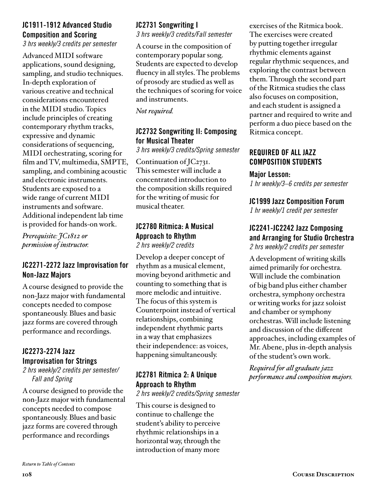## JC1911-1912 Advanced Studio Composition and Scoring

*3 hrs weekly/3 credits per semester* 

Advanced MIDI software applications, sound designing, sampling, and studio techniques. In-depth exploration of various creative and technical considerations encountered in the MIDI studio. Topics include principles of creating contemporary rhythm tracks, expressive and dynamic considerations of sequencing, MIDI orchestrating, scoring for film and TV, multimedia, SMPTE, sampling, and combining acoustic and electronic instruments. Students are exposed to a wide range of current MIDI instruments and software. Additional independent lab time is provided for hands-on work.

*Prerequisite: JC1812 or permission of instructor.*

## JC2271-2272 Jazz Improvisation for Non-Jazz Majors

A course designed to provide the non-Jazz major with fundamental concepts needed to compose spontaneously. Blues and basic jazz forms are covered through performance and recordings.

## JC2273-2274 Jazz Improvisation for Strings

*2 hrs weekly/2 credits per semester/ Fall and Spring*

A course designed to provide the non-Jazz major with fundamental concepts needed to compose spontaneously. Blues and basic jazz forms are covered through performance and recordings

#### JC2731 Songwriting I *3 hrs weekly/3 credits/Fall semester*

A course in the composition of contemporary popular song. Students are expected to develop fluency in all styles. The problems of prosody are studied as well as the techniques of scoring for voice and instruments.

*Not required.*

# JC2732 Songwriting II: Composing for Musical Theater

*3 hrs weekly/3 credits/Spring semester*

Continuation of JC2731. This semester will include a concentrated introduction to the composition skills required for the writing of music for musical theater.

#### JC2780 Ritmica: A Musical Approach to Rhythm *2 hrs weekly/2 credits*

Develop a deeper concept of rhythm as a musical element, moving beyond arithmetic and counting to something that is more melodic and intuitive. The focus of this system is Counterpoint instead of vertical relationships, combining independent rhythmic parts in a way that emphasizes their independence: as voices, happening simultaneously.

# JC2781 Ritmica 2: A Unique Approach to Rhythm

*2 hrs weekly/2 credits/Spring semester*

This course is designed to continue to challenge the student's ability to perceive rhythmic relationships in a horizontal way, through the introduction of many more

exercises of the Ritmica book. The exercises were created by putting together irregular rhythmic elements against regular rhythmic sequences, and exploring the contrast between them. Through the second part of the Ritmica studies the class also focuses on composition, and each student is assigned a partner and required to write and perform a duo piece based on the Ritmica concept.

## REQUIRED OF ALL JAZZ COMPOSITION STUDENTS

#### Major Lesson:

*1 hr weekly/3–6 credits per semester* 

## JC1999 Jazz Composition Forum

*1 hr weekly/1 credit per semester* 

#### JC2241-JC2242 Jazz Composing and Arranging for Studio Orchestra *2 hrs weekly/2 credits per semester*

A development of writing skills aimed primarily for orchestra. Will include the combination of big band plus either chamber orchestra, symphony orchestra or writing works for jazz soloist and chamber or symphony orchestras. Will include listening and discussion of the different approaches, including examples of Mr. Abene, plus in-depth analysis of the student's own work.

*Required for all graduate jazz performance and composition majors.*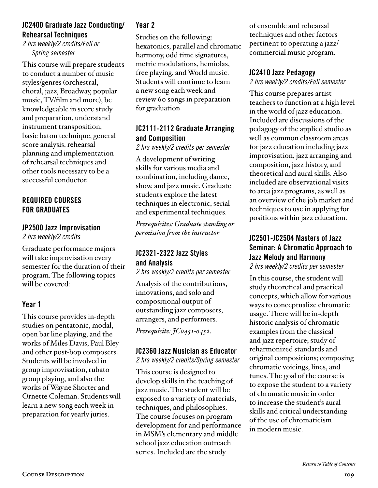## JC2400 Graduate Jazz Conducting/ Rehearsal Techniques

*2 hrs weekly/2 credits/Fall or Spring semester*

This course will prepare students to conduct a number of music styles/genres (orchestral, choral, jazz, Broadway, popular music, TV/film and more), be knowledgeable in score study and preparation, understand instrument transposition, basic baton technique, general score analysis, rehearsal planning and implementation of rehearsal techniques and other tools necessary to be a successful conductor.

## REQUIRED COURSES FOR GRADUATES

### JP2500 Jazz Improvisation

*2 hrs weekly/2 credits*

Graduate performance majors will take improvisation every semester for the duration of their program. The following topics will be covered:

# Year 1

This course provides in-depth studies on pentatonic, modal, open bar line playing, and the works of Miles Davis, Paul Bley and other post-bop composers. Students will be involved in group improvisation, rubato group playing, and also the works of Wayne Shorter and Ornette Coleman. Students will learn a new song each week in preparation for yearly juries.

# Year 2

Studies on the following: hexatonics, parallel and chromatic harmony, odd time signatures, metric modulations, hemiolas, free playing, and World music. Students will continue to learn a new song each week and review 60 songs in preparation for graduation.

## JC2111-2112 Graduate Arranging and Composition

*2 hrs weekly/2 credits per semester*

A development of writing skills for various media and combination, including dance, show, and jazz music. Graduate students explore the latest techniques in electronic, serial and experimental techniques.

*Prerequisites: Graduate standing or permission from the instructor.*

## JC2321-2322 Jazz Styles and Analysis

*2 hrs weekly/2 credits per semester* 

Analysis of the contributions, innovations, and solo and compositional output of outstanding jazz composers, arrangers, and performers. *Prerequisite: JC0451-0452.*

### JC2360 Jazz Musician as Educator

*2 hrs weekly/2 credits/Spring semester*

This course is designed to develop skills in the teaching of jazz music. The student will be exposed to a variety of materials, techniques, and philosophies. The course focuses on program development for and performance in MSM's elementary and middle school jazz education outreach series. Included are the study

of ensemble and rehearsal techniques and other factors pertinent to operating a jazz/ commercial music program.

## JC2410 Jazz Pedagogy

*2 hrs weekly/2 credits/Fall semester*

This course prepares artist teachers to function at a high level in the world of jazz education. Included are discussions of the pedagogy of the applied studio as well as common classroom areas for jazz education including jazz improvisation, jazz arranging and composition, jazz history, and theoretical and aural skills. Also included are observational visits to area jazz programs, as well as an overview of the job market and techniques to use in applying for positions within jazz education.

# JC2501-JC2504 Masters of Jazz Seminar: A Chromatic Approach to Jazz Melody and Harmony

*2 hrs weekly/2 credits per semester*

In this course, the student will study theoretical and practical concepts, which allow for various ways to conceptualize chromatic usage. There will be in-depth historic analysis of chromatic examples from the classical and jazz repertoire; study of reharmonized standards and original compositions; composing chromatic voicings, lines, and tunes. The goal of the course is to expose the student to a variety of chromatic music in order to increase the student's aural skills and critical understanding of the use of chromaticism in modern music.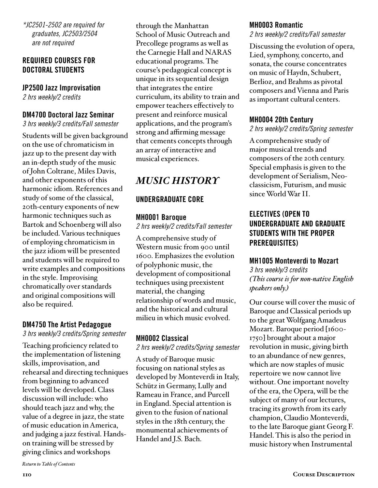*\*JC2501-2502 are required for graduates, JC2503/2504 are not required*

#### REQUIRED COURSES FOR DOCTORAL STUDENTS

#### JP2500 Jazz Improvisation

*2 hrs weekly/2 credits*

#### DM4700 Doctoral Jazz Seminar

*3 hrs weekly/3 credits/Fall semester*

Students will be given background on the use of chromaticism in jazz up to the present day with an in-depth study of the music of John Coltrane, Miles Davis, and other exponents of this harmonic idiom. References and study of some of the classical, 20th-century exponents of new harmonic techniques such as Bartok and Schoenberg will also be included. Various techniques of employing chromaticism in the jazz idiom will be presented and students will be required to write examples and compositions in the style. Improvising chromatically over standards and original compositions will also be required.

#### DM4750 The Artist Pedagogue

*3 hrs weekly/3 credits/Spring semester*

Teaching proficiency related to the implementation of listening skills, improvisation, and rehearsal and directing techniques from beginning to advanced levels will be developed. Class discussion will include: who should teach jazz and why, the value of a degree in jazz, the state of music education in America, and judging a jazz festival. Handson training will be stressed by giving clinics and workshops

through the Manhattan School of Music Outreach and Precollege programs as well as the Carnegie Hall and NARAS educational programs. The course's pedagogical concept is unique in its sequential design that integrates the entire curriculum, its ability to train and empower teachers effectively to present and reinforce musical applications, and the program's strong and affirming message that cements concepts through an array of interactive and musical experiences.

# *MUSIC HISTORY*

#### UNDERGRADUATE CORE

#### MH0001 Baroque

*2 hrs weekly/2 credits/Fall semester* 

A comprehensive study of Western music from 900 until 1600. Emphasizes the evolution of polyphonic music, the development of compositional techniques using preexistent material, the changing relationship of words and music, and the historical and cultural milieu in which music evolved.

### MH0002 Classical

*2 hrs weekly/2 credits/Spring semester* 

A study of Baroque music focusing on national styles as developed by Monteverdi in Italy, Schütz in Germany, Lully and Rameau in France, and Purcell in England. Special attention is given to the fusion of national styles in the 18th century, the monumental achievements of Handel and J.S. Bach.

#### MH0003 Romantic

*2 hrs weekly/2 credits/Fall semester*

Discussing the evolution of opera, Lied, symphony, concerto, and sonata, the course concentrates on music of Haydn, Schubert, Berlioz, and Brahms as pivotal composers and Vienna and Paris as important cultural centers.

### MH0004 20th Century

*2 hrs weekly/2 credits/Spring semester*

A comprehensive study of major musical trends and composers of the 20th century. Special emphasis is given to the development of Serialism, Neoclassicism, Futurism, and music since World War II.

## ELECTIVES (OPEN TO UNDERGRADUATE AND GRADUATE STUDENTS WITH THE PROPER PREREQUISITES)

#### MH1005 Monteverdi to Mozart

*3 hrs weekly/3 credits (This course is for non-native English speakers only.)*

Our course will cover the music of Baroque and Classical periods up to the great Wolfgang Amadeus Mozart. Baroque period [1600- 1750] brought about a major revolution in music, giving birth to an abundance of new genres, which are now staples of music repertoire we now cannot live without. One important novelty of the era, the Opera, will be the subject of many of our lectures, tracing its growth from its early champion, Claudio Monteverdi, to the late Baroque giant Georg F. Handel. This is also the period in music history when Instrumental

*[Return to Table of Contents](#page-2-0)*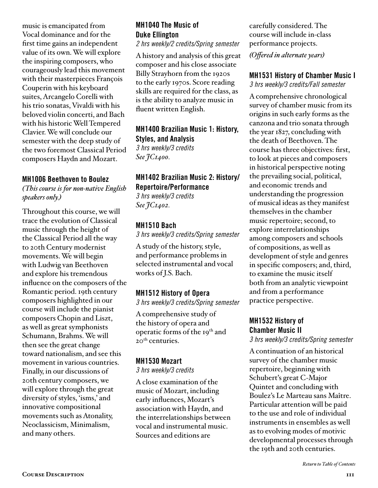music is emancipated from Vocal dominance and for the first time gains an independent value of its own. We will explore the inspiring composers, who courageously lead this movement with their masterpieces François Couperin with his keyboard suites, Arcangelo Corelli with his trio sonatas, Vivaldi with his beloved violin concerti, and Bach with his historic Well Tempered Clavier. We will conclude our semester with the deep study of the two foremost Classical Period composers Haydn and Mozart.

#### MH1006 Beethoven to Boulez

*(This course is for non-native English speakers only.)*

Throughout this course, we will trace the evolution of Classical music through the height of the Classical Period all the way to 20th Century modernist movements. We will begin with Ludwig van Beethoven and explore his tremendous influence on the composers of the Romantic period. 19th century composers highlighted in our course will include the pianist composers Chopin and Liszt, as well as great symphonists Schumann, Brahms. We will then see the great change toward nationalism, and see this movement in various countries. Finally, in our discussions of 20th century composers, we will explore through the great diversity of styles, 'isms,' and innovative compositional movements such as Atonality, Neoclassicism, Minimalism, and many others.

# MH1040 The Music of Duke Ellington

*2 hrs weekly/2 credits/Spring semester*

A history and analysis of this great composer and his close associate Billy Strayhorn from the 1920s to the early 1970s. Score reading skills are required for the class, as is the ability to analyze music in fluent written English.

MH1400 Brazilian Music 1: History, Styles, and Analysis *3 hrs weekly/3 credits See JC1400.*

# MH1402 Brazilian Music 2: History/ Repertoire/Performance

*3 hrs weekly/3 credits See JC1402.*

#### MH1510 Bach

*3 hrs weekly/3 credits/Spring semester*

A study of the history, style, and performance problems in selected instrumental and vocal works of J.S. Bach.

# MH1512 History of Opera

*3 hrs weekly/3 credits/Spring semester* 

A comprehensive study of the history of opera and operatic forms of the 19<sup>th</sup> and 20<sup>th</sup> centuries.

#### MH1530 Mozart

*3 hrs weekly/3 credits*

A close examination of the music of Mozart, including early influences, Mozart's association with Haydn, and the interrelationships between vocal and instrumental music. Sources and editions are

carefully considered. The course will include in-class performance projects.

*(Offered in alternate years)*

#### MH1531 History of Chamber Music I *3 hrs weekly/3 credits/Fall semester*

A comprehensive chronological survey of chamber music from its origins in such early forms as the canzona and trio sonata through the year 1827, concluding with the death of Beethoven. The course has three objectives: first, to look at pieces and composers in historical perspective noting the prevailing social, political, and economic trends and understanding the progression of musical ideas as they manifest themselves in the chamber music repertoire; second, to explore interrelationships among composers and schools of compositions, as well as development of style and genres in specific composers; and, third, to examine the music itself both from an analytic viewpoint and from a performance practice perspective.

#### MH1532 History of Chamber Music II *3 hrs weekly/3 credits/Spring semester*

A continuation of an historical survey of the chamber music repertoire, beginning with Schubert's great C-Major Quintet and concluding with Boulez's Le Marteau sans Maître. Particular attention will be paid to the use and role of individual instruments in ensembles as well as to evolving modes of motivic developmental processes through the 19th and 20th centuries.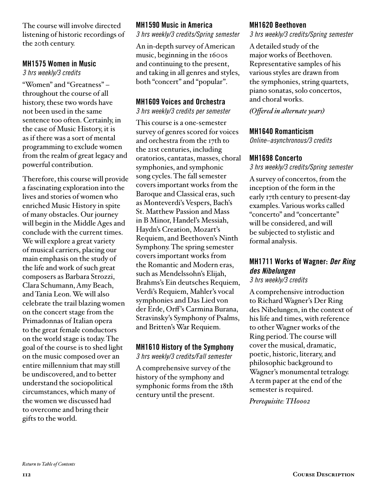The course will involve directed listening of historic recordings of the 20th century.

#### MH1575 Women in Music

*3 hrs weekly/3 credits*

"Women" and "Greatness" – throughout the course of all history, these two words have not been used in the same sentence too often. Certainly, in the case of Music History, it is as if there was a sort of mental programming to exclude women from the realm of great legacy and powerful contribution.

Therefore, this course will provide a fascinating exploration into the lives and stories of women who enriched Music History in spite of many obstacles. Our journey will begin in the Middle Ages and conclude with the current times. We will explore a great variety of musical carriers, placing our main emphasis on the study of the life and work of such great composers as Barbara Strozzi, Clara Schumann, Amy Beach, and Tania Leon. We will also celebrate the trail blazing women on the concert stage from the Primadonnas of Italian opera to the great female conductors on the world stage is today. The goal of the course is to shed light on the music composed over an entire millennium that may still be undiscovered, and to better understand the sociopolitical circumstances, which many of the women we discussed had to overcome and bring their gifts to the world.

## MH1590 Music in America

*3 hrs weekly/3 credits/Spring semester*

An in-depth survey of American music, beginning in the 1600s and continuing to the present, and taking in all genres and styles, both "concert" and "popular".

#### MH1609 Voices and Orchestra

*3 hrs weekly/3 credits per semester*

This course is a one-semester survey of genres scored for voices and orchestra from the 17th to the 21st centuries, including oratorios, cantatas, masses, choral symphonies, and symphonic song cycles. The fall semester covers important works from the Baroque and Classical eras, such as Monteverdi's Vespers, Bach's St. Matthew Passion and Mass in B Minor, Handel's Messiah, Haydn's Creation, Mozart's Requiem, and Beethoven's Ninth Symphony. The spring semester covers important works from the Romantic and Modern eras, such as Mendelssohn's Elijah, Brahms's Ein deutsches Requiem, Verdi's Requiem, Mahler's vocal symphonies and Das Lied von der Erde, Orff 's Carmina Burana, Stravinsky's Symphony of Psalms, and Britten's War Requiem.

### MH1610 History of the Symphony

*3 hrs weekly/3 credits/Fall semester*

A comprehensive survey of the history of the symphony and symphonic forms from the 18th century until the present.

#### MH1620 Beethoven

*3 hrs weekly/3 credits/Spring semester*

A detailed study of the major works of Beethoven. Representative samples of his various styles are drawn from the symphonies, string quartets, piano sonatas, solo concertos, and choral works.

*(Offered in alternate years)*

#### MH1640 Romanticism

*Online–asynchronous/3 credits*

#### MH1698 Concerto

*3 hrs weekly/3 credits/Spring semester*

A survey of concertos, from the inception of the form in the early 17th century to present-day examples. Various works called "concerto" and "concertante" will be considered, and will be subjected to stylistic and formal analysis.

# MH1711 Works of Wagner: *Der Ring des Nibelungen*

*3 hrs weekly/3 credits*

A comprehensive introduction to Richard Wagner's Der Ring des Nibelungen, in the context of his life and times, with reference to other Wagner works of the Ring period. The course will cover the musical, dramatic, poetic, historic, literary, and philosophic background to Wagner's monumental tetralogy. A term paper at the end of the semester is required.

*Prerequisite: TH0002*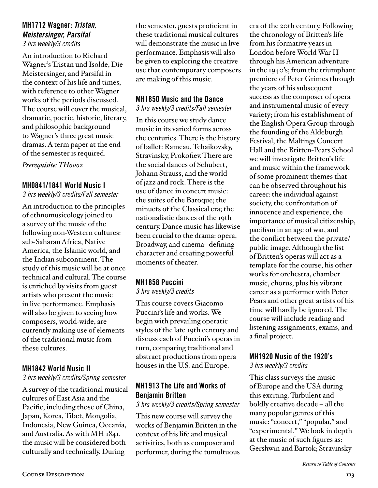# MH1712 Wagner: *Tristan, Meistersinger, Parsifal*

*3 hrs weekly/3 credits*

An introduction to Richard Wagner's Tristan und Isolde, Die Meistersinger, and Parsifal in the context of his life and times, with reference to other Wagner works of the periods discussed. The course will cover the musical, dramatic, poetic, historic, literary, and philosophic background to Wagner's three great music dramas. A term paper at the end of the semester is required.

*Prerequisite: TH0002*

#### MH0841/1841 World Music I

*3 hrs weekly/3 credits/Fall semester*

An introduction to the principles of ethnomusicology joined to a survey of the music of the following non-Western cultures: sub-Saharan Africa, Native America, the Islamic world, and the Indian subcontinent. The study of this music will be at once technical and cultural. The course is enriched by visits from guest artists who present the music in live performance. Emphasis will also be given to seeing how composers, world-wide, are currently making use of elements of the traditional music from these cultures.

### MH1842 World Music II

#### *3 hrs weekly/3 credits/Spring semester*

A survey of the traditional musical cultures of East Asia and the Pacific, including those of China, Japan, Korea, Tibet, Mongolia, Indonesia, New Guinea, Oceania, and Australia. As with MH 1841, the music will be considered both culturally and technically. During

the semester, guests proficient in these traditional musical cultures will demonstrate the music in live performance. Emphasis will also be given to exploring the creative use that contemporary composers are making of this music.

## MH1850 Music and the Dance

*3 hrs weekly/3 credits/Fall semester*

In this course we study dance music in its varied forms across the centuries. There is the history of ballet: Rameau, Tchaikovsky, Stravinsky, Prokofiev. There are the social dances of Schubert, Johann Strauss, and the world of jazz and rock. There is the use of dance in concert music: the suites of the Baroque; the minuets of the Classical era; the nationalistic dances of the 19th century. Dance music has likewise been crucial to the drama: opera, Broadway, and cinema--defining character and creating powerful moments of theater.

### MH1858 Puccini

*3 hrs weekly/3 credits*

This course covers Giacomo Puccini's life and works. We begin with prevailing operatic styles of the late 19th century and discuss each of Puccini's operas in turn, comparing traditional and abstract productions from opera houses in the U.S. and Europe.

### MH1913 The Life and Works of Benjamin Britten

#### *3 hrs weekly/3 credits/Spring semester*

This new course will survey the works of Benjamin Britten in the context of his life and musical activities, both as composer and performer, during the tumultuous era of the 20th century. Following the chronology of Britten's life from his formative years in London before World War II through his American adventure in the 1940's; from the triumphant premiere of Peter Grimes through the years of his subsequent success as the composer of opera and instrumental music of every variety; from his establishment of the English Opera Group through the founding of the Aldeburgh Festival, the Maltings Concert Hall and the Britten-Pears School we will investigate Britten's life and music within the framework of some prominent themes that can be observed throughout his career: the individual against society, the confrontation of innocence and experience, the importance of musical citizenship, pacifism in an age of war, and the conflict between the private/ public image. Although the list of Britten's operas will act as a template for the course, his other works for orchestra, chamber music, chorus, plus his vibrant career as a performer with Peter Pears and other great artists of his time will hardly be ignored. The course will include reading and listening assignments, exams, and a final project.

# MH1920 Music of the 1920's

*3 hrs weekly/3 credits*

This class surveys the music of Europe and the USA during this exciting. Turbulent and boldly creative decade – all the many popular genres of this music: "concert," "popular," and "experimental." We look in depth at the music of such figures as: Gershwin and Bartok; Stravinsky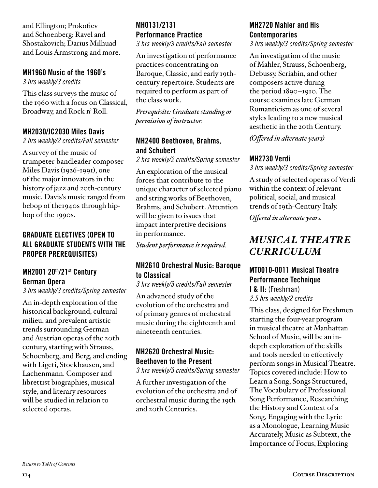and Ellington; Prokofiev and Schoenberg; Ravel and Shostakovich; Darius Milhuad and Louis Armstrong and more.

# MH1960 Music of the 1960's

*3 hrs weekly/3 credits*

This class surveys the music of the 1960 with a focus on Classical, Broadway, and Rock n' Roll.

#### MH2030/JC2030 Miles Davis

*2 hrs weekly/2 credits/Fall semester*

A survey of the music of trumpeter-bandleader-composer Miles Davis (1926-1991), one of the major innovators in the history of jazz and 20th-century music. Davis's music ranged from bebop of the1940s through hiphop of the 1990s.

## GRADUATE ELECTIVES (OPEN TO ALL GRADUATE STUDENTS WITH THE PROPER PREREQUISITES)

### MH2001 20th/21st Century German Opera

*3 hrs weekly/3 credits/Spring semester*

An in-depth exploration of the historical background, cultural milieu, and prevalent artistic trends surrounding German and Austrian operas of the 20th century, starting with Strauss, Schoenberg, and Berg, and ending with Ligeti, Stockhausen, and Lachenmann. Composer and librettist biographies, musical style, and literary resources will be studied in relation to selected operas.

# MH0131/2131 Performance Practice

*3 hrs weekly/3 credits/Fall semester*

An investigation of performance practices concentrating on Baroque, Classic, and early 19thcentury repertoire. Students are required to perform as part of the class work.

*Prerequisite: Graduate standing or permission of instructor.*

#### MH2400 Beethoven, Brahms, and Schubert

*2 hrs weekly/2 credits/Spring semester*

An exploration of the musical forces that contribute to the unique character of selected piano and string works of Beethoven, Brahms, and Schubert. Attention will be given to issues that impact interpretive decisions in performance.

*Student performance is required.*

#### MH2610 Orchestral Music: Baroque to Classical

#### *3 hrs weekly/3 credits/Fall semester*

An advanced study of the evolution of the orchestra and of primary genres of orchestral music during the eighteenth and nineteenth centuries.

# MH2620 Orchestral Music: Beethoven to the Present

*3 hrs weekly/3 credits/Spring semester*

A further investigation of the evolution of the orchestra and of orchestral music during the 19th and 20th Centuries.

#### MH2720 Mahler and His **Contemporaries**

*3 hrs weekly/3 credits/Spring semester*

An investigation of the music of Mahler, Strauss, Schoenberg, Debussy, Scriabin, and other composers active during the period 1890–1910. The course examines late German Romanticism as one of several styles leading to a new musical aesthetic in the 20th Century.

*(Offered in alternate years)*

## MH2730 Verdi

*3 hrs weekly/3 credits/Spring semester*

A study of selected operas of Verdi within the context of relevant political, social, and musical trends of 19th-Century Italy.

*Offered in alternate years.*

# *MUSICAL THEATRE CURRICULUM*

#### MT0010-0011 Musical Theatre Performance Technique I & II: (Freshman)

*2.5 hrs weekly/2 credits*

This class, designed for Freshmen starting the four-year program in musical theatre at Manhattan School of Music, will be an indepth exploration of the skills and tools needed to effectively perform songs in Musical Theatre. Topics covered include: How to Learn a Song, Songs Structured, The Vocabulary of Professional Song Performance, Researching the History and Context of a Song, Engaging with the Lyric as a Monologue, Learning Music Accurately, Music as Subtext, the Importance of Focus, Exploring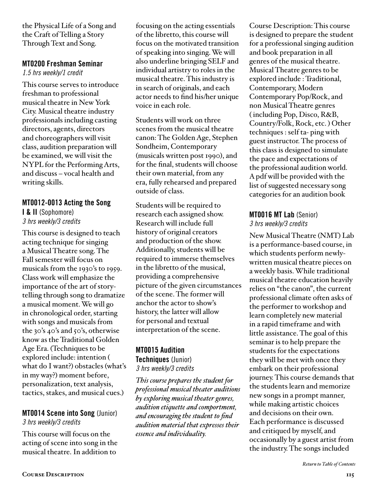the Physical Life of a Song and the Craft of Telling a Story Through Text and Song.

#### MT0200 Freshman Seminar

*1.5 hrs weekly/1 credit*

This course serves to introduce freshman to professional musical theatre in New York City. Musical theatre industry professionals including casting directors, agents, directors and choreographers will visit class, audition preparation will be examined, we will visit the NYPL for the Performing Arts, and discuss – vocal health and writing skills.

### MT0012-0013 Acting the Song

I & II (Sophomore) *3 hrs weekly/3 credits*

This course is designed to teach acting technique for singing a Musical Theatre song. The Fall semester will focus on musicals from the 1930's to 1959. Class work will emphasize the importance of the art of storytelling through song to dramatize a musical moment. We will go in chronological order, starting with songs and musicals from the 30's 40's and 50's, otherwise know as the Traditional Golden Age Era. (Techniques to be explored include: intention ( what do I want?) obstacles (what's in my way?) moment before, personalization, text analysis, tactics, stakes, and musical cues.)

#### MT0014 Scene into Song (Junior) *3 hrs weekly/3 credits*

This course will focus on the acting of scene into song in the musical theatre. In addition to

focusing on the acting essentials of the libretto, this course will focus on the motivated transition of speaking into singing. We will also underline bringing SELF and individual artistry to roles in the musical theatre. This industry is in search of originals, and each actor needs to find his/her unique voice in each role.

Students will work on three scenes from the musical theatre canon: The Golden Age, Stephen Sondheim, Contemporary (musicals written post 1990), and for the final, students will choose their own material, from any era, fully rehearsed and prepared outside of class.

Students will be required to research each assigned show. Research will include full history of original creators and production of the show. Additionally, students will be required to immerse themselves in the libretto of the musical, providing a comprehensive picture of the given circumstances of the scene. The former will anchor the actor to show's history, the latter will allow for personal and textual interpretation of the scene.

# MT0015 Audition

Techniques (Junior) *3 hrs weekly/3 credits*

*This course prepares the student for professional musical theater auditions by exploring musical theater genres, audition etiquette and comportment, and encouraging the student to find audition material that expresses their essence and individuality.* 

Course Description: This course is designed to prepare the student for a professional singing audition and book preparation in all genres of the musical theatre. Musical Theatre genres to be explored include : Traditional, Contemporary, Modern Contemporary Pop/Rock, and non Musical Theatre genres ( including Pop, Disco, R&B, Country/Folk, Rock, etc. ) Other techniques : self ta- ping with guest instructor. The process of this class is designed to simulate the pace and expectations of the professional audition world. A pdf will be provided with the list of suggested necessary song categories for an audition book

# MT0016 MT Lab (Senior)

#### *3 hrs weekly/3 credits*

New Musical Theatre (NMT) Lab is a performance-based course, in which students perform newlywritten musical theatre pieces on a weekly basis. While traditional musical theatre education heavily relies on "the canon", the current professional climate often asks of the performer to workshop and learn completely new material in a rapid timeframe and with little assistance. The goal of this seminar is to help prepare the students for the expectations they will be met with once they embark on their professional journey. This course demands that the students learn and memorize new songs in a prompt manner, while making artistic choices and decisions on their own. Each performance is discussed and critiqued by myself, and occasionally by a guest artist from the industry. The songs included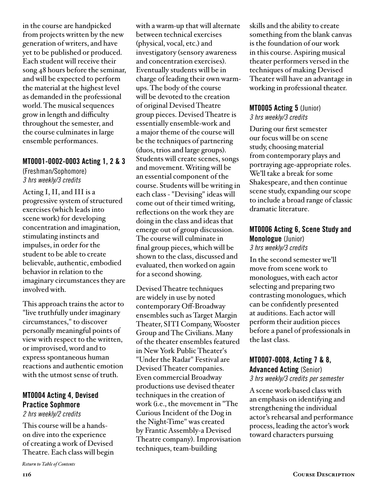in the course are handpicked from projects written by the new generation of writers, and have yet to be published or produced. Each student will receive their song 48 hours before the seminar, and will be expected to perform the material at the highest level as demanded in the professional world. The musical sequences grow in length and difficulty throughout the semester, and the course culminates in large ensemble performances.

#### MT0001-0002-0003 Acting 1, 2 & 3

(Freshman/Sophomore) *3 hrs weekly/3 credits*

Acting I, II, and III is a progressive system of structured exercises (which leads into scene work) for developing concentration and imagination, stimulating instincts and impulses, in order for the student to be able to create believable, authentic, embodied behavior in relation to the imaginary circumstances they are involved with.

This approach trains the actor to "live truthfully under imaginary circumstances," to discover personally meaningful points of view with respect to the written, or improvised, word and to express spontaneous human reactions and authentic emotion with the utmost sense of truth.

# MT0004 Acting 4, Devised Practice Sophmore

*2 hrs weekly/2 credits*

This course will be a handson dive into the experience of creating a work of Devised Theatre. Each class will begin

*[Return to Table of Contents](#page-2-0)*

with a warm-up that will alternate between technical exercises (physical, vocal, etc.) and investigatory (sensory awareness and concentration exercises). Eventually students will be in charge of leading their own warmups. The body of the course will be devoted to the creation of original Devised Theatre group pieces. Devised Theatre is essentially ensemble-work and a major theme of the course will be the techniques of partnering (duos, trios and large groups). Students will create scenes, songs and movement. Writing will be an essential component of the course. Students will be writing in each class - "Devising" ideas will come out of their timed writing, reflections on the work they are doing in the class and ideas that emerge out of group discussion. The course will culminate in final group pieces, which will be shown to the class, discussed and evaluated, then worked on again for a second showing.

Devised Theatre techniques are widely in use by noted contemporary Off-Broadway ensembles such as Target Margin Theater, SITI Company, Wooster Group and The Civilians. Many of the theater ensembles featured in New York Public Theater's "Under the Radar" Festival are Devised Theater companies. Even commercial Broadway productions use devised theater techniques in the creation of work (i.e., the movement in "The Curious Incident of the Dog in the Night-Time" was created by Frantic Assembly-a Devised Theatre company). Improvisation techniques, team-building

skills and the ability to create something from the blank canvas is the foundation of our work in this course. Aspiring musical theater performers versed in the techniques of making Devised Theater will have an advantage in working in professional theater.

#### MT0005 Acting 5 (Junior) *3 hrs weekly/3 credits*

During our first semester our focus will be on scene study, choosing material from contemporary plays and portraying age-appropriate roles. We'll take a break for some Shakespeare, and then continue scene study, expanding our scope to include a broad range of classic dramatic literature.

#### MT0006 Acting 6, Scene Study and Monologue (Junior) *3 hrs weekly/3 credits*

In the second semester we'll move from scene work to monologues, with each actor selecting and preparing two contrasting monologues, which can be confidently presented at auditions. Each actor will perform their audition pieces before a panel of professionals in the last class.

#### MT0007-0008, Acting 7 & 8, Advanced Acting (Senior) *3 hrs weekly/3 credits per semester*

A scene work-based class with an emphasis on identifying and strengthening the individual actor's rehearsal and performance process, leading the actor's work toward characters pursuing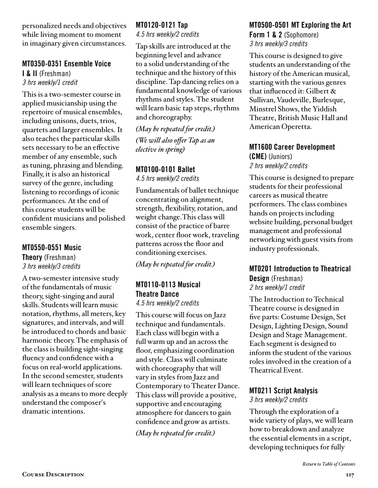personalized needs and objectives while living moment to moment in imaginary given circumstances.

#### MT0350-0351 Ensemble Voice

I & II (Freshman) *3 hrs weekly/1 credit*

This is a two-semester course in applied musicianship using the repertoire of musical ensembles, including unisons, duets, trios, quartets and larger ensembles. It also teaches the particular skills sets necessary to be an effective member of any ensemble, such as tuning, phrasing and blending. Finally, it is also an historical survey of the genre, including listening to recordings of iconic performances. At the end of this course students will be confident musicians and polished ensemble singers.

#### MT0550-0551 Music

Theory (Freshman) *3 hrs weekly/3 credits*

A two-semester intensive study of the fundamentals of music theory, sight-singing and aural skills. Students will learn music notation, rhythms, all meters, key signatures, and intervals, and will be introduced to chords and basic harmonic theory. The emphasis of the class is building sight-singing fluency and confidence with a focus on real-world applications. In the second semester, students will learn techniques of score analysis as a means to more deeply understand the composer's dramatic intentions.

#### MT0120-0121 Tap *4.5 hrs weekly/2 credits*

Tap skills are introduced at the beginning level and advance to a solid understanding of the technique and the history of this discipline. Tap dancing relies on a fundamental knowledge of various rhythms and styles. The student will learn basic tap steps, rhythms and choreography.

*(May be repeated for credit.) (We will also offer Tap as an elective in spring)*

#### MT0100-0101 Ballet

*4.5 hrs weekly/2 credits*

Fundamentals of ballet technique concentrating on alignment, strength, flexibility, rotation, and weight change.This class will consist of the practice of barre work, center floor work, traveling patterns across the floor and conditioning exercises.

*(May be repeated for credit.)*

# MT0110-0113 Musical Theatre Dance

*4.5 hrs weekly/2 credits*

This course will focus on Jazz technique and fundamentals. Each class will begin with a full warm up and an across the floor, emphasizing coordination and style. Class will culminate with choreography that will vary in styles from Jazz and Contemporary to Theater Dance. This class will provide a positive, supportive and encouraging atmosphere for dancers to gain confidence and grow as artists.

*(May be repeated for credit.)*

#### MT0500-0501 MT Exploring the Art Form 1 & 2 (Sophomore)

*3 hrs weekly/3 credits*

This course is designed to give students an understanding of the history of the American musical, starting with the various genres that influenced it: Gilbert & Sullivan, Vaudeville, Burlesque, Minstrel Shows, the Yiddish Theatre, British Music Hall and American Operetta.

#### MT1600 Career Development (CME) (Juniors) *2 hrs weekly/2 credits*

This course is designed to prepare students for their professional careers as musical theatre performers. The class combines hands on projects including website building, personal budget management and professional networking with guest visits from industry professionals.

#### MT0201 Introduction to Theatrical Design (Freshman) *2 hrs weekly/1 credit*

The Introduction to Technical Theatre course is designed in five parts: Costume Design, Set Design, Lighting Design, Sound Design and Stage Management. Each segment is designed to inform the student of the various roles involved in the creation of a Theatrical Event.

### MT0211 Script Analysis

*3 hrs weekly/2 credits*

Through the exploration of a wide variety of plays, we will learn how to breakdown and analyze the essential elements in a script, developing techniques for fully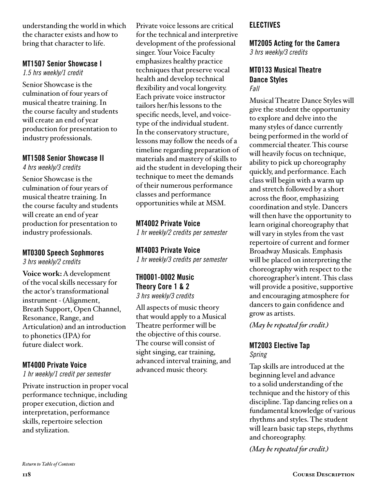understanding the world in which the character exists and how to bring that character to life.

## MT1507 Senior Showcase I

*1.5 hrs weekly/1 credit*

Senior Showcase is the culmination of four years of musical theatre training. In the course faculty and students will create an end of year production for presentation to industry professionals.

# MT1508 Senior Showcase II

*4 hrs weekly/3 credits*

Senior Showcase is the culmination of four years of musical theatre training. In the course faculty and students will create an end of year production for presentation to industry professionals.

### MT0300 Speech Sophmores

*3 hrs weekly/2 credits*

**Voice work:** A development of the vocal skills necessary for the actor's transformational instrument - (Alignment, Breath Support, Open Channel, Resonance, Range, and Articulation) and an introduction to phonetics (IPA) for future dialect work.

### MT4000 Private Voice

*1 hr weekly/1 credit per semester*

Private instruction in proper vocal performance technique, including proper execution, diction and interpretation, performance skills, repertoire selection and stylization.

Private voice lessons are critical for the technical and interpretive development of the professional singer. Your Voice Faculty emphasizes healthy practice techniques that preserve vocal health and develop technical flexibility and vocal longevity. Each private voice instructor tailors her/his lessons to the specific needs, level, and voicetype of the individual student. In the conservatory structure, lessons may follow the needs of a timeline regarding preparation of materials and mastery of skills to aid the student in developing their technique to meet the demands of their numerous performance classes and performance opportunities while at MSM.

MT4002 Private Voice *1 hr weekly/2 credits per semester*

MT4003 Private Voice *1 hr weekly/3 credits per semester*

TH0001-0002 Music Theory Core 1 & 2 *3 hrs weekly/3 credits*

All aspects of music theory that would apply to a Musical Theatre performer will be the objective of this course. The course will consist of sight singing, ear training, advanced interval training, and advanced music theory.

## ELECTIVES

#### MT2005 Acting for the Camera *3 hrs weekly/3 credits*

#### MT0133 Musical Theatre Dance Styles *Fall*

Musical Theatre Dance Styles will give the student the opportunity to explore and delve into the many styles of dance currently being performed in the world of commercial theater. This course will heavily focus on technique, ability to pick up choreography quickly, and performance. Each class will begin with a warm up and stretch followed by a short across the floor, emphasizing coordination and style. Dancers will then have the opportunity to learn original choreography that will vary in styles from the vast repertoire of current and former Broadway Musicals. Emphasis will be placed on interpreting the choreography with respect to the choreographer's intent. This class will provide a positive, supportive and encouraging atmosphere for dancers to gain confidence and grow as artists.

*(May be repeated for credit.)*

#### MT2003 Elective Tap *Spring*

Tap skills are introduced at the beginning level and advance to a solid understanding of the technique and the history of this discipline. Tap dancing relies on a fundamental knowledge of various rhythms and styles. The student will learn basic tap steps, rhythms and choreography.

*(May be repeated for credit.)*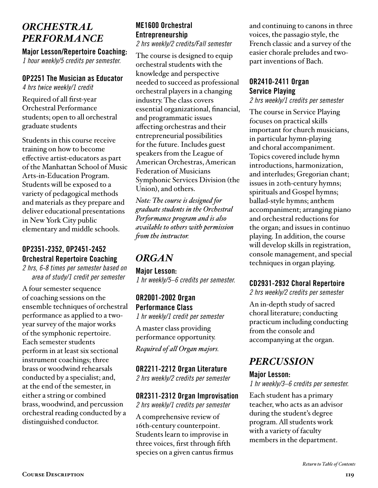# *ORCHESTRAL PERFORMANCE*

Major Lesson/Repertoire Coaching:

*1 hour weekly/5 credits per semester.*

# OP2251 The Musician as Educator

*4 hrs twice weekly/1 credit*

Required of all first-year Orchestral Performance students; open to all orchestral graduate students

Students in this course receive training on how to become effective artist-educators as part of the Manhattan School of Music Arts-in-Education Program. Students will be exposed to a variety of pedagogical methods and materials as they prepare and deliver educational presentations in New York City public elementary and middle schools.

# OP2351-2352, OP2451-2452 Orchestral Repertoire Coaching

*2 hrs, 6-8 times per semester based on area of study/1 credit per semester* 

A four semester sequence of coaching sessions on the ensemble techniques of orchestral performance as applied to a twoyear survey of the major works of the symphonic repertoire. Each semester students perform in at least six sectional instrument coachings; three brass or woodwind rehearsals conducted by a specialist; and, at the end of the semester, in either a string or combined brass, woodwind, and percussion orchestral reading conducted by a distinguished conductor.

# ME1600 Orchestral Entrepreneurship

*2 hrs weekly/2 credits/Fall semester* 

The course is designed to equip orchestral students with the knowledge and perspective needed to succeed as professional orchestral players in a changing industry. The class covers essential organizational, financial, and programmatic issues affecting orchestras and their entrepreneurial possibilities for the future. Includes guest speakers from the League of American Orchestras, American Federation of Musicians Symphonic Services Division (the Union), and others.

*Note: The course is designed for graduate students in the Orchestral Performance program and is also available to others with permission from the instructor.* 

# *ORGAN*

Major Lesson: *1 hr weekly/5–6 credits per semester.*

OR2001-2002 Organ Performance Class

*1 hr weekly/1 credit per semester*  A master class providing

performance opportunity.

*Required of all Organ majors.*

#### OR2211-2212 Organ Literature

*2 hrs weekly/2 credits per semester*

#### OR2311-2312 Organ Improvisation *2 hrs weekly/1 credits per semester*

A comprehensive review of 16th-century counterpoint. Students learn to improvise in three voices, first through fifth species on a given cantus firmus and continuing to canons in three voices, the passagio style, the French classic and a survey of the easier chorale preludes and twopart inventions of Bach.

## OR2410-2411 Organ Service Playing

*2 hrs weekly/1 credits per semester*

The course in Service Playing focuses on practical skills important for church musicians, in particular hymn-playing and choral accompaniment. Topics covered include hymn introductions, harmonization, and interludes; Gregorian chant; issues in 20th-century hymns; spirituals and Gospel hymns; ballad-style hymns; anthem accompaniment; arranging piano and orchestral reductions for the organ; and issues in continuo playing. In addition, the course will develop skills in registration, console management, and special techniques in organ playing.

### CD2931-2932 Choral Repertoire

*2 hrs weekly/2 credits per semester*

An in-depth study of sacred choral literature; conducting practicum including conducting from the console and accompanying at the organ.

# *PERCUSSION*

#### Major Lesson:

*1 hr weekly/3–6 credits per semester.*

Each student has a primary teacher, who acts as an advisor during the student's degree program. All students work with a variety of faculty members in the department.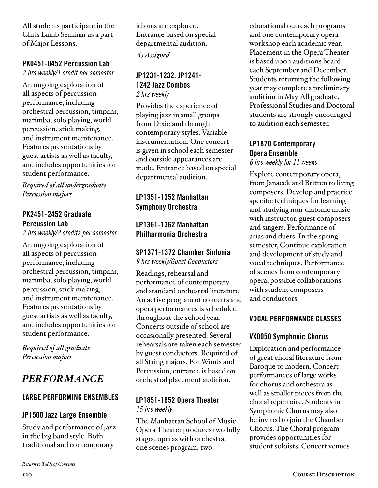All students participate in the Chris Lamb Seminar as a part of Major Lessons.

## PK0451-0452 Percussion Lab

*2 hrs weekly/1 credit per semester* 

An ongoing exploration of all aspects of percussion performance, including orchestral percussion, timpani, marimba, solo playing, world percussion, stick making, and instrument maintenance. Features presentations by guest artists as well as faculty, and includes opportunities for student performance.

*Required of all undergraduate Percussion majors*

### PK2451-2452 Graduate Percussion Lab

*2 hrs weekly/2 credits per semester* 

An ongoing exploration of all aspects of percussion performance, including orchestral percussion, timpani, marimba, solo playing, world percussion, stick making, and instrument maintenance. Features presentations by guest artists as well as faculty, and includes opportunities for student performance.

*Required of all graduate Percussion majors*

# *PERFORMANCE*

### LARGE PERFORMING ENSEMBLES

# JP1500 Jazz Large Ensemble

Study and performance of jazz in the big band style. Both traditional and contemporary

idioms are explored. Entrance based on special departmental audition.

*As Assigned*

#### JP1231-1232, JP1241- 1242 Jazz Combos *2 hrs weekly*

Provides the experience of playing jazz in small groups from Dixieland through contemporary styles. Variable instrumentation. One concert is given in school each semester and outside appearances are made. Entrance based on special departmental audition.

# LP1351-1352 Manhattan Symphony Orchestra

## LP1361-1362 Manhattan Philharmonia Orchestra

# SP1371-1372 Chamber Sinfonia

*9 hrs weekly/Guest Conductors*

Readings, rehearsal and performance of contemporary and standard orchestral literature. An active program of concerts and opera performances is scheduled throughout the school year. Concerts outside of school are occasionally presented. Several rehearsals are taken each semester by guest conductors. Required of all String majors. For Winds and Percussion, entrance is based on orchestral placement audition.

#### LP1851-1852 Opera Theater *15 hrs weekly*

The Manhattan School of Music Opera Theater produces two fully staged operas with orchestra, one scenes program, two

educational outreach programs and one contemporary opera workshop each academic year. Placement in the Opera Theater is based upon auditions heard each September and December. Students returning the following year may complete a preliminary audition in May. All graduate, Professional Studies and Doctoral students are strongly encouraged to audition each semester.

## LP1870 Contemporary Opera Ensemble

*6 hrs weekly for 11 weeks* 

Explore contemporary opera, from Janacek and Britten to living composers. Develop and practice specific techniques for learning and studying non-diatonic music with instructor, guest composers and singers. Performance of arias and duets. In the spring semester, Continue exploration and development of study and vocal techniques. Performance of scenes from contemporary opera; possible collaborations with student composers and conductors.

### VOCAL PERFORMANCE CLASSES

# VX0050 Symphonic Chorus

Exploration and performance of great choral literature from Baroque to modern. Concert performances of large works for chorus and orchestra as well as smaller pieces from the choral repertoire. Students in Symphonic Chorus may also be invited to join the Chamber Chorus. The Choral program provides opportunities for student soloists. Concert venues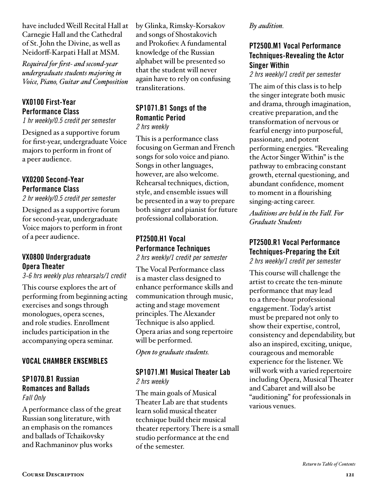have included Weill Recital Hall at Carnegie Hall and the Cathedral of St. John the Divine, as well as Neidorff-Karpati Hall at MSM.

*Required for first- and second-year undergraduate students majoring in Voice, Piano, Guitar and Composition*

## VX0100 First-Year Performance Class

*1 hr weekly/0.5 credit per semester*

Designed as a supportive forum for first-year, undergraduate Voice majors to perform in front of a peer audience.

#### VX0200 Second-Year Performance Class

*2 hr weekly/0.5 credit per semester*

Designed as a supportive forum for second-year, undergraduate Voice majors to perform in front of a peer audience.

#### VX0800 Undergraduate Opera Theater

*3-6 hrs weekly plus rehearsals/1 credit*

This course explores the art of performing from beginning acting exercises and songs through monologues, opera scenes, and role studies. Enrollment includes participation in the accompanying opera seminar.

### VOCAL CHAMBER ENSEMBLES

#### SP1070.B1 Russian Romances and Ballads *Fall Only*

A performance class of the great Russian song literature, with an emphasis on the romances and ballads of Tchaikovsky and Rachmaninov plus works

by Glinka, Rimsky-Korsakov and songs of Shostakovich and Prokofiev. A fundamental knowledge of the Russian alphabet will be presented so that the student will never again have to rely on confusing transliterations.

#### SP1071.B1 Songs of the Romantic Period *2 hrs weekly*

This is a performance class focusing on German and French songs for solo voice and piano. Songs in other languages, however, are also welcome. Rehearsal techniques, diction, style, and ensemble issues will be presented in a way to prepare both singer and pianist for future professional collaboration.

#### PT2500.H1 Vocal Performance Techniques *2 hrs weekly/1 credit per semester*

The Vocal Performance class is a master class designed to enhance performance skills and communication through music, acting and stage movement principles. The Alexander Technique is also applied. Opera arias and song repertoire will be performed.

*Open to graduate students.*

#### SP1071.M1 Musical Theater Lab *2 hrs weekly*

The main goals of Musical Theater Lab are that students learn solid musical theater technique build their musical theater repertory. There is a small studio performance at the end of the semester.

#### *By audition.*

## PT2500.M1 Vocal Performance Techniques-Revealing the Actor Singer Within

*2 hrs weekly/1 credit per semester*

The aim of this class is to help the singer integrate both music and drama, through imagination, creative preparation, and the transformation of nervous or fearful energy into purposeful, passionate, and potent performing energies. "Revealing the Actor Singer Within" is the pathway to embracing constant growth, eternal questioning, and abundant confidence, moment to moment in a flourishing singing-acting career.

*Auditions are held in the Fall. For Graduate Students*

# PT2500.R1 Vocal Performance Techniques-Preparing the Exit

*2 hrs weekly/1 credit per semester*

This course will challenge the artist to create the ten-minute performance that may lead to a three-hour professional engagement. Today's artist must be prepared not only to show their expertise, control, consistency and dependability, but also an inspired, exciting, unique, courageous and memorable experience for the listener. We will work with a varied repertoire including Opera, Musical Theater and Cabaret and will also be "auditioning" for professionals in various venues.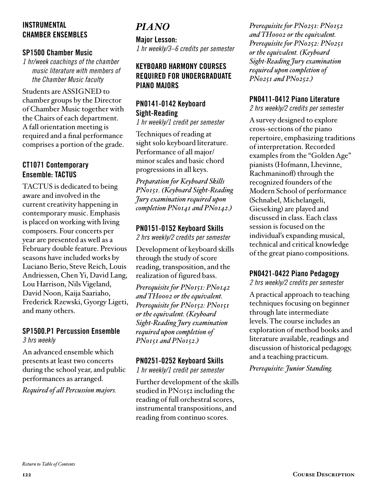#### INSTRUMENTAL CHAMBER ENSEMBLES

#### SP1500 Chamber Music

*1 hr/week coachings of the chamber music literature with members of the Chamber Music faculty* 

Students are ASSIGNED to chamber groups by the Director of Chamber Music together with the Chairs of each department. A fall orientation meeting is required and a final performance comprises a portion of the grade.

#### CT1071 Contemporary Ensemble: TACTUS

TACTUS is dedicated to being aware and involved in the current creativity happening in contemporary music. Emphasis is placed on working with living composers. Four concerts per year are presented as well as a February double feature. Previous seasons have included works by Luciano Berio, Steve Reich, Louis Andriessen, Chen Yi, David Lang, Lou Harrison, Nils Vigeland, David Noon, Kaija Saariaho, Frederick Rzewski, Gyorgy Ligeti, and many others.

#### SP1500.P1 Percussion Ensemble *3 hrs weekly*

An advanced ensemble which presents at least two concerts during the school year, and public performances as arranged.

*Required of all Percussion majors.* 

# *PIANO*

Major Lesson: *1 hr weekly/3–6 credits per semester*

#### KEYBOARD HARMONY COURSES REQUIRED FOR UNDERGRADUATE PIANO MAJORS

## PN0141-0142 Keyboard Sight-Reading

*1 hr weekly/1 credit per semester* 

Techniques of reading at sight solo keyboard literature. Performance of all major/ minor scales and basic chord progressions in all keys.

*Preparation for Keyboard Skills PN0151. (Keyboard Sight-Reading Jury examination required upon completion PN0141 and PN0142.)*

### PN0151-0152 Keyboard Skills

*2 hrs weekly/2 credits per semester* 

Development of keyboard skills through the study of score reading, transposition, and the realization of figured bass.

*Prerequisite for PN0151: PN0142 and TH0002 or the equivalent. Prerequisite for PN0152: PN0151 or the equivalent. (Keyboard Sight-Reading Jury examination required upon completion of PN0151 and PN0152.)*

### PN0251-0252 Keyboard Skills

*1 hr weekly/1 credit per semester*

Further development of the skills studied in PN0152 including the reading of full orchestral scores, instrumental transpositions, and reading from continuo scores.

*Prerequisite for PN0251: PN0152 and TH0002 or the equivalent. Prerequisite for PN0252: PN0251 or the equivalent. (Keyboard Sight-Reading Jury examination required upon completion of PN0251 and PN0252.)*

#### PN0411-0412 Piano Literature

*2 hrs weekly/2 credits per semester* 

A survey designed to explore cross-sections of the piano repertoire, emphasizing traditions of interpretation. Recorded examples from the "Golden Age" pianists (Hofmann, Lhevinne, Rachmaninoff) through the recognized founders of the Modern School of performance (Schnabel, Michelangeli, Gieseking) are played and discussed in class. Each class session is focused on the individual's expanding musical, technical and critical knowledge of the great piano compositions.

#### PN0421-0422 Piano Pedagogy

*2 hrs weekly/2 credits per semester* 

A practical approach to teaching techniques focusing on beginner through late intermediate levels. The course includes an exploration of method books and literature available, readings and discussion of historical pedagogy, and a teaching practicum.

*Prerequisite: Junior Standing.*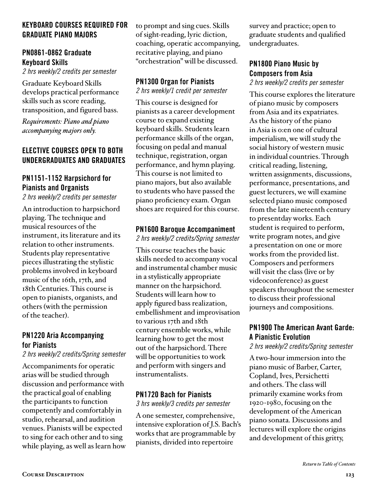#### KEYBOARD COURSES REQUIRED FOR GRADUATE PIANO MAJORS

### PN0861-0862 Graduate Keyboard Skills

*2 hrs weekly/2 credits per semester* 

Graduate Keyboard Skills develops practical performance skills such as score reading, transposition, and figured bass.

*Requirements: Piano and piano accompanying majors only.* 

#### ELECTIVE COURSES OPEN TO BOTH UNDERGRADUATES AND GRADUATES

## PN1151-1152 Harpsichord for Pianists and Organists

*2 hrs weekly/2 credits per semester* 

An introduction to harpsichord playing. The technique and musical resources of the instrument, its literature and its relation to other instruments. Students play representative pieces illustrating the stylistic problems involved in keyboard music of the 16th, 17th, and 18th Centuries. This course is open to pianists, organists, and others (with the permission of the teacher).

### PN1220 Aria Accompanying for Pianists

*2 hrs weekly/2 credits/Spring semester* 

Accompaniments for operatic arias will be studied through discussion and performance with the practical goal of enabling the participants to function competently and comfortably in studio, rehearsal, and audition venues. Pianists will be expected to sing for each other and to sing while playing, as well as learn how to prompt and sing cues. Skills of sight-reading, lyric diction, coaching, operatic accompanying, recitative playing, and piano "orchestration" will be discussed.

# PN1300 Organ for Pianists

*2 hrs weekly/1 credit per semester*

This course is designed for pianists as a career development course to expand existing keyboard skills. Students learn performance skills of the organ, focusing on pedal and manual technique, registration, organ performance, and hymn playing. This course is not limited to piano majors, but also available to students who have passed the piano proficiency exam. Organ shoes are required for this course.

#### PN1600 Baroque Accompaniment

*2 hrs weekly/2 credits/Spring semester*

This course teaches the basic skills needed to accompany vocal and instrumental chamber music in a stylistically appropriate manner on the harpsichord. Students will learn how to apply figured bass realization, embellishment and improvisation to various 17th and 18th century ensemble works, while learning how to get the most out of the harpsichord. There will be opportunities to work and perform with singers and instrumentalists.

### PN1720 Bach for Pianists

*3 hrs weekly/3 credits per semester* 

A one semester, comprehensive, intensive exploration of J.S. Bach's works that are programmable by pianists, divided into repertoire

survey and practice; open to graduate students and qualified undergraduates.

## PN1800 Piano Music by Composers from Asia

*2 hrs weekly/2 credits per semester*

This course explores the literature of piano music by composers from Asia and its expatriates. As the history of the piano in Asia is o:en one of cultural imperialism, we will study the social history of western music in individual countries. Through critical reading, listening, written assignments, discussions, performance, presentations, and guest lecturers, we will examine selected piano music composed from the late nineteenth century to presentday works. Each student is required to perform, write program notes, and give a presentation on one or more works from the provided list. Composers and performers will visit the class (live or by videoconference) as guest speakers throughout the semester to discuss their professional journeys and compositions.

## PN1900 The American Avant Garde: A Pianistic Evolution

*2 hrs weekly/2 credits/Spring semester*

A two-hour immersion into the piano music of Barber, Carter, Copland, Ives, Persichetti and others. The class will primarily examine works from 1920-1980, focusing on the development of the American piano sonata. Discussions and lectures will explore the origins and development of this gritty,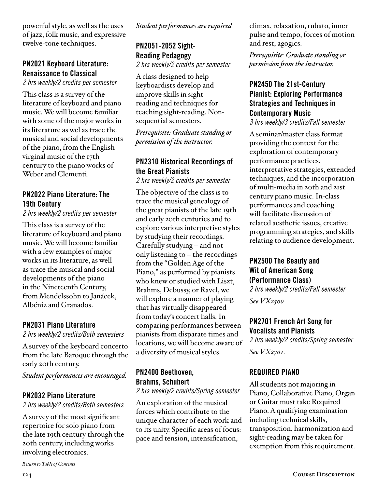powerful style, as well as the uses of jazz, folk music, and expressive twelve-tone techniques.

## PN2021 Keyboard Literature: Renaissance to Classical

*2 hrs weekly/2 credits per semester*

This class is a survey of the literature of keyboard and piano music. We will become familiar with some of the major works in its literature as wel as trace the musical and social developments of the piano, from the English virginal music of the 17th century to the piano works of Weber and Clementi.

## PN2022 Piano Literature: The 19th Century

*2 hrs weekly/2 credits per semester*

This class is a survey of the literature of keyboard and piano music. We will become familiar with a few examples of major works in its literature, as well as trace the musical and social developments of the piano in the Nineteenth Century, from Mendelssohn to Janácek, Albéniz and Granados.

#### PN2031 Piano Literature

*2 hrs weekly/2 credits/Both semesters*

A survey of the keyboard concerto from the late Baroque through the early 20th century.

*Student performances are encouraged.*

#### PN2032 Piano Literature

*2 hrs weekly/2 credits/Both semesters*

A survey of the most significant repertoire for solo piano from the late 19th century through the 20th century, including works involving electronics.

*Student performances are required.*

# PN2051-2052 Sight-Reading Pedagogy

*2 hrs weekly/2 credits per semester*

A class designed to help keyboardists develop and improve skills in sightreading and techniques for teaching sight-reading. Nonsequential semesters.

*Prerequisite: Graduate standing or permission of the instructor.*

#### PN2310 Historical Recordings of the Great Pianists

*2 hrs weekly/2 credits per semester*

The objective of the class is to trace the musical genealogy of the great pianists of the late 19th and early 20th centuries and to explore various interpretive styles by studying their recordings. Carefully studying – and not only listening to – the recordings from the "Golden Age of the Piano," as performed by pianists who knew or studied with Liszt, Brahms, Debussy, or Ravel, we will explore a manner of playing that has virtually disappeared from today's concert halls. In comparing performances between pianists from disparate times and locations, we will become aware of a diversity of musical styles.

# PN2400 Beethoven, Brahms, Schubert

*2 hrs weekly/2 credits/Spring semester*

An exploration of the musical forces which contribute to the unique character of each work and to its unity. Specific areas of focus: pace and tension, intensification,

climax, relaxation, rubato, inner pulse and tempo, forces of motion and rest, agogics.

*Prerequisite: Graduate standing or permission from the instructor.*

### PN2450 The 21st-Century Pianist: Exploring Performance Strategies and Techniques in Contemporary Music

*3 hrs weekly/3 credits/Fall semester*

A seminar/master class format providing the context for the exploration of contemporary performance practices, interpretative strategies, extended techniques, and the incorporation of multi-media in 20th and 21st century piano music. In-class performances and coaching will facilitate discussion of related aesthetic issues, creative programming strategies, and skills relating to audience development.

#### PN2500 The Beauty and Wit of American Song (Performance Class)

*2 hrs weekly/2 credits/Fall semester* 

*See VX2500* 

#### PN2701 French Art Song for Vocalists and Pianists

*2 hrs weekly/2 credits/Spring semester See VX2701.*

#### REQUIRED PIANO

All students not majoring in Piano, Collaborative Piano, Organ or Guitar must take Required Piano. A qualifying examination including technical skills, transposition, harmonization and sight-reading may be taken for exemption from this requirement.

*[Return to Table of Contents](#page-2-0)*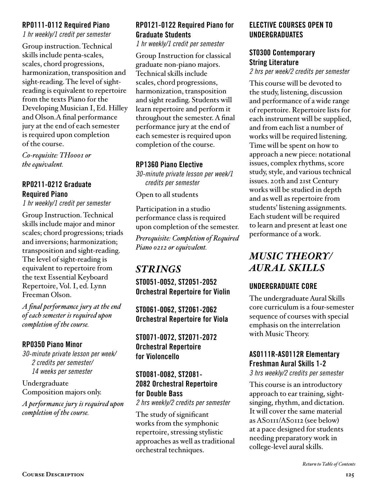#### RP0111-0112 Required Piano

*1 hr weekly/1 credit per semester* 

Group instruction. Technical skills include penta-scales, scales, chord progressions, harmonization, transposition and sight-reading. The level of sightreading is equivalent to repertoire from the texts Piano for the Developing Musician I, Ed. Hilley and Olson.A final performance jury at the end of each semester is required upon completion of the course.

*Co-requisite: TH0001 or the equivalent.*

### RP0211-0212 Graduate Required Piano

*1 hr weekly/1 credit per semester* 

Group Instruction. Technical skills include major and minor scales; chord progressions; triads and inversions; harmonization; transposition and sight-reading. The level of sight-reading is equivalent to repertoire from the text Essential Keyboard Repertoire, Vol. I, ed. Lynn Freeman Olson.

*A final performance jury at the end of each semester is required upon completion of the course.*

### RP0350 Piano Minor

*30-minute private lesson per week/ 2 credits per semester/ 14 weeks per semester* 

Undergraduate Composition majors only.

*A performance jury is required upon completion of the course.*

## RP0121-0122 Required Piano for Graduate Students

*1 hr weekly/1 credit per semester*

Group Instruction for classical graduate non-piano majors. Technical skills include scales, chord progressions, harmonization, transposition and sight reading. Students will learn repertoire and perform it throughout the semester. A final performance jury at the end of each semester is required upon completion of the course.

### RP1360 Piano Elective

*30-minute private lesson per week/1 credits per semester* 

Open to all students

Participation in a studio performance class is required upon completion of the semester.

*Prerequisite: Completion of Required Piano 0212 or equivalent.*

# *STRINGS*

ST0051-0052, ST2051-2052 Orchestral Repertoire for Violin

ST0061-0062, ST2061-2062 Orchestral Repertoire for Viola

ST0071-0072, ST2071-2072 Orchestral Repertoire for Violoncello

### ST0081-0082, ST2081- 2082 Orchestral Repertoire for Double Bass

*2 hrs weekly/2 credits per semester* 

The study of significant works from the symphonic repertoire, stressing stylistic approaches as well as traditional orchestral techniques.

### ELECTIVE COURSES OPEN TO UNDERGRADUATES

#### ST0300 Contemporary String Literature

*2 hrs per week/2 credits per semester*

This course will be devoted to the study, listening, discussion and performance of a wide range of repertoire. Repertoire lists for each instrument will be supplied, and from each list a number of works will be required listening. Time will be spent on how to approach a new piece: notational issues, complex rhythms, score study, style, and various technical issues. 20th and 21st Century works will be studied in depth and as well as repertoire from students' listening assignments. Each student will be required to learn and present at least one performance of a work.

# *MUSIC THEORY/ AURAL SKILLS*

# UNDERGRADUATE CORE

The undergraduate Aural Skills core curriculum is a four-semester sequence of courses with special emphasis on the interrelation with Music Theory.

# AS0111R-AS0112R Elementary Freshman Aural Skills 1-2

*3 hrs weekly/2 credits per semester*

This course is an introductory approach to ear training, sightsinging, rhythm, and dictation. It will cover the same material as AS0111/AS0112 (see below) at a pace designed for students needing preparatory work in college-level aural skills.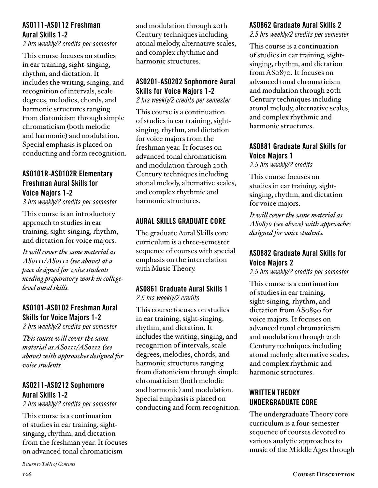#### AS0111-AS0112 Freshman Aural Skills 1-2

*2 hrs weekly/2 credits per semester*

This course focuses on studies in ear training, sight-singing, rhythm, and dictation. It includes the writing, singing, and recognition of intervals, scale degrees, melodies, chords, and harmonic structures ranging from diatonicism through simple chromaticism (both melodic and harmonic) and modulation. Special emphasis is placed on conducting and form recognition.

### AS0101R-AS0102R Elementary Freshman Aural Skills for Voice Majors 1-2

*3 hrs weekly/2 credits per semester*

This course is an introductory approach to studies in ear training, sight-singing, rhythm, and dictation for voice majors.

*It will cover the same material as AS0111/AS0112 (see above) at a pace designed for voice students needing preparatory work in collegelevel aural skills.* 

# AS0101-AS0102 Freshman Aural Skills for Voice Majors 1-2

*2 hrs weekly/2 credits per semester*

*This course will cover the same material as AS0111/AS0112 (see above) with approaches designed for voice students.*

### AS0211-AS0212 Sophomore Aural Skills 1-2

*2 hrs weekly/2 credits per semester*

This course is a continuation of studies in ear training, sightsinging, rhythm, and dictation from the freshman year. It focuses on advanced tonal chromaticism

*[Return to Table of Contents](#page-2-0)*

and modulation through 20th Century techniques including atonal melody, alternative scales, and complex rhythmic and harmonic structures.

# AS0201-AS0202 Sophomore Aural Skills for Voice Majors 1-2

*2 hrs weekly/2 credits per semester*

This course is a continuation of studies in ear training, sightsinging, rhythm, and dictation for voice majors from the freshman year. It focuses on advanced tonal chromaticism and modulation through 20th Century techniques including atonal melody, alternative scales, and complex rhythmic and harmonic structures.

# AURAL SKILLS GRADUATE CORE

The graduate Aural Skills core curriculum is a three-semester sequence of courses with special emphasis on the interrelation with Music Theory.

#### AS0861 Graduate Aural Skills 1 *2.5 hrs weekly/2 credits*

This course focuses on studies in ear training, sight-singing, rhythm, and dictation. It includes the writing, singing, and recognition of intervals, scale degrees, melodies, chords, and harmonic structures ranging from diatonicism through simple chromaticism (both melodic and harmonic) and modulation. Special emphasis is placed on conducting and form recognition.

## AS0862 Graduate Aural Skills 2

*2.5 hrs weekly/2 credits per semester*

This course is a continuation of studies in ear training, sightsinging, rhythm, and dictation from AS0870. It focuses on advanced tonal chromaticism and modulation through 20th Century techniques including atonal melody, alternative scales, and complex rhythmic and harmonic structures.

## AS0881 Graduate Aural Skills for Voice Majors 1

*2.5 hrs weekly/2 credits*

This course focuses on studies in ear training, sightsinging, rhythm, and dictation for voice majors.

*It will cover the same material as AS0870 (see above) with approaches designed for voice students.*

## AS0882 Graduate Aural Skills for Voice Majors 2

*2.5 hrs weekly/2 credits per semester*

This course is a continuation of studies in ear training, sight-singing, rhythm, and dictation from AS0890 for voice majors. It focuses on advanced tonal chromaticism and modulation through 20th Century techniques including atonal melody, alternative scales, and complex rhythmic and harmonic structures.

# WRITTEN THEORY UNDERGRADUATE CORE

The undergraduate Theory core curriculum is a four-semester sequence of courses devoted to various analytic approaches to music of the Middle Ages through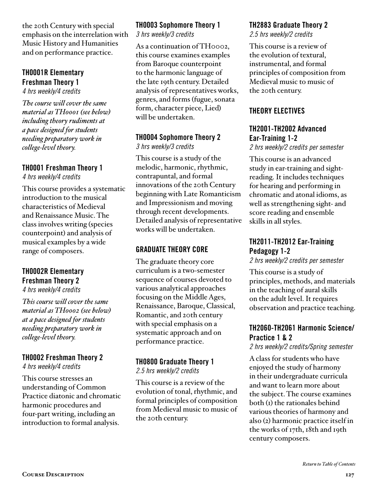the 20th Century with special emphasis on the interrelation with Music History and Humanities and on performance practice.

# TH0001R Elementary Freshman Theory 1

*4 hrs weekly/4 credits*

*The course will cover the same material as TH0001 (see below) including theory rudiments at a pace designed for students needing preparatory work in college-level theory.* 

#### TH0001 Freshman Theory 1

*4 hrs weekly/4 credits*

This course provides a systematic introduction to the musical characteristics of Medieval and Renaissance Music. The class involves writing (species counterpoint) and analysis of musical examples by a wide range of composers.

# TH0002R Elementary Freshman Theory 2

*4 hrs weekly/4 credits*

*This course will cover the same material as TH0002 (see below) at a pace designed for students needing preparatory work in college-level theory.* 

# TH0002 Freshman Theory 2

*4 hrs weekly/4 credits*

This course stresses an understanding of Common Practice diatonic and chromatic harmonic procedures and four-part writing, including an introduction to formal analysis.

# TH0003 Sophomore Theory 1

*3 hrs weekly/3 credits*

As a continuation of TH0002, this course examines examples from Baroque counterpoint to the harmonic language of the late 19th century. Detailed analysis of representatives works, genres, and forms (fugue, sonata form, character piece, Lied) will be undertaken.

# TH0004 Sophomore Theory 2

*3 hrs weekly/3 credits*

This course is a study of the melodic, harmonic, rhythmic, contrapuntal, and formal innovations of the 20th Century beginning with Late Romanticism and Impressionism and moving through recent developments. Detailed analysis of representative works will be undertaken.

# GRADUATE THEORY CORE

The graduate theory core curriculum is a two-semester sequence of courses devoted to various analytical approaches focusing on the Middle Ages, Renaissance, Baroque, Classical, Romantic, and 20th century with special emphasis on a systematic approach and on performance practice.

# TH0800 Graduate Theory 1

*2.5 hrs weekly/2 credits*

This course is a review of the evolution of tonal, rhythmic, and formal principles of composition from Medieval music to music of the 20th century.

## TH2883 Graduate Theory 2

*2.5 hrs weekly/2 credits*

This course is a review of the evolution of textural, instrumental, and formal principles of composition from Medieval music to music of the 20th century.

## THEORY ELECTIVES

## TH2001-TH2002 Advanced Ear-Training 1-2

*2 hrs weekly/2 credits per semester*

This course is an advanced study in ear-training and sightreading. It includes techniques for hearing and performing in chromatic and atonal idioms, as well as strengthening sight- and score reading and ensemble skills in all styles.

# TH2011-TH2012 Ear-Training Pedagogy 1-2

*2 hrs weekly/2 credits per semester*

This course is a study of principles, methods, and materials in the teaching of aural skills on the adult level. It requires observation and practice teaching.

## TH2060-TH2061 Harmonic Science/ Practice 1 & 2

*2 hrs weekly/2 credits/Spring semester*

A class for students who have enjoyed the study of harmony in their undergraduate curricula and want to learn more about the subject. The course examines both (1) the rationales behind various theories of harmony and also (2) harmonic practice itself in the works of 17th, 18th and 19th century composers.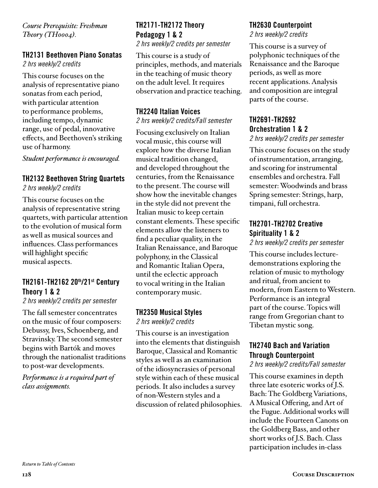*Course Prerequisite: Freshman Theory (TH0004).*

# TH2131 Beethoven Piano Sonatas

*2 hrs weekly/2 credits*

This course focuses on the analysis of representative piano sonatas from each period, with particular attention to performance problems, including tempo, dynamic range, use of pedal, innovative effects, and Beethoven's striking use of harmony.

*Student performance is encouraged.*

#### TH2132 Beethoven String Quartets

*2 hrs weekly/2 credits*

This course focuses on the analysis of representative string quartets, with particular attention to the evolution of musical form as well as musical sources and influences. Class performances will highlight specific musical aspects.

### TH2161-TH2162 20th/21st Century Theory 1 & 2

*2 hrs weekly/2 credits per semester*

The fall semester concentrates on the music of four composers: Debussy, Ives, Schoenberg, and Stravinsky. The second semester begins with Bartók and moves through the nationalist traditions to post-war developments.

*Performance is a required part of class assignments.*

# TH2171-TH2172 Theory Pedagogy 1 & 2

*2 hrs weekly/2 credits per semester*

This course is a study of principles, methods, and materials in the teaching of music theory on the adult level. It requires observation and practice teaching.

## TH2240 Italian Voices

#### *2 hrs weekly/2 credits/Fall semester*

Focusing exclusively on Italian vocal music, this course will explore how the diverse Italian musical tradition changed, and developed throughout the centuries, from the Renaissance to the present. The course will show how the inevitable changes in the style did not prevent the Italian music to keep certain constant elements. These specific elements allow the listeners to find a peculiar quality, in the Italian Renaissance, and Baroque polyphony, in the Classical and Romantic Italian Opera, until the eclectic approach to vocal writing in the Italian contemporary music.

#### TH2350 Musical Styles

*2 hrs weekly/2 credits*

This course is an investigation into the elements that distinguish Baroque, Classical and Romantic styles as well as an examination of the idiosyncrasies of personal style within each of these musical periods. It also includes a survey of non-Western styles and a discussion of related philosophies.

## TH2630 Counterpoint

*2 hrs weekly/2 credits*

This course is a survey of polyphonic techniques of the Renaissance and the Baroque periods, as well as more recent applications. Analysis and composition are integral parts of the course.

# TH2691-TH2692 Orchestration 1 & 2

*2 hrs weekly/2 credits per semester*

This course focuses on the study of instrumentation, arranging, and scoring for instrumental ensembles and orchestra. Fall semester: Woodwinds and brass Spring semester: Strings, harp, timpani, full orchestra.

### TH2701-TH2702 Creative Spirituality 1 & 2

*2 hrs weekly/2 credits per semester*

This course includes lecturedemonstrations exploring the relation of music to mythology and ritual, from ancient to modern, from Eastern to Western. Performance is an integral part of the course. Topics will range from Gregorian chant to Tibetan mystic song.

## TH2740 Bach and Variation Through Counterpoint

#### *2 hrs weekly/2 credits/Fall semester*

This course examines in depth three late esoteric works of J.S. Bach: The Goldberg Variations, A Musical Offering, and Art of the Fugue. Additional works will include the Fourteen Canons on the Goldberg Bass, and other short works of J.S. Bach. Class participation includes in-class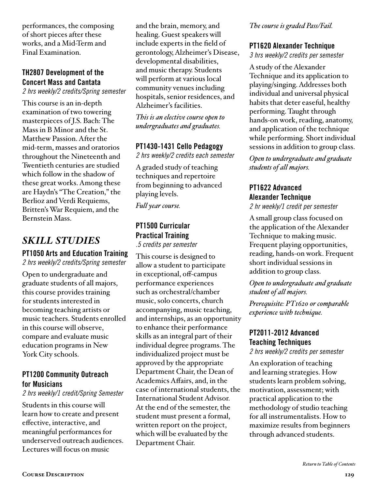performances, the composing of short pieces after these works, and a Mid-Term and Final Examination.

# TH2807 Development of the Concert Mass and Cantata

*2 hrs weekly/2 credits/Spring semester*

This course is an in-depth examination of two towering masterpieces of J.S. Bach: The Mass in B Minor and the St. Matthew Passion. After the mid-term, masses and oratorios throughout the Nineteenth and Twentieth centuries are studied which follow in the shadow of these great works. Among these are Haydn's "The Creation," the Berlioz and Verdi Requiems, Britten's War Requiem, and the Bernstein Mass.

# *SKILL STUDIES*

# PT1050 Arts and Education Training

*2 hrs weekly/2 credits/Spring semester*

Open to undergraduate and graduate students of all majors, this course provides training for students interested in becoming teaching artists or music teachers. Students enrolled in this course will observe, compare and evaluate music education programs in New York City schools.

#### PT1200 Community Outreach for Musicians

*2 hrs weekly/1 credit/Spring Semester*

Students in this course will learn how to create and present effective, interactive, and meaningful performances for underserved outreach audiences. Lectures will focus on music

and the brain, memory, and healing. Guest speakers will include experts in the field of gerontology, Alzheimer's Disease, developmental disabilities, and music therapy. Students will perform at various local community venues including hospitals, senior residences, and Alzheimer's facilities.

*This is an elective course open to undergraduates and graduates.*

#### PT1430-1431 Cello Pedagogy

*2 hrs weekly/2 credits each semester*

A graded study of teaching techniques and repertoire from beginning to advanced playing levels.

*Full year course.*

# PT1500 Curricular Practical Training

*.5 credits per semester* This course is designed to allow a student to participate in exceptional, off-campus performance experiences such as orchestral/chamber music, solo concerts, church accompanying, music teaching, and internships, as an opportunity to enhance their performance skills as an integral part of their individual degree programs. The individualized project must be approved by the appropriate Department Chair, the Dean of Academics Affairs, and, in the case of international students, the International Student Advisor. At the end of the semester, the student must present a formal, written report on the project, which will be evaluated by the Department Chair.

*The course is graded Pass/Fail.*

### PT1620 Alexander Technique

*3 hrs weekly/2 credits per semester*

A study of the Alexander Technique and its application to playing/singing. Addresses both individual and universal physical habits that deter easeful, healthy performing. Taught through hands-on work, reading, anatomy, and application of the technique while performing. Short individual sessions in addition to group class.

*Open to undergraduate and graduate students of all majors.*

# PT1622 Advanced Alexander Technique

*2 hr weekly/1 credit per semester*

A small group class focused on the application of the Alexander Technique to making music. Frequent playing opportunities, reading, hands-on work. Frequent short individual sessions in addition to group class.

*Open to undergraduate and graduate student of all majors.* 

*Prerequisite: PT1620 or comparable experience with technique.*

# PT2011-2012 Advanced Teaching Techniques

*2 hrs weekly/2 credits per semester*

An exploration of teaching and learning strategies. How students learn problem solving, motivation, assessment; with practical application to the methodology of studio teaching for all instrumentalists. How to maximize results from beginners through advanced students.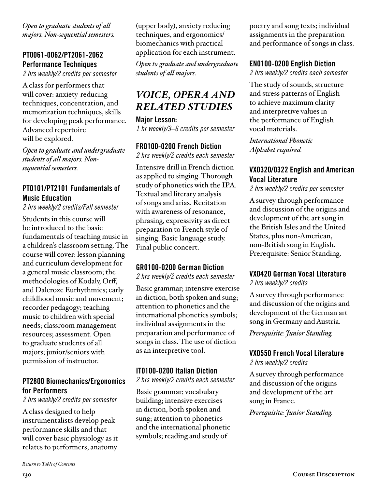*Open to graduate students of all majors. Non-sequential semesters.*

# PT0061-0062/PT2061-2062 Performance Techniques

*2 hrs weekly/2 credits per semester*

A class for performers that will cover: anxiety-reducing techniques, concentration, and memorization techniques, skills for developing peak performance. Advanced repertoire will be explored.

*Open to graduate and undergraduate students of all majors. Nonsequential semesters.*

#### PT0101/PT2101 Fundamentals of Music Education

*2 hrs weekly/2 credits/Fall semester*

Students in this course will be introduced to the basic fundamentals of teaching music in a children's classroom setting. The course will cover: lesson planning and curriculum development for a general music classroom; the methodologies of Kodaly, Orff, and Dalcroze Eurhythmics; early childhood music and movement; recorder pedagogy; teaching music to children with special needs; classroom management resources; assessment. Open to graduate students of all majors; junior/seniors with permission of instructor.

### PT2800 Biomechanics/Ergonomics for Performers

*2 hrs weekly/2 credits per semester*

A class designed to help instrumentalists develop peak performance skills and that will cover basic physiology as it relates to performers, anatomy

(upper body), anxiety reducing techniques, and ergonomics/ biomechanics with practical application for each instrument.

*Open to graduate and undergraduate students of all majors.*

# *VOICE, OPERA AND RELATED STUDIES*

Major Lesson: *1 hr weekly/3–6 credits per semester*

#### FR0100-0200 French Diction

*2 hrs weekly/2 credits each semester*

Intensive drill in French diction as applied to singing. Thorough study of phonetics with the IPA. Textual and literary analysis of songs and arias. Recitation with awareness of resonance, phrasing, expressivity as direct preparation to French style of singing. Basic language study. Final public concert.

### GR0100-0200 German Diction

*2 hrs weekly/2 credits each semester*

Basic grammar; intensive exercise in diction, both spoken and sung; attention to phonetics and the international phonetics symbols; individual assignments in the preparation and performance of songs in class. The use of diction as an interpretive tool.

### IT0100-0200 Italian Diction

*2 hrs weekly/2 credits each semester*

Basic grammar; vocabulary building; intensive exercises in diction, both spoken and sung; attention to phonetics and the international phonetic symbols; reading and study of

poetry and song texts; individual assignments in the preparation and performance of songs in class.

## EN0100-0200 English Diction

*2 hrs weekly/2 credits each semester*

The study of sounds, structure and stress patterns of English to achieve maximum clarity and interpretive values in the performance of English vocal materials.

*International Phonetic Alphabet required.* 

## VX0320/0322 English and American Vocal Literature

*2 hrs weekly/2 credits per semester* 

A survey through performance and discussion of the origins and development of the art song in the British Isles and the United States, plus non-American, non-British song in English. Prerequisite: Senior Standing.

# VX0420 German Vocal Literature

*2 hrs weekly/2 credits*

A survey through performance and discussion of the origins and development of the German art song in Germany and Austria.

*Prerequisite: Junior Standing.*

### VX0550 French Vocal Literature

*2 hrs weekly/2 credits*

A survey through performance and discussion of the origins and development of the art song in France.

*Prerequisite: Junior Standing.*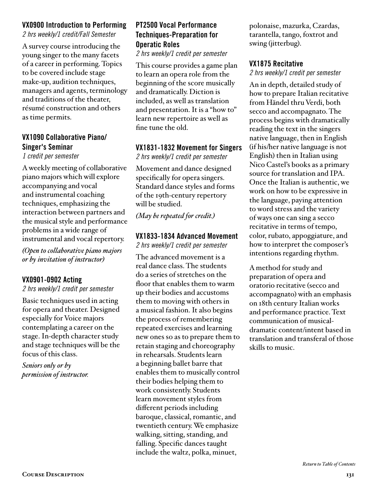#### VX0900 Introduction to Performing

*2 hrs weekly/1 credit/Fall Semester*

A survey course introducing the young singer to the many facets of a career in performing. Topics to be covered include stage make-up, audition techniques, managers and agents, terminology and traditions of the theater, résumé construction and others as time permits.

### VX1090 Collaborative Piano/ Singer's Seminar

*1 credit per semester*

A weekly meeting of collaborative piano majors which will explore accompanying and vocal and instrumental coaching techniques, emphasizing the interaction between partners and the musical style and performance problems in a wide range of instrumental and vocal repertory.

*(Open to collaborative piano majors or by invitation of instructor)*

#### VX0901-0902 Acting

*2 hrs weekly/1 credit per semester*

Basic techniques used in acting for opera and theater. Designed especially for Voice majors contemplating a career on the stage. In-depth character study and stage techniques will be the focus of this class.

*Seniors only or by permission of instructor.*

# PT2500 Vocal Performance Techniques-Preparation for Operatic Roles

*2 hrs weekly/1 credit per semester* 

This course provides a game plan to learn an opera role from the beginning of the score musically and dramatically. Diction is included, as well as translation and presentation. It is a "how to" learn new repertoire as well as fine tune the old.

#### VX1831-1832 Movement for Singers

*2 hrs weekly/1 credit per semester* 

Movement and dance designed specifically for opera singers. Standard dance styles and forms of the 19th-century repertory will be studied.

*(May be repeated for credit.)*

#### VX1833-1834 Advanced Movement

*2 hrs weekly/1 credit per semester*

The advanced movement is a real dance class. The students do a series of stretches on the floor that enables them to warm up their bodies and accustoms them to moving with others in a musical fashion. It also begins the process of remembering repeated exercises and learning new ones so as to prepare them to retain staging and choreography in rehearsals. Students learn a beginning ballet barre that enables them to musically control their bodies helping them to work consistently. Students learn movement styles from different periods including baroque, classical, romantic, and twentieth century. We emphasize walking, sitting, standing, and falling. Specific dances taught include the waltz, polka, minuet,

polonaise, mazurka, Czardas, tarantella, tango, foxtrot and swing (jitterbug).

#### VX1875 Recitative

*2 hrs weekly/1 credit per semester*

An in depth, detailed study of how to prepare Italian recitative from Händel thru Verdi, both secco and accompagnato. The process begins with dramatically reading the text in the singers native language, then in English (if his/her native language is not English) then in Italian using Nico Castel's books as a primary source for translation and IPA. Once the Italian is authentic, we work on how to be expressive in the language, paying attention to word stress and the variety of ways one can sing a secco recitative in terms of tempo, color, rubato, appoggiature, and how to interpret the composer's intentions regarding rhythm.

A method for study and preparation of opera and oratorio recitative (secco and accompagnato) with an emphasis on 18th century Italian works and performance practice. Text communication of musicaldramatic content/intent based in translation and transferal of those skills to music.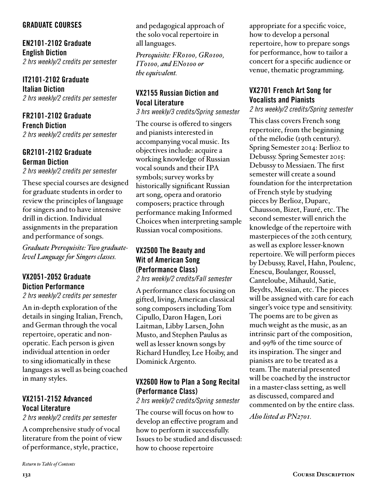#### GRADUATE COURSES

EN2101-2102 Graduate English Diction *2 hrs weekly/2 credits per semester*

IT2101-2102 Graduate Italian Diction *2 hrs weekly/2 credits per semester*

FR2101-2102 Graduate French Diction *2 hrs weekly/2 credits per semester* 

# GR2101-2102 Graduate German Diction

*2 hrs weekly/2 credits per semester*

These special courses are designed for graduate students in order to review the principles of language for singers and to have intensive drill in diction. Individual assignments in the preparation and performance of songs.

*Graduate Prerequisite: Two graduatelevel Language for Singers classes.*

# VX2051-2052 Graduate Diction Performance

*2 hrs weekly/2 credits per semester* 

An in-depth exploration of the details in singing Italian, French, and German through the vocal repertoire, operatic and nonoperatic. Each person is given individual attention in order to sing idiomatically in these languages as well as being coached in many styles.

# VX2151-2152 Advanced Vocal Literature

*2 hrs weekly/2 credits per semester* 

A comprehensive study of vocal literature from the point of view of performance, style, practice,

and pedagogical approach of the solo vocal repertoire in all languages.

*Prerequisite: FR0100, GR0100, IT0100, and EN0100 or the equivalent.* 

## VX2155 Russian Diction and Vocal Literature

*3 hrs weekly/3 credits/Spring semester* 

The course is offered to singers and pianists interested in accompanying vocal music. Its objectives include: acquire a working knowledge of Russian vocal sounds and their IPA symbols; survey works by historically significant Russian art song, opera and oratorio composers; practice through performance making Informed Choices when interpreting sample Russian vocal compositions.

#### VX2500 The Beauty and Wit of American Song (Performance Class) *2 hrs weekly/2 credits/Fall semester*

A performance class focusing on gifted, living, American classical song composers including Tom Cipullo, Daron Hagen, Lori Laitman, Libby Larsen, John Musto, and Stephen Paulus as well as lesser known songs by Richard Hundley, Lee Hoiby, and Dominick Argento.

## VX2600 How to Plan a Song Recital (Performance Class)

*2 hrs weekly/2 credits/Spring semester* 

The course will focus on how to develop an effective program and how to perform it successfully. Issues to be studied and discussed: how to choose repertoire

appropriate for a specific voice, how to develop a personal repertoire, how to prepare songs for performance, how to tailor a concert for a specific audience or venue, thematic programming.

# VX2701 French Art Song for Vocalists and Pianists

*2 hrs weekly/2 credits/Spring semester* 

This class covers French song repertoire, from the beginning of the mélodie (19th century). Spring Semester 2014: Berlioz to Debussy. Spring Semester 2015: Debussy to Messiaen. The first semester will create a sound foundation for the interpretation of French style by studying pieces by Berlioz, Duparc, Chausson, Bizet, Fauré, etc. The second semester will enrich the knowledge of the repertoire with masterpieces of the 20th century, as well as explore lesser-known repertoire. We will perform pieces by Debussy, Ravel, Hahn, Poulenc, Enescu, Boulanger, Roussel, Canteloube, Mihauld, Satie, Beydts, Messian, etc. The pieces will be assigned with care for each singer's voice type and sensitivity. The poems are to be given as much weight as the music, as an intrinsic part of the composition, and 99% of the time source of its inspiration. The singer and pianists are to be treated as a team. The material presented will be coached by the instructor in a master-class setting, as well as discussed, compared and commented on by the entire class. *Also listed as PN2701.*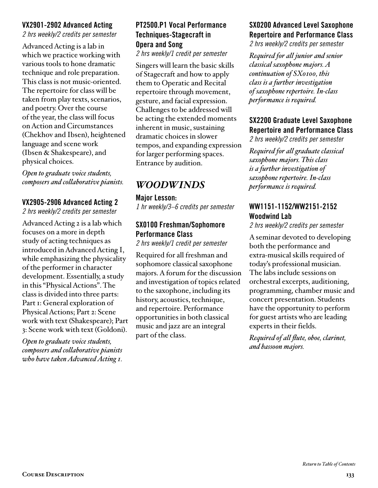#### VX2901-2902 Advanced Acting

*2 hrs weekly/2 credits per semester*

Advanced Acting is a lab in which we practice working with various tools to hone dramatic technique and role preparation. This class is not music-oriented. The repertoire for class will be taken from play texts, scenarios, and poetry. Over the course of the year, the class will focus on Action and Circumstances (Chekhov and Ibsen), heightened language and scene work (Ibsen & Shakespeare), and physical choices.

*Open to graduate voice students, composers and collaborative pianists.*

#### VX2905-2906 Advanced Acting 2

*2 hrs weekly/2 credits per semester*

Advanced Acting 2 is a lab which focuses on a more in depth study of acting techniques as introduced in Advanced Acting I, while emphasizing the physicality of the performer in character development. Essentially, a study in this "Physical Actions". The class is divided into three parts: Part 1: General exploration of Physical Actions; Part 2: Scene work with text (Shakespeare); Part 3: Scene work with text (Goldoni).

*Open to graduate voice students, composers and collaborative pianists who have taken Advanced Acting 1.*

# PT2500.P1 Vocal Performance Techniques-Stagecraft in Opera and Song

*2 hrs weekly/1 credit per semester*

Singers will learn the basic skills of Stagecraft and how to apply them to Operatic and Recital repertoire through movement, gesture, and facial expression. Challenges to be addressed will be acting the extended moments inherent in music, sustaining dramatic choices in slower tempos, and expanding expression for larger performing spaces. Entrance by audition.

# *WOODWINDS*

#### Major Lesson:

*1 hr weekly/3–6 credits per semester*

#### SX0100 Freshman/Sophomore Performance Class

*2 hrs weekly/1 credit per semester*

Required for all freshman and sophomore classical saxophone majors. A forum for the discussion and investigation of topics related to the saxophone, including its history, acoustics, technique, and repertoire. Performance opportunities in both classical music and jazz are an integral part of the class.

## SX0200 Advanced Level Saxophone Repertoire and Performance Class

*2 hrs weekly/2 credits per semester*

*Required for all junior and senior classical saxophone majors. A continuation of SX0100, this class is a further investigation of saxophone repertoire. In-class performance is required.*

## SX2200 Graduate Level Saxophone Repertoire and Performance Class

*2 hrs weekly/2 credits per semester*

*Required for all graduate classical saxophone majors. This class is a further investigation of saxophone repertoire. In-class performance is required.*

### WW1151-1152/WW2151-2152 Woodwind Lab

*2 hrs weekly/2 credits per semester* 

A seminar devoted to developing both the performance and extra-musical skills required of today's professional musician. The labs include sessions on orchestral excerpts, auditioning, programming, chamber music and concert presentation. Students have the opportunity to perform for guest artists who are leading experts in their fields.

*Required of all flute, oboe, clarinet, and bassoon majors.*